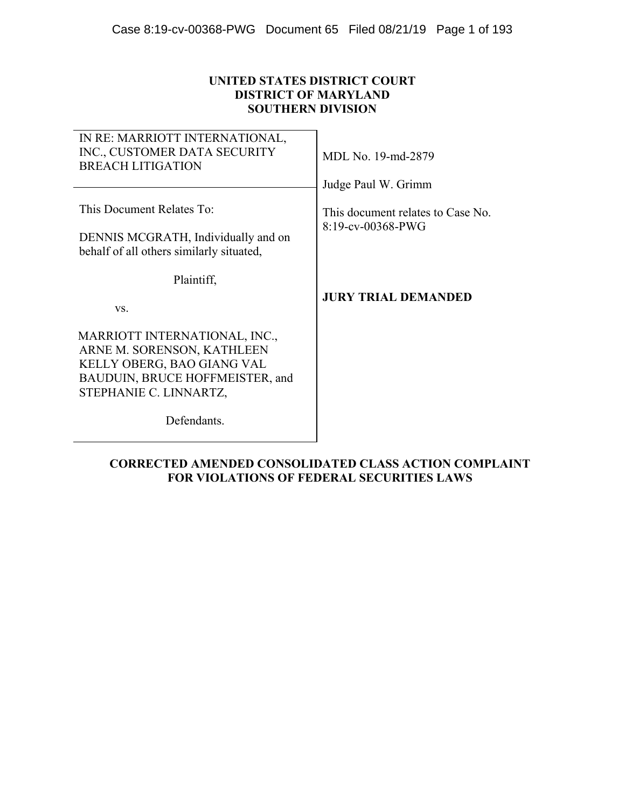## **UNITED STATES DISTRICT COURT DISTRICT OF MARYLAND SOUTHERN DIVISION**

| IN RE: MARRIOTT INTERNATIONAL,<br>INC., CUSTOMER DATA SECURITY<br><b>BREACH LITIGATION</b>                                                             | MDL No. 19-md-2879                                                               |
|--------------------------------------------------------------------------------------------------------------------------------------------------------|----------------------------------------------------------------------------------|
| This Document Relates To:<br>DENNIS MCGRATH, Individually and on<br>behalf of all others similarly situated,                                           | Judge Paul W. Grimm<br>This document relates to Case No.<br>$8:19$ -cv-00368-PWG |
| Plaintiff.<br>VS.                                                                                                                                      | <b>JURY TRIAL DEMANDED</b>                                                       |
| MARRIOTT INTERNATIONAL, INC.,<br>ARNE M. SORENSON, KATHLEEN<br>KELLY OBERG, BAO GIANG VAL<br>BAUDUIN, BRUCE HOFFMEISTER, and<br>STEPHANIE C. LINNARTZ, |                                                                                  |
| Defendants.                                                                                                                                            |                                                                                  |

## **CORRECTED AMENDED CONSOLIDATED CLASS ACTION COMPLAINT FOR VIOLATIONS OF FEDERAL SECURITIES LAWS**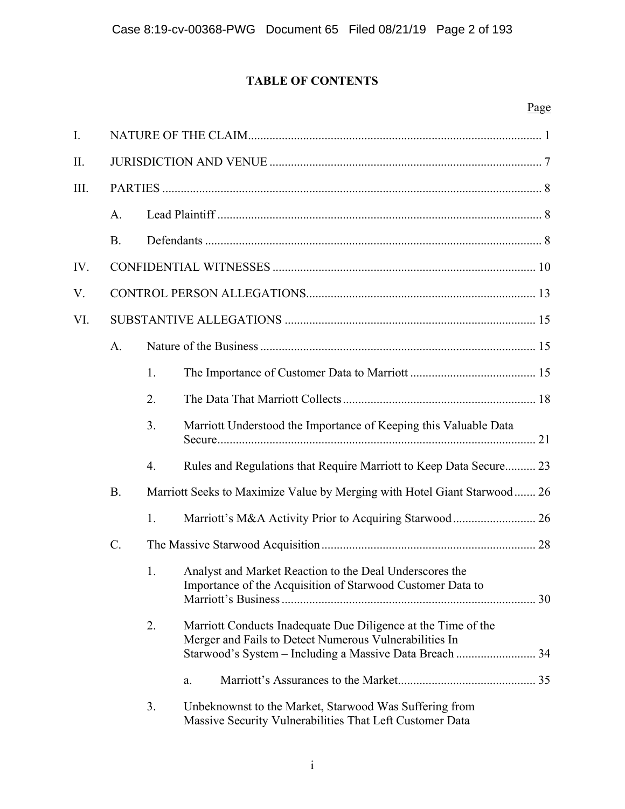# **TABLE OF CONTENTS**

# Page

| I.   |       |    |                                                                                                                                                                                    |  |
|------|-------|----|------------------------------------------------------------------------------------------------------------------------------------------------------------------------------------|--|
| II.  |       |    |                                                                                                                                                                                    |  |
| III. |       |    |                                                                                                                                                                                    |  |
|      | A.    |    |                                                                                                                                                                                    |  |
|      | B.    |    |                                                                                                                                                                                    |  |
| IV.  |       |    |                                                                                                                                                                                    |  |
| V.   |       |    |                                                                                                                                                                                    |  |
| VI.  |       |    |                                                                                                                                                                                    |  |
|      | A.    |    |                                                                                                                                                                                    |  |
|      |       | 1. |                                                                                                                                                                                    |  |
|      |       | 2. |                                                                                                                                                                                    |  |
|      |       | 3. | Marriott Understood the Importance of Keeping this Valuable Data                                                                                                                   |  |
|      |       | 4. | Rules and Regulations that Require Marriott to Keep Data Secure 23                                                                                                                 |  |
|      | B.    |    | Marriott Seeks to Maximize Value by Merging with Hotel Giant Starwood 26                                                                                                           |  |
|      |       | 1. |                                                                                                                                                                                    |  |
|      | $C$ . |    |                                                                                                                                                                                    |  |
|      |       | 1. | Analyst and Market Reaction to the Deal Underscores the<br>Importance of the Acquisition of Starwood Customer Data to                                                              |  |
|      |       | 2. | Marriott Conducts Inadequate Due Diligence at the Time of the<br>Merger and Fails to Detect Numerous Vulnerabilities In<br>Starwood's System - Including a Massive Data Breach  34 |  |
|      |       |    | a.                                                                                                                                                                                 |  |
|      |       | 3. | Unbeknownst to the Market, Starwood Was Suffering from<br>Massive Security Vulnerabilities That Left Customer Data                                                                 |  |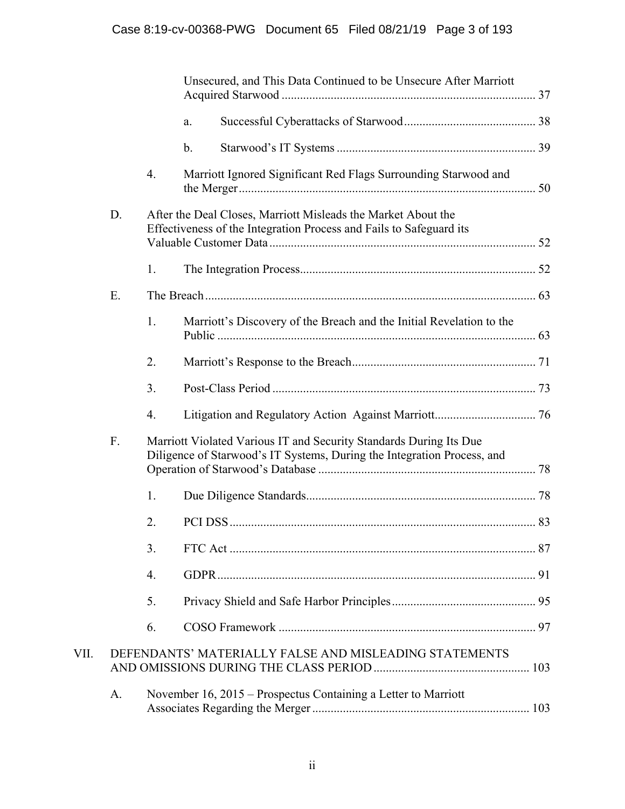|      |    |    | Unsecured, and This Data Continued to be Unsecure After Marriott                                                                              |  |
|------|----|----|-----------------------------------------------------------------------------------------------------------------------------------------------|--|
|      |    |    | a.                                                                                                                                            |  |
|      |    |    | $\mathbf b$ .                                                                                                                                 |  |
|      |    | 4. | Marriott Ignored Significant Red Flags Surrounding Starwood and                                                                               |  |
|      | D. |    | After the Deal Closes, Marriott Misleads the Market About the<br>Effectiveness of the Integration Process and Fails to Safeguard its          |  |
|      |    | 1. |                                                                                                                                               |  |
|      | E. |    |                                                                                                                                               |  |
|      |    | 1. | Marriott's Discovery of the Breach and the Initial Revelation to the                                                                          |  |
|      |    | 2. |                                                                                                                                               |  |
|      |    | 3. |                                                                                                                                               |  |
|      |    | 4. |                                                                                                                                               |  |
|      | F. |    | Marriott Violated Various IT and Security Standards During Its Due<br>Diligence of Starwood's IT Systems, During the Integration Process, and |  |
|      |    | 1. |                                                                                                                                               |  |
|      |    | 2. |                                                                                                                                               |  |
|      |    | 3. |                                                                                                                                               |  |
|      |    | 4. |                                                                                                                                               |  |
|      |    | 5. |                                                                                                                                               |  |
|      |    | 6. |                                                                                                                                               |  |
| VII. |    |    | DEFENDANTS' MATERIALLY FALSE AND MISLEADING STATEMENTS                                                                                        |  |
|      | A. |    | November 16, 2015 – Prospectus Containing a Letter to Marriott                                                                                |  |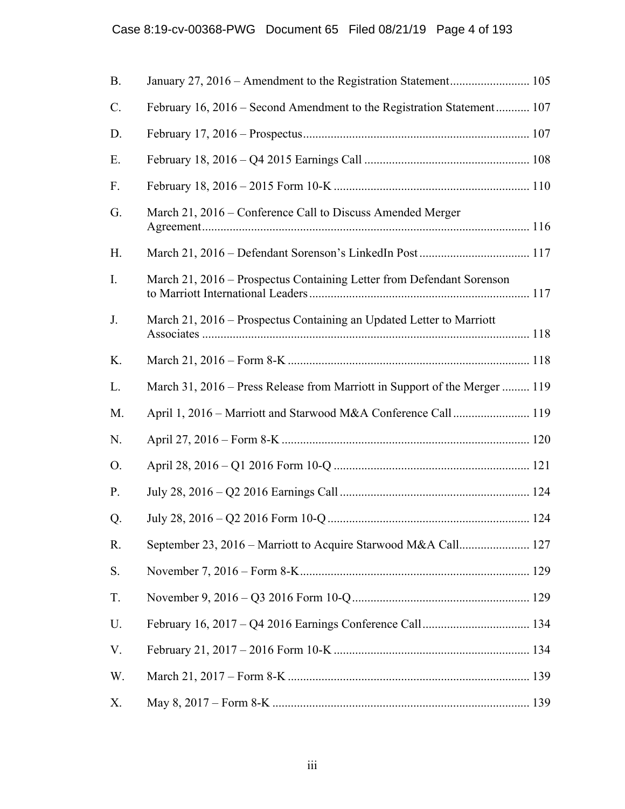| <b>B.</b>      |                                                                            |
|----------------|----------------------------------------------------------------------------|
| C.             | February 16, 2016 – Second Amendment to the Registration Statement 107     |
| D.             |                                                                            |
| Ε.             |                                                                            |
| F.             |                                                                            |
| G.             | March 21, 2016 – Conference Call to Discuss Amended Merger                 |
| H.             |                                                                            |
| $\mathbf{I}$ . | March 21, 2016 – Prospectus Containing Letter from Defendant Sorenson      |
| J.             | March 21, 2016 – Prospectus Containing an Updated Letter to Marriott       |
| K.             |                                                                            |
| L.             | March 31, 2016 – Press Release from Marriott in Support of the Merger  119 |
| M.             | April 1, 2016 - Marriott and Starwood M&A Conference Call 119              |
| N.             |                                                                            |
| O.             |                                                                            |
| P.             |                                                                            |
| Q.             |                                                                            |
| R.             |                                                                            |
| S.             |                                                                            |
| T.             |                                                                            |
| U.             |                                                                            |
| V.             |                                                                            |
| W.             |                                                                            |
| Х.             |                                                                            |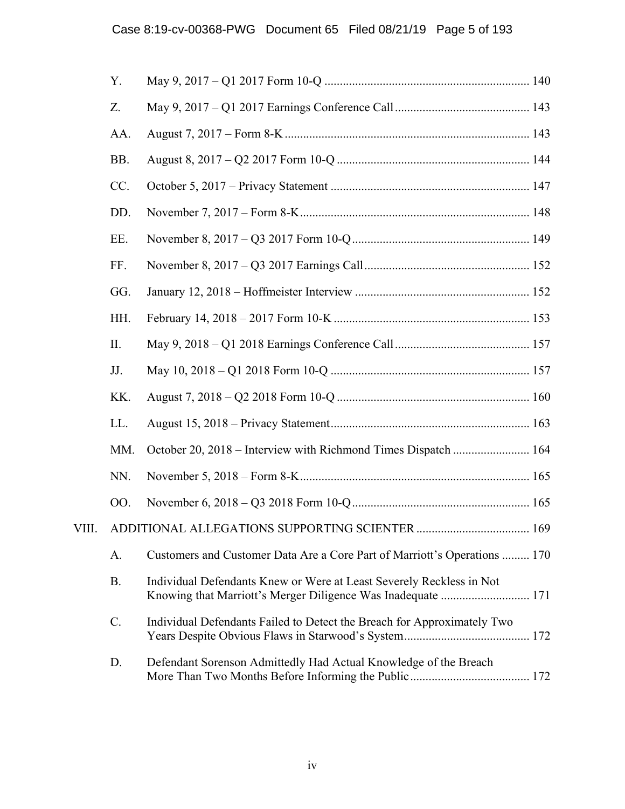|       | Y.        |                                                                                                                                      |  |
|-------|-----------|--------------------------------------------------------------------------------------------------------------------------------------|--|
|       | Z.        |                                                                                                                                      |  |
|       | AA.       |                                                                                                                                      |  |
|       | BB.       |                                                                                                                                      |  |
|       | CC.       |                                                                                                                                      |  |
|       | DD.       |                                                                                                                                      |  |
|       | EE.       |                                                                                                                                      |  |
|       | FF.       |                                                                                                                                      |  |
|       | GG.       |                                                                                                                                      |  |
|       | HH.       |                                                                                                                                      |  |
|       | II.       |                                                                                                                                      |  |
|       | JJ.       |                                                                                                                                      |  |
|       | KK.       |                                                                                                                                      |  |
|       | LL.       |                                                                                                                                      |  |
|       | MM.       | October 20, 2018 - Interview with Richmond Times Dispatch  164                                                                       |  |
|       | NN.       |                                                                                                                                      |  |
|       | 00.       |                                                                                                                                      |  |
| VIII. |           |                                                                                                                                      |  |
|       | A.        | Customers and Customer Data Are a Core Part of Marriott's Operations  170                                                            |  |
|       | <b>B.</b> | Individual Defendants Knew or Were at Least Severely Reckless in Not<br>Knowing that Marriott's Merger Diligence Was Inadequate  171 |  |
|       | C.        | Individual Defendants Failed to Detect the Breach for Approximately Two                                                              |  |
|       | D.        | Defendant Sorenson Admittedly Had Actual Knowledge of the Breach                                                                     |  |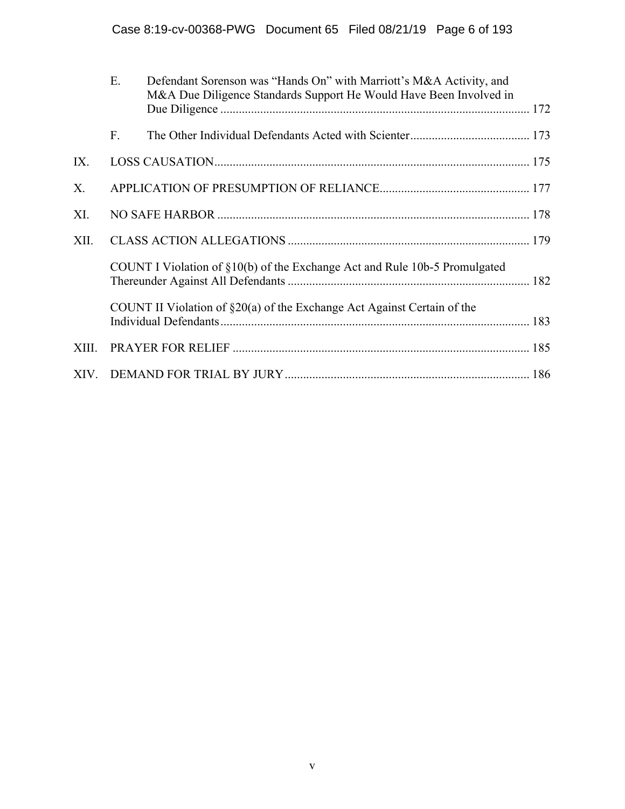|       | Ε. | Defendant Sorenson was "Hands On" with Marriott's M&A Activity, and<br>M&A Due Diligence Standards Support He Would Have Been Involved in |  |
|-------|----|-------------------------------------------------------------------------------------------------------------------------------------------|--|
|       | F. |                                                                                                                                           |  |
| IX.   |    |                                                                                                                                           |  |
| X.    |    |                                                                                                                                           |  |
| XI.   |    |                                                                                                                                           |  |
| XII.  |    |                                                                                                                                           |  |
|       |    | COUNT I Violation of §10(b) of the Exchange Act and Rule 10b-5 Promulgated                                                                |  |
|       |    | COUNT II Violation of $\S20(a)$ of the Exchange Act Against Certain of the                                                                |  |
| XIII. |    |                                                                                                                                           |  |
|       |    |                                                                                                                                           |  |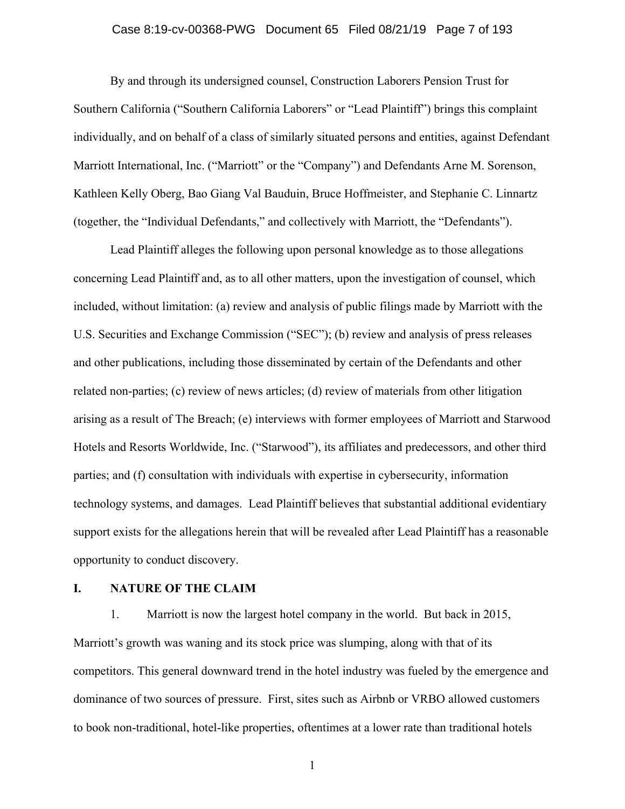#### Case 8:19-cv-00368-PWG Document 65 Filed 08/21/19 Page 7 of 193

By and through its undersigned counsel, Construction Laborers Pension Trust for Southern California ("Southern California Laborers" or "Lead Plaintiff") brings this complaint individually, and on behalf of a class of similarly situated persons and entities, against Defendant Marriott International, Inc. ("Marriott" or the "Company") and Defendants Arne M. Sorenson, Kathleen Kelly Oberg, Bao Giang Val Bauduin, Bruce Hoffmeister, and Stephanie C. Linnartz (together, the "Individual Defendants," and collectively with Marriott, the "Defendants").

Lead Plaintiff alleges the following upon personal knowledge as to those allegations concerning Lead Plaintiff and, as to all other matters, upon the investigation of counsel, which included, without limitation: (a) review and analysis of public filings made by Marriott with the U.S. Securities and Exchange Commission ("SEC"); (b) review and analysis of press releases and other publications, including those disseminated by certain of the Defendants and other related non-parties; (c) review of news articles; (d) review of materials from other litigation arising as a result of The Breach; (e) interviews with former employees of Marriott and Starwood Hotels and Resorts Worldwide, Inc. ("Starwood"), its affiliates and predecessors, and other third parties; and (f) consultation with individuals with expertise in cybersecurity, information technology systems, and damages. Lead Plaintiff believes that substantial additional evidentiary support exists for the allegations herein that will be revealed after Lead Plaintiff has a reasonable opportunity to conduct discovery.

#### **I. NATURE OF THE CLAIM**

1. Marriott is now the largest hotel company in the world. But back in 2015, Marriott's growth was waning and its stock price was slumping, along with that of its competitors. This general downward trend in the hotel industry was fueled by the emergence and dominance of two sources of pressure. First, sites such as Airbnb or VRBO allowed customers to book non-traditional, hotel-like properties, oftentimes at a lower rate than traditional hotels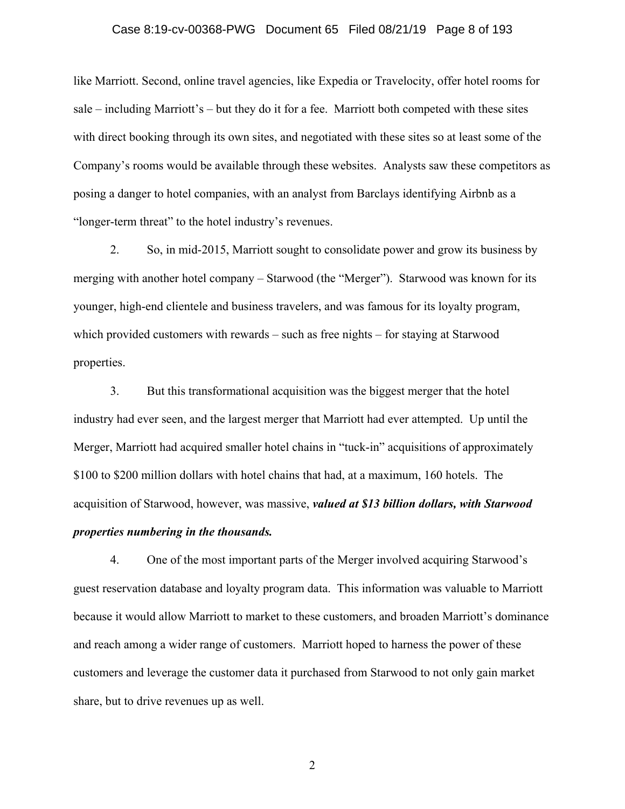#### Case 8:19-cv-00368-PWG Document 65 Filed 08/21/19 Page 8 of 193

like Marriott. Second, online travel agencies, like Expedia or Travelocity, offer hotel rooms for sale – including Marriott's – but they do it for a fee. Marriott both competed with these sites with direct booking through its own sites, and negotiated with these sites so at least some of the Company's rooms would be available through these websites. Analysts saw these competitors as posing a danger to hotel companies, with an analyst from Barclays identifying Airbnb as a "longer-term threat" to the hotel industry's revenues.

2. So, in mid-2015, Marriott sought to consolidate power and grow its business by merging with another hotel company – Starwood (the "Merger"). Starwood was known for its younger, high-end clientele and business travelers, and was famous for its loyalty program, which provided customers with rewards – such as free nights – for staying at Starwood properties.

3. But this transformational acquisition was the biggest merger that the hotel industry had ever seen, and the largest merger that Marriott had ever attempted. Up until the Merger, Marriott had acquired smaller hotel chains in "tuck-in" acquisitions of approximately \$100 to \$200 million dollars with hotel chains that had, at a maximum, 160 hotels. The acquisition of Starwood, however, was massive, *valued at \$13 billion dollars, with Starwood properties numbering in the thousands.*

4. One of the most important parts of the Merger involved acquiring Starwood's guest reservation database and loyalty program data. This information was valuable to Marriott because it would allow Marriott to market to these customers, and broaden Marriott's dominance and reach among a wider range of customers. Marriott hoped to harness the power of these customers and leverage the customer data it purchased from Starwood to not only gain market share, but to drive revenues up as well.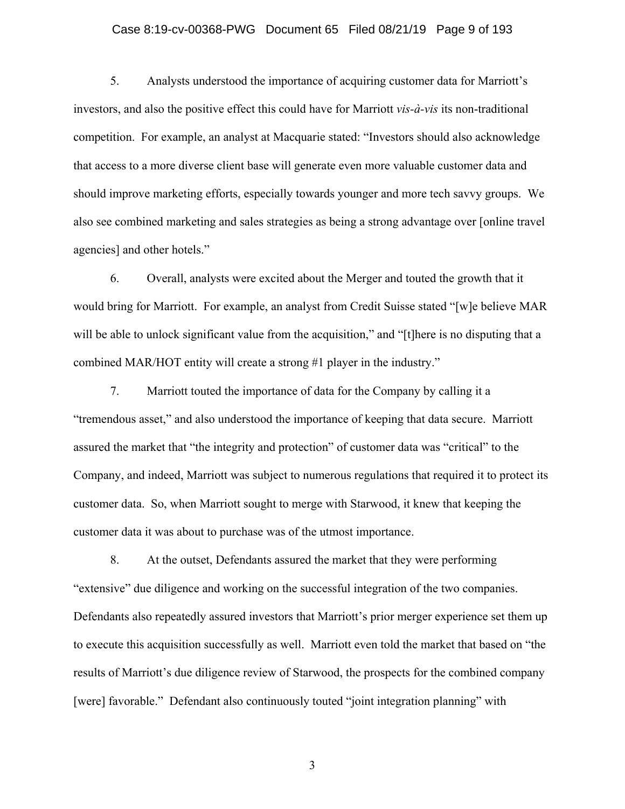#### Case 8:19-cv-00368-PWG Document 65 Filed 08/21/19 Page 9 of 193

5. Analysts understood the importance of acquiring customer data for Marriott's investors, and also the positive effect this could have for Marriott *vis-à-vis* its non-traditional competition. For example, an analyst at Macquarie stated: "Investors should also acknowledge that access to a more diverse client base will generate even more valuable customer data and should improve marketing efforts, especially towards younger and more tech savvy groups. We also see combined marketing and sales strategies as being a strong advantage over [online travel agencies] and other hotels."

6. Overall, analysts were excited about the Merger and touted the growth that it would bring for Marriott. For example, an analyst from Credit Suisse stated "[w]e believe MAR will be able to unlock significant value from the acquisition," and "[t]here is no disputing that a combined MAR/HOT entity will create a strong #1 player in the industry."

7. Marriott touted the importance of data for the Company by calling it a "tremendous asset," and also understood the importance of keeping that data secure. Marriott assured the market that "the integrity and protection" of customer data was "critical" to the Company, and indeed, Marriott was subject to numerous regulations that required it to protect its customer data. So, when Marriott sought to merge with Starwood, it knew that keeping the customer data it was about to purchase was of the utmost importance.

8. At the outset, Defendants assured the market that they were performing "extensive" due diligence and working on the successful integration of the two companies. Defendants also repeatedly assured investors that Marriott's prior merger experience set them up to execute this acquisition successfully as well. Marriott even told the market that based on "the results of Marriott's due diligence review of Starwood, the prospects for the combined company [were] favorable." Defendant also continuously touted "joint integration planning" with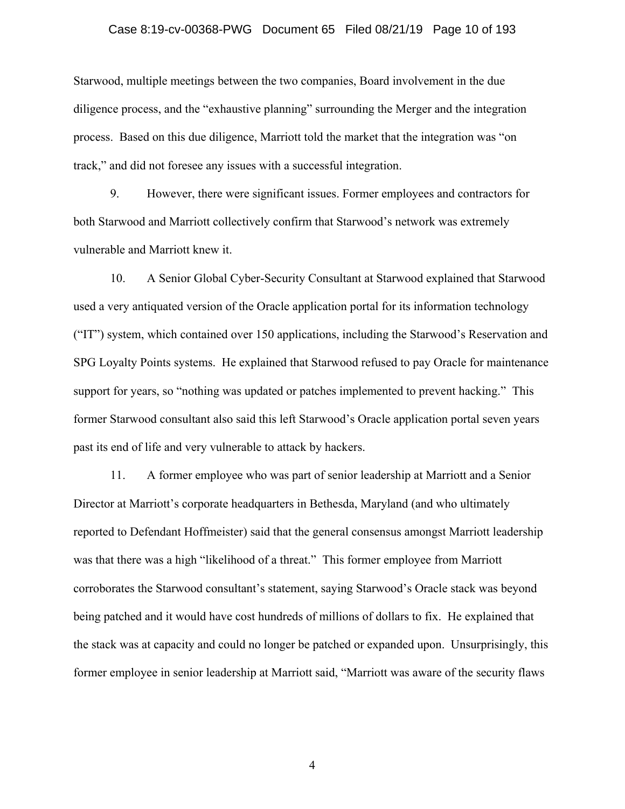#### Case 8:19-cv-00368-PWG Document 65 Filed 08/21/19 Page 10 of 193

Starwood, multiple meetings between the two companies, Board involvement in the due diligence process, and the "exhaustive planning" surrounding the Merger and the integration process. Based on this due diligence, Marriott told the market that the integration was "on track," and did not foresee any issues with a successful integration.

9. However, there were significant issues. Former employees and contractors for both Starwood and Marriott collectively confirm that Starwood's network was extremely vulnerable and Marriott knew it.

10. A Senior Global Cyber-Security Consultant at Starwood explained that Starwood used a very antiquated version of the Oracle application portal for its information technology ("IT") system, which contained over 150 applications, including the Starwood's Reservation and SPG Loyalty Points systems. He explained that Starwood refused to pay Oracle for maintenance support for years, so "nothing was updated or patches implemented to prevent hacking." This former Starwood consultant also said this left Starwood's Oracle application portal seven years past its end of life and very vulnerable to attack by hackers.

11. A former employee who was part of senior leadership at Marriott and a Senior Director at Marriott's corporate headquarters in Bethesda, Maryland (and who ultimately reported to Defendant Hoffmeister) said that the general consensus amongst Marriott leadership was that there was a high "likelihood of a threat." This former employee from Marriott corroborates the Starwood consultant's statement, saying Starwood's Oracle stack was beyond being patched and it would have cost hundreds of millions of dollars to fix. He explained that the stack was at capacity and could no longer be patched or expanded upon. Unsurprisingly, this former employee in senior leadership at Marriott said, "Marriott was aware of the security flaws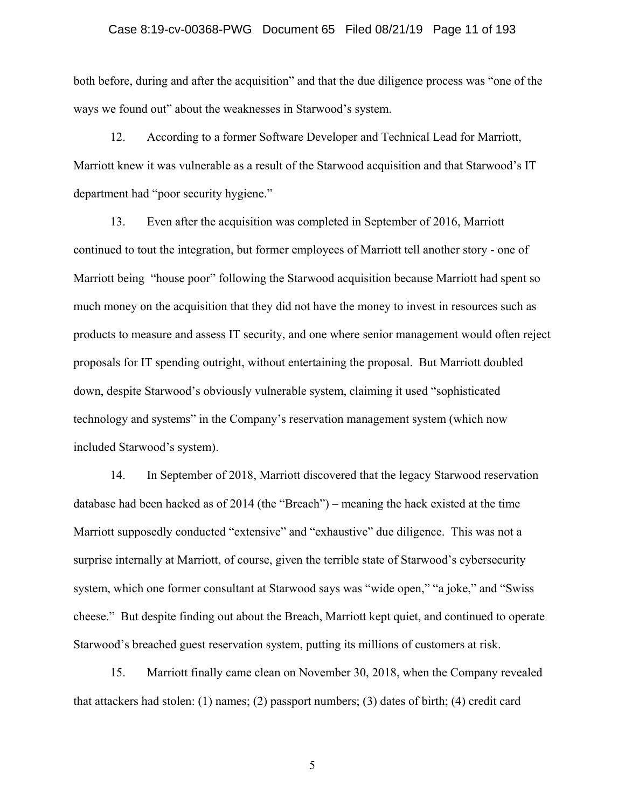#### Case 8:19-cv-00368-PWG Document 65 Filed 08/21/19 Page 11 of 193

both before, during and after the acquisition" and that the due diligence process was "one of the ways we found out" about the weaknesses in Starwood's system.

12. According to a former Software Developer and Technical Lead for Marriott, Marriott knew it was vulnerable as a result of the Starwood acquisition and that Starwood's IT department had "poor security hygiene."

13. Even after the acquisition was completed in September of 2016, Marriott continued to tout the integration, but former employees of Marriott tell another story - one of Marriott being "house poor" following the Starwood acquisition because Marriott had spent so much money on the acquisition that they did not have the money to invest in resources such as products to measure and assess IT security, and one where senior management would often reject proposals for IT spending outright, without entertaining the proposal. But Marriott doubled down, despite Starwood's obviously vulnerable system, claiming it used "sophisticated technology and systems" in the Company's reservation management system (which now included Starwood's system).

14. In September of 2018, Marriott discovered that the legacy Starwood reservation database had been hacked as of 2014 (the "Breach") – meaning the hack existed at the time Marriott supposedly conducted "extensive" and "exhaustive" due diligence. This was not a surprise internally at Marriott, of course, given the terrible state of Starwood's cybersecurity system, which one former consultant at Starwood says was "wide open," "a joke," and "Swiss cheese." But despite finding out about the Breach, Marriott kept quiet, and continued to operate Starwood's breached guest reservation system, putting its millions of customers at risk.

15. Marriott finally came clean on November 30, 2018, when the Company revealed that attackers had stolen: (1) names; (2) passport numbers; (3) dates of birth; (4) credit card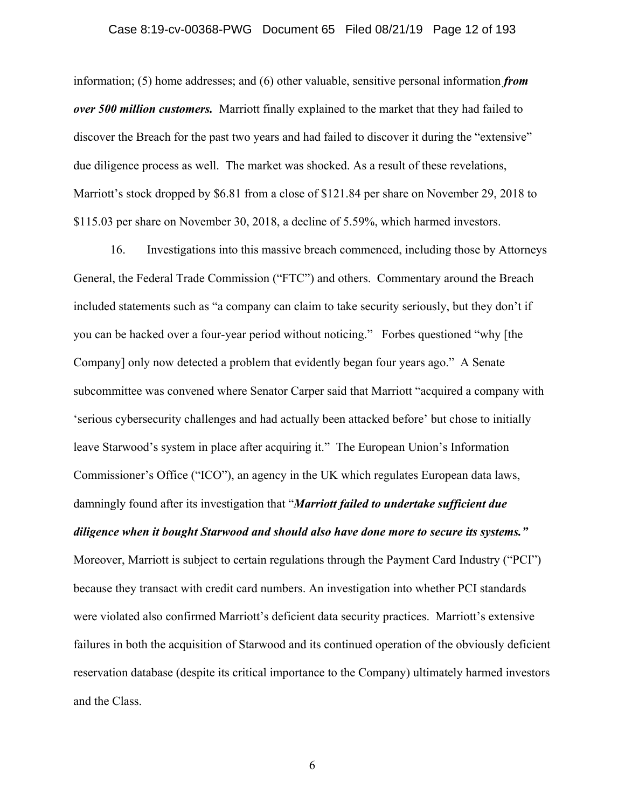#### Case 8:19-cv-00368-PWG Document 65 Filed 08/21/19 Page 12 of 193

information; (5) home addresses; and (6) other valuable, sensitive personal information *from over 500 million customers.* Marriott finally explained to the market that they had failed to discover the Breach for the past two years and had failed to discover it during the "extensive" due diligence process as well. The market was shocked. As a result of these revelations, Marriott's stock dropped by \$6.81 from a close of \$121.84 per share on November 29, 2018 to \$115.03 per share on November 30, 2018, a decline of 5.59%, which harmed investors.

16. Investigations into this massive breach commenced, including those by Attorneys General, the Federal Trade Commission ("FTC") and others. Commentary around the Breach included statements such as "a company can claim to take security seriously, but they don't if you can be hacked over a four-year period without noticing." Forbes questioned "why [the Company] only now detected a problem that evidently began four years ago." A Senate subcommittee was convened where Senator Carper said that Marriott "acquired a company with 'serious cybersecurity challenges and had actually been attacked before' but chose to initially leave Starwood's system in place after acquiring it." The European Union's Information Commissioner's Office ("ICO"), an agency in the UK which regulates European data laws, damningly found after its investigation that "*Marriott failed to undertake sufficient due diligence when it bought Starwood and should also have done more to secure its systems."* Moreover, Marriott is subject to certain regulations through the Payment Card Industry ("PCI") because they transact with credit card numbers. An investigation into whether PCI standards were violated also confirmed Marriott's deficient data security practices. Marriott's extensive failures in both the acquisition of Starwood and its continued operation of the obviously deficient reservation database (despite its critical importance to the Company) ultimately harmed investors and the Class.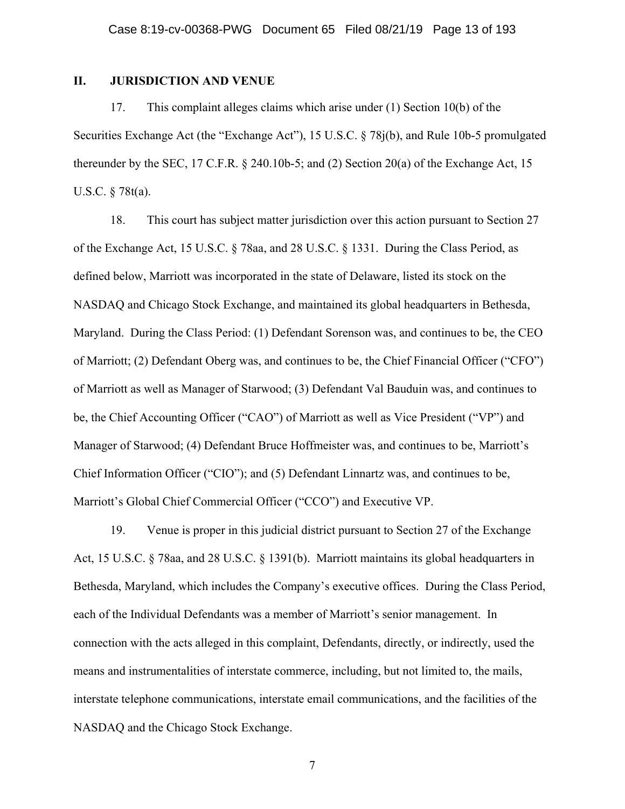### **II. JURISDICTION AND VENUE**

17. This complaint alleges claims which arise under (1) Section 10(b) of the Securities Exchange Act (the "Exchange Act"), 15 U.S.C. § 78j(b), and Rule 10b-5 promulgated thereunder by the SEC, 17 C.F.R.  $\S$  240.10b-5; and (2) Section 20(a) of the Exchange Act, 15 U.S.C. § 78t(a).

18. This court has subject matter jurisdiction over this action pursuant to Section 27 of the Exchange Act, 15 U.S.C. § 78aa, and 28 U.S.C. § 1331. During the Class Period, as defined below, Marriott was incorporated in the state of Delaware, listed its stock on the NASDAQ and Chicago Stock Exchange, and maintained its global headquarters in Bethesda, Maryland. During the Class Period: (1) Defendant Sorenson was, and continues to be, the CEO of Marriott; (2) Defendant Oberg was, and continues to be, the Chief Financial Officer ("CFO") of Marriott as well as Manager of Starwood; (3) Defendant Val Bauduin was, and continues to be, the Chief Accounting Officer ("CAO") of Marriott as well as Vice President ("VP") and Manager of Starwood; (4) Defendant Bruce Hoffmeister was, and continues to be, Marriott's Chief Information Officer ("CIO"); and (5) Defendant Linnartz was, and continues to be, Marriott's Global Chief Commercial Officer ("CCO") and Executive VP.

19. Venue is proper in this judicial district pursuant to Section 27 of the Exchange Act, 15 U.S.C. § 78aa, and 28 U.S.C. § 1391(b). Marriott maintains its global headquarters in Bethesda, Maryland, which includes the Company's executive offices. During the Class Period, each of the Individual Defendants was a member of Marriott's senior management. In connection with the acts alleged in this complaint, Defendants, directly, or indirectly, used the means and instrumentalities of interstate commerce, including, but not limited to, the mails, interstate telephone communications, interstate email communications, and the facilities of the NASDAQ and the Chicago Stock Exchange.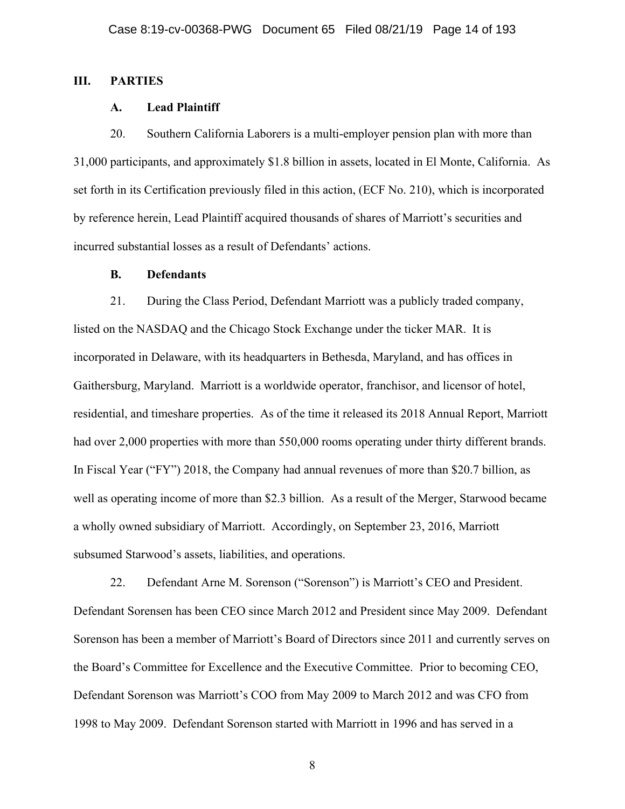## **III. PARTIES**

#### **A. Lead Plaintiff**

20. Southern California Laborers is a multi-employer pension plan with more than 31,000 participants, and approximately \$1.8 billion in assets, located in El Monte, California. As set forth in its Certification previously filed in this action, (ECF No. 210), which is incorporated by reference herein, Lead Plaintiff acquired thousands of shares of Marriott's securities and incurred substantial losses as a result of Defendants' actions.

#### **B. Defendants**

21. During the Class Period, Defendant Marriott was a publicly traded company, listed on the NASDAQ and the Chicago Stock Exchange under the ticker MAR. It is incorporated in Delaware, with its headquarters in Bethesda, Maryland, and has offices in Gaithersburg, Maryland. Marriott is a worldwide operator, franchisor, and licensor of hotel, residential, and timeshare properties. As of the time it released its 2018 Annual Report, Marriott had over 2,000 properties with more than 550,000 rooms operating under thirty different brands. In Fiscal Year ("FY") 2018, the Company had annual revenues of more than \$20.7 billion, as well as operating income of more than \$2.3 billion. As a result of the Merger, Starwood became a wholly owned subsidiary of Marriott. Accordingly, on September 23, 2016, Marriott subsumed Starwood's assets, liabilities, and operations.

22. Defendant Arne M. Sorenson ("Sorenson") is Marriott's CEO and President. Defendant Sorensen has been CEO since March 2012 and President since May 2009. Defendant Sorenson has been a member of Marriott's Board of Directors since 2011 and currently serves on the Board's Committee for Excellence and the Executive Committee. Prior to becoming CEO, Defendant Sorenson was Marriott's COO from May 2009 to March 2012 and was CFO from 1998 to May 2009. Defendant Sorenson started with Marriott in 1996 and has served in a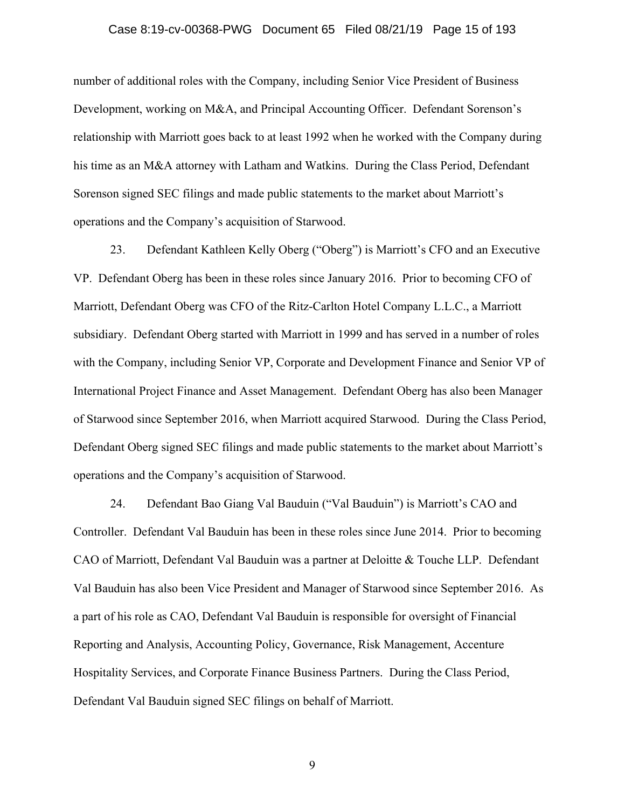#### Case 8:19-cv-00368-PWG Document 65 Filed 08/21/19 Page 15 of 193

number of additional roles with the Company, including Senior Vice President of Business Development, working on M&A, and Principal Accounting Officer. Defendant Sorenson's relationship with Marriott goes back to at least 1992 when he worked with the Company during his time as an M&A attorney with Latham and Watkins. During the Class Period, Defendant Sorenson signed SEC filings and made public statements to the market about Marriott's operations and the Company's acquisition of Starwood.

23. Defendant Kathleen Kelly Oberg ("Oberg") is Marriott's CFO and an Executive VP. Defendant Oberg has been in these roles since January 2016. Prior to becoming CFO of Marriott, Defendant Oberg was CFO of the Ritz-Carlton Hotel Company L.L.C., a Marriott subsidiary. Defendant Oberg started with Marriott in 1999 and has served in a number of roles with the Company, including Senior VP, Corporate and Development Finance and Senior VP of International Project Finance and Asset Management. Defendant Oberg has also been Manager of Starwood since September 2016, when Marriott acquired Starwood. During the Class Period, Defendant Oberg signed SEC filings and made public statements to the market about Marriott's operations and the Company's acquisition of Starwood.

24. Defendant Bao Giang Val Bauduin ("Val Bauduin") is Marriott's CAO and Controller. Defendant Val Bauduin has been in these roles since June 2014. Prior to becoming CAO of Marriott, Defendant Val Bauduin was a partner at Deloitte & Touche LLP. Defendant Val Bauduin has also been Vice President and Manager of Starwood since September 2016. As a part of his role as CAO, Defendant Val Bauduin is responsible for oversight of Financial Reporting and Analysis, Accounting Policy, Governance, Risk Management, Accenture Hospitality Services, and Corporate Finance Business Partners. During the Class Period, Defendant Val Bauduin signed SEC filings on behalf of Marriott.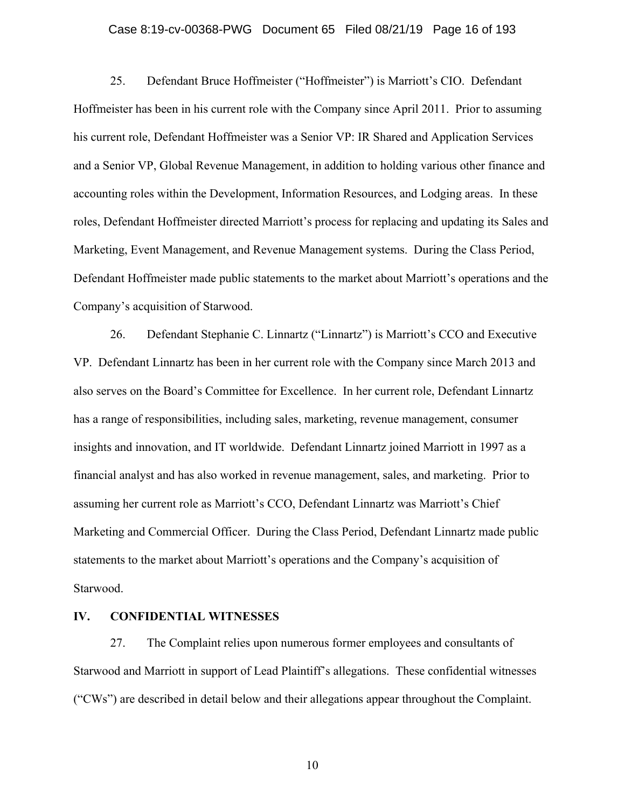#### Case 8:19-cv-00368-PWG Document 65 Filed 08/21/19 Page 16 of 193

25. Defendant Bruce Hoffmeister ("Hoffmeister") is Marriott's CIO. Defendant Hoffmeister has been in his current role with the Company since April 2011. Prior to assuming his current role, Defendant Hoffmeister was a Senior VP: IR Shared and Application Services and a Senior VP, Global Revenue Management, in addition to holding various other finance and accounting roles within the Development, Information Resources, and Lodging areas. In these roles, Defendant Hoffmeister directed Marriott's process for replacing and updating its Sales and Marketing, Event Management, and Revenue Management systems. During the Class Period, Defendant Hoffmeister made public statements to the market about Marriott's operations and the Company's acquisition of Starwood.

26. Defendant Stephanie C. Linnartz ("Linnartz") is Marriott's CCO and Executive VP. Defendant Linnartz has been in her current role with the Company since March 2013 and also serves on the Board's Committee for Excellence. In her current role, Defendant Linnartz has a range of responsibilities, including sales, marketing, revenue management, consumer insights and innovation, and IT worldwide. Defendant Linnartz joined Marriott in 1997 as a financial analyst and has also worked in revenue management, sales, and marketing. Prior to assuming her current role as Marriott's CCO, Defendant Linnartz was Marriott's Chief Marketing and Commercial Officer. During the Class Period, Defendant Linnartz made public statements to the market about Marriott's operations and the Company's acquisition of Starwood.

#### **IV. CONFIDENTIAL WITNESSES**

27. The Complaint relies upon numerous former employees and consultants of Starwood and Marriott in support of Lead Plaintiff's allegations. These confidential witnesses ("CWs") are described in detail below and their allegations appear throughout the Complaint.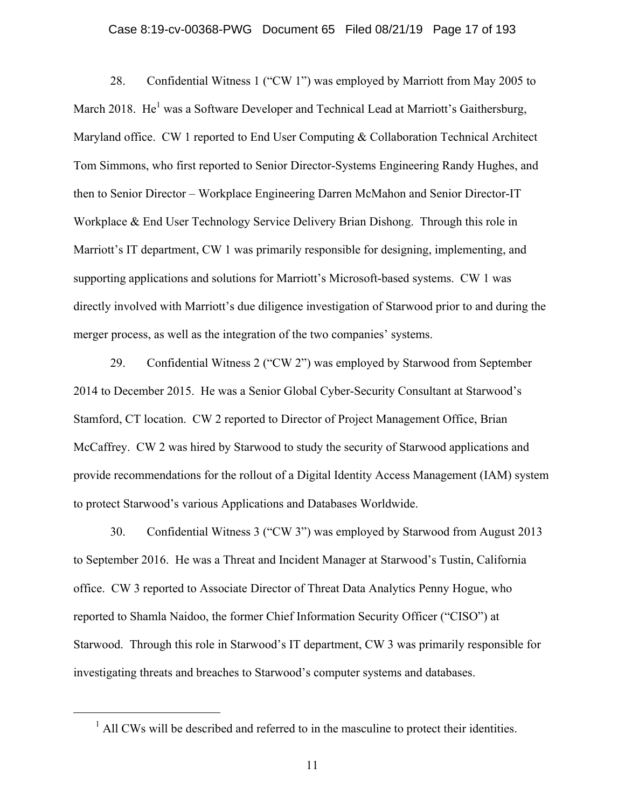#### Case 8:19-cv-00368-PWG Document 65 Filed 08/21/19 Page 17 of 193

28. Confidential Witness 1 ("CW 1") was employed by Marriott from May 2005 to March 2018. He<sup>1</sup> was a Software Developer and Technical Lead at Marriott's Gaithersburg, Maryland office. CW 1 reported to End User Computing & Collaboration Technical Architect Tom Simmons, who first reported to Senior Director-Systems Engineering Randy Hughes, and then to Senior Director – Workplace Engineering Darren McMahon and Senior Director-IT Workplace & End User Technology Service Delivery Brian Dishong. Through this role in Marriott's IT department, CW 1 was primarily responsible for designing, implementing, and supporting applications and solutions for Marriott's Microsoft-based systems. CW 1 was directly involved with Marriott's due diligence investigation of Starwood prior to and during the merger process, as well as the integration of the two companies' systems.

29. Confidential Witness 2 ("CW 2") was employed by Starwood from September 2014 to December 2015. He was a Senior Global Cyber-Security Consultant at Starwood's Stamford, CT location. CW 2 reported to Director of Project Management Office, Brian McCaffrey. CW 2 was hired by Starwood to study the security of Starwood applications and provide recommendations for the rollout of a Digital Identity Access Management (IAM) system to protect Starwood's various Applications and Databases Worldwide.

30. Confidential Witness 3 ("CW 3") was employed by Starwood from August 2013 to September 2016. He was a Threat and Incident Manager at Starwood's Tustin, California office. CW 3 reported to Associate Director of Threat Data Analytics Penny Hogue, who reported to Shamla Naidoo, the former Chief Information Security Officer ("CISO") at Starwood. Through this role in Starwood's IT department, CW 3 was primarily responsible for investigating threats and breaches to Starwood's computer systems and databases.

 <sup>1</sup>  $<sup>1</sup>$  All CWs will be described and referred to in the masculine to protect their identities.</sup>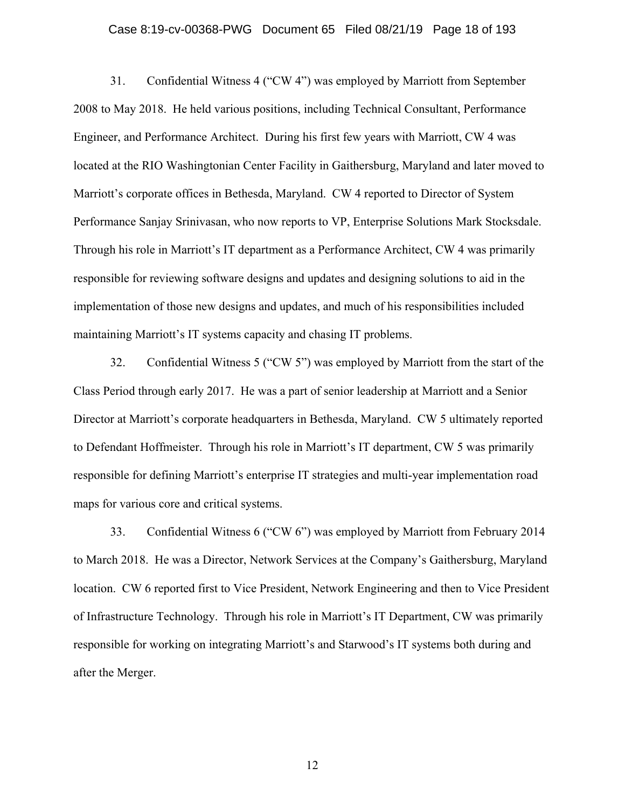#### Case 8:19-cv-00368-PWG Document 65 Filed 08/21/19 Page 18 of 193

31. Confidential Witness 4 ("CW 4") was employed by Marriott from September 2008 to May 2018. He held various positions, including Technical Consultant, Performance Engineer, and Performance Architect. During his first few years with Marriott, CW 4 was located at the RIO Washingtonian Center Facility in Gaithersburg, Maryland and later moved to Marriott's corporate offices in Bethesda, Maryland. CW 4 reported to Director of System Performance Sanjay Srinivasan, who now reports to VP, Enterprise Solutions Mark Stocksdale. Through his role in Marriott's IT department as a Performance Architect, CW 4 was primarily responsible for reviewing software designs and updates and designing solutions to aid in the implementation of those new designs and updates, and much of his responsibilities included maintaining Marriott's IT systems capacity and chasing IT problems.

32. Confidential Witness 5 ("CW 5") was employed by Marriott from the start of the Class Period through early 2017. He was a part of senior leadership at Marriott and a Senior Director at Marriott's corporate headquarters in Bethesda, Maryland. CW 5 ultimately reported to Defendant Hoffmeister. Through his role in Marriott's IT department, CW 5 was primarily responsible for defining Marriott's enterprise IT strategies and multi-year implementation road maps for various core and critical systems.

33. Confidential Witness 6 ("CW 6") was employed by Marriott from February 2014 to March 2018. He was a Director, Network Services at the Company's Gaithersburg, Maryland location. CW 6 reported first to Vice President, Network Engineering and then to Vice President of Infrastructure Technology. Through his role in Marriott's IT Department, CW was primarily responsible for working on integrating Marriott's and Starwood's IT systems both during and after the Merger.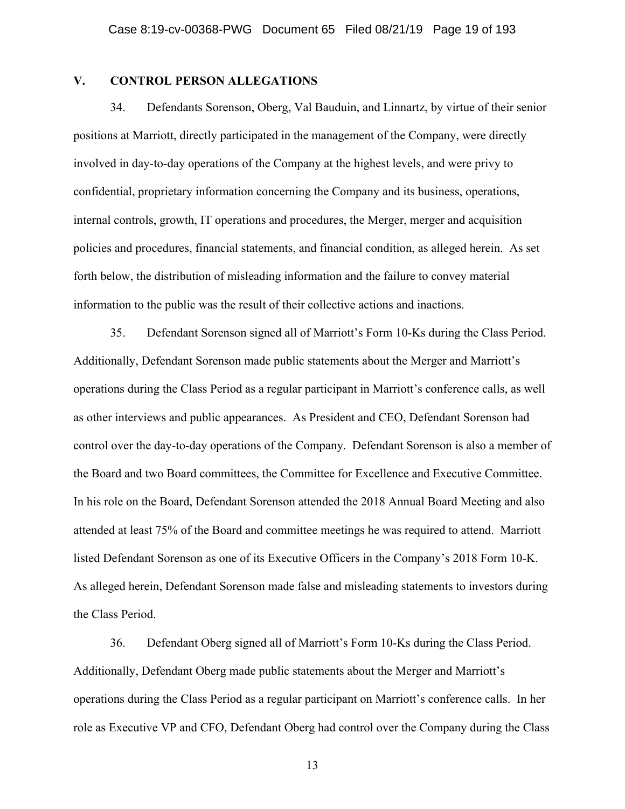### **V. CONTROL PERSON ALLEGATIONS**

34. Defendants Sorenson, Oberg, Val Bauduin, and Linnartz, by virtue of their senior positions at Marriott, directly participated in the management of the Company, were directly involved in day-to-day operations of the Company at the highest levels, and were privy to confidential, proprietary information concerning the Company and its business, operations, internal controls, growth, IT operations and procedures, the Merger, merger and acquisition policies and procedures, financial statements, and financial condition, as alleged herein. As set forth below, the distribution of misleading information and the failure to convey material information to the public was the result of their collective actions and inactions.

35. Defendant Sorenson signed all of Marriott's Form 10-Ks during the Class Period. Additionally, Defendant Sorenson made public statements about the Merger and Marriott's operations during the Class Period as a regular participant in Marriott's conference calls, as well as other interviews and public appearances. As President and CEO, Defendant Sorenson had control over the day-to-day operations of the Company. Defendant Sorenson is also a member of the Board and two Board committees, the Committee for Excellence and Executive Committee. In his role on the Board, Defendant Sorenson attended the 2018 Annual Board Meeting and also attended at least 75% of the Board and committee meetings he was required to attend. Marriott listed Defendant Sorenson as one of its Executive Officers in the Company's 2018 Form 10-K. As alleged herein, Defendant Sorenson made false and misleading statements to investors during the Class Period.

36. Defendant Oberg signed all of Marriott's Form 10-Ks during the Class Period. Additionally, Defendant Oberg made public statements about the Merger and Marriott's operations during the Class Period as a regular participant on Marriott's conference calls. In her role as Executive VP and CFO, Defendant Oberg had control over the Company during the Class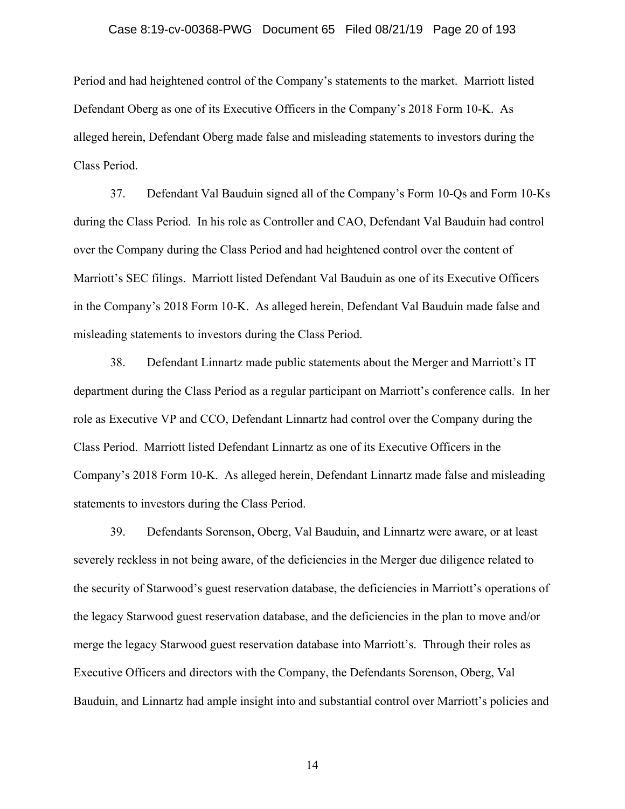#### Case 8:19-cv-00368-PWG Document 65 Filed 08/21/19 Page 20 of 193

Period and had heightened control of the Company's statements to the market. Marriott listed Defendant Oberg as one of its Executive Officers in the Company's 2018 Form 10-K. As alleged herein, Defendant Oberg made false and misleading statements to investors during the Class Period.

37. Defendant Val Bauduin signed all of the Company's Form 10-Qs and Form 10-Ks during the Class Period. In his role as Controller and CAO, Defendant Val Bauduin had control over the Company during the Class Period and had heightened control over the content of Marriott's SEC filings. Marriott listed Defendant Val Bauduin as one of its Executive Officers in the Company's 2018 Form 10-K. As alleged herein, Defendant Val Bauduin made false and misleading statements to investors during the Class Period.

38. Defendant Linnartz made public statements about the Merger and Marriott's IT department during the Class Period as a regular participant on Marriott's conference calls. In her role as Executive VP and CCO, Defendant Linnartz had control over the Company during the Class Period. Marriott listed Defendant Linnartz as one of its Executive Officers in the Company's 2018 Form 10-K. As alleged herein, Defendant Linnartz made false and misleading statements to investors during the Class Period.

39. Defendants Sorenson, Oberg, Val Bauduin, and Linnartz were aware, or at least severely reckless in not being aware, of the deficiencies in the Merger due diligence related to the security of Starwood's guest reservation database, the deficiencies in Marriott's operations of the legacy Starwood guest reservation database, and the deficiencies in the plan to move and/or merge the legacy Starwood guest reservation database into Marriott's. Through their roles as Executive Officers and directors with the Company, the Defendants Sorenson, Oberg, Val Bauduin, and Linnartz had ample insight into and substantial control over Marriott's policies and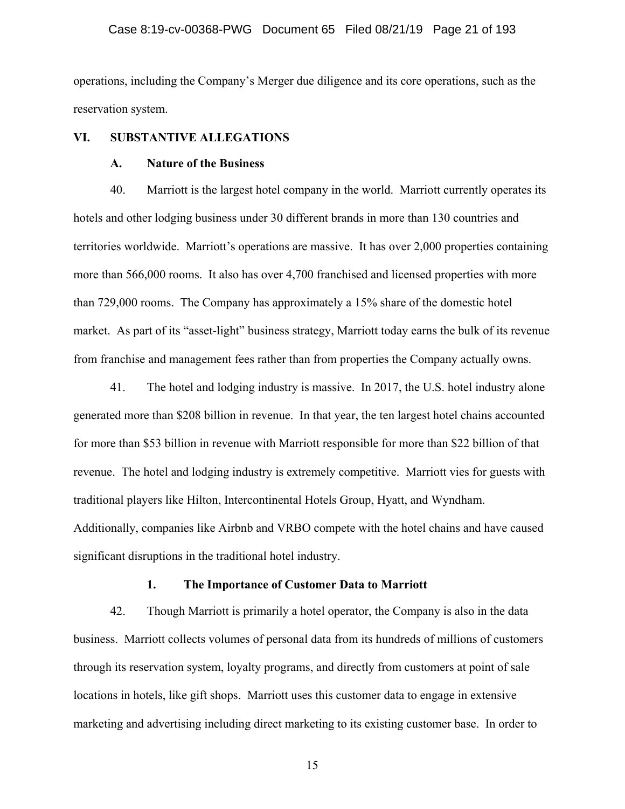#### Case 8:19-cv-00368-PWG Document 65 Filed 08/21/19 Page 21 of 193

operations, including the Company's Merger due diligence and its core operations, such as the reservation system.

#### **VI. SUBSTANTIVE ALLEGATIONS**

#### **A. Nature of the Business**

40. Marriott is the largest hotel company in the world. Marriott currently operates its hotels and other lodging business under 30 different brands in more than 130 countries and territories worldwide. Marriott's operations are massive. It has over 2,000 properties containing more than 566,000 rooms. It also has over 4,700 franchised and licensed properties with more than 729,000 rooms. The Company has approximately a 15% share of the domestic hotel market. As part of its "asset-light" business strategy, Marriott today earns the bulk of its revenue from franchise and management fees rather than from properties the Company actually owns.

41. The hotel and lodging industry is massive. In 2017, the U.S. hotel industry alone generated more than \$208 billion in revenue. In that year, the ten largest hotel chains accounted for more than \$53 billion in revenue with Marriott responsible for more than \$22 billion of that revenue. The hotel and lodging industry is extremely competitive. Marriott vies for guests with traditional players like Hilton, Intercontinental Hotels Group, Hyatt, and Wyndham. Additionally, companies like Airbnb and VRBO compete with the hotel chains and have caused significant disruptions in the traditional hotel industry.

#### **1. The Importance of Customer Data to Marriott**

42. Though Marriott is primarily a hotel operator, the Company is also in the data business. Marriott collects volumes of personal data from its hundreds of millions of customers through its reservation system, loyalty programs, and directly from customers at point of sale locations in hotels, like gift shops. Marriott uses this customer data to engage in extensive marketing and advertising including direct marketing to its existing customer base. In order to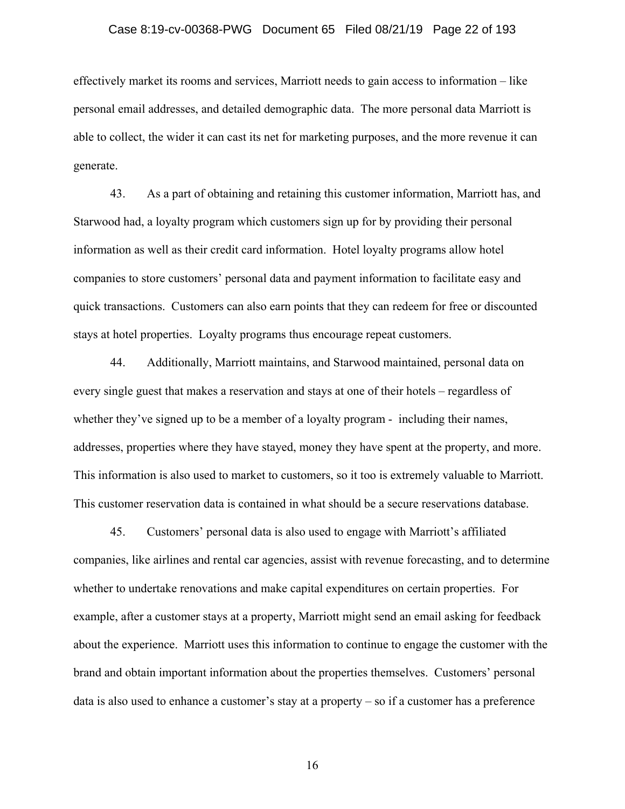#### Case 8:19-cv-00368-PWG Document 65 Filed 08/21/19 Page 22 of 193

effectively market its rooms and services, Marriott needs to gain access to information – like personal email addresses, and detailed demographic data. The more personal data Marriott is able to collect, the wider it can cast its net for marketing purposes, and the more revenue it can generate.

43. As a part of obtaining and retaining this customer information, Marriott has, and Starwood had, a loyalty program which customers sign up for by providing their personal information as well as their credit card information. Hotel loyalty programs allow hotel companies to store customers' personal data and payment information to facilitate easy and quick transactions. Customers can also earn points that they can redeem for free or discounted stays at hotel properties. Loyalty programs thus encourage repeat customers.

44. Additionally, Marriott maintains, and Starwood maintained, personal data on every single guest that makes a reservation and stays at one of their hotels – regardless of whether they've signed up to be a member of a loyalty program - including their names, addresses, properties where they have stayed, money they have spent at the property, and more. This information is also used to market to customers, so it too is extremely valuable to Marriott. This customer reservation data is contained in what should be a secure reservations database.

45. Customers' personal data is also used to engage with Marriott's affiliated companies, like airlines and rental car agencies, assist with revenue forecasting, and to determine whether to undertake renovations and make capital expenditures on certain properties. For example, after a customer stays at a property, Marriott might send an email asking for feedback about the experience. Marriott uses this information to continue to engage the customer with the brand and obtain important information about the properties themselves. Customers' personal data is also used to enhance a customer's stay at a property – so if a customer has a preference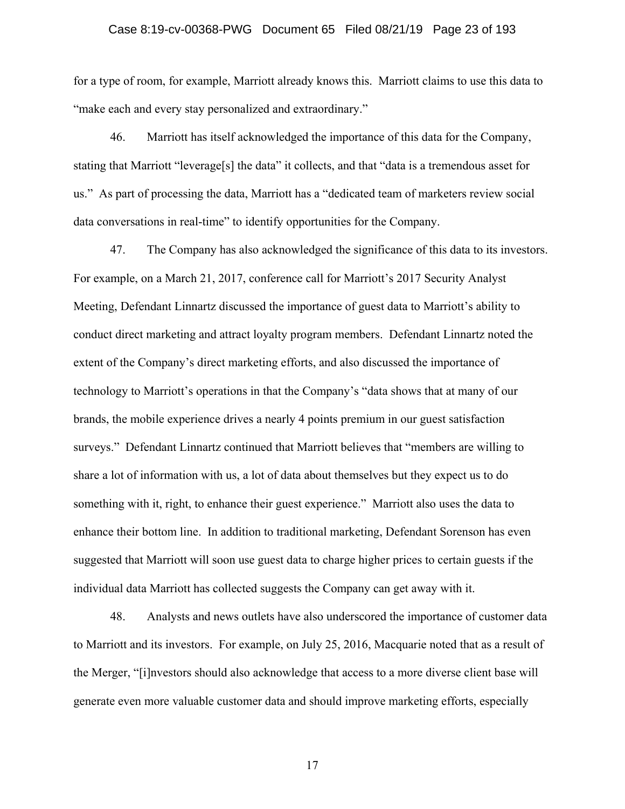#### Case 8:19-cv-00368-PWG Document 65 Filed 08/21/19 Page 23 of 193

for a type of room, for example, Marriott already knows this. Marriott claims to use this data to "make each and every stay personalized and extraordinary."

46. Marriott has itself acknowledged the importance of this data for the Company, stating that Marriott "leverage[s] the data" it collects, and that "data is a tremendous asset for us." As part of processing the data, Marriott has a "dedicated team of marketers review social data conversations in real-time" to identify opportunities for the Company.

47. The Company has also acknowledged the significance of this data to its investors. For example, on a March 21, 2017, conference call for Marriott's 2017 Security Analyst Meeting, Defendant Linnartz discussed the importance of guest data to Marriott's ability to conduct direct marketing and attract loyalty program members. Defendant Linnartz noted the extent of the Company's direct marketing efforts, and also discussed the importance of technology to Marriott's operations in that the Company's "data shows that at many of our brands, the mobile experience drives a nearly 4 points premium in our guest satisfaction surveys." Defendant Linnartz continued that Marriott believes that "members are willing to share a lot of information with us, a lot of data about themselves but they expect us to do something with it, right, to enhance their guest experience." Marriott also uses the data to enhance their bottom line. In addition to traditional marketing, Defendant Sorenson has even suggested that Marriott will soon use guest data to charge higher prices to certain guests if the individual data Marriott has collected suggests the Company can get away with it.

48. Analysts and news outlets have also underscored the importance of customer data to Marriott and its investors. For example, on July 25, 2016, Macquarie noted that as a result of the Merger, "[i]nvestors should also acknowledge that access to a more diverse client base will generate even more valuable customer data and should improve marketing efforts, especially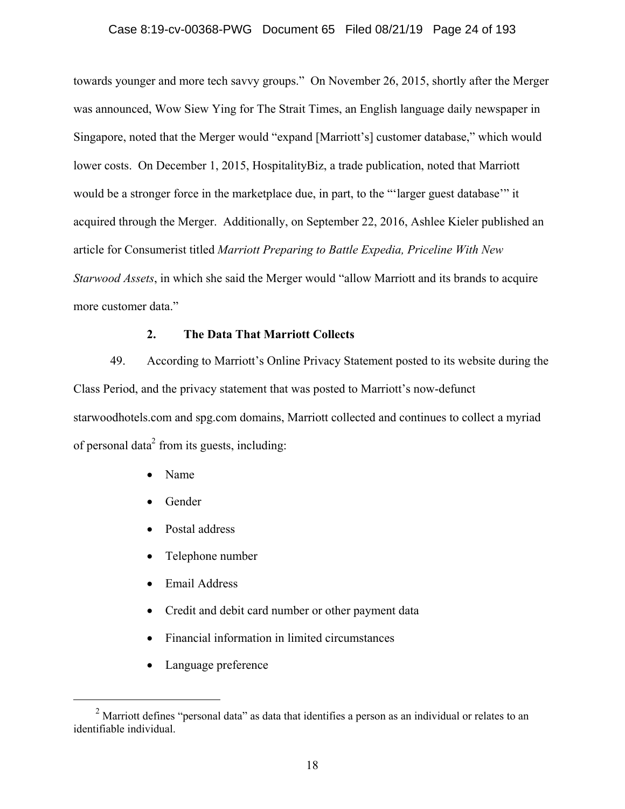#### Case 8:19-cv-00368-PWG Document 65 Filed 08/21/19 Page 24 of 193

towards younger and more tech savvy groups." On November 26, 2015, shortly after the Merger was announced, Wow Siew Ying for The Strait Times, an English language daily newspaper in Singapore, noted that the Merger would "expand [Marriott's] customer database," which would lower costs. On December 1, 2015, HospitalityBiz, a trade publication, noted that Marriott would be a stronger force in the marketplace due, in part, to the "'larger guest database'" it acquired through the Merger. Additionally, on September 22, 2016, Ashlee Kieler published an article for Consumerist titled *Marriott Preparing to Battle Expedia, Priceline With New Starwood Assets*, in which she said the Merger would "allow Marriott and its brands to acquire more customer data."

## **2. The Data That Marriott Collects**

49. According to Marriott's Online Privacy Statement posted to its website during the Class Period, and the privacy statement that was posted to Marriott's now-defunct starwoodhotels.com and spg.com domains, Marriott collected and continues to collect a myriad of personal data<sup>2</sup> from its guests, including:

- Name
- Gender
- Postal address
- Telephone number
- Email Address
- Credit and debit card number or other payment data
- Financial information in limited circumstances
- Language preference

 <sup>2</sup>  $\alpha$ <sup>2</sup> Marriott defines "personal data" as data that identifies a person as an individual or relates to an identifiable individual.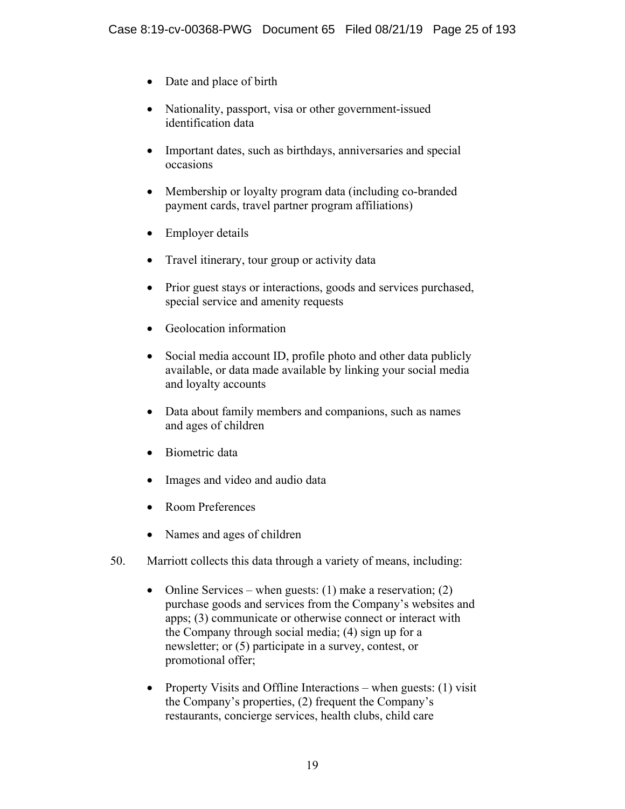- Date and place of birth
- Nationality, passport, visa or other government-issued identification data
- Important dates, such as birthdays, anniversaries and special occasions
- Membership or loyalty program data (including co-branded payment cards, travel partner program affiliations)
- Employer details
- Travel itinerary, tour group or activity data
- Prior guest stays or interactions, goods and services purchased, special service and amenity requests
- Geolocation information
- Social media account ID, profile photo and other data publicly available, or data made available by linking your social media and loyalty accounts
- Data about family members and companions, such as names and ages of children
- Biometric data
- Images and video and audio data
- Room Preferences
- Names and ages of children
- 50. Marriott collects this data through a variety of means, including:
	- Online Services when guests:  $(1)$  make a reservation;  $(2)$ purchase goods and services from the Company's websites and apps; (3) communicate or otherwise connect or interact with the Company through social media; (4) sign up for a newsletter; or (5) participate in a survey, contest, or promotional offer;
	- Property Visits and Offline Interactions when guests:  $(1)$  visit the Company's properties, (2) frequent the Company's restaurants, concierge services, health clubs, child care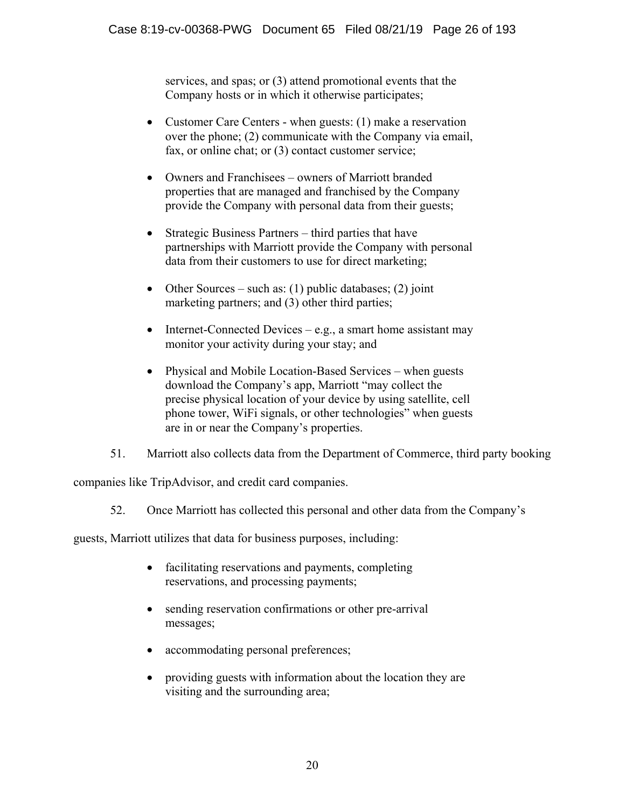services, and spas; or (3) attend promotional events that the Company hosts or in which it otherwise participates;

- Customer Care Centers when guests: (1) make a reservation over the phone; (2) communicate with the Company via email, fax, or online chat; or (3) contact customer service;
- Owners and Franchisees owners of Marriott branded properties that are managed and franchised by the Company provide the Company with personal data from their guests;
- Strategic Business Partners third parties that have partnerships with Marriott provide the Company with personal data from their customers to use for direct marketing;
- Other Sources such as: (1) public databases; (2) joint marketing partners; and (3) other third parties;
- Internet-Connected Devices e.g., a smart home assistant may monitor your activity during your stay; and
- Physical and Mobile Location-Based Services when guests download the Company's app, Marriott "may collect the precise physical location of your device by using satellite, cell phone tower, WiFi signals, or other technologies" when guests are in or near the Company's properties.
- 51. Marriott also collects data from the Department of Commerce, third party booking

companies like TripAdvisor, and credit card companies.

52. Once Marriott has collected this personal and other data from the Company's

guests, Marriott utilizes that data for business purposes, including:

- facilitating reservations and payments, completing reservations, and processing payments;
- sending reservation confirmations or other pre-arrival messages;
- accommodating personal preferences;
- providing guests with information about the location they are visiting and the surrounding area;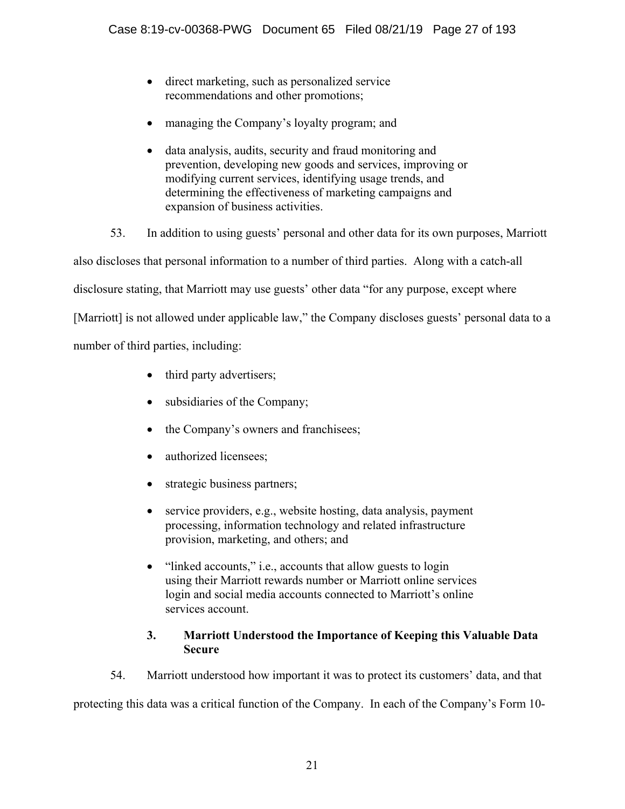- direct marketing, such as personalized service recommendations and other promotions;
- managing the Company's loyalty program; and
- data analysis, audits, security and fraud monitoring and prevention, developing new goods and services, improving or modifying current services, identifying usage trends, and determining the effectiveness of marketing campaigns and expansion of business activities.

53. In addition to using guests' personal and other data for its own purposes, Marriott

also discloses that personal information to a number of third parties. Along with a catch-all

disclosure stating, that Marriott may use guests' other data "for any purpose, except where

[Marriott] is not allowed under applicable law," the Company discloses guests' personal data to a

number of third parties, including:

- third party advertisers;
- subsidiaries of the Company;
- the Company's owners and franchisees;
- authorized licensees:
- strategic business partners;
- service providers, e.g., website hosting, data analysis, payment processing, information technology and related infrastructure provision, marketing, and others; and
- "linked accounts," i.e., accounts that allow guests to login using their Marriott rewards number or Marriott online services login and social media accounts connected to Marriott's online services account.

# **3. Marriott Understood the Importance of Keeping this Valuable Data Secure**

54. Marriott understood how important it was to protect its customers' data, and that

protecting this data was a critical function of the Company. In each of the Company's Form 10-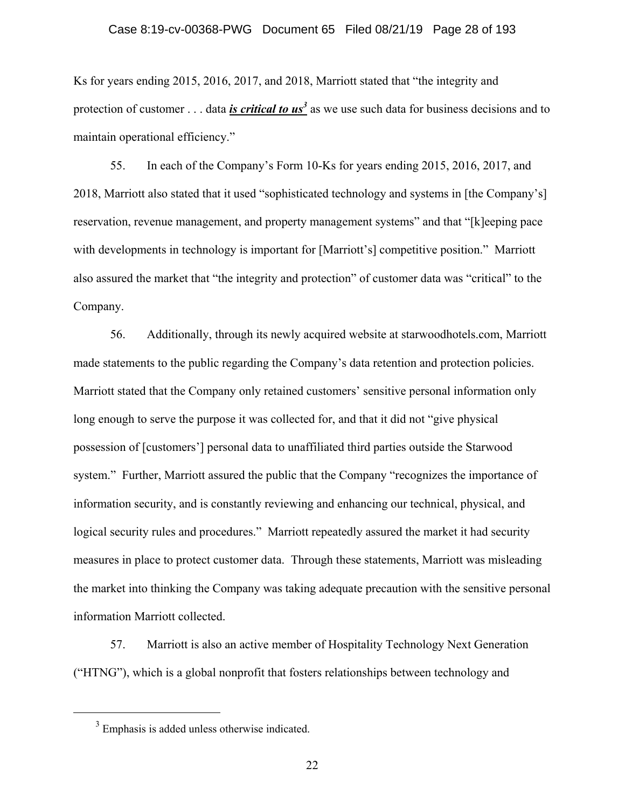Ks for years ending 2015, 2016, 2017, and 2018, Marriott stated that "the integrity and protection of customer . . . data *is critical to us*<sup>3</sup> as we use such data for business decisions and to maintain operational efficiency."

55. In each of the Company's Form 10-Ks for years ending 2015, 2016, 2017, and 2018, Marriott also stated that it used "sophisticated technology and systems in [the Company's] reservation, revenue management, and property management systems" and that "[k]eeping pace with developments in technology is important for [Marriott's] competitive position." Marriott also assured the market that "the integrity and protection" of customer data was "critical" to the Company.

56. Additionally, through its newly acquired website at starwoodhotels.com, Marriott made statements to the public regarding the Company's data retention and protection policies. Marriott stated that the Company only retained customers' sensitive personal information only long enough to serve the purpose it was collected for, and that it did not "give physical" possession of [customers'] personal data to unaffiliated third parties outside the Starwood system." Further, Marriott assured the public that the Company "recognizes the importance of information security, and is constantly reviewing and enhancing our technical, physical, and logical security rules and procedures." Marriott repeatedly assured the market it had security measures in place to protect customer data. Through these statements, Marriott was misleading the market into thinking the Company was taking adequate precaution with the sensitive personal information Marriott collected.

57. Marriott is also an active member of Hospitality Technology Next Generation ("HTNG"), which is a global nonprofit that fosters relationships between technology and

 $\frac{1}{3}$  $3$  Emphasis is added unless otherwise indicated.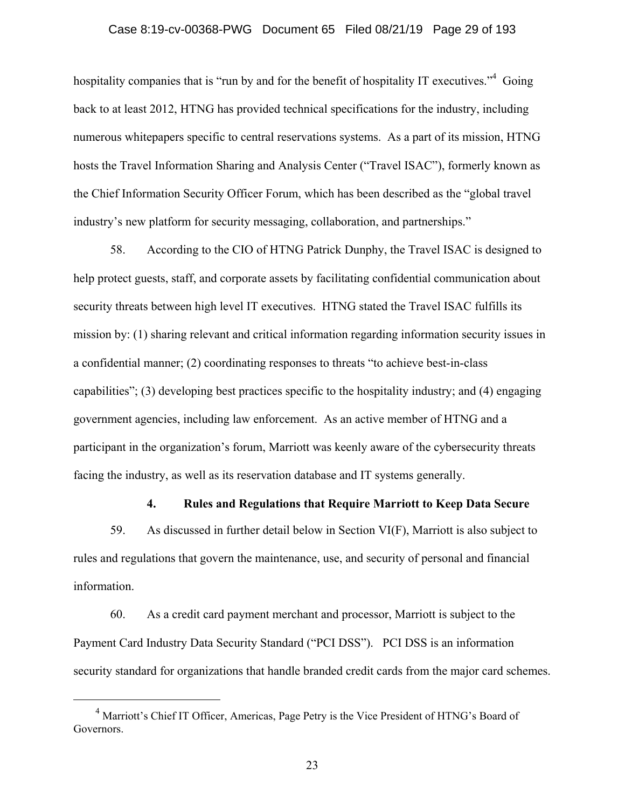#### Case 8:19-cv-00368-PWG Document 65 Filed 08/21/19 Page 29 of 193

hospitality companies that is "run by and for the benefit of hospitality IT executives."<sup>4</sup> Going back to at least 2012, HTNG has provided technical specifications for the industry, including numerous whitepapers specific to central reservations systems. As a part of its mission, HTNG hosts the Travel Information Sharing and Analysis Center ("Travel ISAC"), formerly known as the Chief Information Security Officer Forum, which has been described as the "global travel industry's new platform for security messaging, collaboration, and partnerships."

58. According to the CIO of HTNG Patrick Dunphy, the Travel ISAC is designed to help protect guests, staff, and corporate assets by facilitating confidential communication about security threats between high level IT executives. HTNG stated the Travel ISAC fulfills its mission by: (1) sharing relevant and critical information regarding information security issues in a confidential manner; (2) coordinating responses to threats "to achieve best-in-class capabilities"; (3) developing best practices specific to the hospitality industry; and (4) engaging government agencies, including law enforcement. As an active member of HTNG and a participant in the organization's forum, Marriott was keenly aware of the cybersecurity threats facing the industry, as well as its reservation database and IT systems generally.

### **4. Rules and Regulations that Require Marriott to Keep Data Secure**

59. As discussed in further detail below in Section VI(F), Marriott is also subject to rules and regulations that govern the maintenance, use, and security of personal and financial information.

60. As a credit card payment merchant and processor, Marriott is subject to the Payment Card Industry Data Security Standard ("PCI DSS"). PCI DSS is an information security standard for organizations that handle branded credit cards from the major card schemes.

 $\frac{1}{4}$ <sup>4</sup> Marriott's Chief IT Officer, Americas, Page Petry is the Vice President of HTNG's Board of Governors.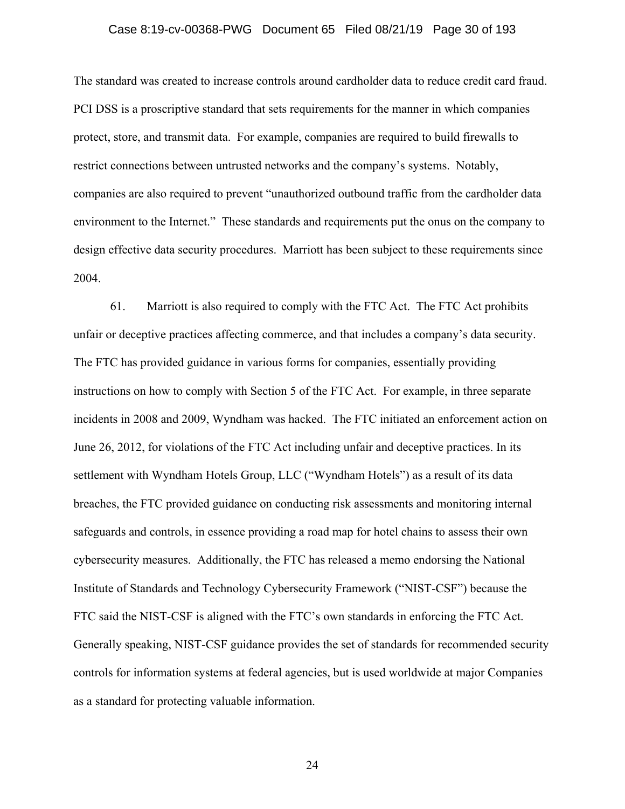#### Case 8:19-cv-00368-PWG Document 65 Filed 08/21/19 Page 30 of 193

The standard was created to increase controls around cardholder data to reduce credit card fraud. PCI DSS is a proscriptive standard that sets requirements for the manner in which companies protect, store, and transmit data. For example, companies are required to build firewalls to restrict connections between untrusted networks and the company's systems. Notably, companies are also required to prevent "unauthorized outbound traffic from the cardholder data environment to the Internet." These standards and requirements put the onus on the company to design effective data security procedures. Marriott has been subject to these requirements since 2004.

61. Marriott is also required to comply with the FTC Act. The FTC Act prohibits unfair or deceptive practices affecting commerce, and that includes a company's data security. The FTC has provided guidance in various forms for companies, essentially providing instructions on how to comply with Section 5 of the FTC Act. For example, in three separate incidents in 2008 and 2009, Wyndham was hacked. The FTC initiated an enforcement action on June 26, 2012, for violations of the FTC Act including unfair and deceptive practices. In its settlement with Wyndham Hotels Group, LLC ("Wyndham Hotels") as a result of its data breaches, the FTC provided guidance on conducting risk assessments and monitoring internal safeguards and controls, in essence providing a road map for hotel chains to assess their own cybersecurity measures. Additionally, the FTC has released a memo endorsing the National Institute of Standards and Technology Cybersecurity Framework ("NIST-CSF") because the FTC said the NIST-CSF is aligned with the FTC's own standards in enforcing the FTC Act. Generally speaking, NIST-CSF guidance provides the set of standards for recommended security controls for information systems at federal agencies, but is used worldwide at major Companies as a standard for protecting valuable information.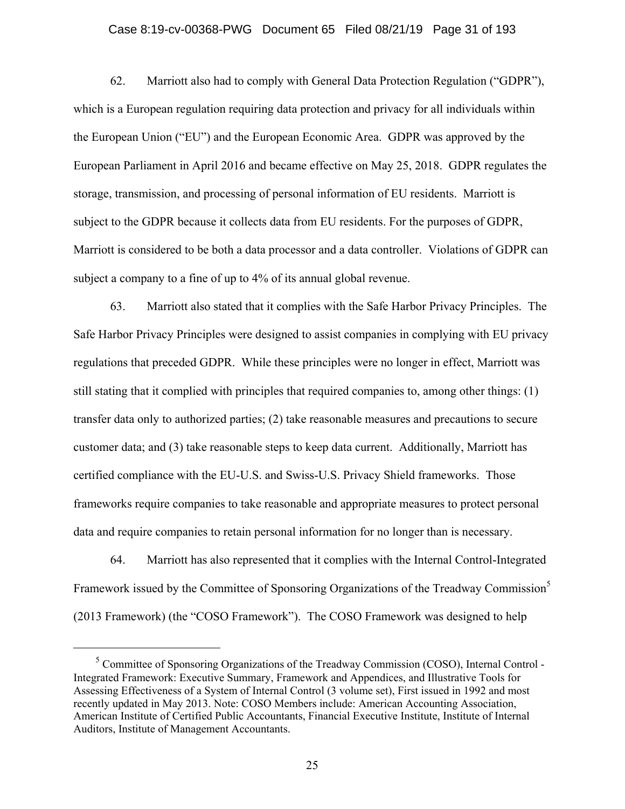#### Case 8:19-cv-00368-PWG Document 65 Filed 08/21/19 Page 31 of 193

62. Marriott also had to comply with General Data Protection Regulation ("GDPR"), which is a European regulation requiring data protection and privacy for all individuals within the European Union ("EU") and the European Economic Area. GDPR was approved by the European Parliament in April 2016 and became effective on May 25, 2018. GDPR regulates the storage, transmission, and processing of personal information of EU residents. Marriott is subject to the GDPR because it collects data from EU residents. For the purposes of GDPR, Marriott is considered to be both a data processor and a data controller. Violations of GDPR can subject a company to a fine of up to 4% of its annual global revenue.

63. Marriott also stated that it complies with the Safe Harbor Privacy Principles. The Safe Harbor Privacy Principles were designed to assist companies in complying with EU privacy regulations that preceded GDPR. While these principles were no longer in effect, Marriott was still stating that it complied with principles that required companies to, among other things: (1) transfer data only to authorized parties; (2) take reasonable measures and precautions to secure customer data; and (3) take reasonable steps to keep data current. Additionally, Marriott has certified compliance with the EU-U.S. and Swiss-U.S. Privacy Shield frameworks. Those frameworks require companies to take reasonable and appropriate measures to protect personal data and require companies to retain personal information for no longer than is necessary.

64. Marriott has also represented that it complies with the Internal Control-Integrated Framework issued by the Committee of Sponsoring Organizations of the Treadway Commission<sup>5</sup> (2013 Framework) (the "COSO Framework"). The COSO Framework was designed to help

 $rac{1}{5}$  $<sup>5</sup>$  Committee of Sponsoring Organizations of the Treadway Commission (COSO), Internal Control -</sup> Integrated Framework: Executive Summary, Framework and Appendices, and Illustrative Tools for Assessing Effectiveness of a System of Internal Control (3 volume set), First issued in 1992 and most recently updated in May 2013. Note: COSO Members include: American Accounting Association, American Institute of Certified Public Accountants, Financial Executive Institute, Institute of Internal Auditors, Institute of Management Accountants.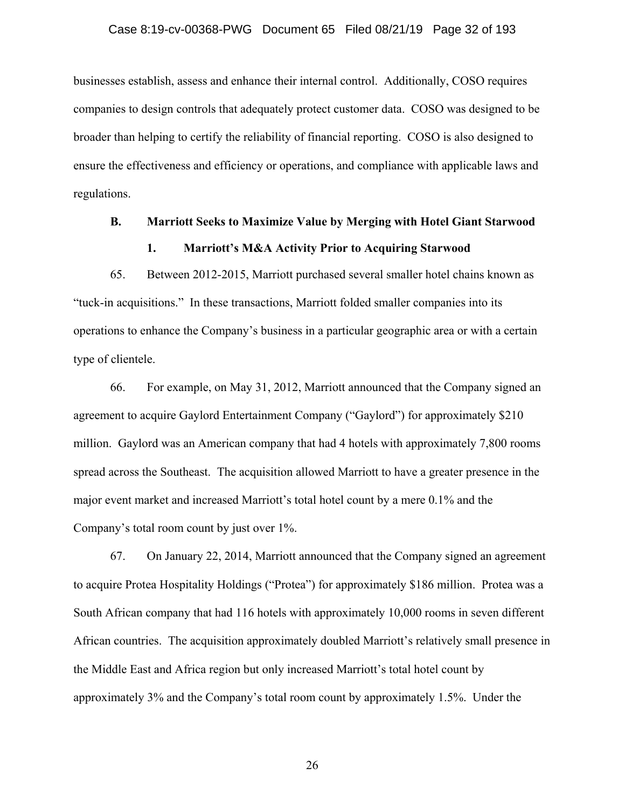#### Case 8:19-cv-00368-PWG Document 65 Filed 08/21/19 Page 32 of 193

businesses establish, assess and enhance their internal control. Additionally, COSO requires companies to design controls that adequately protect customer data. COSO was designed to be broader than helping to certify the reliability of financial reporting. COSO is also designed to ensure the effectiveness and efficiency or operations, and compliance with applicable laws and regulations.

# **B. Marriott Seeks to Maximize Value by Merging with Hotel Giant Starwood 1. Marriott's M&A Activity Prior to Acquiring Starwood**

65. Between 2012-2015, Marriott purchased several smaller hotel chains known as "tuck-in acquisitions." In these transactions, Marriott folded smaller companies into its operations to enhance the Company's business in a particular geographic area or with a certain type of clientele.

66. For example, on May 31, 2012, Marriott announced that the Company signed an agreement to acquire Gaylord Entertainment Company ("Gaylord") for approximately \$210 million. Gaylord was an American company that had 4 hotels with approximately 7,800 rooms spread across the Southeast. The acquisition allowed Marriott to have a greater presence in the major event market and increased Marriott's total hotel count by a mere 0.1% and the Company's total room count by just over 1%.

67. On January 22, 2014, Marriott announced that the Company signed an agreement to acquire Protea Hospitality Holdings ("Protea") for approximately \$186 million. Protea was a South African company that had 116 hotels with approximately 10,000 rooms in seven different African countries. The acquisition approximately doubled Marriott's relatively small presence in the Middle East and Africa region but only increased Marriott's total hotel count by approximately 3% and the Company's total room count by approximately 1.5%. Under the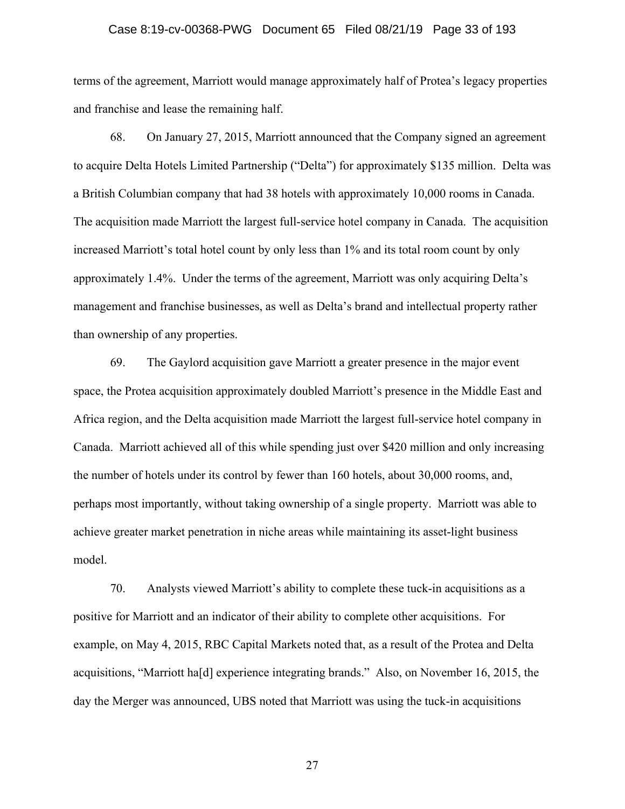#### Case 8:19-cv-00368-PWG Document 65 Filed 08/21/19 Page 33 of 193

terms of the agreement, Marriott would manage approximately half of Protea's legacy properties and franchise and lease the remaining half.

68. On January 27, 2015, Marriott announced that the Company signed an agreement to acquire Delta Hotels Limited Partnership ("Delta") for approximately \$135 million. Delta was a British Columbian company that had 38 hotels with approximately 10,000 rooms in Canada. The acquisition made Marriott the largest full-service hotel company in Canada. The acquisition increased Marriott's total hotel count by only less than 1% and its total room count by only approximately 1.4%. Under the terms of the agreement, Marriott was only acquiring Delta's management and franchise businesses, as well as Delta's brand and intellectual property rather than ownership of any properties.

69. The Gaylord acquisition gave Marriott a greater presence in the major event space, the Protea acquisition approximately doubled Marriott's presence in the Middle East and Africa region, and the Delta acquisition made Marriott the largest full-service hotel company in Canada. Marriott achieved all of this while spending just over \$420 million and only increasing the number of hotels under its control by fewer than 160 hotels, about 30,000 rooms, and, perhaps most importantly, without taking ownership of a single property. Marriott was able to achieve greater market penetration in niche areas while maintaining its asset-light business model.

70. Analysts viewed Marriott's ability to complete these tuck-in acquisitions as a positive for Marriott and an indicator of their ability to complete other acquisitions. For example, on May 4, 2015, RBC Capital Markets noted that, as a result of the Protea and Delta acquisitions, "Marriott ha[d] experience integrating brands." Also, on November 16, 2015, the day the Merger was announced, UBS noted that Marriott was using the tuck-in acquisitions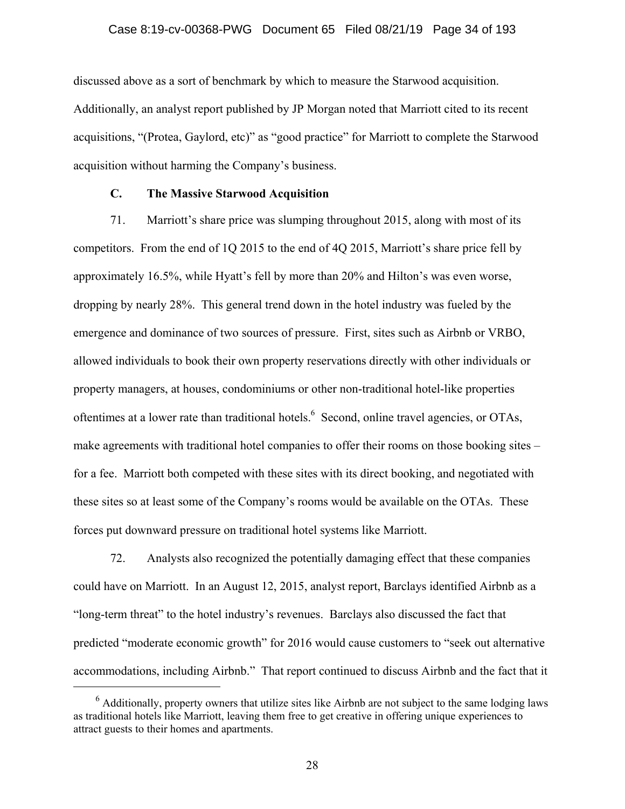#### Case 8:19-cv-00368-PWG Document 65 Filed 08/21/19 Page 34 of 193

discussed above as a sort of benchmark by which to measure the Starwood acquisition. Additionally, an analyst report published by JP Morgan noted that Marriott cited to its recent acquisitions, "(Protea, Gaylord, etc)" as "good practice" for Marriott to complete the Starwood acquisition without harming the Company's business.

#### **C. The Massive Starwood Acquisition**

71. Marriott's share price was slumping throughout 2015, along with most of its competitors. From the end of 1Q 2015 to the end of 4Q 2015, Marriott's share price fell by approximately 16.5%, while Hyatt's fell by more than 20% and Hilton's was even worse, dropping by nearly 28%. This general trend down in the hotel industry was fueled by the emergence and dominance of two sources of pressure. First, sites such as Airbnb or VRBO, allowed individuals to book their own property reservations directly with other individuals or property managers, at houses, condominiums or other non-traditional hotel-like properties oftentimes at a lower rate than traditional hotels.  $6$  Second, online travel agencies, or OTAs, make agreements with traditional hotel companies to offer their rooms on those booking sites – for a fee. Marriott both competed with these sites with its direct booking, and negotiated with these sites so at least some of the Company's rooms would be available on the OTAs. These forces put downward pressure on traditional hotel systems like Marriott.

72. Analysts also recognized the potentially damaging effect that these companies could have on Marriott. In an August 12, 2015, analyst report, Barclays identified Airbnb as a "long-term threat" to the hotel industry's revenues. Barclays also discussed the fact that predicted "moderate economic growth" for 2016 would cause customers to "seek out alternative accommodations, including Airbnb." That report continued to discuss Airbnb and the fact that it

 <sup>6</sup>  $<sup>6</sup>$  Additionally, property owners that utilize sites like Airbnb are not subject to the same lodging laws</sup> as traditional hotels like Marriott, leaving them free to get creative in offering unique experiences to attract guests to their homes and apartments.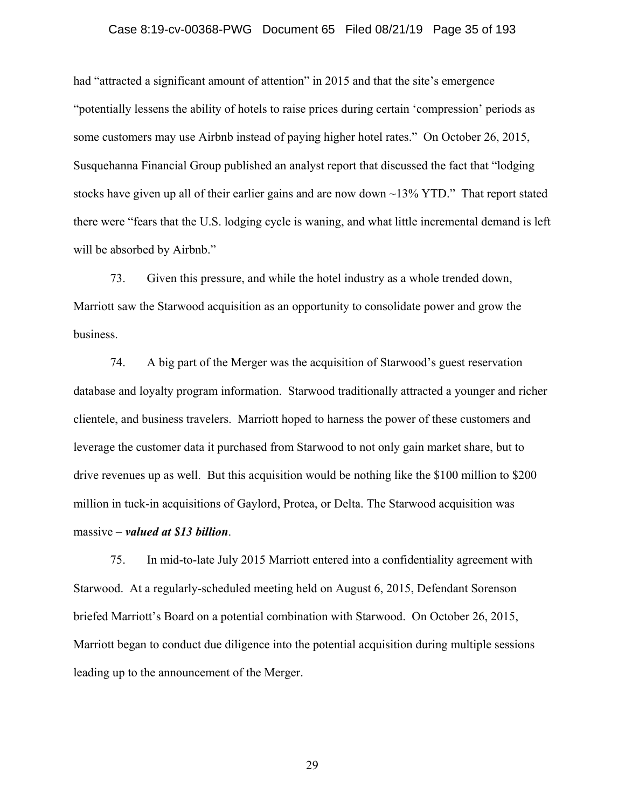#### Case 8:19-cv-00368-PWG Document 65 Filed 08/21/19 Page 35 of 193

had "attracted a significant amount of attention" in 2015 and that the site's emergence "potentially lessens the ability of hotels to raise prices during certain 'compression' periods as some customers may use Airbnb instead of paying higher hotel rates." On October 26, 2015, Susquehanna Financial Group published an analyst report that discussed the fact that "lodging stocks have given up all of their earlier gains and are now down ~13% YTD." That report stated there were "fears that the U.S. lodging cycle is waning, and what little incremental demand is left will be absorbed by Airbnb."

73. Given this pressure, and while the hotel industry as a whole trended down, Marriott saw the Starwood acquisition as an opportunity to consolidate power and grow the business.

74. A big part of the Merger was the acquisition of Starwood's guest reservation database and loyalty program information. Starwood traditionally attracted a younger and richer clientele, and business travelers. Marriott hoped to harness the power of these customers and leverage the customer data it purchased from Starwood to not only gain market share, but to drive revenues up as well. But this acquisition would be nothing like the \$100 million to \$200 million in tuck-in acquisitions of Gaylord, Protea, or Delta. The Starwood acquisition was massive – *valued at \$13 billion*.

75. In mid-to-late July 2015 Marriott entered into a confidentiality agreement with Starwood. At a regularly-scheduled meeting held on August 6, 2015, Defendant Sorenson briefed Marriott's Board on a potential combination with Starwood. On October 26, 2015, Marriott began to conduct due diligence into the potential acquisition during multiple sessions leading up to the announcement of the Merger.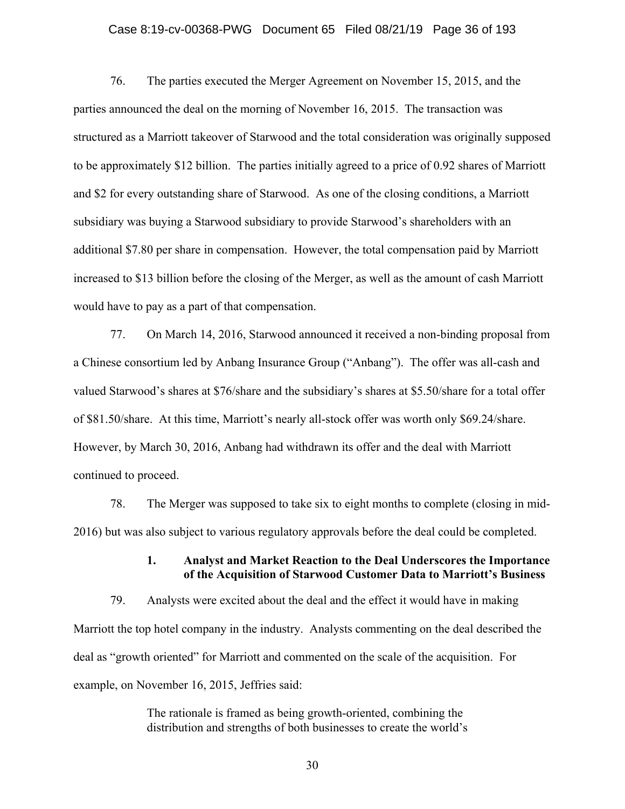#### Case 8:19-cv-00368-PWG Document 65 Filed 08/21/19 Page 36 of 193

76. The parties executed the Merger Agreement on November 15, 2015, and the parties announced the deal on the morning of November 16, 2015. The transaction was structured as a Marriott takeover of Starwood and the total consideration was originally supposed to be approximately \$12 billion. The parties initially agreed to a price of 0.92 shares of Marriott and \$2 for every outstanding share of Starwood. As one of the closing conditions, a Marriott subsidiary was buying a Starwood subsidiary to provide Starwood's shareholders with an additional \$7.80 per share in compensation. However, the total compensation paid by Marriott increased to \$13 billion before the closing of the Merger, as well as the amount of cash Marriott would have to pay as a part of that compensation.

77. On March 14, 2016, Starwood announced it received a non-binding proposal from a Chinese consortium led by Anbang Insurance Group ("Anbang"). The offer was all-cash and valued Starwood's shares at \$76/share and the subsidiary's shares at \$5.50/share for a total offer of \$81.50/share. At this time, Marriott's nearly all-stock offer was worth only \$69.24/share. However, by March 30, 2016, Anbang had withdrawn its offer and the deal with Marriott continued to proceed.

78. The Merger was supposed to take six to eight months to complete (closing in mid-2016) but was also subject to various regulatory approvals before the deal could be completed.

### **1. Analyst and Market Reaction to the Deal Underscores the Importance of the Acquisition of Starwood Customer Data to Marriott's Business**

79. Analysts were excited about the deal and the effect it would have in making Marriott the top hotel company in the industry. Analysts commenting on the deal described the deal as "growth oriented" for Marriott and commented on the scale of the acquisition. For example, on November 16, 2015, Jeffries said:

> The rationale is framed as being growth-oriented, combining the distribution and strengths of both businesses to create the world's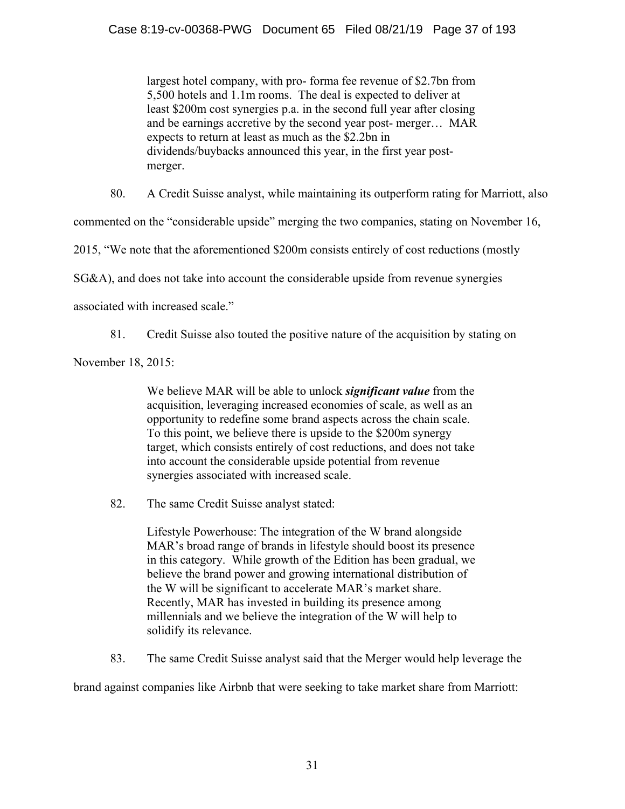largest hotel company, with pro- forma fee revenue of \$2.7bn from 5,500 hotels and 1.1m rooms. The deal is expected to deliver at least \$200m cost synergies p.a. in the second full year after closing and be earnings accretive by the second year post- merger… MAR expects to return at least as much as the \$2.2bn in dividends/buybacks announced this year, in the first year postmerger.

80. A Credit Suisse analyst, while maintaining its outperform rating for Marriott, also

commented on the "considerable upside" merging the two companies, stating on November 16,

2015, "We note that the aforementioned \$200m consists entirely of cost reductions (mostly

SG&A), and does not take into account the considerable upside from revenue synergies

associated with increased scale."

81. Credit Suisse also touted the positive nature of the acquisition by stating on

November 18, 2015:

We believe MAR will be able to unlock *significant value* from the acquisition, leveraging increased economies of scale, as well as an opportunity to redefine some brand aspects across the chain scale. To this point, we believe there is upside to the \$200m synergy target, which consists entirely of cost reductions, and does not take into account the considerable upside potential from revenue synergies associated with increased scale.

82. The same Credit Suisse analyst stated:

Lifestyle Powerhouse: The integration of the W brand alongside MAR's broad range of brands in lifestyle should boost its presence in this category. While growth of the Edition has been gradual, we believe the brand power and growing international distribution of the W will be significant to accelerate MAR's market share. Recently, MAR has invested in building its presence among millennials and we believe the integration of the W will help to solidify its relevance.

83. The same Credit Suisse analyst said that the Merger would help leverage the

brand against companies like Airbnb that were seeking to take market share from Marriott: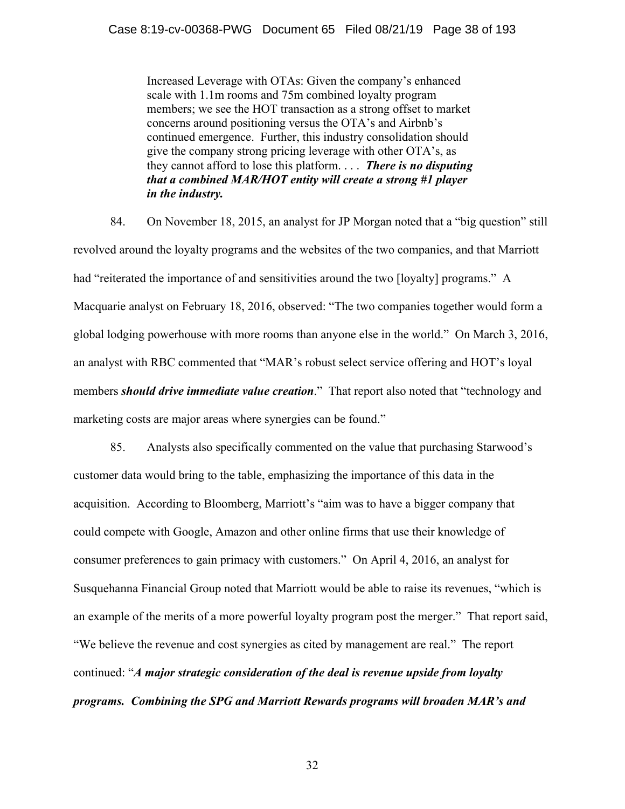Increased Leverage with OTAs: Given the company's enhanced scale with 1.1m rooms and 75m combined loyalty program members; we see the HOT transaction as a strong offset to market concerns around positioning versus the OTA's and Airbnb's continued emergence. Further, this industry consolidation should give the company strong pricing leverage with other OTA's, as they cannot afford to lose this platform. . . . *There is no disputing that a combined MAR/HOT entity will create a strong #1 player in the industry.* 

84. On November 18, 2015, an analyst for JP Morgan noted that a "big question" still revolved around the loyalty programs and the websites of the two companies, and that Marriott had "reiterated the importance of and sensitivities around the two [loyalty] programs." A Macquarie analyst on February 18, 2016, observed: "The two companies together would form a global lodging powerhouse with more rooms than anyone else in the world." On March 3, 2016, an analyst with RBC commented that "MAR's robust select service offering and HOT's loyal members *should drive immediate value creation*." That report also noted that "technology and marketing costs are major areas where synergies can be found."

85. Analysts also specifically commented on the value that purchasing Starwood's customer data would bring to the table, emphasizing the importance of this data in the acquisition. According to Bloomberg, Marriott's "aim was to have a bigger company that could compete with Google, Amazon and other online firms that use their knowledge of consumer preferences to gain primacy with customers." On April 4, 2016, an analyst for Susquehanna Financial Group noted that Marriott would be able to raise its revenues, "which is an example of the merits of a more powerful loyalty program post the merger." That report said, "We believe the revenue and cost synergies as cited by management are real." The report continued: "*A major strategic consideration of the deal is revenue upside from loyalty programs. Combining the SPG and Marriott Rewards programs will broaden MAR's and*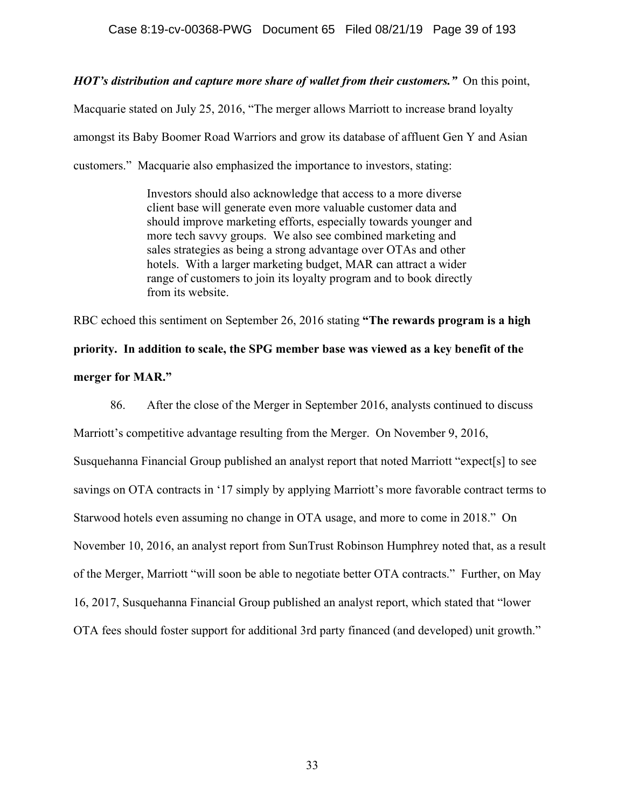*HOT's distribution and capture more share of wallet from their customers."*On this point,

Macquarie stated on July 25, 2016, "The merger allows Marriott to increase brand loyalty amongst its Baby Boomer Road Warriors and grow its database of affluent Gen Y and Asian customers." Macquarie also emphasized the importance to investors, stating:

> Investors should also acknowledge that access to a more diverse client base will generate even more valuable customer data and should improve marketing efforts, especially towards younger and more tech savvy groups. We also see combined marketing and sales strategies as being a strong advantage over OTAs and other hotels. With a larger marketing budget, MAR can attract a wider range of customers to join its loyalty program and to book directly from its website.

RBC echoed this sentiment on September 26, 2016 stating **"The rewards program is a high priority. In addition to scale, the SPG member base was viewed as a key benefit of the merger for MAR."** 

86. After the close of the Merger in September 2016, analysts continued to discuss Marriott's competitive advantage resulting from the Merger. On November 9, 2016, Susquehanna Financial Group published an analyst report that noted Marriott "expect[s] to see savings on OTA contracts in '17 simply by applying Marriott's more favorable contract terms to Starwood hotels even assuming no change in OTA usage, and more to come in 2018." On November 10, 2016, an analyst report from SunTrust Robinson Humphrey noted that, as a result of the Merger, Marriott "will soon be able to negotiate better OTA contracts." Further, on May 16, 2017, Susquehanna Financial Group published an analyst report, which stated that "lower OTA fees should foster support for additional 3rd party financed (and developed) unit growth."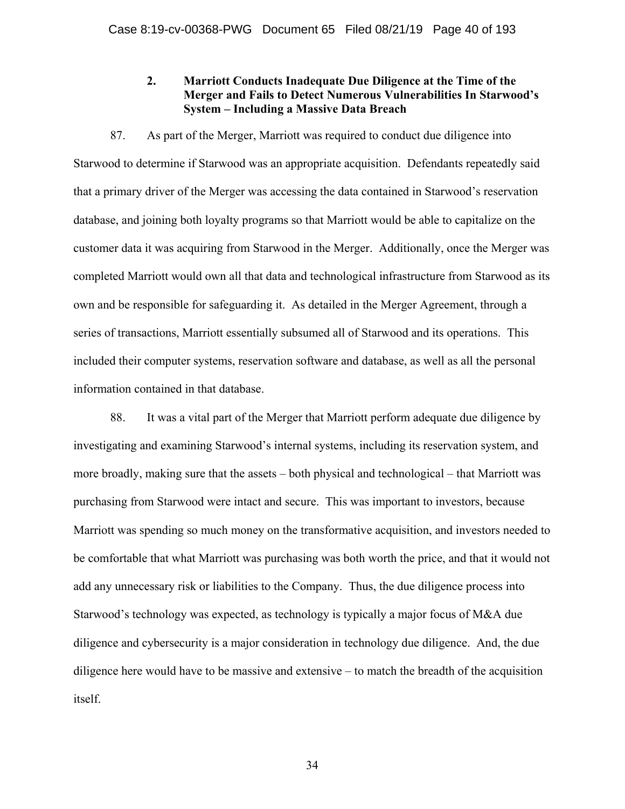# **2. Marriott Conducts Inadequate Due Diligence at the Time of the Merger and Fails to Detect Numerous Vulnerabilities In Starwood's System – Including a Massive Data Breach**

87. As part of the Merger, Marriott was required to conduct due diligence into Starwood to determine if Starwood was an appropriate acquisition. Defendants repeatedly said that a primary driver of the Merger was accessing the data contained in Starwood's reservation database, and joining both loyalty programs so that Marriott would be able to capitalize on the customer data it was acquiring from Starwood in the Merger. Additionally, once the Merger was completed Marriott would own all that data and technological infrastructure from Starwood as its own and be responsible for safeguarding it. As detailed in the Merger Agreement, through a series of transactions, Marriott essentially subsumed all of Starwood and its operations. This included their computer systems, reservation software and database, as well as all the personal information contained in that database.

88. It was a vital part of the Merger that Marriott perform adequate due diligence by investigating and examining Starwood's internal systems, including its reservation system, and more broadly, making sure that the assets – both physical and technological – that Marriott was purchasing from Starwood were intact and secure. This was important to investors, because Marriott was spending so much money on the transformative acquisition, and investors needed to be comfortable that what Marriott was purchasing was both worth the price, and that it would not add any unnecessary risk or liabilities to the Company. Thus, the due diligence process into Starwood's technology was expected, as technology is typically a major focus of M&A due diligence and cybersecurity is a major consideration in technology due diligence. And, the due diligence here would have to be massive and extensive – to match the breadth of the acquisition itself.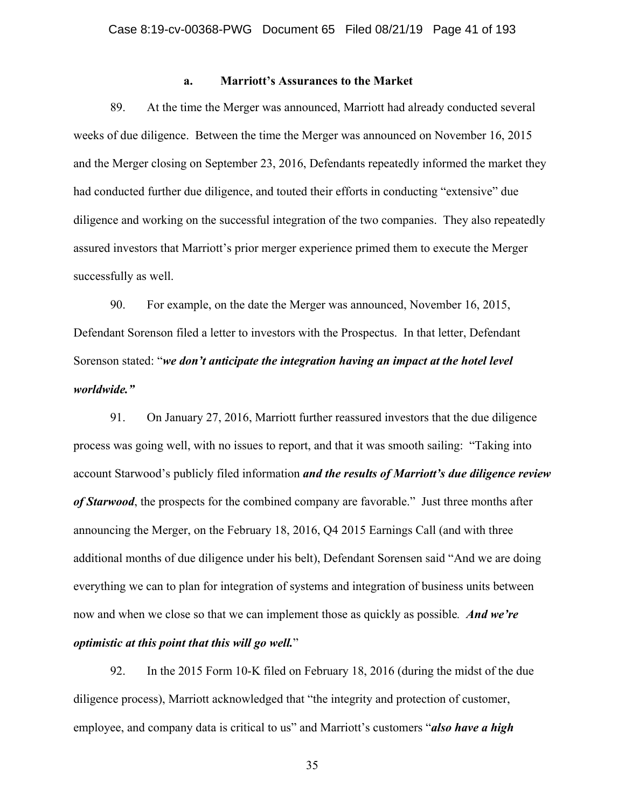#### **a. Marriott's Assurances to the Market**

89. At the time the Merger was announced, Marriott had already conducted several weeks of due diligence. Between the time the Merger was announced on November 16, 2015 and the Merger closing on September 23, 2016, Defendants repeatedly informed the market they had conducted further due diligence, and touted their efforts in conducting "extensive" due diligence and working on the successful integration of the two companies. They also repeatedly assured investors that Marriott's prior merger experience primed them to execute the Merger successfully as well.

90. For example, on the date the Merger was announced, November 16, 2015, Defendant Sorenson filed a letter to investors with the Prospectus. In that letter, Defendant Sorenson stated: "*we don't anticipate the integration having an impact at the hotel level worldwide."*

91. On January 27, 2016, Marriott further reassured investors that the due diligence process was going well, with no issues to report, and that it was smooth sailing: "Taking into account Starwood's publicly filed information *and the results of Marriott's due diligence review of Starwood*, the prospects for the combined company are favorable." Just three months after announcing the Merger, on the February 18, 2016, Q4 2015 Earnings Call (and with three additional months of due diligence under his belt), Defendant Sorensen said "And we are doing everything we can to plan for integration of systems and integration of business units between now and when we close so that we can implement those as quickly as possible*. And we're optimistic at this point that this will go well.*"

92. In the 2015 Form 10-K filed on February 18, 2016 (during the midst of the due diligence process), Marriott acknowledged that "the integrity and protection of customer, employee, and company data is critical to us" and Marriott's customers "*also have a high*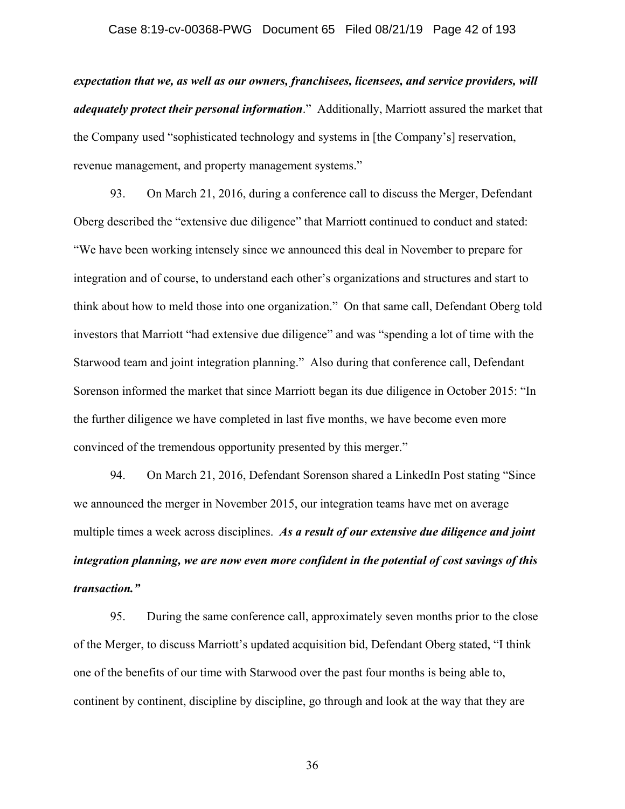## Case 8:19-cv-00368-PWG Document 65 Filed 08/21/19 Page 42 of 193

*expectation that we, as well as our owners, franchisees, licensees, and service providers, will adequately protect their personal information*." Additionally, Marriott assured the market that the Company used "sophisticated technology and systems in [the Company's] reservation, revenue management, and property management systems."

93. On March 21, 2016, during a conference call to discuss the Merger, Defendant Oberg described the "extensive due diligence" that Marriott continued to conduct and stated: "We have been working intensely since we announced this deal in November to prepare for integration and of course, to understand each other's organizations and structures and start to think about how to meld those into one organization." On that same call, Defendant Oberg told investors that Marriott "had extensive due diligence" and was "spending a lot of time with the Starwood team and joint integration planning." Also during that conference call, Defendant Sorenson informed the market that since Marriott began its due diligence in October 2015: "In the further diligence we have completed in last five months, we have become even more convinced of the tremendous opportunity presented by this merger."

94. On March 21, 2016, Defendant Sorenson shared a LinkedIn Post stating "Since we announced the merger in November 2015, our integration teams have met on average multiple times a week across disciplines. *As a result of our extensive due diligence and joint integration planning, we are now even more confident in the potential of cost savings of this transaction."* 

95. During the same conference call, approximately seven months prior to the close of the Merger, to discuss Marriott's updated acquisition bid, Defendant Oberg stated, "I think one of the benefits of our time with Starwood over the past four months is being able to, continent by continent, discipline by discipline, go through and look at the way that they are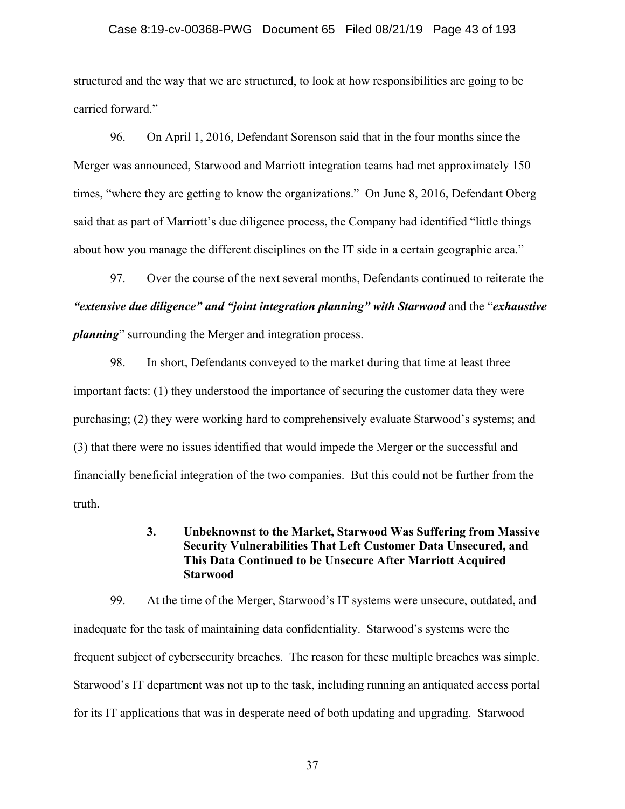## Case 8:19-cv-00368-PWG Document 65 Filed 08/21/19 Page 43 of 193

structured and the way that we are structured, to look at how responsibilities are going to be carried forward."

96. On April 1, 2016, Defendant Sorenson said that in the four months since the Merger was announced, Starwood and Marriott integration teams had met approximately 150 times, "where they are getting to know the organizations." On June 8, 2016, Defendant Oberg said that as part of Marriott's due diligence process, the Company had identified "little things about how you manage the different disciplines on the IT side in a certain geographic area."

97. Over the course of the next several months, Defendants continued to reiterate the *"extensive due diligence" and "joint integration planning" with Starwood* and the "*exhaustive planning*" surrounding the Merger and integration process.

98. In short, Defendants conveyed to the market during that time at least three important facts: (1) they understood the importance of securing the customer data they were purchasing; (2) they were working hard to comprehensively evaluate Starwood's systems; and (3) that there were no issues identified that would impede the Merger or the successful and financially beneficial integration of the two companies. But this could not be further from the truth.

## **3. Unbeknownst to the Market, Starwood Was Suffering from Massive Security Vulnerabilities That Left Customer Data Unsecured, and This Data Continued to be Unsecure After Marriott Acquired Starwood**

99. At the time of the Merger, Starwood's IT systems were unsecure, outdated, and inadequate for the task of maintaining data confidentiality. Starwood's systems were the frequent subject of cybersecurity breaches. The reason for these multiple breaches was simple. Starwood's IT department was not up to the task, including running an antiquated access portal for its IT applications that was in desperate need of both updating and upgrading. Starwood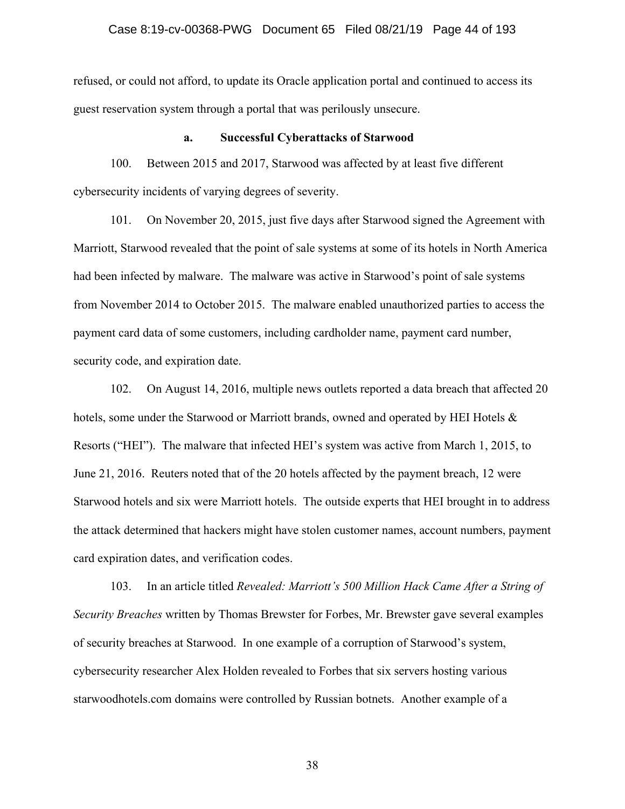### Case 8:19-cv-00368-PWG Document 65 Filed 08/21/19 Page 44 of 193

refused, or could not afford, to update its Oracle application portal and continued to access its guest reservation system through a portal that was perilously unsecure.

#### **a. Successful Cyberattacks of Starwood**

100. Between 2015 and 2017, Starwood was affected by at least five different cybersecurity incidents of varying degrees of severity.

101. On November 20, 2015, just five days after Starwood signed the Agreement with Marriott, Starwood revealed that the point of sale systems at some of its hotels in North America had been infected by malware. The malware was active in Starwood's point of sale systems from November 2014 to October 2015. The malware enabled unauthorized parties to access the payment card data of some customers, including cardholder name, payment card number, security code, and expiration date.

102. On August 14, 2016, multiple news outlets reported a data breach that affected 20 hotels, some under the Starwood or Marriott brands, owned and operated by HEI Hotels & Resorts ("HEI"). The malware that infected HEI's system was active from March 1, 2015, to June 21, 2016. Reuters noted that of the 20 hotels affected by the payment breach, 12 were Starwood hotels and six were Marriott hotels. The outside experts that HEI brought in to address the attack determined that hackers might have stolen customer names, account numbers, payment card expiration dates, and verification codes.

103. In an article titled *Revealed: Marriott's 500 Million Hack Came After a String of Security Breaches* written by Thomas Brewster for Forbes, Mr. Brewster gave several examples of security breaches at Starwood. In one example of a corruption of Starwood's system, cybersecurity researcher Alex Holden revealed to Forbes that six servers hosting various starwoodhotels.com domains were controlled by Russian botnets. Another example of a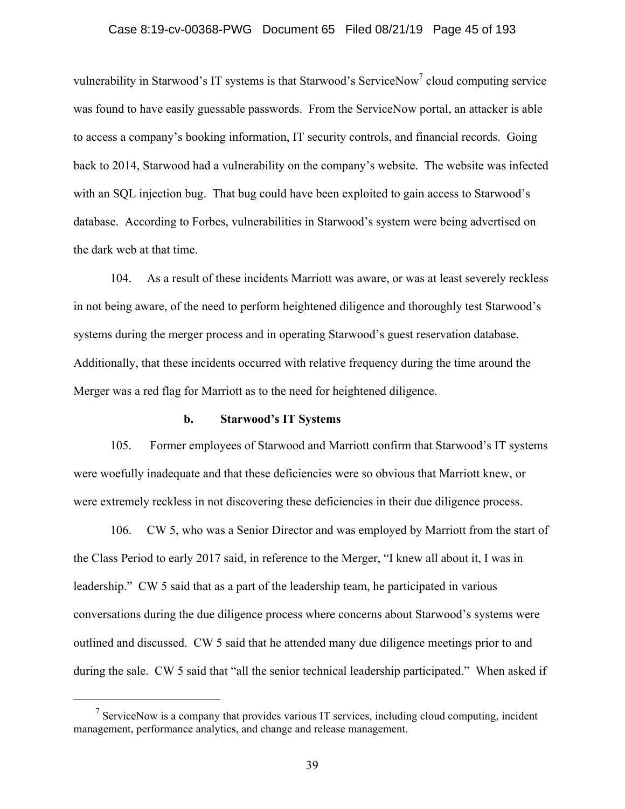## Case 8:19-cv-00368-PWG Document 65 Filed 08/21/19 Page 45 of 193

vulnerability in Starwood's IT systems is that Starwood's ServiceNow<sup>7</sup> cloud computing service was found to have easily guessable passwords. From the ServiceNow portal, an attacker is able to access a company's booking information, IT security controls, and financial records. Going back to 2014, Starwood had a vulnerability on the company's website. The website was infected with an SQL injection bug. That bug could have been exploited to gain access to Starwood's database. According to Forbes, vulnerabilities in Starwood's system were being advertised on the dark web at that time.

104. As a result of these incidents Marriott was aware, or was at least severely reckless in not being aware, of the need to perform heightened diligence and thoroughly test Starwood's systems during the merger process and in operating Starwood's guest reservation database. Additionally, that these incidents occurred with relative frequency during the time around the Merger was a red flag for Marriott as to the need for heightened diligence.

#### **b. Starwood's IT Systems**

105. Former employees of Starwood and Marriott confirm that Starwood's IT systems were woefully inadequate and that these deficiencies were so obvious that Marriott knew, or were extremely reckless in not discovering these deficiencies in their due diligence process.

106. CW 5, who was a Senior Director and was employed by Marriott from the start of the Class Period to early 2017 said, in reference to the Merger, "I knew all about it, I was in leadership." CW 5 said that as a part of the leadership team, he participated in various conversations during the due diligence process where concerns about Starwood's systems were outlined and discussed. CW 5 said that he attended many due diligence meetings prior to and during the sale. CW 5 said that "all the senior technical leadership participated." When asked if

 <sup>7</sup> <sup>7</sup> ServiceNow is a company that provides various IT services, including cloud computing, incident management, performance analytics, and change and release management.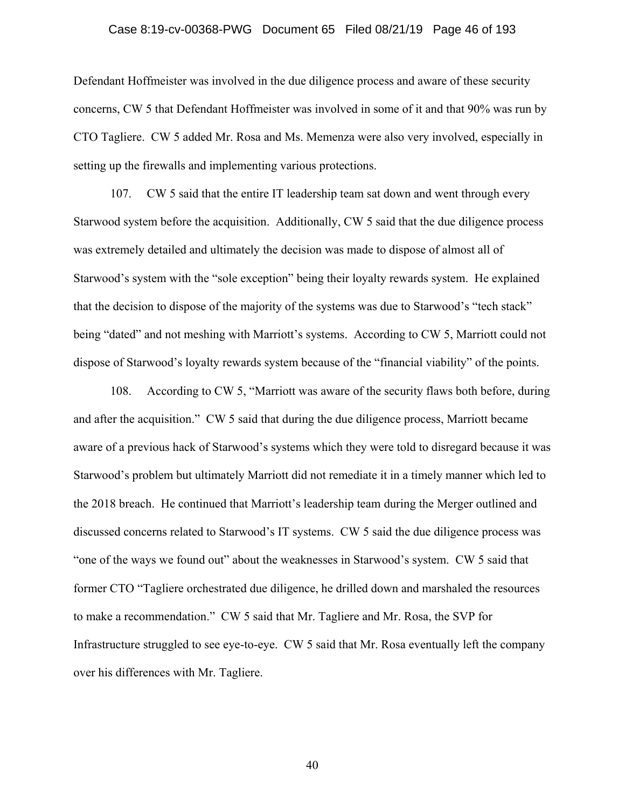## Case 8:19-cv-00368-PWG Document 65 Filed 08/21/19 Page 46 of 193

Defendant Hoffmeister was involved in the due diligence process and aware of these security concerns, CW 5 that Defendant Hoffmeister was involved in some of it and that 90% was run by CTO Tagliere. CW 5 added Mr. Rosa and Ms. Memenza were also very involved, especially in setting up the firewalls and implementing various protections.

107. CW 5 said that the entire IT leadership team sat down and went through every Starwood system before the acquisition. Additionally, CW 5 said that the due diligence process was extremely detailed and ultimately the decision was made to dispose of almost all of Starwood's system with the "sole exception" being their loyalty rewards system. He explained that the decision to dispose of the majority of the systems was due to Starwood's "tech stack" being "dated" and not meshing with Marriott's systems. According to CW 5, Marriott could not dispose of Starwood's loyalty rewards system because of the "financial viability" of the points.

108. According to CW 5, "Marriott was aware of the security flaws both before, during and after the acquisition." CW 5 said that during the due diligence process, Marriott became aware of a previous hack of Starwood's systems which they were told to disregard because it was Starwood's problem but ultimately Marriott did not remediate it in a timely manner which led to the 2018 breach. He continued that Marriott's leadership team during the Merger outlined and discussed concerns related to Starwood's IT systems. CW 5 said the due diligence process was "one of the ways we found out" about the weaknesses in Starwood's system. CW 5 said that former CTO "Tagliere orchestrated due diligence, he drilled down and marshaled the resources to make a recommendation." CW 5 said that Mr. Tagliere and Mr. Rosa, the SVP for Infrastructure struggled to see eye-to-eye. CW 5 said that Mr. Rosa eventually left the company over his differences with Mr. Tagliere.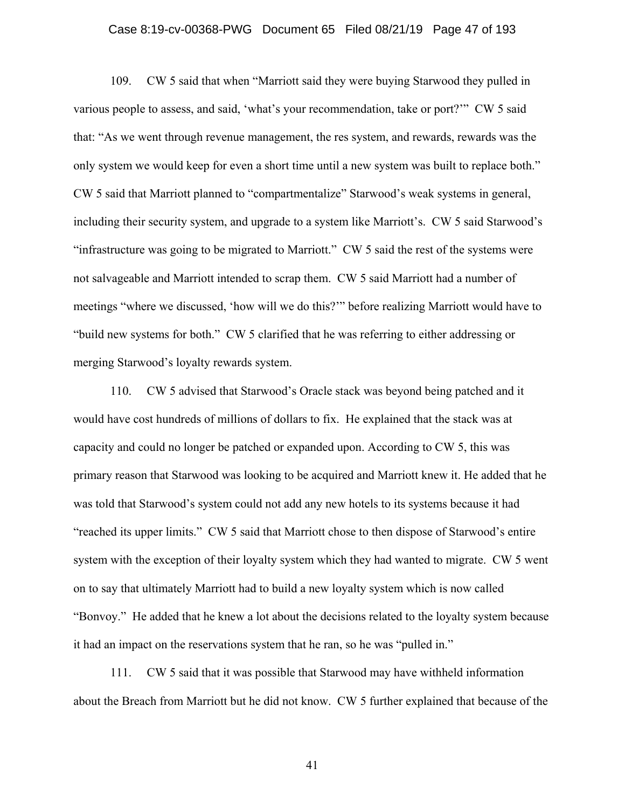## Case 8:19-cv-00368-PWG Document 65 Filed 08/21/19 Page 47 of 193

109. CW 5 said that when "Marriott said they were buying Starwood they pulled in various people to assess, and said, 'what's your recommendation, take or port?'" CW 5 said that: "As we went through revenue management, the res system, and rewards, rewards was the only system we would keep for even a short time until a new system was built to replace both." CW 5 said that Marriott planned to "compartmentalize" Starwood's weak systems in general, including their security system, and upgrade to a system like Marriott's. CW 5 said Starwood's "infrastructure was going to be migrated to Marriott." CW 5 said the rest of the systems were not salvageable and Marriott intended to scrap them. CW 5 said Marriott had a number of meetings "where we discussed, 'how will we do this?'" before realizing Marriott would have to "build new systems for both." CW 5 clarified that he was referring to either addressing or merging Starwood's loyalty rewards system.

110. CW 5 advised that Starwood's Oracle stack was beyond being patched and it would have cost hundreds of millions of dollars to fix. He explained that the stack was at capacity and could no longer be patched or expanded upon. According to CW 5, this was primary reason that Starwood was looking to be acquired and Marriott knew it. He added that he was told that Starwood's system could not add any new hotels to its systems because it had "reached its upper limits." CW 5 said that Marriott chose to then dispose of Starwood's entire system with the exception of their loyalty system which they had wanted to migrate. CW 5 went on to say that ultimately Marriott had to build a new loyalty system which is now called "Bonvoy." He added that he knew a lot about the decisions related to the loyalty system because it had an impact on the reservations system that he ran, so he was "pulled in."

111. CW 5 said that it was possible that Starwood may have withheld information about the Breach from Marriott but he did not know. CW 5 further explained that because of the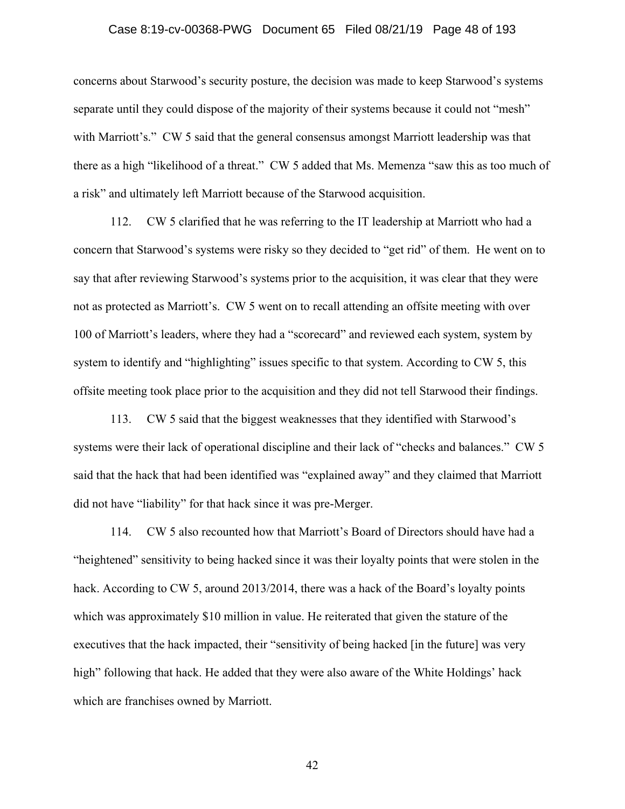## Case 8:19-cv-00368-PWG Document 65 Filed 08/21/19 Page 48 of 193

concerns about Starwood's security posture, the decision was made to keep Starwood's systems separate until they could dispose of the majority of their systems because it could not "mesh" with Marriott's." CW 5 said that the general consensus amongst Marriott leadership was that there as a high "likelihood of a threat." CW 5 added that Ms. Memenza "saw this as too much of a risk" and ultimately left Marriott because of the Starwood acquisition.

112. CW 5 clarified that he was referring to the IT leadership at Marriott who had a concern that Starwood's systems were risky so they decided to "get rid" of them. He went on to say that after reviewing Starwood's systems prior to the acquisition, it was clear that they were not as protected as Marriott's. CW 5 went on to recall attending an offsite meeting with over 100 of Marriott's leaders, where they had a "scorecard" and reviewed each system, system by system to identify and "highlighting" issues specific to that system. According to CW 5, this offsite meeting took place prior to the acquisition and they did not tell Starwood their findings.

113. CW 5 said that the biggest weaknesses that they identified with Starwood's systems were their lack of operational discipline and their lack of "checks and balances." CW 5 said that the hack that had been identified was "explained away" and they claimed that Marriott did not have "liability" for that hack since it was pre-Merger.

114. CW 5 also recounted how that Marriott's Board of Directors should have had a "heightened" sensitivity to being hacked since it was their loyalty points that were stolen in the hack. According to CW 5, around 2013/2014, there was a hack of the Board's loyalty points which was approximately \$10 million in value. He reiterated that given the stature of the executives that the hack impacted, their "sensitivity of being hacked [in the future] was very high" following that hack. He added that they were also aware of the White Holdings' hack which are franchises owned by Marriott.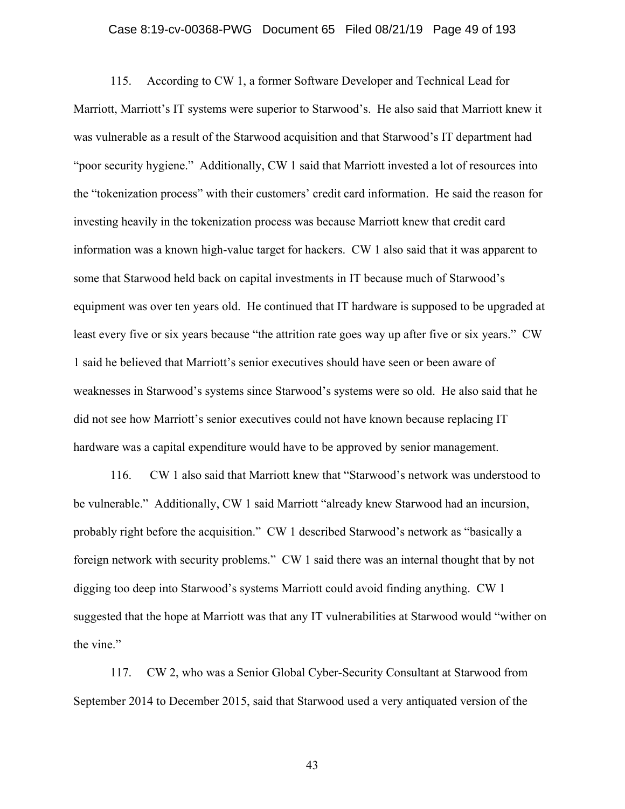## Case 8:19-cv-00368-PWG Document 65 Filed 08/21/19 Page 49 of 193

115. According to CW 1, a former Software Developer and Technical Lead for Marriott, Marriott's IT systems were superior to Starwood's. He also said that Marriott knew it was vulnerable as a result of the Starwood acquisition and that Starwood's IT department had "poor security hygiene." Additionally, CW 1 said that Marriott invested a lot of resources into the "tokenization process" with their customers' credit card information. He said the reason for investing heavily in the tokenization process was because Marriott knew that credit card information was a known high-value target for hackers. CW 1 also said that it was apparent to some that Starwood held back on capital investments in IT because much of Starwood's equipment was over ten years old. He continued that IT hardware is supposed to be upgraded at least every five or six years because "the attrition rate goes way up after five or six years." CW 1 said he believed that Marriott's senior executives should have seen or been aware of weaknesses in Starwood's systems since Starwood's systems were so old. He also said that he did not see how Marriott's senior executives could not have known because replacing IT hardware was a capital expenditure would have to be approved by senior management.

116. CW 1 also said that Marriott knew that "Starwood's network was understood to be vulnerable." Additionally, CW 1 said Marriott "already knew Starwood had an incursion, probably right before the acquisition." CW 1 described Starwood's network as "basically a foreign network with security problems." CW 1 said there was an internal thought that by not digging too deep into Starwood's systems Marriott could avoid finding anything. CW 1 suggested that the hope at Marriott was that any IT vulnerabilities at Starwood would "wither on the vine."

117. CW 2, who was a Senior Global Cyber-Security Consultant at Starwood from September 2014 to December 2015, said that Starwood used a very antiquated version of the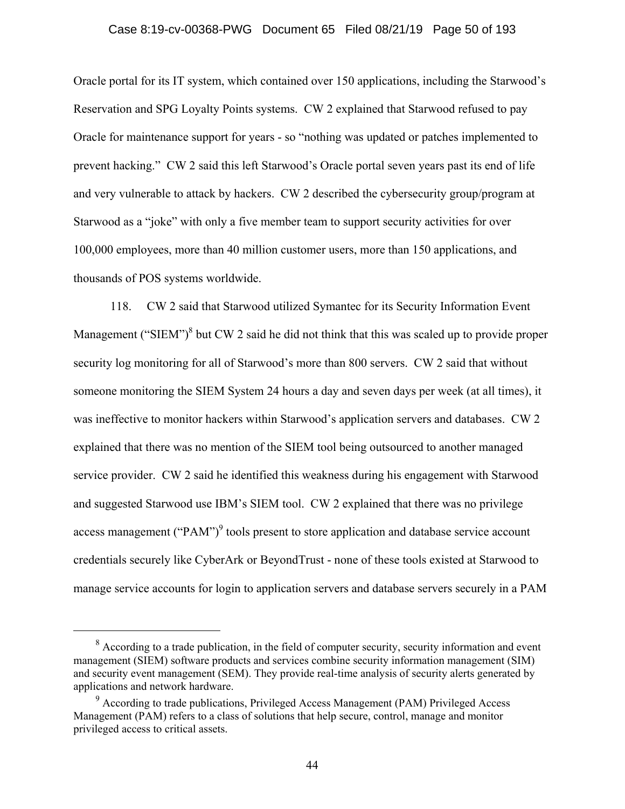## Case 8:19-cv-00368-PWG Document 65 Filed 08/21/19 Page 50 of 193

Oracle portal for its IT system, which contained over 150 applications, including the Starwood's Reservation and SPG Loyalty Points systems. CW 2 explained that Starwood refused to pay Oracle for maintenance support for years - so "nothing was updated or patches implemented to prevent hacking." CW 2 said this left Starwood's Oracle portal seven years past its end of life and very vulnerable to attack by hackers. CW 2 described the cybersecurity group/program at Starwood as a "joke" with only a five member team to support security activities for over 100,000 employees, more than 40 million customer users, more than 150 applications, and thousands of POS systems worldwide.

118. CW 2 said that Starwood utilized Symantec for its Security Information Event Management ("SIEM") $<sup>8</sup>$  but CW 2 said he did not think that this was scaled up to provide proper</sup> security log monitoring for all of Starwood's more than 800 servers. CW 2 said that without someone monitoring the SIEM System 24 hours a day and seven days per week (at all times), it was ineffective to monitor hackers within Starwood's application servers and databases. CW 2 explained that there was no mention of the SIEM tool being outsourced to another managed service provider. CW 2 said he identified this weakness during his engagement with Starwood and suggested Starwood use IBM's SIEM tool. CW 2 explained that there was no privilege access management ("PAM")<sup>9</sup> tools present to store application and database service account credentials securely like CyberArk or BeyondTrust - none of these tools existed at Starwood to manage service accounts for login to application servers and database servers securely in a PAM

 <sup>8</sup> <sup>8</sup> According to a trade publication, in the field of computer security, security information and event management (SIEM) software products and services combine security information management (SIM) and security event management (SEM). They provide real-time analysis of security alerts generated by applications and network hardware.

<sup>&</sup>lt;sup>9</sup> According to trade publications, Privileged Access Management (PAM) Privileged Access Management (PAM) refers to a class of solutions that help secure, control, manage and monitor privileged access to critical assets.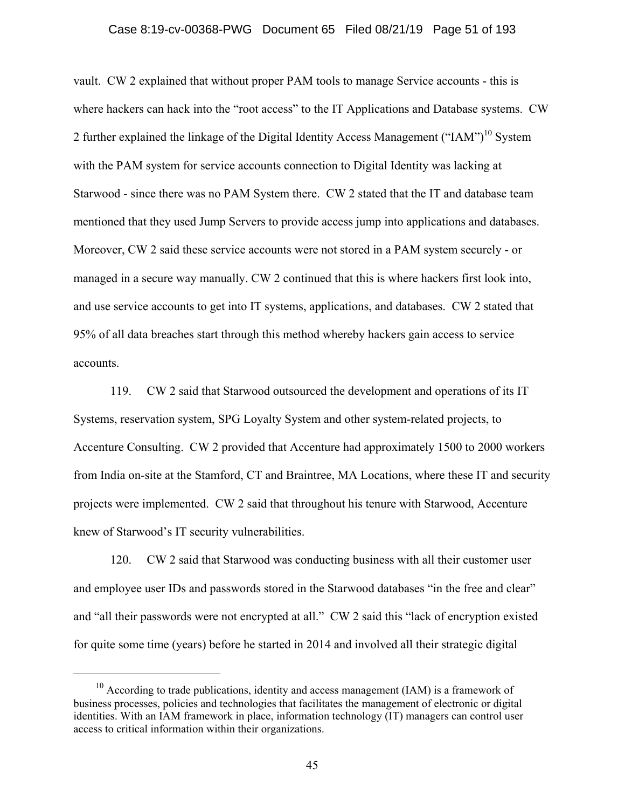## Case 8:19-cv-00368-PWG Document 65 Filed 08/21/19 Page 51 of 193

vault. CW 2 explained that without proper PAM tools to manage Service accounts - this is where hackers can hack into the "root access" to the IT Applications and Database systems. CW 2 further explained the linkage of the Digital Identity Access Management ("IAM")<sup>10</sup> System with the PAM system for service accounts connection to Digital Identity was lacking at Starwood - since there was no PAM System there. CW 2 stated that the IT and database team mentioned that they used Jump Servers to provide access jump into applications and databases. Moreover, CW 2 said these service accounts were not stored in a PAM system securely - or managed in a secure way manually. CW 2 continued that this is where hackers first look into, and use service accounts to get into IT systems, applications, and databases. CW 2 stated that 95% of all data breaches start through this method whereby hackers gain access to service accounts.

119. CW 2 said that Starwood outsourced the development and operations of its IT Systems, reservation system, SPG Loyalty System and other system-related projects, to Accenture Consulting. CW 2 provided that Accenture had approximately 1500 to 2000 workers from India on-site at the Stamford, CT and Braintree, MA Locations, where these IT and security projects were implemented. CW 2 said that throughout his tenure with Starwood, Accenture knew of Starwood's IT security vulnerabilities.

120. CW 2 said that Starwood was conducting business with all their customer user and employee user IDs and passwords stored in the Starwood databases "in the free and clear" and "all their passwords were not encrypted at all." CW 2 said this "lack of encryption existed for quite some time (years) before he started in 2014 and involved all their strategic digital

 $10$  According to trade publications, identity and access management (IAM) is a framework of business processes, policies and technologies that facilitates the management of electronic or digital identities. With an IAM framework in place, information technology (IT) managers can control user access to critical information within their organizations.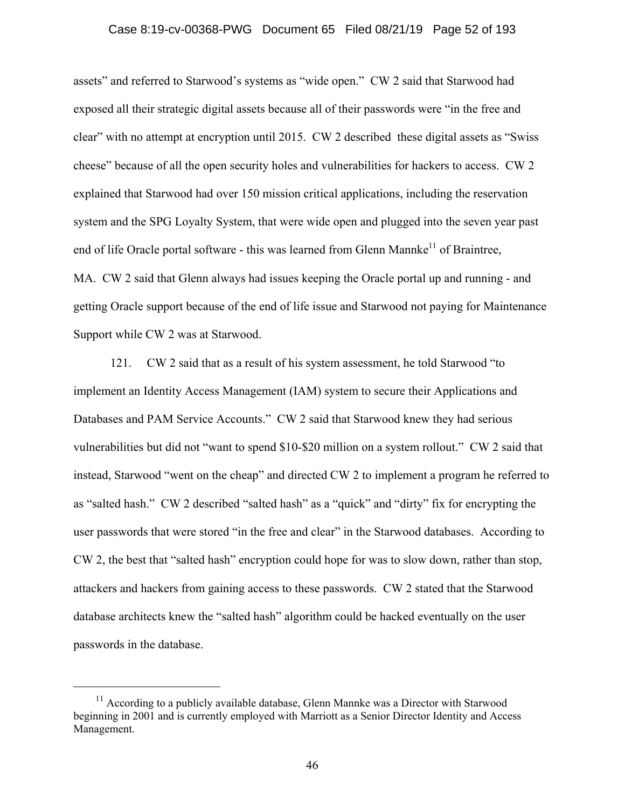## Case 8:19-cv-00368-PWG Document 65 Filed 08/21/19 Page 52 of 193

assets" and referred to Starwood's systems as "wide open." CW 2 said that Starwood had exposed all their strategic digital assets because all of their passwords were "in the free and clear" with no attempt at encryption until 2015. CW 2 described these digital assets as "Swiss cheese" because of all the open security holes and vulnerabilities for hackers to access. CW 2 explained that Starwood had over 150 mission critical applications, including the reservation system and the SPG Loyalty System, that were wide open and plugged into the seven year past end of life Oracle portal software - this was learned from Glenn Mannke<sup>11</sup> of Braintree, MA. CW 2 said that Glenn always had issues keeping the Oracle portal up and running - and getting Oracle support because of the end of life issue and Starwood not paying for Maintenance Support while CW 2 was at Starwood.

121. CW 2 said that as a result of his system assessment, he told Starwood "to implement an Identity Access Management (IAM) system to secure their Applications and Databases and PAM Service Accounts." CW 2 said that Starwood knew they had serious vulnerabilities but did not "want to spend \$10-\$20 million on a system rollout." CW 2 said that instead, Starwood "went on the cheap" and directed CW 2 to implement a program he referred to as "salted hash." CW 2 described "salted hash" as a "quick" and "dirty" fix for encrypting the user passwords that were stored "in the free and clear" in the Starwood databases. According to CW 2, the best that "salted hash" encryption could hope for was to slow down, rather than stop, attackers and hackers from gaining access to these passwords. CW 2 stated that the Starwood database architects knew the "salted hash" algorithm could be hacked eventually on the user passwords in the database.

 $11$  According to a publicly available database, Glenn Mannke was a Director with Starwood beginning in 2001 and is currently employed with Marriott as a Senior Director Identity and Access Management.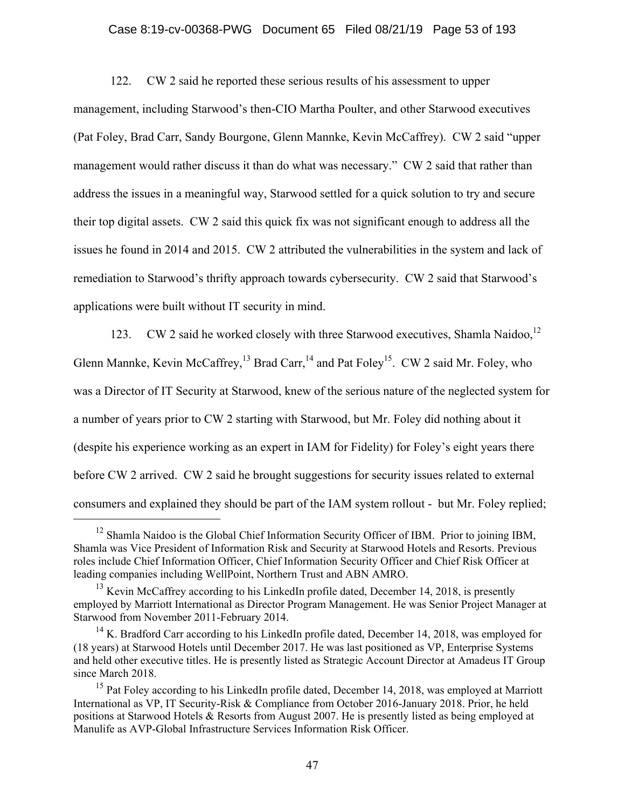## Case 8:19-cv-00368-PWG Document 65 Filed 08/21/19 Page 53 of 193

122. CW 2 said he reported these serious results of his assessment to upper management, including Starwood's then-CIO Martha Poulter, and other Starwood executives (Pat Foley, Brad Carr, Sandy Bourgone, Glenn Mannke, Kevin McCaffrey). CW 2 said "upper management would rather discuss it than do what was necessary." CW 2 said that rather than address the issues in a meaningful way, Starwood settled for a quick solution to try and secure their top digital assets. CW 2 said this quick fix was not significant enough to address all the issues he found in 2014 and 2015. CW 2 attributed the vulnerabilities in the system and lack of remediation to Starwood's thrifty approach towards cybersecurity. CW 2 said that Starwood's applications were built without IT security in mind.

123. CW 2 said he worked closely with three Starwood executives, Shamla Naidoo,<sup>12</sup> Glenn Mannke, Kevin McCaffrey,<sup>13</sup> Brad Carr,<sup>14</sup> and Pat Foley<sup>15</sup>. CW 2 said Mr. Foley, who was a Director of IT Security at Starwood, knew of the serious nature of the neglected system for a number of years prior to CW 2 starting with Starwood, but Mr. Foley did nothing about it (despite his experience working as an expert in IAM for Fidelity) for Foley's eight years there before CW 2 arrived. CW 2 said he brought suggestions for security issues related to external consumers and explained they should be part of the IAM system rollout - but Mr. Foley replied;

<sup>&</sup>lt;sup>12</sup> Shamla Naidoo is the Global Chief Information Security Officer of IBM. Prior to joining IBM, Shamla was Vice President of Information Risk and Security at Starwood Hotels and Resorts. Previous roles include Chief Information Officer, Chief Information Security Officer and Chief Risk Officer at leading companies including WellPoint, Northern Trust and ABN AMRO.

<sup>&</sup>lt;sup>13</sup> Kevin McCaffrey according to his LinkedIn profile dated, December 14, 2018, is presently employed by Marriott International as Director Program Management. He was Senior Project Manager at Starwood from November 2011-February 2014.

<sup>&</sup>lt;sup>14</sup> K. Bradford Carr according to his LinkedIn profile dated, December 14, 2018, was employed for (18 years) at Starwood Hotels until December 2017. He was last positioned as VP, Enterprise Systems and held other executive titles. He is presently listed as Strategic Account Director at Amadeus IT Group since March 2018.

<sup>&</sup>lt;sup>15</sup> Pat Foley according to his LinkedIn profile dated, December 14, 2018, was employed at Marriott International as VP, IT Security-Risk & Compliance from October 2016-January 2018. Prior, he held positions at Starwood Hotels & Resorts from August 2007. He is presently listed as being employed at Manulife as AVP-Global Infrastructure Services Information Risk Officer.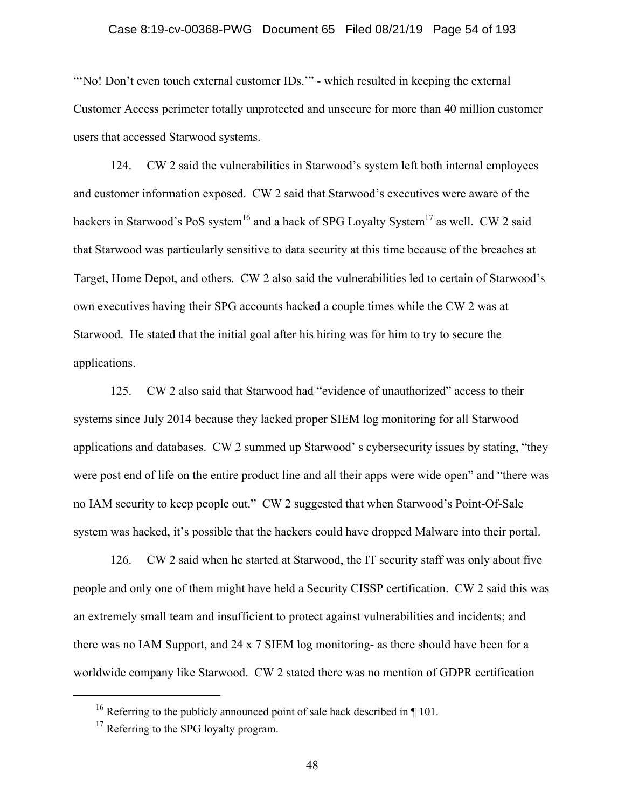## Case 8:19-cv-00368-PWG Document 65 Filed 08/21/19 Page 54 of 193

"No! Don't even touch external customer IDs."" - which resulted in keeping the external Customer Access perimeter totally unprotected and unsecure for more than 40 million customer users that accessed Starwood systems.

124. CW 2 said the vulnerabilities in Starwood's system left both internal employees and customer information exposed. CW 2 said that Starwood's executives were aware of the hackers in Starwood's PoS system<sup>16</sup> and a hack of SPG Loyalty System<sup>17</sup> as well. CW 2 said that Starwood was particularly sensitive to data security at this time because of the breaches at Target, Home Depot, and others. CW 2 also said the vulnerabilities led to certain of Starwood's own executives having their SPG accounts hacked a couple times while the CW 2 was at Starwood. He stated that the initial goal after his hiring was for him to try to secure the applications.

125. CW 2 also said that Starwood had "evidence of unauthorized" access to their systems since July 2014 because they lacked proper SIEM log monitoring for all Starwood applications and databases. CW 2 summed up Starwood' s cybersecurity issues by stating, "they were post end of life on the entire product line and all their apps were wide open" and "there was no IAM security to keep people out." CW 2 suggested that when Starwood's Point-Of-Sale system was hacked, it's possible that the hackers could have dropped Malware into their portal.

126. CW 2 said when he started at Starwood, the IT security staff was only about five people and only one of them might have held a Security CISSP certification. CW 2 said this was an extremely small team and insufficient to protect against vulnerabilities and incidents; and there was no IAM Support, and 24 x 7 SIEM log monitoring- as there should have been for a worldwide company like Starwood. CW 2 stated there was no mention of GDPR certification

<sup>&</sup>lt;sup>16</sup> Referring to the publicly announced point of sale hack described in  $\P$  101.

 $17$  Referring to the SPG loyalty program.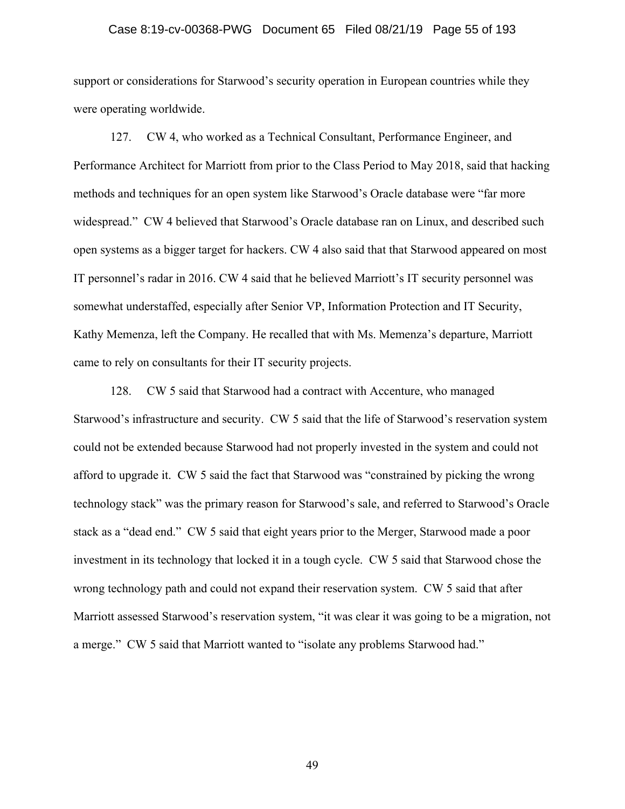## Case 8:19-cv-00368-PWG Document 65 Filed 08/21/19 Page 55 of 193

support or considerations for Starwood's security operation in European countries while they were operating worldwide.

127. CW 4, who worked as a Technical Consultant, Performance Engineer, and Performance Architect for Marriott from prior to the Class Period to May 2018, said that hacking methods and techniques for an open system like Starwood's Oracle database were "far more widespread." CW 4 believed that Starwood's Oracle database ran on Linux, and described such open systems as a bigger target for hackers. CW 4 also said that that Starwood appeared on most IT personnel's radar in 2016. CW 4 said that he believed Marriott's IT security personnel was somewhat understaffed, especially after Senior VP, Information Protection and IT Security, Kathy Memenza, left the Company. He recalled that with Ms. Memenza's departure, Marriott came to rely on consultants for their IT security projects.

128. CW 5 said that Starwood had a contract with Accenture, who managed Starwood's infrastructure and security. CW 5 said that the life of Starwood's reservation system could not be extended because Starwood had not properly invested in the system and could not afford to upgrade it. CW 5 said the fact that Starwood was "constrained by picking the wrong technology stack" was the primary reason for Starwood's sale, and referred to Starwood's Oracle stack as a "dead end." CW 5 said that eight years prior to the Merger, Starwood made a poor investment in its technology that locked it in a tough cycle. CW 5 said that Starwood chose the wrong technology path and could not expand their reservation system. CW 5 said that after Marriott assessed Starwood's reservation system, "it was clear it was going to be a migration, not a merge." CW 5 said that Marriott wanted to "isolate any problems Starwood had."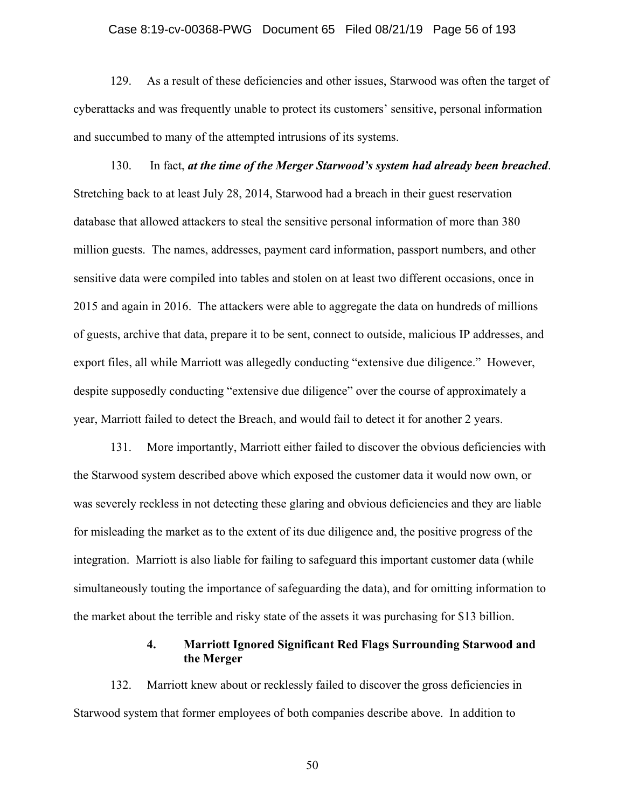## Case 8:19-cv-00368-PWG Document 65 Filed 08/21/19 Page 56 of 193

129. As a result of these deficiencies and other issues, Starwood was often the target of cyberattacks and was frequently unable to protect its customers' sensitive, personal information and succumbed to many of the attempted intrusions of its systems.

130. In fact, *at the time of the Merger Starwood's system had already been breached*. Stretching back to at least July 28, 2014, Starwood had a breach in their guest reservation database that allowed attackers to steal the sensitive personal information of more than 380 million guests. The names, addresses, payment card information, passport numbers, and other sensitive data were compiled into tables and stolen on at least two different occasions, once in 2015 and again in 2016. The attackers were able to aggregate the data on hundreds of millions of guests, archive that data, prepare it to be sent, connect to outside, malicious IP addresses, and export files, all while Marriott was allegedly conducting "extensive due diligence." However, despite supposedly conducting "extensive due diligence" over the course of approximately a year, Marriott failed to detect the Breach, and would fail to detect it for another 2 years.

131. More importantly, Marriott either failed to discover the obvious deficiencies with the Starwood system described above which exposed the customer data it would now own, or was severely reckless in not detecting these glaring and obvious deficiencies and they are liable for misleading the market as to the extent of its due diligence and, the positive progress of the integration. Marriott is also liable for failing to safeguard this important customer data (while simultaneously touting the importance of safeguarding the data), and for omitting information to the market about the terrible and risky state of the assets it was purchasing for \$13 billion.

## **4. Marriott Ignored Significant Red Flags Surrounding Starwood and the Merger**

132. Marriott knew about or recklessly failed to discover the gross deficiencies in Starwood system that former employees of both companies describe above. In addition to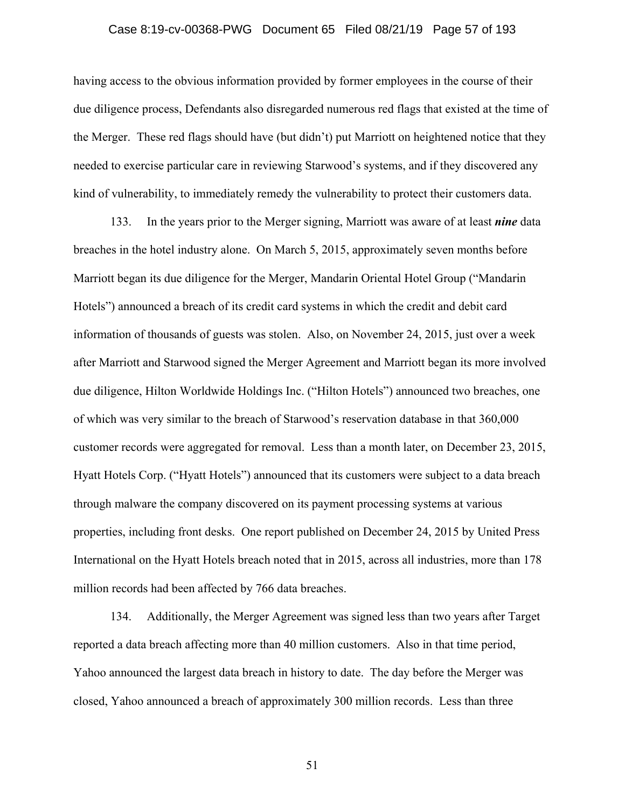## Case 8:19-cv-00368-PWG Document 65 Filed 08/21/19 Page 57 of 193

having access to the obvious information provided by former employees in the course of their due diligence process, Defendants also disregarded numerous red flags that existed at the time of the Merger. These red flags should have (but didn't) put Marriott on heightened notice that they needed to exercise particular care in reviewing Starwood's systems, and if they discovered any kind of vulnerability, to immediately remedy the vulnerability to protect their customers data.

133. In the years prior to the Merger signing, Marriott was aware of at least *nine* data breaches in the hotel industry alone. On March 5, 2015, approximately seven months before Marriott began its due diligence for the Merger, Mandarin Oriental Hotel Group ("Mandarin Hotels") announced a breach of its credit card systems in which the credit and debit card information of thousands of guests was stolen. Also, on November 24, 2015, just over a week after Marriott and Starwood signed the Merger Agreement and Marriott began its more involved due diligence, Hilton Worldwide Holdings Inc. ("Hilton Hotels") announced two breaches, one of which was very similar to the breach of Starwood's reservation database in that 360,000 customer records were aggregated for removal. Less than a month later, on December 23, 2015, Hyatt Hotels Corp. ("Hyatt Hotels") announced that its customers were subject to a data breach through malware the company discovered on its payment processing systems at various properties, including front desks. One report published on December 24, 2015 by United Press International on the Hyatt Hotels breach noted that in 2015, across all industries, more than 178 million records had been affected by 766 data breaches.

134. Additionally, the Merger Agreement was signed less than two years after Target reported a data breach affecting more than 40 million customers. Also in that time period, Yahoo announced the largest data breach in history to date. The day before the Merger was closed, Yahoo announced a breach of approximately 300 million records. Less than three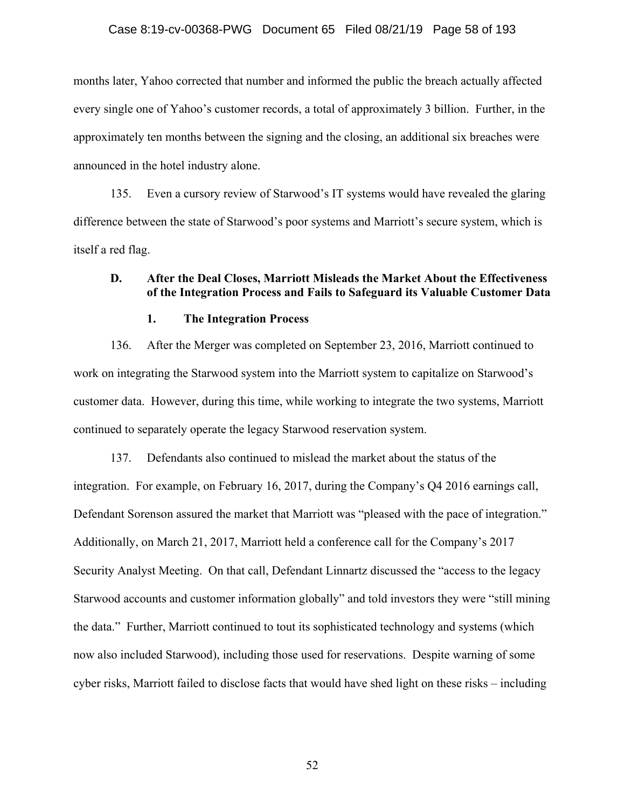### Case 8:19-cv-00368-PWG Document 65 Filed 08/21/19 Page 58 of 193

months later, Yahoo corrected that number and informed the public the breach actually affected every single one of Yahoo's customer records, a total of approximately 3 billion. Further, in the approximately ten months between the signing and the closing, an additional six breaches were announced in the hotel industry alone.

135. Even a cursory review of Starwood's IT systems would have revealed the glaring difference between the state of Starwood's poor systems and Marriott's secure system, which is itself a red flag.

## **D. After the Deal Closes, Marriott Misleads the Market About the Effectiveness of the Integration Process and Fails to Safeguard its Valuable Customer Data**

#### **1. The Integration Process**

136. After the Merger was completed on September 23, 2016, Marriott continued to work on integrating the Starwood system into the Marriott system to capitalize on Starwood's customer data. However, during this time, while working to integrate the two systems, Marriott continued to separately operate the legacy Starwood reservation system.

137. Defendants also continued to mislead the market about the status of the integration. For example, on February 16, 2017, during the Company's Q4 2016 earnings call, Defendant Sorenson assured the market that Marriott was "pleased with the pace of integration." Additionally, on March 21, 2017, Marriott held a conference call for the Company's 2017 Security Analyst Meeting. On that call, Defendant Linnartz discussed the "access to the legacy Starwood accounts and customer information globally" and told investors they were "still mining the data." Further, Marriott continued to tout its sophisticated technology and systems (which now also included Starwood), including those used for reservations. Despite warning of some cyber risks, Marriott failed to disclose facts that would have shed light on these risks – including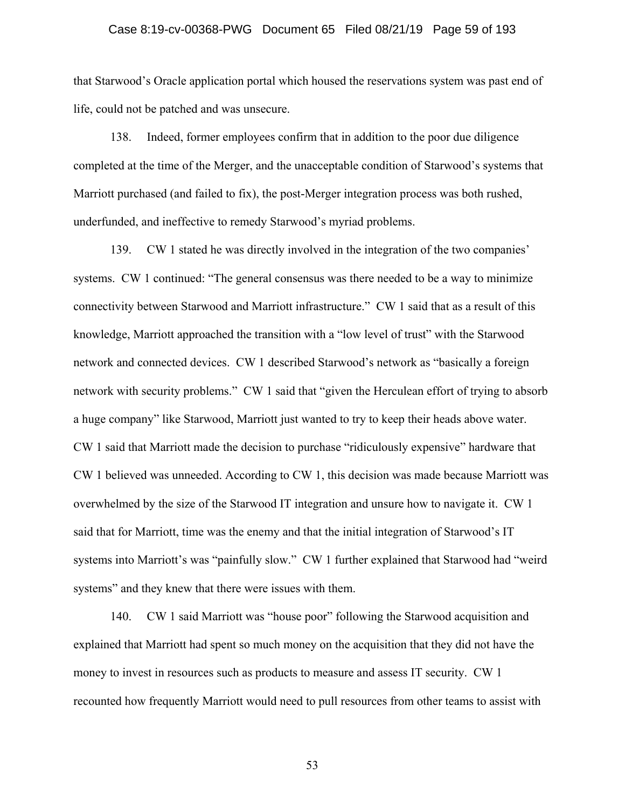## Case 8:19-cv-00368-PWG Document 65 Filed 08/21/19 Page 59 of 193

that Starwood's Oracle application portal which housed the reservations system was past end of life, could not be patched and was unsecure.

138. Indeed, former employees confirm that in addition to the poor due diligence completed at the time of the Merger, and the unacceptable condition of Starwood's systems that Marriott purchased (and failed to fix), the post-Merger integration process was both rushed, underfunded, and ineffective to remedy Starwood's myriad problems.

139. CW 1 stated he was directly involved in the integration of the two companies' systems. CW 1 continued: "The general consensus was there needed to be a way to minimize connectivity between Starwood and Marriott infrastructure." CW 1 said that as a result of this knowledge, Marriott approached the transition with a "low level of trust" with the Starwood network and connected devices. CW 1 described Starwood's network as "basically a foreign network with security problems." CW 1 said that "given the Herculean effort of trying to absorb a huge company" like Starwood, Marriott just wanted to try to keep their heads above water. CW 1 said that Marriott made the decision to purchase "ridiculously expensive" hardware that CW 1 believed was unneeded. According to CW 1, this decision was made because Marriott was overwhelmed by the size of the Starwood IT integration and unsure how to navigate it. CW 1 said that for Marriott, time was the enemy and that the initial integration of Starwood's IT systems into Marriott's was "painfully slow." CW 1 further explained that Starwood had "weird systems" and they knew that there were issues with them.

140. CW 1 said Marriott was "house poor" following the Starwood acquisition and explained that Marriott had spent so much money on the acquisition that they did not have the money to invest in resources such as products to measure and assess IT security. CW 1 recounted how frequently Marriott would need to pull resources from other teams to assist with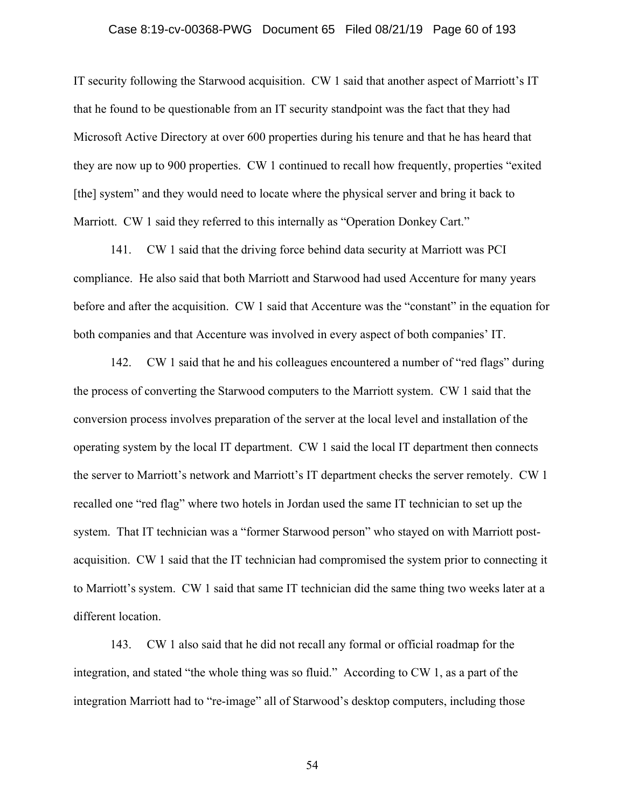## Case 8:19-cv-00368-PWG Document 65 Filed 08/21/19 Page 60 of 193

IT security following the Starwood acquisition. CW 1 said that another aspect of Marriott's IT that he found to be questionable from an IT security standpoint was the fact that they had Microsoft Active Directory at over 600 properties during his tenure and that he has heard that they are now up to 900 properties. CW 1 continued to recall how frequently, properties "exited [the] system" and they would need to locate where the physical server and bring it back to Marriott. CW 1 said they referred to this internally as "Operation Donkey Cart."

141. CW 1 said that the driving force behind data security at Marriott was PCI compliance. He also said that both Marriott and Starwood had used Accenture for many years before and after the acquisition. CW 1 said that Accenture was the "constant" in the equation for both companies and that Accenture was involved in every aspect of both companies' IT.

142. CW 1 said that he and his colleagues encountered a number of "red flags" during the process of converting the Starwood computers to the Marriott system. CW 1 said that the conversion process involves preparation of the server at the local level and installation of the operating system by the local IT department. CW 1 said the local IT department then connects the server to Marriott's network and Marriott's IT department checks the server remotely. CW 1 recalled one "red flag" where two hotels in Jordan used the same IT technician to set up the system. That IT technician was a "former Starwood person" who stayed on with Marriott postacquisition. CW 1 said that the IT technician had compromised the system prior to connecting it to Marriott's system. CW 1 said that same IT technician did the same thing two weeks later at a different location.

143. CW 1 also said that he did not recall any formal or official roadmap for the integration, and stated "the whole thing was so fluid." According to CW 1, as a part of the integration Marriott had to "re-image" all of Starwood's desktop computers, including those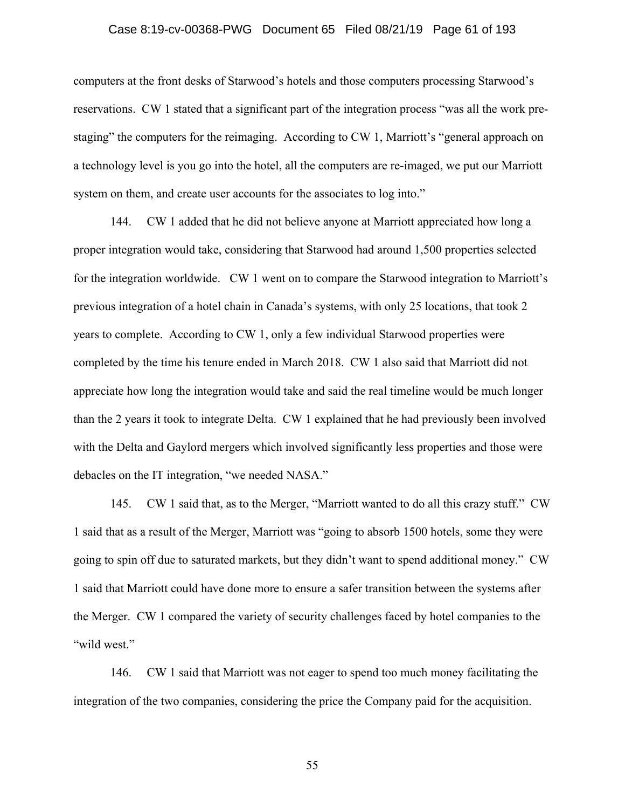## Case 8:19-cv-00368-PWG Document 65 Filed 08/21/19 Page 61 of 193

computers at the front desks of Starwood's hotels and those computers processing Starwood's reservations. CW 1 stated that a significant part of the integration process "was all the work prestaging" the computers for the reimaging. According to CW 1, Marriott's "general approach on a technology level is you go into the hotel, all the computers are re-imaged, we put our Marriott system on them, and create user accounts for the associates to log into."

144. CW 1 added that he did not believe anyone at Marriott appreciated how long a proper integration would take, considering that Starwood had around 1,500 properties selected for the integration worldwide. CW 1 went on to compare the Starwood integration to Marriott's previous integration of a hotel chain in Canada's systems, with only 25 locations, that took 2 years to complete. According to CW 1, only a few individual Starwood properties were completed by the time his tenure ended in March 2018. CW 1 also said that Marriott did not appreciate how long the integration would take and said the real timeline would be much longer than the 2 years it took to integrate Delta. CW 1 explained that he had previously been involved with the Delta and Gaylord mergers which involved significantly less properties and those were debacles on the IT integration, "we needed NASA."

145. CW 1 said that, as to the Merger, "Marriott wanted to do all this crazy stuff." CW 1 said that as a result of the Merger, Marriott was "going to absorb 1500 hotels, some they were going to spin off due to saturated markets, but they didn't want to spend additional money." CW 1 said that Marriott could have done more to ensure a safer transition between the systems after the Merger. CW 1 compared the variety of security challenges faced by hotel companies to the "wild west."

146. CW 1 said that Marriott was not eager to spend too much money facilitating the integration of the two companies, considering the price the Company paid for the acquisition.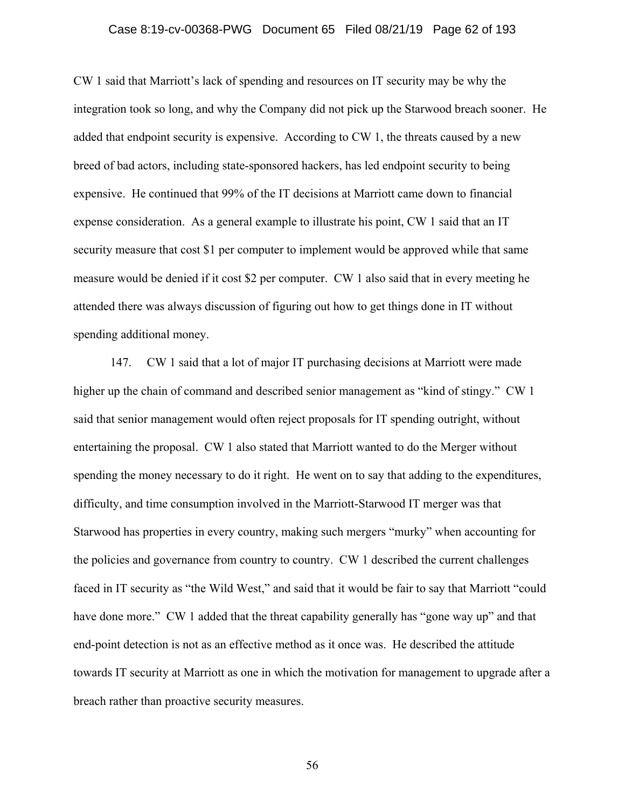## Case 8:19-cv-00368-PWG Document 65 Filed 08/21/19 Page 62 of 193

CW 1 said that Marriott's lack of spending and resources on IT security may be why the integration took so long, and why the Company did not pick up the Starwood breach sooner. He added that endpoint security is expensive. According to CW 1, the threats caused by a new breed of bad actors, including state-sponsored hackers, has led endpoint security to being expensive. He continued that 99% of the IT decisions at Marriott came down to financial expense consideration. As a general example to illustrate his point, CW 1 said that an IT security measure that cost \$1 per computer to implement would be approved while that same measure would be denied if it cost \$2 per computer. CW 1 also said that in every meeting he attended there was always discussion of figuring out how to get things done in IT without spending additional money.

147. CW 1 said that a lot of major IT purchasing decisions at Marriott were made higher up the chain of command and described senior management as "kind of stingy." CW 1 said that senior management would often reject proposals for IT spending outright, without entertaining the proposal. CW 1 also stated that Marriott wanted to do the Merger without spending the money necessary to do it right. He went on to say that adding to the expenditures, difficulty, and time consumption involved in the Marriott-Starwood IT merger was that Starwood has properties in every country, making such mergers "murky" when accounting for the policies and governance from country to country. CW 1 described the current challenges faced in IT security as "the Wild West," and said that it would be fair to say that Marriott "could have done more." CW 1 added that the threat capability generally has "gone way up" and that end-point detection is not as an effective method as it once was. He described the attitude towards IT security at Marriott as one in which the motivation for management to upgrade after a breach rather than proactive security measures.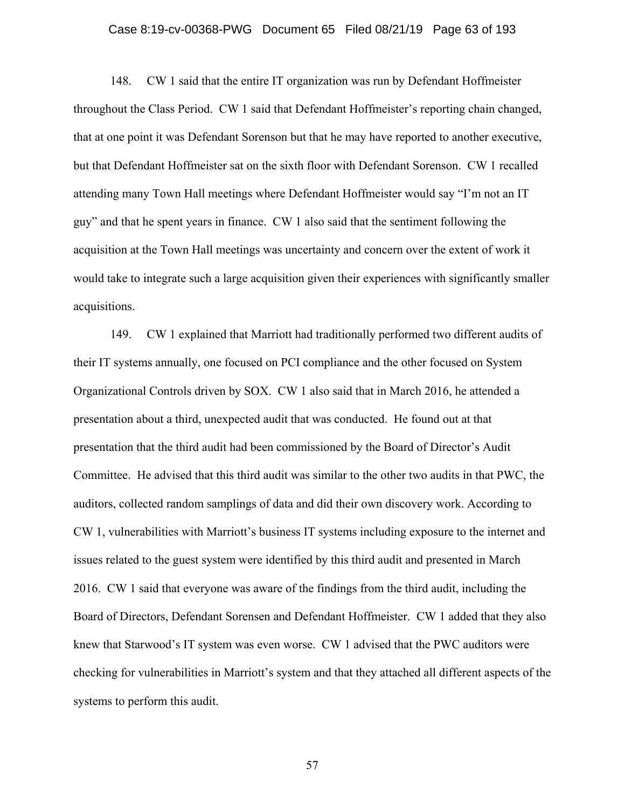## Case 8:19-cv-00368-PWG Document 65 Filed 08/21/19 Page 63 of 193

148. CW 1 said that the entire IT organization was run by Defendant Hoffmeister throughout the Class Period. CW 1 said that Defendant Hoffmeister's reporting chain changed, that at one point it was Defendant Sorenson but that he may have reported to another executive, but that Defendant Hoffmeister sat on the sixth floor with Defendant Sorenson. CW 1 recalled attending many Town Hall meetings where Defendant Hoffmeister would say "I'm not an IT guy" and that he spent years in finance. CW 1 also said that the sentiment following the acquisition at the Town Hall meetings was uncertainty and concern over the extent of work it would take to integrate such a large acquisition given their experiences with significantly smaller acquisitions.

149. CW 1 explained that Marriott had traditionally performed two different audits of their IT systems annually, one focused on PCI compliance and the other focused on System Organizational Controls driven by SOX. CW 1 also said that in March 2016, he attended a presentation about a third, unexpected audit that was conducted. He found out at that presentation that the third audit had been commissioned by the Board of Director's Audit Committee. He advised that this third audit was similar to the other two audits in that PWC, the auditors, collected random samplings of data and did their own discovery work. According to CW 1, vulnerabilities with Marriott's business IT systems including exposure to the internet and issues related to the guest system were identified by this third audit and presented in March 2016. CW 1 said that everyone was aware of the findings from the third audit, including the Board of Directors, Defendant Sorensen and Defendant Hoffmeister. CW 1 added that they also knew that Starwood's IT system was even worse. CW 1 advised that the PWC auditors were checking for vulnerabilities in Marriott's system and that they attached all different aspects of the systems to perform this audit.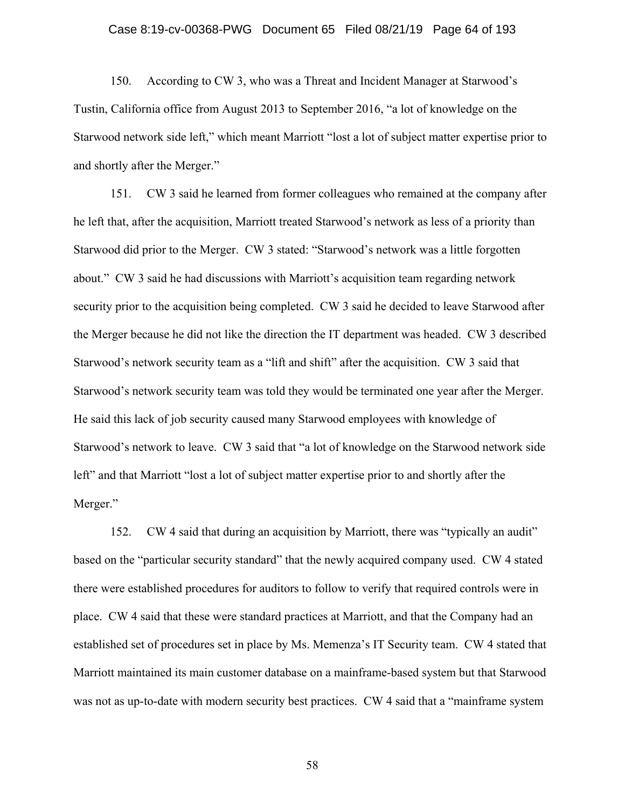## Case 8:19-cv-00368-PWG Document 65 Filed 08/21/19 Page 64 of 193

150. According to CW 3, who was a Threat and Incident Manager at Starwood's Tustin, California office from August 2013 to September 2016, "a lot of knowledge on the Starwood network side left," which meant Marriott "lost a lot of subject matter expertise prior to and shortly after the Merger."

151. CW 3 said he learned from former colleagues who remained at the company after he left that, after the acquisition, Marriott treated Starwood's network as less of a priority than Starwood did prior to the Merger. CW 3 stated: "Starwood's network was a little forgotten about." CW 3 said he had discussions with Marriott's acquisition team regarding network security prior to the acquisition being completed. CW 3 said he decided to leave Starwood after the Merger because he did not like the direction the IT department was headed. CW 3 described Starwood's network security team as a "lift and shift" after the acquisition. CW 3 said that Starwood's network security team was told they would be terminated one year after the Merger. He said this lack of job security caused many Starwood employees with knowledge of Starwood's network to leave. CW 3 said that "a lot of knowledge on the Starwood network side left" and that Marriott "lost a lot of subject matter expertise prior to and shortly after the Merger."

152. CW 4 said that during an acquisition by Marriott, there was "typically an audit" based on the "particular security standard" that the newly acquired company used. CW 4 stated there were established procedures for auditors to follow to verify that required controls were in place. CW 4 said that these were standard practices at Marriott, and that the Company had an established set of procedures set in place by Ms. Memenza's IT Security team. CW 4 stated that Marriott maintained its main customer database on a mainframe-based system but that Starwood was not as up-to-date with modern security best practices. CW 4 said that a "mainframe system"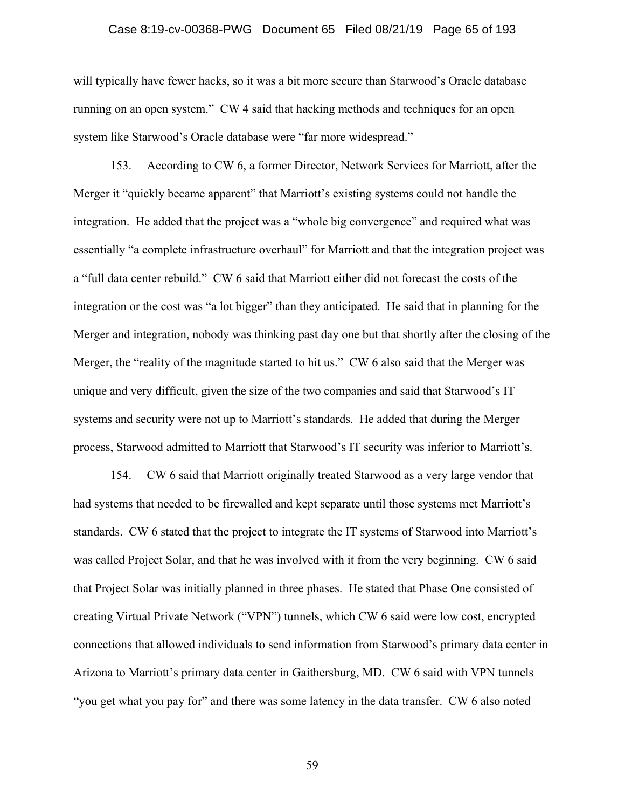## Case 8:19-cv-00368-PWG Document 65 Filed 08/21/19 Page 65 of 193

will typically have fewer hacks, so it was a bit more secure than Starwood's Oracle database running on an open system." CW 4 said that hacking methods and techniques for an open system like Starwood's Oracle database were "far more widespread."

153. According to CW 6, a former Director, Network Services for Marriott, after the Merger it "quickly became apparent" that Marriott's existing systems could not handle the integration. He added that the project was a "whole big convergence" and required what was essentially "a complete infrastructure overhaul" for Marriott and that the integration project was a "full data center rebuild." CW 6 said that Marriott either did not forecast the costs of the integration or the cost was "a lot bigger" than they anticipated. He said that in planning for the Merger and integration, nobody was thinking past day one but that shortly after the closing of the Merger, the "reality of the magnitude started to hit us." CW 6 also said that the Merger was unique and very difficult, given the size of the two companies and said that Starwood's IT systems and security were not up to Marriott's standards. He added that during the Merger process, Starwood admitted to Marriott that Starwood's IT security was inferior to Marriott's.

154. CW 6 said that Marriott originally treated Starwood as a very large vendor that had systems that needed to be firewalled and kept separate until those systems met Marriott's standards. CW 6 stated that the project to integrate the IT systems of Starwood into Marriott's was called Project Solar, and that he was involved with it from the very beginning. CW 6 said that Project Solar was initially planned in three phases. He stated that Phase One consisted of creating Virtual Private Network ("VPN") tunnels, which CW 6 said were low cost, encrypted connections that allowed individuals to send information from Starwood's primary data center in Arizona to Marriott's primary data center in Gaithersburg, MD. CW 6 said with VPN tunnels "you get what you pay for" and there was some latency in the data transfer. CW 6 also noted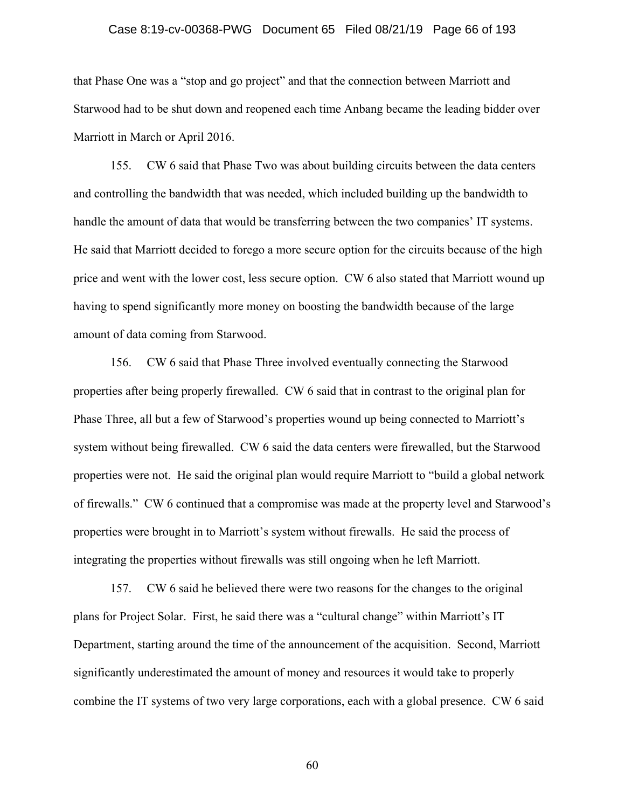## Case 8:19-cv-00368-PWG Document 65 Filed 08/21/19 Page 66 of 193

that Phase One was a "stop and go project" and that the connection between Marriott and Starwood had to be shut down and reopened each time Anbang became the leading bidder over Marriott in March or April 2016.

155. CW 6 said that Phase Two was about building circuits between the data centers and controlling the bandwidth that was needed, which included building up the bandwidth to handle the amount of data that would be transferring between the two companies' IT systems. He said that Marriott decided to forego a more secure option for the circuits because of the high price and went with the lower cost, less secure option. CW 6 also stated that Marriott wound up having to spend significantly more money on boosting the bandwidth because of the large amount of data coming from Starwood.

156. CW 6 said that Phase Three involved eventually connecting the Starwood properties after being properly firewalled. CW 6 said that in contrast to the original plan for Phase Three, all but a few of Starwood's properties wound up being connected to Marriott's system without being firewalled. CW 6 said the data centers were firewalled, but the Starwood properties were not. He said the original plan would require Marriott to "build a global network of firewalls." CW 6 continued that a compromise was made at the property level and Starwood's properties were brought in to Marriott's system without firewalls. He said the process of integrating the properties without firewalls was still ongoing when he left Marriott.

157. CW 6 said he believed there were two reasons for the changes to the original plans for Project Solar. First, he said there was a "cultural change" within Marriott's IT Department, starting around the time of the announcement of the acquisition. Second, Marriott significantly underestimated the amount of money and resources it would take to properly combine the IT systems of two very large corporations, each with a global presence. CW 6 said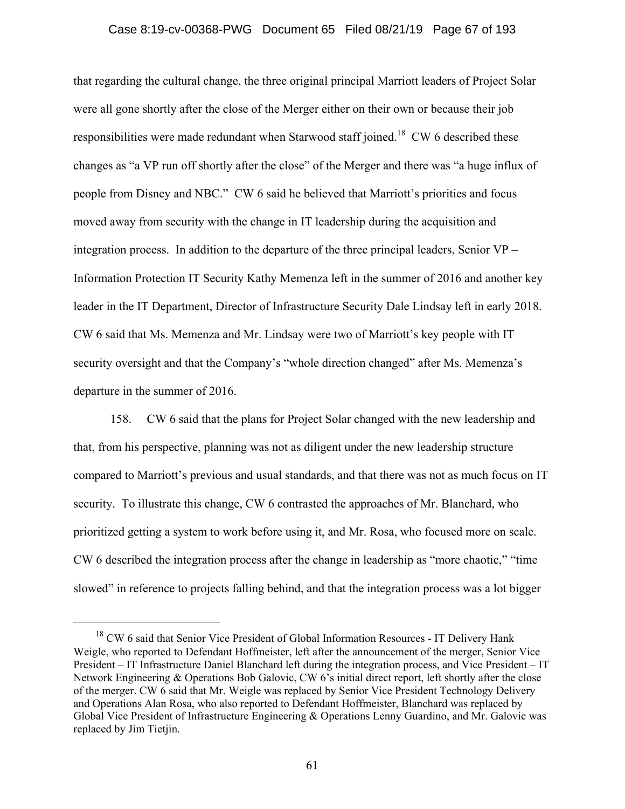## Case 8:19-cv-00368-PWG Document 65 Filed 08/21/19 Page 67 of 193

that regarding the cultural change, the three original principal Marriott leaders of Project Solar were all gone shortly after the close of the Merger either on their own or because their job responsibilities were made redundant when Starwood staff joined.<sup>18</sup> CW 6 described these changes as "a VP run off shortly after the close" of the Merger and there was "a huge influx of people from Disney and NBC." CW 6 said he believed that Marriott's priorities and focus moved away from security with the change in IT leadership during the acquisition and integration process. In addition to the departure of the three principal leaders, Senior VP – Information Protection IT Security Kathy Memenza left in the summer of 2016 and another key leader in the IT Department, Director of Infrastructure Security Dale Lindsay left in early 2018. CW 6 said that Ms. Memenza and Mr. Lindsay were two of Marriott's key people with IT security oversight and that the Company's "whole direction changed" after Ms. Memenza's departure in the summer of 2016.

158. CW 6 said that the plans for Project Solar changed with the new leadership and that, from his perspective, planning was not as diligent under the new leadership structure compared to Marriott's previous and usual standards, and that there was not as much focus on IT security. To illustrate this change, CW 6 contrasted the approaches of Mr. Blanchard, who prioritized getting a system to work before using it, and Mr. Rosa, who focused more on scale. CW 6 described the integration process after the change in leadership as "more chaotic," "time slowed" in reference to projects falling behind, and that the integration process was a lot bigger

<sup>&</sup>lt;sup>18</sup> CW 6 said that Senior Vice President of Global Information Resources - IT Delivery Hank Weigle, who reported to Defendant Hoffmeister, left after the announcement of the merger, Senior Vice President – IT Infrastructure Daniel Blanchard left during the integration process, and Vice President – IT Network Engineering & Operations Bob Galovic, CW 6's initial direct report, left shortly after the close of the merger. CW 6 said that Mr. Weigle was replaced by Senior Vice President Technology Delivery and Operations Alan Rosa, who also reported to Defendant Hoffmeister, Blanchard was replaced by Global Vice President of Infrastructure Engineering & Operations Lenny Guardino, and Mr. Galovic was replaced by Jim Tietjin.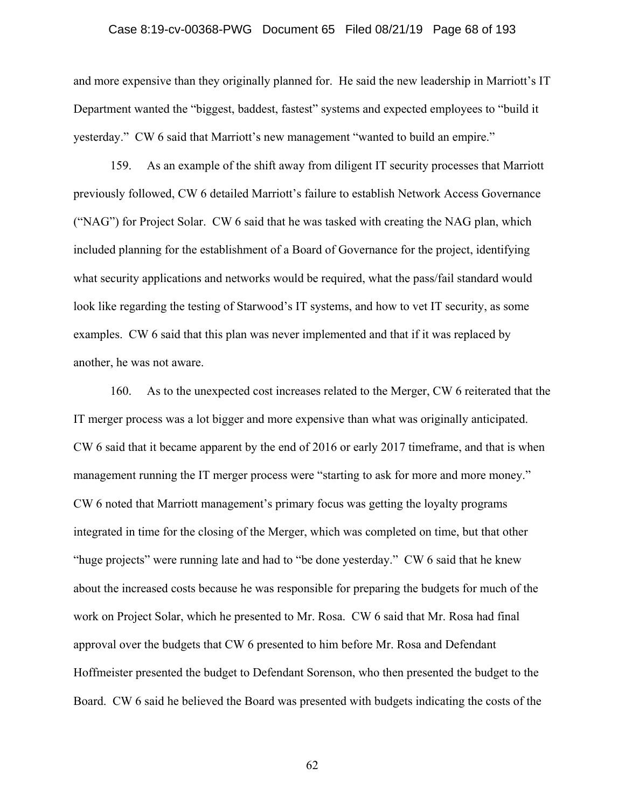## Case 8:19-cv-00368-PWG Document 65 Filed 08/21/19 Page 68 of 193

and more expensive than they originally planned for. He said the new leadership in Marriott's IT Department wanted the "biggest, baddest, fastest" systems and expected employees to "build it yesterday." CW 6 said that Marriott's new management "wanted to build an empire."

159. As an example of the shift away from diligent IT security processes that Marriott previously followed, CW 6 detailed Marriott's failure to establish Network Access Governance ("NAG") for Project Solar. CW 6 said that he was tasked with creating the NAG plan, which included planning for the establishment of a Board of Governance for the project, identifying what security applications and networks would be required, what the pass/fail standard would look like regarding the testing of Starwood's IT systems, and how to vet IT security, as some examples. CW 6 said that this plan was never implemented and that if it was replaced by another, he was not aware.

160. As to the unexpected cost increases related to the Merger, CW 6 reiterated that the IT merger process was a lot bigger and more expensive than what was originally anticipated. CW 6 said that it became apparent by the end of 2016 or early 2017 timeframe, and that is when management running the IT merger process were "starting to ask for more and more money." CW 6 noted that Marriott management's primary focus was getting the loyalty programs integrated in time for the closing of the Merger, which was completed on time, but that other "huge projects" were running late and had to "be done yesterday." CW 6 said that he knew about the increased costs because he was responsible for preparing the budgets for much of the work on Project Solar, which he presented to Mr. Rosa. CW 6 said that Mr. Rosa had final approval over the budgets that CW 6 presented to him before Mr. Rosa and Defendant Hoffmeister presented the budget to Defendant Sorenson, who then presented the budget to the Board. CW 6 said he believed the Board was presented with budgets indicating the costs of the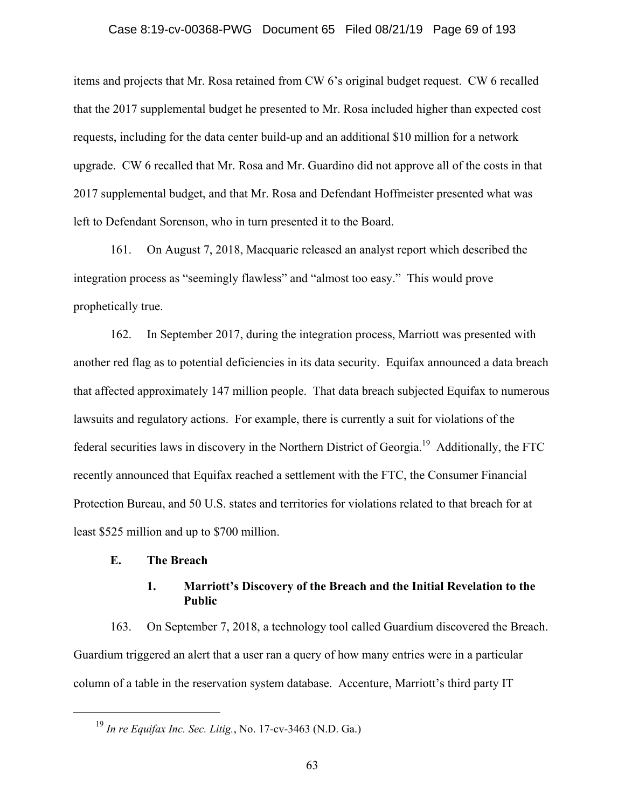## Case 8:19-cv-00368-PWG Document 65 Filed 08/21/19 Page 69 of 193

items and projects that Mr. Rosa retained from CW 6's original budget request. CW 6 recalled that the 2017 supplemental budget he presented to Mr. Rosa included higher than expected cost requests, including for the data center build-up and an additional \$10 million for a network upgrade. CW 6 recalled that Mr. Rosa and Mr. Guardino did not approve all of the costs in that 2017 supplemental budget, and that Mr. Rosa and Defendant Hoffmeister presented what was left to Defendant Sorenson, who in turn presented it to the Board.

161. On August 7, 2018, Macquarie released an analyst report which described the integration process as "seemingly flawless" and "almost too easy." This would prove prophetically true.

162. In September 2017, during the integration process, Marriott was presented with another red flag as to potential deficiencies in its data security. Equifax announced a data breach that affected approximately 147 million people. That data breach subjected Equifax to numerous lawsuits and regulatory actions. For example, there is currently a suit for violations of the federal securities laws in discovery in the Northern District of Georgia.<sup>19</sup> Additionally, the FTC recently announced that Equifax reached a settlement with the FTC, the Consumer Financial Protection Bureau, and 50 U.S. states and territories for violations related to that breach for at least \$525 million and up to \$700 million.

## **E. The Breach**

# **1. Marriott's Discovery of the Breach and the Initial Revelation to the Public**

163. On September 7, 2018, a technology tool called Guardium discovered the Breach. Guardium triggered an alert that a user ran a query of how many entries were in a particular column of a table in the reservation system database. Accenture, Marriott's third party IT

 <sup>19</sup> *In re Equifax Inc. Sec. Litig.*, No. 17-cv-3463 (N.D. Ga.)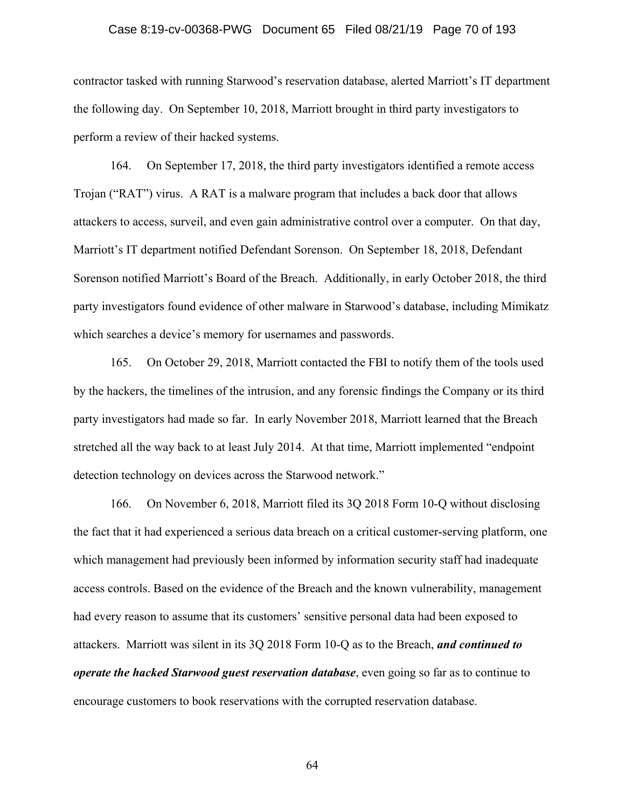## Case 8:19-cv-00368-PWG Document 65 Filed 08/21/19 Page 70 of 193

contractor tasked with running Starwood's reservation database, alerted Marriott's IT department the following day. On September 10, 2018, Marriott brought in third party investigators to perform a review of their hacked systems.

164. On September 17, 2018, the third party investigators identified a remote access Trojan ("RAT") virus. A RAT is a malware program that includes a back door that allows attackers to access, surveil, and even gain administrative control over a computer. On that day, Marriott's IT department notified Defendant Sorenson. On September 18, 2018, Defendant Sorenson notified Marriott's Board of the Breach. Additionally, in early October 2018, the third party investigators found evidence of other malware in Starwood's database, including Mimikatz which searches a device's memory for usernames and passwords.

165. On October 29, 2018, Marriott contacted the FBI to notify them of the tools used by the hackers, the timelines of the intrusion, and any forensic findings the Company or its third party investigators had made so far. In early November 2018, Marriott learned that the Breach stretched all the way back to at least July 2014. At that time, Marriott implemented "endpoint detection technology on devices across the Starwood network."

166. On November 6, 2018, Marriott filed its 3Q 2018 Form 10-Q without disclosing the fact that it had experienced a serious data breach on a critical customer-serving platform, one which management had previously been informed by information security staff had inadequate access controls. Based on the evidence of the Breach and the known vulnerability, management had every reason to assume that its customers' sensitive personal data had been exposed to attackers. Marriott was silent in its 3Q 2018 Form 10-Q as to the Breach, *and continued to operate the hacked Starwood guest reservation database*, even going so far as to continue to encourage customers to book reservations with the corrupted reservation database.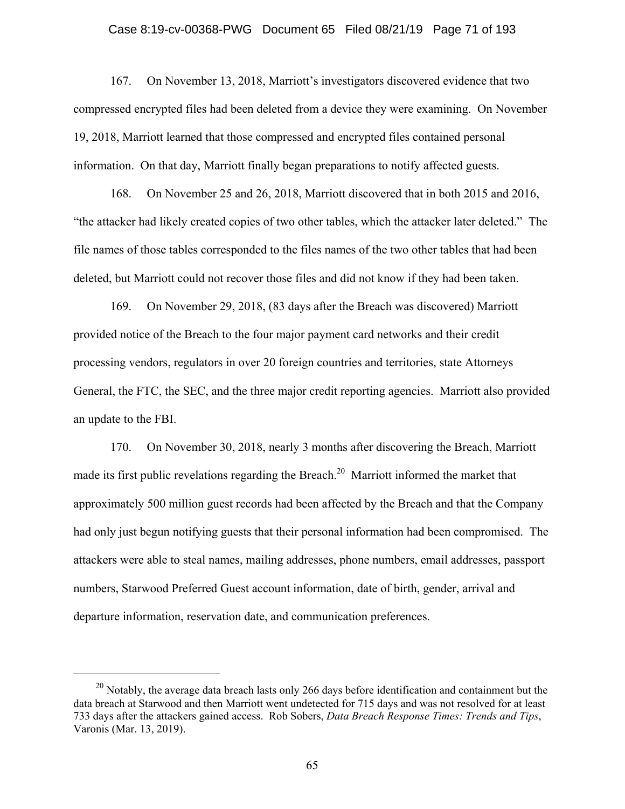## Case 8:19-cv-00368-PWG Document 65 Filed 08/21/19 Page 71 of 193

167. On November 13, 2018, Marriott's investigators discovered evidence that two compressed encrypted files had been deleted from a device they were examining. On November 19, 2018, Marriott learned that those compressed and encrypted files contained personal information. On that day, Marriott finally began preparations to notify affected guests.

168. On November 25 and 26, 2018, Marriott discovered that in both 2015 and 2016, "the attacker had likely created copies of two other tables, which the attacker later deleted." The file names of those tables corresponded to the files names of the two other tables that had been deleted, but Marriott could not recover those files and did not know if they had been taken.

169. On November 29, 2018, (83 days after the Breach was discovered) Marriott provided notice of the Breach to the four major payment card networks and their credit processing vendors, regulators in over 20 foreign countries and territories, state Attorneys General, the FTC, the SEC, and the three major credit reporting agencies. Marriott also provided an update to the FBI.

170. On November 30, 2018, nearly 3 months after discovering the Breach, Marriott made its first public revelations regarding the Breach.<sup>20</sup> Marriott informed the market that approximately 500 million guest records had been affected by the Breach and that the Company had only just begun notifying guests that their personal information had been compromised. The attackers were able to steal names, mailing addresses, phone numbers, email addresses, passport numbers, Starwood Preferred Guest account information, date of birth, gender, arrival and departure information, reservation date, and communication preferences.

 $20$  Notably, the average data breach lasts only 266 days before identification and containment but the data breach at Starwood and then Marriott went undetected for 715 days and was not resolved for at least 733 days after the attackers gained access. Rob Sobers, *Data Breach Response Times: Trends and Tips*, Varonis (Mar. 13, 2019).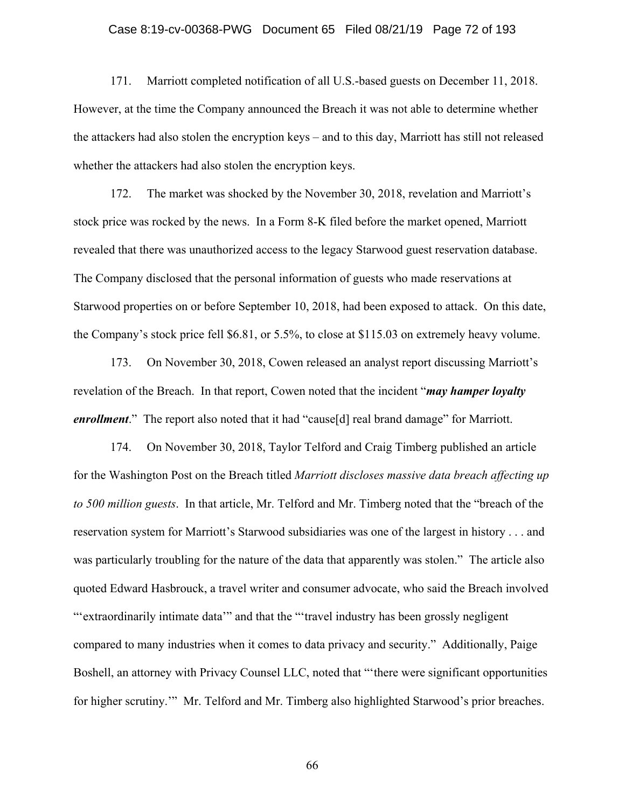## Case 8:19-cv-00368-PWG Document 65 Filed 08/21/19 Page 72 of 193

171. Marriott completed notification of all U.S.-based guests on December 11, 2018. However, at the time the Company announced the Breach it was not able to determine whether the attackers had also stolen the encryption keys – and to this day, Marriott has still not released whether the attackers had also stolen the encryption keys.

172. The market was shocked by the November 30, 2018, revelation and Marriott's stock price was rocked by the news. In a Form 8-K filed before the market opened, Marriott revealed that there was unauthorized access to the legacy Starwood guest reservation database. The Company disclosed that the personal information of guests who made reservations at Starwood properties on or before September 10, 2018, had been exposed to attack. On this date, the Company's stock price fell \$6.81, or 5.5%, to close at \$115.03 on extremely heavy volume.

173. On November 30, 2018, Cowen released an analyst report discussing Marriott's revelation of the Breach. In that report, Cowen noted that the incident "*may hamper loyalty enrollment*." The report also noted that it had "cause[d] real brand damage" for Marriott.

174. On November 30, 2018, Taylor Telford and Craig Timberg published an article for the Washington Post on the Breach titled *Marriott discloses massive data breach affecting up to 500 million guests*. In that article, Mr. Telford and Mr. Timberg noted that the "breach of the reservation system for Marriott's Starwood subsidiaries was one of the largest in history . . . and was particularly troubling for the nature of the data that apparently was stolen." The article also quoted Edward Hasbrouck, a travel writer and consumer advocate, who said the Breach involved "'extraordinarily intimate data'" and that the "'travel industry has been grossly negligent compared to many industries when it comes to data privacy and security." Additionally, Paige Boshell, an attorney with Privacy Counsel LLC, noted that "'there were significant opportunities for higher scrutiny.'" Mr. Telford and Mr. Timberg also highlighted Starwood's prior breaches.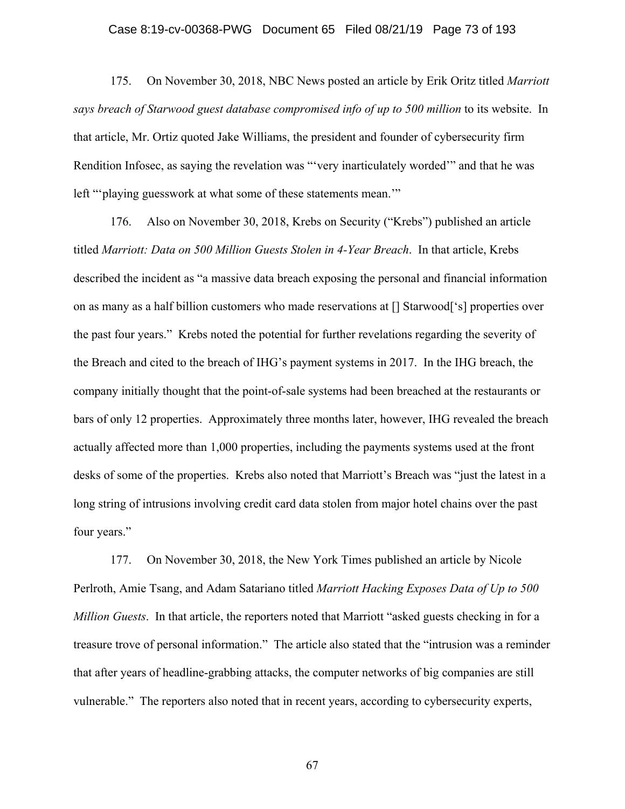#### Case 8:19-cv-00368-PWG Document 65 Filed 08/21/19 Page 73 of 193

175. On November 30, 2018, NBC News posted an article by Erik Oritz titled *Marriott says breach of Starwood guest database compromised info of up to 500 million* to its website. In that article, Mr. Ortiz quoted Jake Williams, the president and founder of cybersecurity firm Rendition Infosec, as saying the revelation was "'very inarticulately worded'" and that he was left "'playing guesswork at what some of these statements mean.'"

176. Also on November 30, 2018, Krebs on Security ("Krebs") published an article titled *Marriott: Data on 500 Million Guests Stolen in 4-Year Breach*. In that article, Krebs described the incident as "a massive data breach exposing the personal and financial information on as many as a half billion customers who made reservations at [] Starwood['s] properties over the past four years." Krebs noted the potential for further revelations regarding the severity of the Breach and cited to the breach of IHG's payment systems in 2017. In the IHG breach, the company initially thought that the point-of-sale systems had been breached at the restaurants or bars of only 12 properties. Approximately three months later, however, IHG revealed the breach actually affected more than 1,000 properties, including the payments systems used at the front desks of some of the properties. Krebs also noted that Marriott's Breach was "just the latest in a long string of intrusions involving credit card data stolen from major hotel chains over the past four years."

177. On November 30, 2018, the New York Times published an article by Nicole Perlroth, Amie Tsang, and Adam Satariano titled *Marriott Hacking Exposes Data of Up to 500 Million Guests*. In that article, the reporters noted that Marriott "asked guests checking in for a treasure trove of personal information." The article also stated that the "intrusion was a reminder that after years of headline-grabbing attacks, the computer networks of big companies are still vulnerable." The reporters also noted that in recent years, according to cybersecurity experts,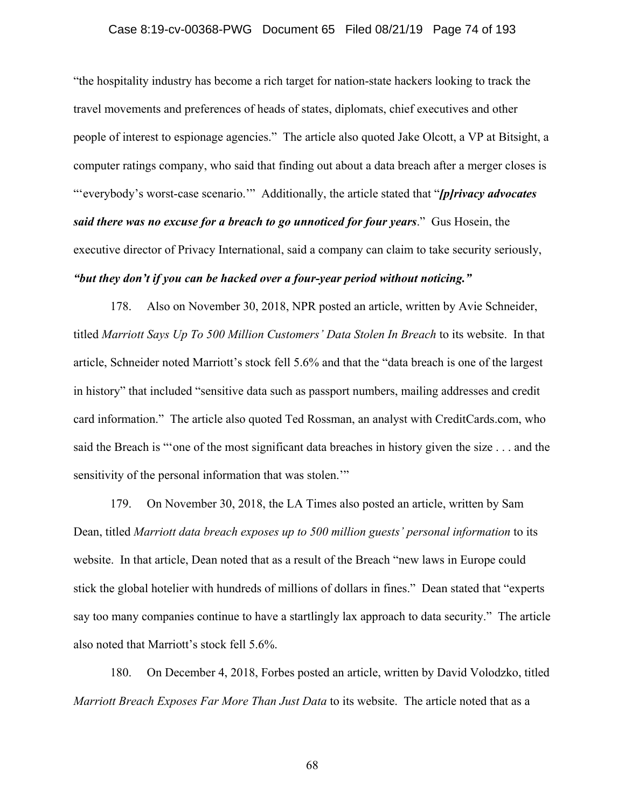#### Case 8:19-cv-00368-PWG Document 65 Filed 08/21/19 Page 74 of 193

"the hospitality industry has become a rich target for nation-state hackers looking to track the travel movements and preferences of heads of states, diplomats, chief executives and other people of interest to espionage agencies." The article also quoted Jake Olcott, a VP at Bitsight, a computer ratings company, who said that finding out about a data breach after a merger closes is "'everybody's worst-case scenario.'" Additionally, the article stated that "*[p]rivacy advocates said there was no excuse for a breach to go unnoticed for four years*." Gus Hosein, the executive director of Privacy International, said a company can claim to take security seriously, *"but they don't if you can be hacked over a four-year period without noticing."*

178. Also on November 30, 2018, NPR posted an article, written by Avie Schneider, titled *Marriott Says Up To 500 Million Customers' Data Stolen In Breach* to its website. In that article, Schneider noted Marriott's stock fell 5.6% and that the "data breach is one of the largest in history" that included "sensitive data such as passport numbers, mailing addresses and credit card information." The article also quoted Ted Rossman, an analyst with CreditCards.com, who said the Breach is "'one of the most significant data breaches in history given the size . . . and the sensitivity of the personal information that was stolen.'"

179. On November 30, 2018, the LA Times also posted an article, written by Sam Dean, titled *Marriott data breach exposes up to 500 million guests' personal information* to its website. In that article, Dean noted that as a result of the Breach "new laws in Europe could stick the global hotelier with hundreds of millions of dollars in fines." Dean stated that "experts say too many companies continue to have a startlingly lax approach to data security." The article also noted that Marriott's stock fell 5.6%.

180. On December 4, 2018, Forbes posted an article, written by David Volodzko, titled *Marriott Breach Exposes Far More Than Just Data* to its website. The article noted that as a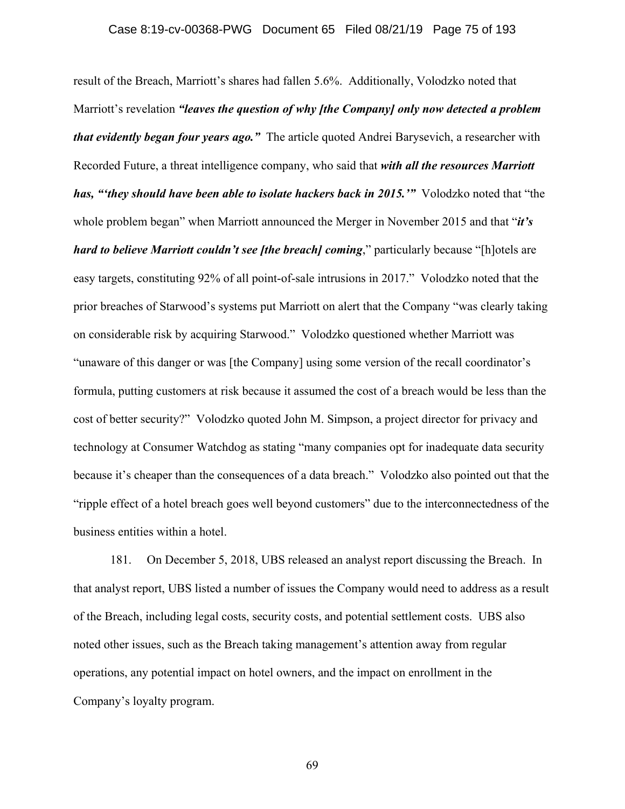#### Case 8:19-cv-00368-PWG Document 65 Filed 08/21/19 Page 75 of 193

result of the Breach, Marriott's shares had fallen 5.6%. Additionally, Volodzko noted that Marriott's revelation *"leaves the question of why [the Company] only now detected a problem that evidently began four years ago."* The article quoted Andrei Barysevich, a researcher with Recorded Future, a threat intelligence company, who said that *with all the resources Marriott has, "'they should have been able to isolate hackers back in 2015.'"* Volodzko noted that "the whole problem began" when Marriott announced the Merger in November 2015 and that "*it's hard to believe Marriott couldn't see [the breach] coming*," particularly because "[h]otels are easy targets, constituting 92% of all point-of-sale intrusions in 2017." Volodzko noted that the prior breaches of Starwood's systems put Marriott on alert that the Company "was clearly taking on considerable risk by acquiring Starwood." Volodzko questioned whether Marriott was "unaware of this danger or was [the Company] using some version of the recall coordinator's formula, putting customers at risk because it assumed the cost of a breach would be less than the cost of better security?" Volodzko quoted John M. Simpson, a project director for privacy and technology at Consumer Watchdog as stating "many companies opt for inadequate data security because it's cheaper than the consequences of a data breach." Volodzko also pointed out that the "ripple effect of a hotel breach goes well beyond customers" due to the interconnectedness of the business entities within a hotel.

181. On December 5, 2018, UBS released an analyst report discussing the Breach. In that analyst report, UBS listed a number of issues the Company would need to address as a result of the Breach, including legal costs, security costs, and potential settlement costs. UBS also noted other issues, such as the Breach taking management's attention away from regular operations, any potential impact on hotel owners, and the impact on enrollment in the Company's loyalty program.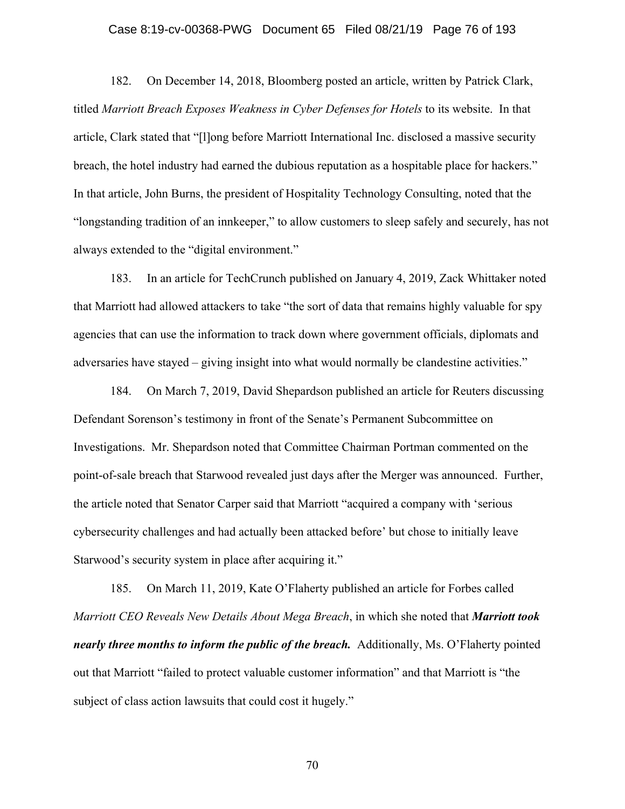#### Case 8:19-cv-00368-PWG Document 65 Filed 08/21/19 Page 76 of 193

182. On December 14, 2018, Bloomberg posted an article, written by Patrick Clark, titled *Marriott Breach Exposes Weakness in Cyber Defenses for Hotels* to its website. In that article, Clark stated that "[l]ong before Marriott International Inc. disclosed a massive security breach, the hotel industry had earned the dubious reputation as a hospitable place for hackers." In that article, John Burns, the president of Hospitality Technology Consulting, noted that the "longstanding tradition of an innkeeper," to allow customers to sleep safely and securely, has not always extended to the "digital environment."

183. In an article for TechCrunch published on January 4, 2019, Zack Whittaker noted that Marriott had allowed attackers to take "the sort of data that remains highly valuable for spy agencies that can use the information to track down where government officials, diplomats and adversaries have stayed – giving insight into what would normally be clandestine activities."

184. On March 7, 2019, David Shepardson published an article for Reuters discussing Defendant Sorenson's testimony in front of the Senate's Permanent Subcommittee on Investigations. Mr. Shepardson noted that Committee Chairman Portman commented on the point-of-sale breach that Starwood revealed just days after the Merger was announced. Further, the article noted that Senator Carper said that Marriott "acquired a company with 'serious cybersecurity challenges and had actually been attacked before' but chose to initially leave Starwood's security system in place after acquiring it."

185. On March 11, 2019, Kate O'Flaherty published an article for Forbes called *Marriott CEO Reveals New Details About Mega Breach*, in which she noted that *Marriott took nearly three months to inform the public of the breach.* Additionally, Ms. O'Flaherty pointed out that Marriott "failed to protect valuable customer information" and that Marriott is "the subject of class action lawsuits that could cost it hugely."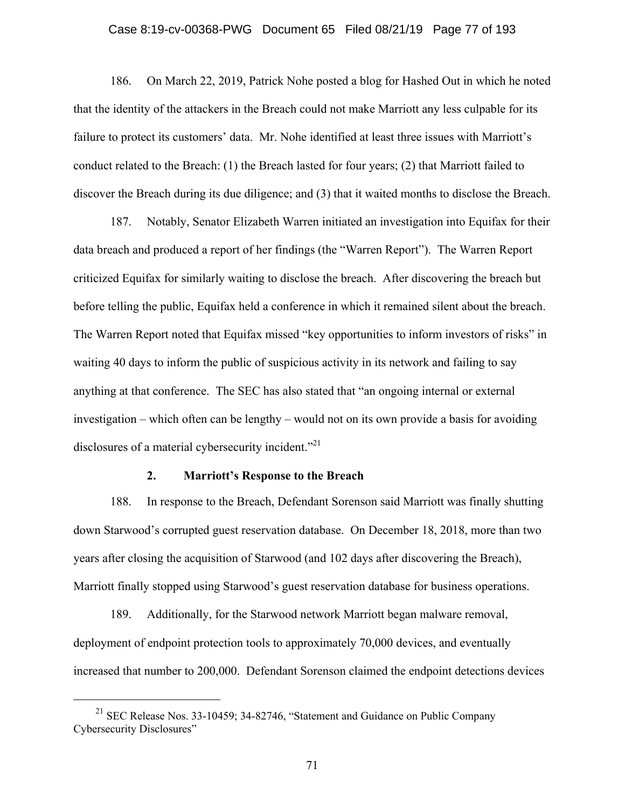#### Case 8:19-cv-00368-PWG Document 65 Filed 08/21/19 Page 77 of 193

186. On March 22, 2019, Patrick Nohe posted a blog for Hashed Out in which he noted that the identity of the attackers in the Breach could not make Marriott any less culpable for its failure to protect its customers' data. Mr. Nohe identified at least three issues with Marriott's conduct related to the Breach: (1) the Breach lasted for four years; (2) that Marriott failed to discover the Breach during its due diligence; and (3) that it waited months to disclose the Breach.

187. Notably, Senator Elizabeth Warren initiated an investigation into Equifax for their data breach and produced a report of her findings (the "Warren Report"). The Warren Report criticized Equifax for similarly waiting to disclose the breach. After discovering the breach but before telling the public, Equifax held a conference in which it remained silent about the breach. The Warren Report noted that Equifax missed "key opportunities to inform investors of risks" in waiting 40 days to inform the public of suspicious activity in its network and failing to say anything at that conference. The SEC has also stated that "an ongoing internal or external investigation – which often can be lengthy – would not on its own provide a basis for avoiding disclosures of a material cybersecurity incident.<sup>"21</sup>

#### **2. Marriott's Response to the Breach**

188. In response to the Breach, Defendant Sorenson said Marriott was finally shutting down Starwood's corrupted guest reservation database. On December 18, 2018, more than two years after closing the acquisition of Starwood (and 102 days after discovering the Breach), Marriott finally stopped using Starwood's guest reservation database for business operations.

189. Additionally, for the Starwood network Marriott began malware removal, deployment of endpoint protection tools to approximately 70,000 devices, and eventually increased that number to 200,000. Defendant Sorenson claimed the endpoint detections devices

<sup>&</sup>lt;sup>21</sup> SEC Release Nos. 33-10459; 34-82746, "Statement and Guidance on Public Company Cybersecurity Disclosures"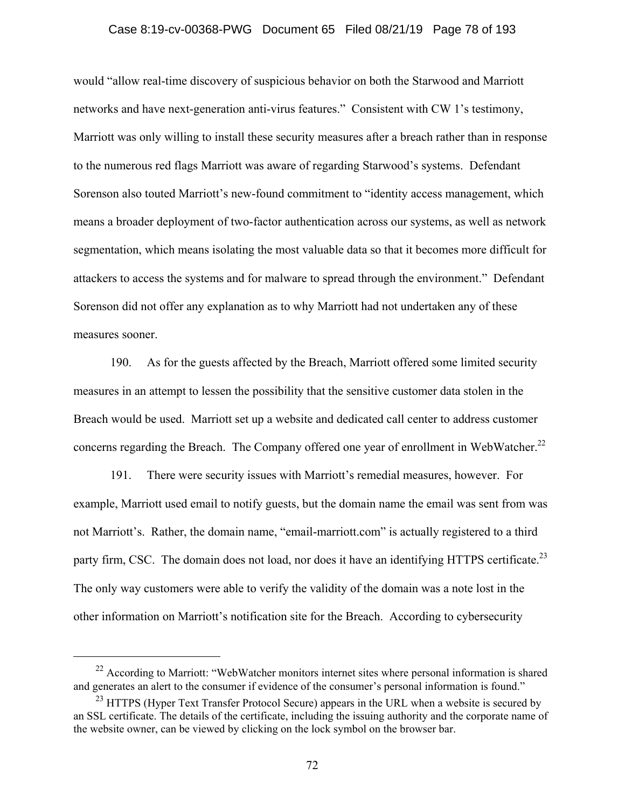#### Case 8:19-cv-00368-PWG Document 65 Filed 08/21/19 Page 78 of 193

would "allow real-time discovery of suspicious behavior on both the Starwood and Marriott networks and have next-generation anti-virus features." Consistent with CW 1's testimony, Marriott was only willing to install these security measures after a breach rather than in response to the numerous red flags Marriott was aware of regarding Starwood's systems. Defendant Sorenson also touted Marriott's new-found commitment to "identity access management, which means a broader deployment of two-factor authentication across our systems, as well as network segmentation, which means isolating the most valuable data so that it becomes more difficult for attackers to access the systems and for malware to spread through the environment." Defendant Sorenson did not offer any explanation as to why Marriott had not undertaken any of these measures sooner.

190. As for the guests affected by the Breach, Marriott offered some limited security measures in an attempt to lessen the possibility that the sensitive customer data stolen in the Breach would be used. Marriott set up a website and dedicated call center to address customer concerns regarding the Breach. The Company offered one year of enrollment in WebWatcher.<sup>22</sup>

191. There were security issues with Marriott's remedial measures, however. For example, Marriott used email to notify guests, but the domain name the email was sent from was not Marriott's. Rather, the domain name, "email-marriott.com" is actually registered to a third party firm, CSC. The domain does not load, nor does it have an identifying HTTPS certificate.<sup>23</sup> The only way customers were able to verify the validity of the domain was a note lost in the other information on Marriott's notification site for the Breach. According to cybersecurity

 $^{22}$  According to Marriott: "WebWatcher monitors internet sites where personal information is shared and generates an alert to the consumer if evidence of the consumer's personal information is found."

<sup>&</sup>lt;sup>23</sup> HTTPS (Hyper Text Transfer Protocol Secure) appears in the URL when a website is secured by an SSL certificate. The details of the certificate, including the issuing authority and the corporate name of the website owner, can be viewed by clicking on the lock symbol on the browser bar.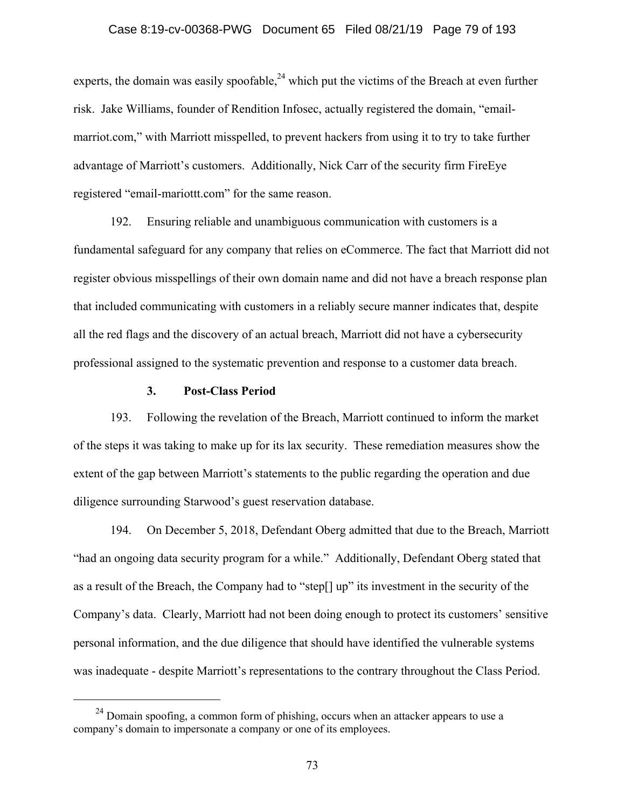#### Case 8:19-cv-00368-PWG Document 65 Filed 08/21/19 Page 79 of 193

experts, the domain was easily spoofable,<sup>24</sup> which put the victims of the Breach at even further risk. Jake Williams, founder of Rendition Infosec, actually registered the domain, "emailmarriot.com," with Marriott misspelled, to prevent hackers from using it to try to take further advantage of Marriott's customers. Additionally, Nick Carr of the security firm FireEye registered "email-mariottt.com" for the same reason.

192. Ensuring reliable and unambiguous communication with customers is a fundamental safeguard for any company that relies on eCommerce. The fact that Marriott did not register obvious misspellings of their own domain name and did not have a breach response plan that included communicating with customers in a reliably secure manner indicates that, despite all the red flags and the discovery of an actual breach, Marriott did not have a cybersecurity professional assigned to the systematic prevention and response to a customer data breach.

#### **3. Post-Class Period**

193. Following the revelation of the Breach, Marriott continued to inform the market of the steps it was taking to make up for its lax security. These remediation measures show the extent of the gap between Marriott's statements to the public regarding the operation and due diligence surrounding Starwood's guest reservation database.

194. On December 5, 2018, Defendant Oberg admitted that due to the Breach, Marriott "had an ongoing data security program for a while." Additionally, Defendant Oberg stated that as a result of the Breach, the Company had to "step[] up" its investment in the security of the Company's data. Clearly, Marriott had not been doing enough to protect its customers' sensitive personal information, and the due diligence that should have identified the vulnerable systems was inadequate - despite Marriott's representations to the contrary throughout the Class Period.

 $24$  Domain spoofing, a common form of phishing, occurs when an attacker appears to use a company's domain to impersonate a company or one of its employees.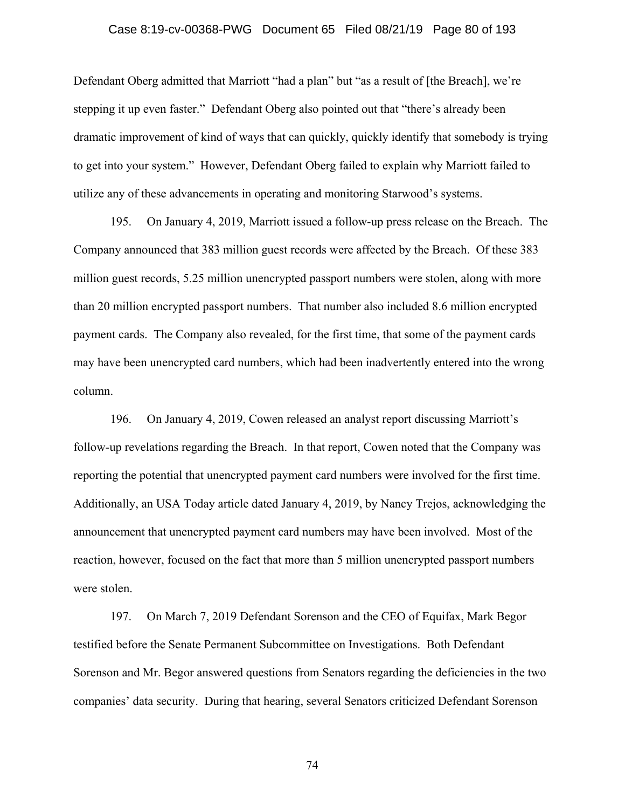#### Case 8:19-cv-00368-PWG Document 65 Filed 08/21/19 Page 80 of 193

Defendant Oberg admitted that Marriott "had a plan" but "as a result of [the Breach], we're stepping it up even faster." Defendant Oberg also pointed out that "there's already been dramatic improvement of kind of ways that can quickly, quickly identify that somebody is trying to get into your system." However, Defendant Oberg failed to explain why Marriott failed to utilize any of these advancements in operating and monitoring Starwood's systems.

195. On January 4, 2019, Marriott issued a follow-up press release on the Breach. The Company announced that 383 million guest records were affected by the Breach. Of these 383 million guest records, 5.25 million unencrypted passport numbers were stolen, along with more than 20 million encrypted passport numbers. That number also included 8.6 million encrypted payment cards. The Company also revealed, for the first time, that some of the payment cards may have been unencrypted card numbers, which had been inadvertently entered into the wrong column.

196. On January 4, 2019, Cowen released an analyst report discussing Marriott's follow-up revelations regarding the Breach. In that report, Cowen noted that the Company was reporting the potential that unencrypted payment card numbers were involved for the first time. Additionally, an USA Today article dated January 4, 2019, by Nancy Trejos, acknowledging the announcement that unencrypted payment card numbers may have been involved. Most of the reaction, however, focused on the fact that more than 5 million unencrypted passport numbers were stolen.

197. On March 7, 2019 Defendant Sorenson and the CEO of Equifax, Mark Begor testified before the Senate Permanent Subcommittee on Investigations. Both Defendant Sorenson and Mr. Begor answered questions from Senators regarding the deficiencies in the two companies' data security. During that hearing, several Senators criticized Defendant Sorenson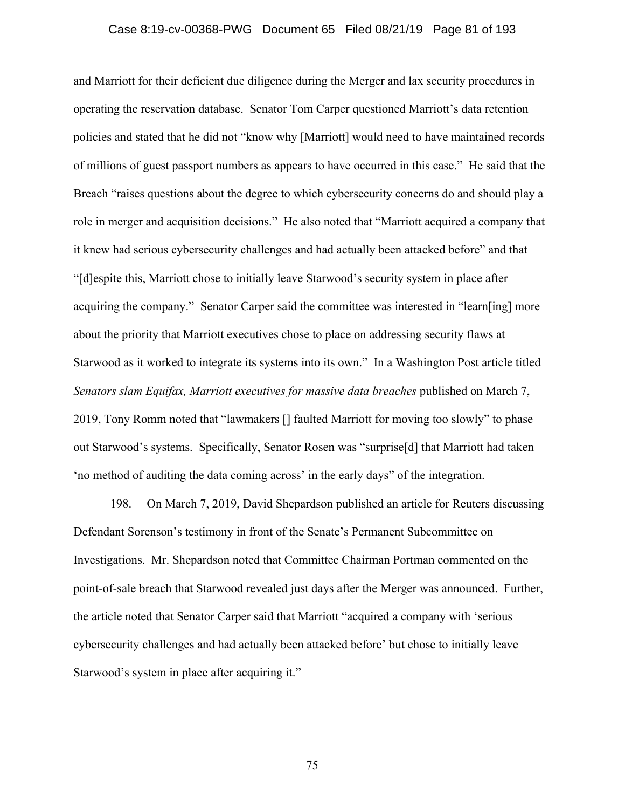#### Case 8:19-cv-00368-PWG Document 65 Filed 08/21/19 Page 81 of 193

and Marriott for their deficient due diligence during the Merger and lax security procedures in operating the reservation database. Senator Tom Carper questioned Marriott's data retention policies and stated that he did not "know why [Marriott] would need to have maintained records of millions of guest passport numbers as appears to have occurred in this case." He said that the Breach "raises questions about the degree to which cybersecurity concerns do and should play a role in merger and acquisition decisions." He also noted that "Marriott acquired a company that it knew had serious cybersecurity challenges and had actually been attacked before" and that "[d]espite this, Marriott chose to initially leave Starwood's security system in place after acquiring the company." Senator Carper said the committee was interested in "learn[ing] more about the priority that Marriott executives chose to place on addressing security flaws at Starwood as it worked to integrate its systems into its own." In a Washington Post article titled *Senators slam Equifax, Marriott executives for massive data breaches* published on March 7, 2019, Tony Romm noted that "lawmakers [] faulted Marriott for moving too slowly" to phase out Starwood's systems. Specifically, Senator Rosen was "surprise[d] that Marriott had taken 'no method of auditing the data coming across' in the early days" of the integration.

198. On March 7, 2019, David Shepardson published an article for Reuters discussing Defendant Sorenson's testimony in front of the Senate's Permanent Subcommittee on Investigations. Mr. Shepardson noted that Committee Chairman Portman commented on the point-of-sale breach that Starwood revealed just days after the Merger was announced. Further, the article noted that Senator Carper said that Marriott "acquired a company with 'serious cybersecurity challenges and had actually been attacked before' but chose to initially leave Starwood's system in place after acquiring it."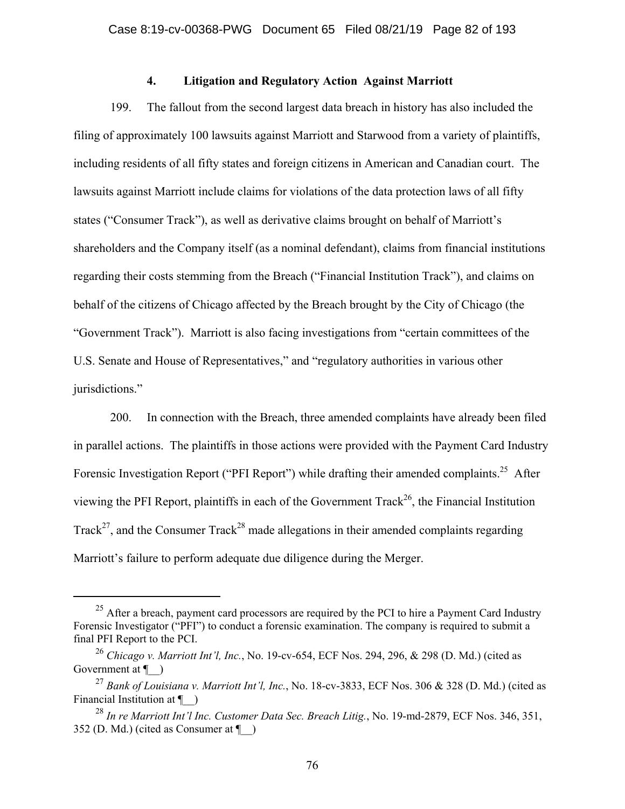### **4. Litigation and Regulatory Action Against Marriott**

199. The fallout from the second largest data breach in history has also included the filing of approximately 100 lawsuits against Marriott and Starwood from a variety of plaintiffs, including residents of all fifty states and foreign citizens in American and Canadian court. The lawsuits against Marriott include claims for violations of the data protection laws of all fifty states ("Consumer Track"), as well as derivative claims brought on behalf of Marriott's shareholders and the Company itself (as a nominal defendant), claims from financial institutions regarding their costs stemming from the Breach ("Financial Institution Track"), and claims on behalf of the citizens of Chicago affected by the Breach brought by the City of Chicago (the "Government Track"). Marriott is also facing investigations from "certain committees of the U.S. Senate and House of Representatives," and "regulatory authorities in various other jurisdictions."

200. In connection with the Breach, three amended complaints have already been filed in parallel actions. The plaintiffs in those actions were provided with the Payment Card Industry Forensic Investigation Report ("PFI Report") while drafting their amended complaints.<sup>25</sup> After viewing the PFI Report, plaintiffs in each of the Government Track<sup>26</sup>, the Financial Institution Track<sup>27</sup>, and the Consumer Track<sup>28</sup> made allegations in their amended complaints regarding Marriott's failure to perform adequate due diligence during the Merger.

<sup>&</sup>lt;sup>25</sup> After a breach, payment card processors are required by the PCI to hire a Payment Card Industry Forensic Investigator ("PFI") to conduct a forensic examination. The company is required to submit a final PFI Report to the PCI.

<sup>26</sup> *Chicago v. Marriott Int'l, Inc.*, No. 19-cv-654, ECF Nos. 294, 296, & 298 (D. Md.) (cited as Government at  $\P$  )

<sup>27</sup> *Bank of Louisiana v. Marriott Int'l, Inc.*, No. 18-cv-3833, ECF Nos. 306 & 328 (D. Md.) (cited as Financial Institution at  $\P$  )

<sup>28</sup> *In re Marriott Int'l Inc. Customer Data Sec. Breach Litig.*, No. 19-md-2879, ECF Nos. 346, 351, 352 (D. Md.) (cited as Consumer at ¶\_\_)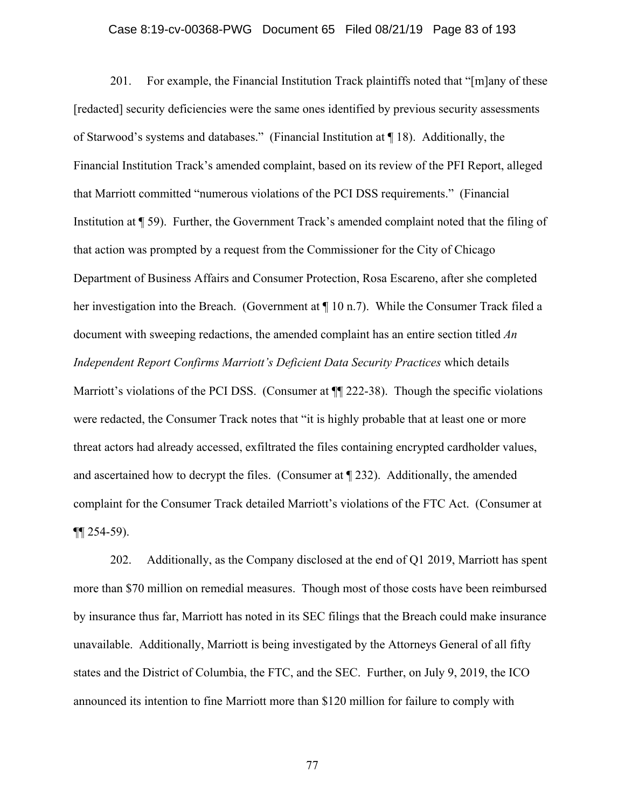#### Case 8:19-cv-00368-PWG Document 65 Filed 08/21/19 Page 83 of 193

201. For example, the Financial Institution Track plaintiffs noted that "[m]any of these [redacted] security deficiencies were the same ones identified by previous security assessments of Starwood's systems and databases." (Financial Institution at ¶ 18). Additionally, the Financial Institution Track's amended complaint, based on its review of the PFI Report, alleged that Marriott committed "numerous violations of the PCI DSS requirements." (Financial Institution at ¶ 59). Further, the Government Track's amended complaint noted that the filing of that action was prompted by a request from the Commissioner for the City of Chicago Department of Business Affairs and Consumer Protection, Rosa Escareno, after she completed her investigation into the Breach. (Government at ¶ 10 n.7). While the Consumer Track filed a document with sweeping redactions, the amended complaint has an entire section titled *An Independent Report Confirms Marriott's Deficient Data Security Practices* which details Marriott's violations of the PCI DSS. (Consumer at  $\P$  222-38). Though the specific violations were redacted, the Consumer Track notes that "it is highly probable that at least one or more threat actors had already accessed, exfiltrated the files containing encrypted cardholder values, and ascertained how to decrypt the files. (Consumer at ¶ 232). Additionally, the amended complaint for the Consumer Track detailed Marriott's violations of the FTC Act. (Consumer at  $\P$ [254-59).

202. Additionally, as the Company disclosed at the end of Q1 2019, Marriott has spent more than \$70 million on remedial measures. Though most of those costs have been reimbursed by insurance thus far, Marriott has noted in its SEC filings that the Breach could make insurance unavailable. Additionally, Marriott is being investigated by the Attorneys General of all fifty states and the District of Columbia, the FTC, and the SEC. Further, on July 9, 2019, the ICO announced its intention to fine Marriott more than \$120 million for failure to comply with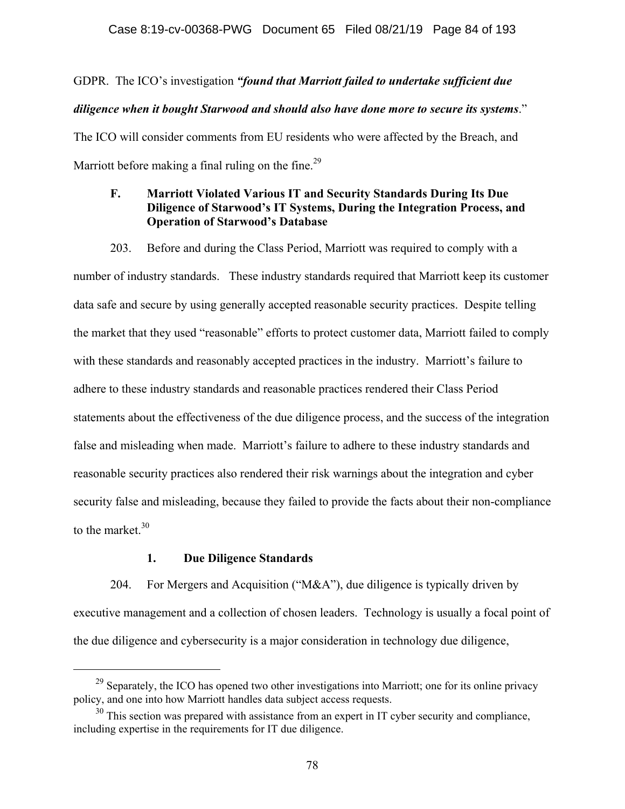#### Case 8:19-cv-00368-PWG Document 65 Filed 08/21/19 Page 84 of 193

# GDPR. The ICO's investigation *"found that Marriott failed to undertake sufficient due diligence when it bought Starwood and should also have done more to secure its systems*." The ICO will consider comments from EU residents who were affected by the Breach, and Marriott before making a final ruling on the fine.<sup>29</sup>

## **F. Marriott Violated Various IT and Security Standards During Its Due Diligence of Starwood's IT Systems, During the Integration Process, and Operation of Starwood's Database**

203. Before and during the Class Period, Marriott was required to comply with a number of industry standards. These industry standards required that Marriott keep its customer data safe and secure by using generally accepted reasonable security practices. Despite telling the market that they used "reasonable" efforts to protect customer data, Marriott failed to comply with these standards and reasonably accepted practices in the industry. Marriott's failure to adhere to these industry standards and reasonable practices rendered their Class Period statements about the effectiveness of the due diligence process, and the success of the integration false and misleading when made. Marriott's failure to adhere to these industry standards and reasonable security practices also rendered their risk warnings about the integration and cyber security false and misleading, because they failed to provide the facts about their non-compliance to the market  $30$ 

#### **1. Due Diligence Standards**

204. For Mergers and Acquisition ("M&A"), due diligence is typically driven by executive management and a collection of chosen leaders. Technology is usually a focal point of the due diligence and cybersecurity is a major consideration in technology due diligence,

<sup>&</sup>lt;sup>29</sup> Separately, the ICO has opened two other investigations into Marriott; one for its online privacy policy, and one into how Marriott handles data subject access requests.

 $30$  This section was prepared with assistance from an expert in IT cyber security and compliance, including expertise in the requirements for IT due diligence.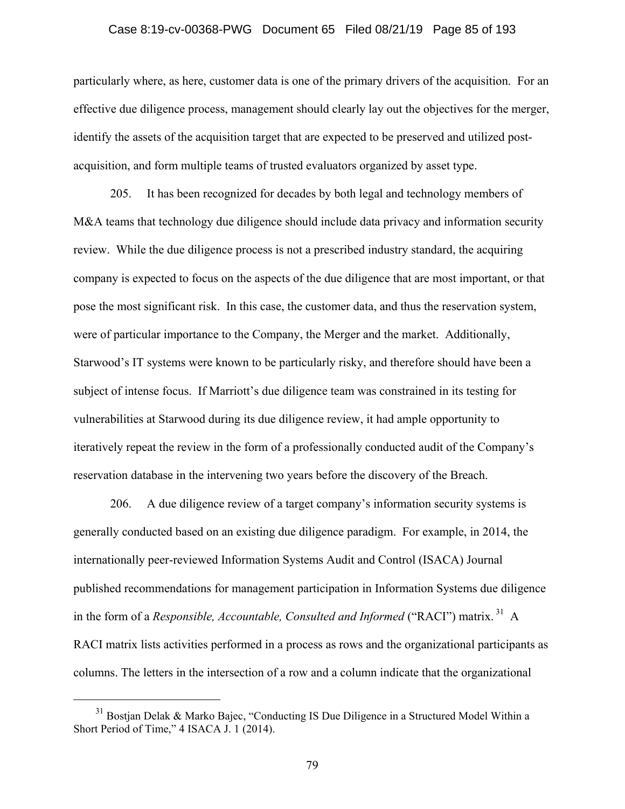#### Case 8:19-cv-00368-PWG Document 65 Filed 08/21/19 Page 85 of 193

particularly where, as here, customer data is one of the primary drivers of the acquisition. For an effective due diligence process, management should clearly lay out the objectives for the merger, identify the assets of the acquisition target that are expected to be preserved and utilized postacquisition, and form multiple teams of trusted evaluators organized by asset type.

205. It has been recognized for decades by both legal and technology members of M&A teams that technology due diligence should include data privacy and information security review. While the due diligence process is not a prescribed industry standard, the acquiring company is expected to focus on the aspects of the due diligence that are most important, or that pose the most significant risk. In this case, the customer data, and thus the reservation system, were of particular importance to the Company, the Merger and the market. Additionally, Starwood's IT systems were known to be particularly risky, and therefore should have been a subject of intense focus. If Marriott's due diligence team was constrained in its testing for vulnerabilities at Starwood during its due diligence review, it had ample opportunity to iteratively repeat the review in the form of a professionally conducted audit of the Company's reservation database in the intervening two years before the discovery of the Breach.

206. A due diligence review of a target company's information security systems is generally conducted based on an existing due diligence paradigm. For example, in 2014, the internationally peer-reviewed Information Systems Audit and Control (ISACA) Journal published recommendations for management participation in Information Systems due diligence in the form of a *Responsible, Accountable, Consulted and Informed* ("RACI") matrix.<sup>31</sup> A RACI matrix lists activities performed in a process as rows and the organizational participants as columns. The letters in the intersection of a row and a column indicate that the organizational

 $31$  Bostjan Delak & Marko Bajec, "Conducting IS Due Diligence in a Structured Model Within a Short Period of Time," 4 ISACA J. 1 (2014).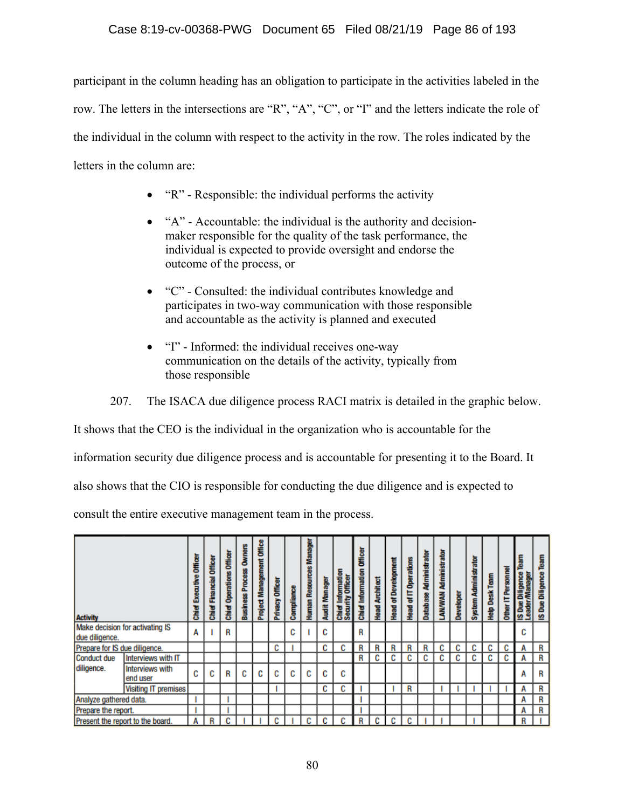participant in the column heading has an obligation to participate in the activities labeled in the row. The letters in the intersections are "R", "A", "C", or "I" and the letters indicate the role of the individual in the column with respect to the activity in the row. The roles indicated by the letters in the column are:

- "R" Responsible: the individual performs the activity
- "A" Accountable: the individual is the authority and decisionmaker responsible for the quality of the task performance, the individual is expected to provide oversight and endorse the outcome of the process, or
- "C" Consulted: the individual contributes knowledge and participates in two-way communication with those responsible and accountable as the activity is planned and executed
- "I" Informed: the individual receives one-way communication on the details of the activity, typically from those responsible

207. The ISACA due diligence process RACI matrix is detailed in the graphic below.

It shows that the CEO is the individual in the organization who is accountable for the

information security due diligence process and is accountable for presenting it to the Board. It

also shows that the CIO is responsible for conducting the due diligence and is expected to

consult the entire executive management team in the process.

| <b>Activity</b>               |                                  | <b>Executive Officer</b><br>Chief | Officer<br>Chief | <b>Chief Operations Officer</b> | <b>Owners</b><br><b>Business Process</b> | <b>Project Management Office</b> | Privacy Officer | Compliance | Manager<br><b>Human Resources</b> | Audit Manager | <b>Information</b><br><b>Chief Information</b><br>Security Officer | <b>Officer</b><br>Information<br>Chief <sup>1</sup> | <b>Architect</b><br>Head | <b>Head of Development</b> | <b>Head of IT Operations</b> | Database Administrator | Administrator<br>LANVINAN | <b>Developer</b> | System Administrator | Help Desk Team | Personnel<br>ᄇ<br><b>Other</b> | learn<br>Diligence<br>å<br><b>IS Due</b><br>Leader | IS Due Diligence Team |
|-------------------------------|----------------------------------|-----------------------------------|------------------|---------------------------------|------------------------------------------|----------------------------------|-----------------|------------|-----------------------------------|---------------|--------------------------------------------------------------------|-----------------------------------------------------|--------------------------|----------------------------|------------------------------|------------------------|---------------------------|------------------|----------------------|----------------|--------------------------------|----------------------------------------------------|-----------------------|
| due diligence.                | Make decision for activating IS  | A                                 |                  | R                               |                                          |                                  |                 | C          |                                   | C             |                                                                    | R                                                   |                          |                            |                              |                        |                           |                  |                      |                |                                | C                                                  |                       |
| Prepare for IS due diligence. |                                  |                                   |                  |                                 |                                          |                                  | C               |            |                                   | C             | C                                                                  | R                                                   | R                        | R                          | R                            | R                      | c                         | C                | C                    | C              | C                              | Α                                                  | R                     |
| Conduct due                   | Interviews with IT               |                                   |                  |                                 |                                          |                                  |                 |            |                                   |               |                                                                    | R                                                   | C                        | C                          | C                            | C                      | c                         | C                | C                    | C              | C                              | А                                                  | R                     |
| diligence.                    | Interviews with<br>end user      | C                                 | C                | R                               | C                                        | C                                | c               | c          | C                                 | C             | C                                                                  |                                                     |                          |                            |                              |                        |                           |                  |                      |                |                                | А                                                  | R                     |
|                               | <b>Visiting IT premises</b>      |                                   |                  |                                 |                                          |                                  |                 |            |                                   | C             | C                                                                  |                                                     |                          |                            | R                            |                        |                           |                  |                      |                |                                | Α                                                  | R                     |
| Analyze gathered data.        |                                  |                                   |                  |                                 |                                          |                                  |                 |            |                                   |               |                                                                    |                                                     |                          |                            |                              |                        |                           |                  |                      |                |                                | A                                                  | R                     |
| Prepare the report.           |                                  |                                   |                  |                                 |                                          |                                  |                 |            |                                   |               |                                                                    |                                                     |                          |                            |                              |                        |                           |                  |                      |                |                                | A                                                  | R                     |
|                               | Present the report to the board. | А                                 | R                | C                               |                                          |                                  | C               |            | c                                 | С             | C                                                                  | R                                                   | C                        | C                          | C                            |                        |                           |                  |                      |                |                                | R                                                  |                       |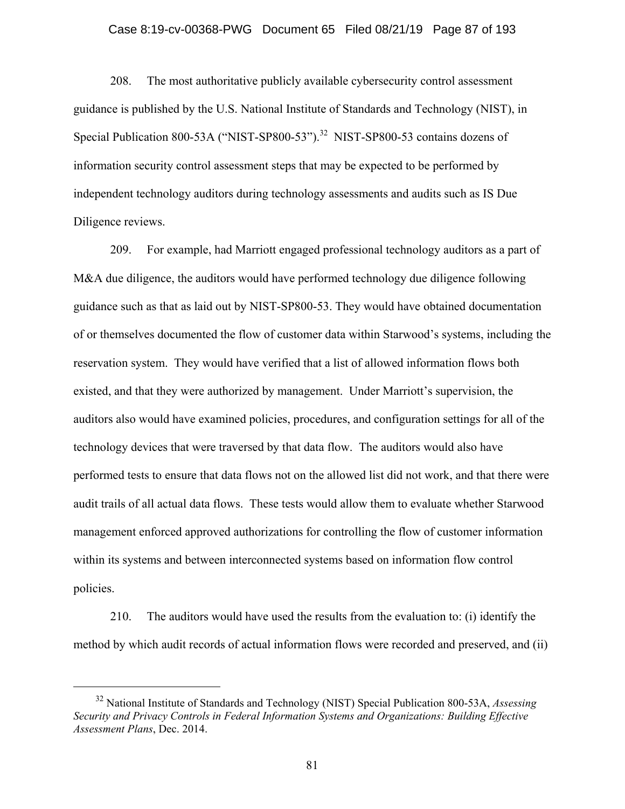#### Case 8:19-cv-00368-PWG Document 65 Filed 08/21/19 Page 87 of 193

208. The most authoritative publicly available cybersecurity control assessment guidance is published by the U.S. National Institute of Standards and Technology (NIST), in Special Publication 800-53A ("NIST-SP800-53").<sup>32</sup> NIST-SP800-53 contains dozens of information security control assessment steps that may be expected to be performed by independent technology auditors during technology assessments and audits such as IS Due Diligence reviews.

209. For example, had Marriott engaged professional technology auditors as a part of M&A due diligence, the auditors would have performed technology due diligence following guidance such as that as laid out by NIST-SP800-53. They would have obtained documentation of or themselves documented the flow of customer data within Starwood's systems, including the reservation system. They would have verified that a list of allowed information flows both existed, and that they were authorized by management. Under Marriott's supervision, the auditors also would have examined policies, procedures, and configuration settings for all of the technology devices that were traversed by that data flow. The auditors would also have performed tests to ensure that data flows not on the allowed list did not work, and that there were audit trails of all actual data flows. These tests would allow them to evaluate whether Starwood management enforced approved authorizations for controlling the flow of customer information within its systems and between interconnected systems based on information flow control policies.

210. The auditors would have used the results from the evaluation to: (i) identify the method by which audit records of actual information flows were recorded and preserved, and (ii)

 <sup>32</sup> National Institute of Standards and Technology (NIST) Special Publication 800-53A, *Assessing Security and Privacy Controls in Federal Information Systems and Organizations: Building Effective Assessment Plans*, Dec. 2014.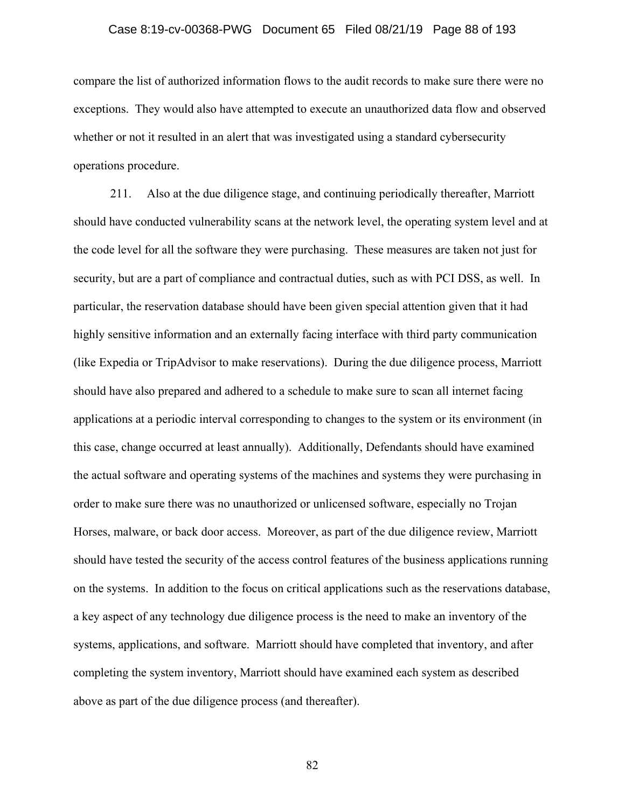#### Case 8:19-cv-00368-PWG Document 65 Filed 08/21/19 Page 88 of 193

compare the list of authorized information flows to the audit records to make sure there were no exceptions. They would also have attempted to execute an unauthorized data flow and observed whether or not it resulted in an alert that was investigated using a standard cybersecurity operations procedure.

211. Also at the due diligence stage, and continuing periodically thereafter, Marriott should have conducted vulnerability scans at the network level, the operating system level and at the code level for all the software they were purchasing. These measures are taken not just for security, but are a part of compliance and contractual duties, such as with PCI DSS, as well. In particular, the reservation database should have been given special attention given that it had highly sensitive information and an externally facing interface with third party communication (like Expedia or TripAdvisor to make reservations). During the due diligence process, Marriott should have also prepared and adhered to a schedule to make sure to scan all internet facing applications at a periodic interval corresponding to changes to the system or its environment (in this case, change occurred at least annually). Additionally, Defendants should have examined the actual software and operating systems of the machines and systems they were purchasing in order to make sure there was no unauthorized or unlicensed software, especially no Trojan Horses, malware, or back door access. Moreover, as part of the due diligence review, Marriott should have tested the security of the access control features of the business applications running on the systems. In addition to the focus on critical applications such as the reservations database, a key aspect of any technology due diligence process is the need to make an inventory of the systems, applications, and software. Marriott should have completed that inventory, and after completing the system inventory, Marriott should have examined each system as described above as part of the due diligence process (and thereafter).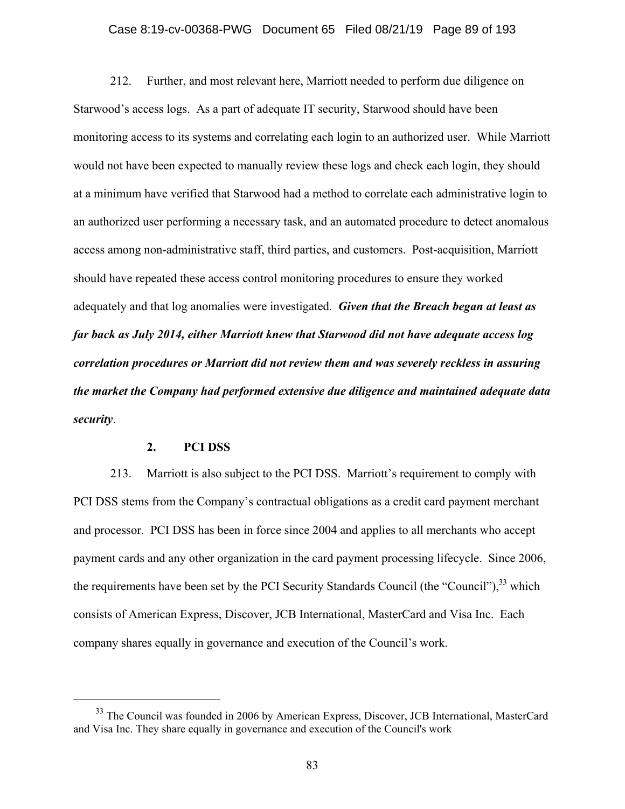#### Case 8:19-cv-00368-PWG Document 65 Filed 08/21/19 Page 89 of 193

212. Further, and most relevant here, Marriott needed to perform due diligence on Starwood's access logs. As a part of adequate IT security, Starwood should have been monitoring access to its systems and correlating each login to an authorized user. While Marriott would not have been expected to manually review these logs and check each login, they should at a minimum have verified that Starwood had a method to correlate each administrative login to an authorized user performing a necessary task, and an automated procedure to detect anomalous access among non-administrative staff, third parties, and customers. Post-acquisition, Marriott should have repeated these access control monitoring procedures to ensure they worked adequately and that log anomalies were investigated. *Given that the Breach began at least as far back as July 2014, either Marriott knew that Starwood did not have adequate access log correlation procedures or Marriott did not review them and was severely reckless in assuring the market the Company had performed extensive due diligence and maintained adequate data security*.

#### **2. PCI DSS**

213. Marriott is also subject to the PCI DSS. Marriott's requirement to comply with PCI DSS stems from the Company's contractual obligations as a credit card payment merchant and processor. PCI DSS has been in force since 2004 and applies to all merchants who accept payment cards and any other organization in the card payment processing lifecycle. Since 2006, the requirements have been set by the PCI Security Standards Council (the "Council"), $^{33}$  which consists of American Express, Discover, JCB International, MasterCard and Visa Inc. Each company shares equally in governance and execution of the Council's work.

<sup>&</sup>lt;sup>33</sup> The Council was founded in 2006 by American Express, Discover, JCB International, MasterCard and Visa Inc. They share equally in governance and execution of the Council's work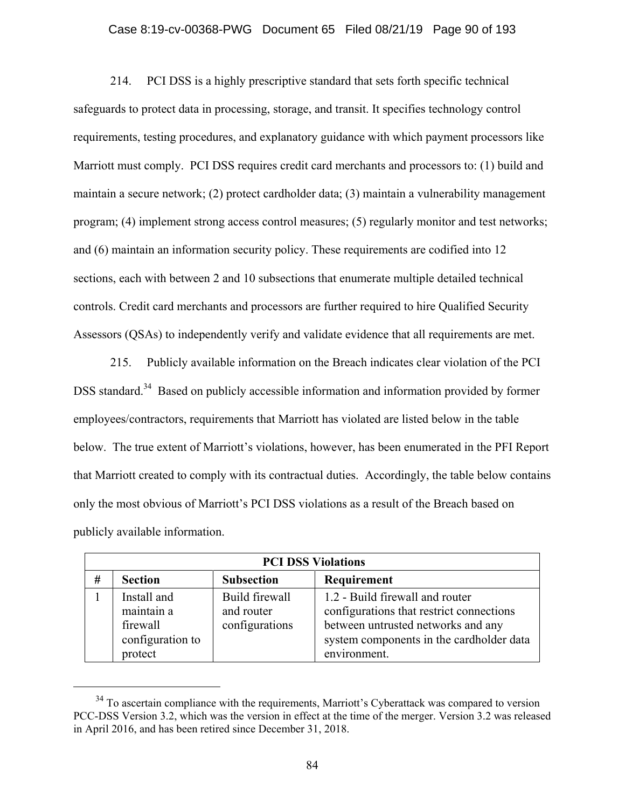#### Case 8:19-cv-00368-PWG Document 65 Filed 08/21/19 Page 90 of 193

214. PCI DSS is a highly prescriptive standard that sets forth specific technical safeguards to protect data in processing, storage, and transit. It specifies technology control requirements, testing procedures, and explanatory guidance with which payment processors like Marriott must comply. PCI DSS requires credit card merchants and processors to: (1) build and maintain a secure network; (2) protect cardholder data; (3) maintain a vulnerability management program; (4) implement strong access control measures; (5) regularly monitor and test networks; and (6) maintain an information security policy. These requirements are codified into 12 sections, each with between 2 and 10 subsections that enumerate multiple detailed technical controls. Credit card merchants and processors are further required to hire Qualified Security Assessors (QSAs) to independently verify and validate evidence that all requirements are met.

215. Publicly available information on the Breach indicates clear violation of the PCI DSS standard.<sup>34</sup> Based on publicly accessible information and information provided by former employees/contractors, requirements that Marriott has violated are listed below in the table below. The true extent of Marriott's violations, however, has been enumerated in the PFI Report that Marriott created to comply with its contractual duties. Accordingly, the table below contains only the most obvious of Marriott's PCI DSS violations as a result of the Breach based on publicly available information.

|   | <b>PCI DSS Violations</b>                                            |                                                |                                                                                                                                                                               |  |  |  |  |
|---|----------------------------------------------------------------------|------------------------------------------------|-------------------------------------------------------------------------------------------------------------------------------------------------------------------------------|--|--|--|--|
| # | <b>Section</b>                                                       | <b>Subsection</b>                              | Requirement                                                                                                                                                                   |  |  |  |  |
|   | Install and<br>maintain a<br>firewall<br>configuration to<br>protect | Build firewall<br>and router<br>configurations | 1.2 - Build firewall and router<br>configurations that restrict connections<br>between untrusted networks and any<br>system components in the cardholder data<br>environment. |  |  |  |  |

<sup>&</sup>lt;sup>34</sup> To ascertain compliance with the requirements, Marriott's Cyberattack was compared to version PCC-DSS Version 3.2, which was the version in effect at the time of the merger. Version 3.2 was released in April 2016, and has been retired since December 31, 2018.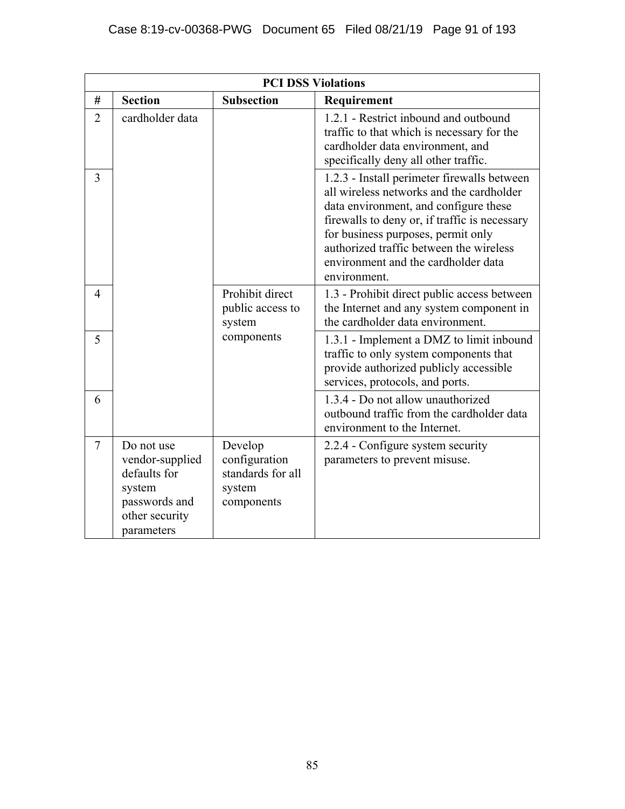|                | <b>PCI DSS Violations</b>                                                                                |                                                                       |                                                                                                                                                                                                                                                                                                                           |  |  |  |  |
|----------------|----------------------------------------------------------------------------------------------------------|-----------------------------------------------------------------------|---------------------------------------------------------------------------------------------------------------------------------------------------------------------------------------------------------------------------------------------------------------------------------------------------------------------------|--|--|--|--|
| #              | <b>Section</b>                                                                                           | <b>Subsection</b>                                                     | Requirement                                                                                                                                                                                                                                                                                                               |  |  |  |  |
| $\overline{2}$ | cardholder data                                                                                          |                                                                       | 1.2.1 - Restrict inbound and outbound<br>traffic to that which is necessary for the<br>cardholder data environment, and<br>specifically deny all other traffic.                                                                                                                                                           |  |  |  |  |
| 3              |                                                                                                          |                                                                       | 1.2.3 - Install perimeter firewalls between<br>all wireless networks and the cardholder<br>data environment, and configure these<br>firewalls to deny or, if traffic is necessary<br>for business purposes, permit only<br>authorized traffic between the wireless<br>environment and the cardholder data<br>environment. |  |  |  |  |
| 4              |                                                                                                          | Prohibit direct<br>public access to<br>system                         | 1.3 - Prohibit direct public access between<br>the Internet and any system component in<br>the cardholder data environment.                                                                                                                                                                                               |  |  |  |  |
| 5              |                                                                                                          | components                                                            | 1.3.1 - Implement a DMZ to limit inbound<br>traffic to only system components that<br>provide authorized publicly accessible<br>services, protocols, and ports.                                                                                                                                                           |  |  |  |  |
| 6              |                                                                                                          |                                                                       | 1.3.4 - Do not allow unauthorized<br>outbound traffic from the cardholder data<br>environment to the Internet.                                                                                                                                                                                                            |  |  |  |  |
| $\overline{7}$ | Do not use<br>vendor-supplied<br>defaults for<br>system<br>passwords and<br>other security<br>parameters | Develop<br>configuration<br>standards for all<br>system<br>components | 2.2.4 - Configure system security<br>parameters to prevent misuse.                                                                                                                                                                                                                                                        |  |  |  |  |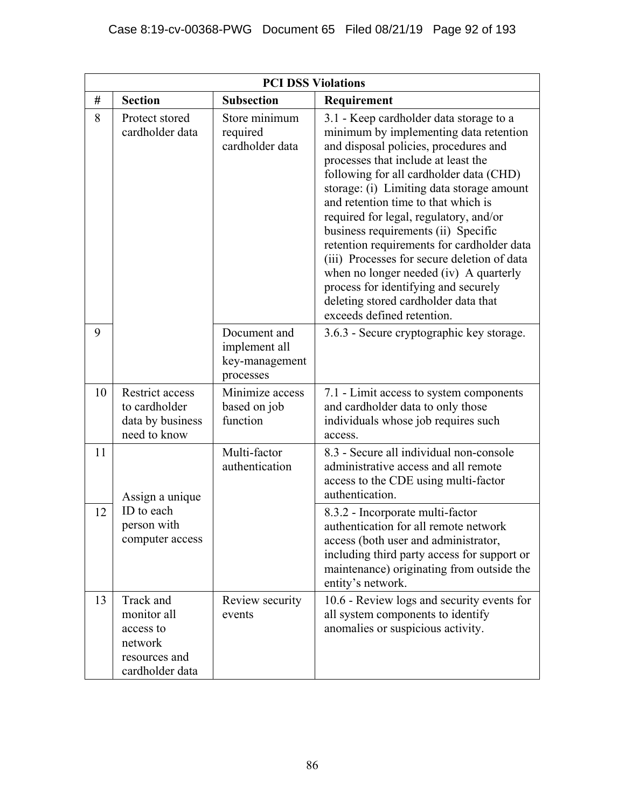|    |                                                                                      | <b>PCI DSS Violations</b>                                    |                                                                                                                                                                                                                                                                                                                                                                                                                                                                                                                                                                                                                                        |
|----|--------------------------------------------------------------------------------------|--------------------------------------------------------------|----------------------------------------------------------------------------------------------------------------------------------------------------------------------------------------------------------------------------------------------------------------------------------------------------------------------------------------------------------------------------------------------------------------------------------------------------------------------------------------------------------------------------------------------------------------------------------------------------------------------------------------|
| #  | <b>Section</b>                                                                       | <b>Subsection</b>                                            | Requirement                                                                                                                                                                                                                                                                                                                                                                                                                                                                                                                                                                                                                            |
| 8  | Protect stored<br>cardholder data                                                    | Store minimum<br>required<br>cardholder data                 | 3.1 - Keep cardholder data storage to a<br>minimum by implementing data retention<br>and disposal policies, procedures and<br>processes that include at least the<br>following for all cardholder data (CHD)<br>storage: (i) Limiting data storage amount<br>and retention time to that which is<br>required for legal, regulatory, and/or<br>business requirements (ii) Specific<br>retention requirements for cardholder data<br>(iii) Processes for secure deletion of data<br>when no longer needed (iv) A quarterly<br>process for identifying and securely<br>deleting stored cardholder data that<br>exceeds defined retention. |
| 9  |                                                                                      | Document and<br>implement all<br>key-management<br>processes | 3.6.3 - Secure cryptographic key storage.                                                                                                                                                                                                                                                                                                                                                                                                                                                                                                                                                                                              |
| 10 | Restrict access<br>to cardholder<br>data by business<br>need to know                 | Minimize access<br>based on job<br>function                  | 7.1 - Limit access to system components<br>and cardholder data to only those<br>individuals whose job requires such<br>access.                                                                                                                                                                                                                                                                                                                                                                                                                                                                                                         |
| 11 | Assign a unique                                                                      | Multi-factor<br>authentication                               | 8.3 - Secure all individual non-console<br>administrative access and all remote<br>access to the CDE using multi-factor<br>authentication.                                                                                                                                                                                                                                                                                                                                                                                                                                                                                             |
| 12 | ID to each<br>person with<br>computer access                                         |                                                              | 8.3.2 - Incorporate multi-factor<br>authentication for all remote network<br>access (both user and administrator,<br>including third party access for support or<br>maintenance) originating from outside the<br>entity's network.                                                                                                                                                                                                                                                                                                                                                                                                     |
| 13 | Track and<br>monitor all<br>access to<br>network<br>resources and<br>cardholder data | Review security<br>events                                    | 10.6 - Review logs and security events for<br>all system components to identify<br>anomalies or suspicious activity.                                                                                                                                                                                                                                                                                                                                                                                                                                                                                                                   |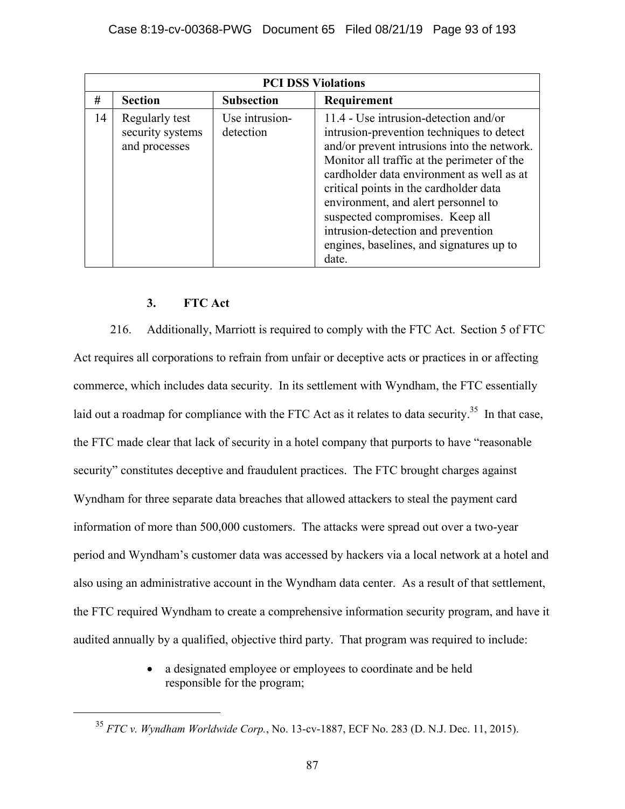|    | <b>PCI DSS Violations</b>                           |                             |                                                                                                                                                                                                                                                                                                                                                                                                                                              |  |  |  |
|----|-----------------------------------------------------|-----------------------------|----------------------------------------------------------------------------------------------------------------------------------------------------------------------------------------------------------------------------------------------------------------------------------------------------------------------------------------------------------------------------------------------------------------------------------------------|--|--|--|
| #  | <b>Section</b>                                      | <b>Subsection</b>           | Requirement                                                                                                                                                                                                                                                                                                                                                                                                                                  |  |  |  |
| 14 | Regularly test<br>security systems<br>and processes | Use intrusion-<br>detection | 11.4 - Use intrusion-detection and/or<br>intrusion-prevention techniques to detect<br>and/or prevent intrusions into the network.<br>Monitor all traffic at the perimeter of the<br>cardholder data environment as well as at<br>critical points in the cardholder data<br>environment, and alert personnel to<br>suspected compromises. Keep all<br>intrusion-detection and prevention<br>engines, baselines, and signatures up to<br>date. |  |  |  |

## **3. FTC Act**

216. Additionally, Marriott is required to comply with the FTC Act. Section 5 of FTC Act requires all corporations to refrain from unfair or deceptive acts or practices in or affecting commerce, which includes data security. In its settlement with Wyndham, the FTC essentially laid out a roadmap for compliance with the FTC Act as it relates to data security.<sup>35</sup> In that case, the FTC made clear that lack of security in a hotel company that purports to have "reasonable security" constitutes deceptive and fraudulent practices. The FTC brought charges against Wyndham for three separate data breaches that allowed attackers to steal the payment card information of more than 500,000 customers. The attacks were spread out over a two-year period and Wyndham's customer data was accessed by hackers via a local network at a hotel and also using an administrative account in the Wyndham data center. As a result of that settlement, the FTC required Wyndham to create a comprehensive information security program, and have it audited annually by a qualified, objective third party. That program was required to include:

> a designated employee or employees to coordinate and be held responsible for the program;

 <sup>35</sup> *FTC v. Wyndham Worldwide Corp.*, No. 13-cv-1887, ECF No. 283 (D. N.J. Dec. 11, 2015).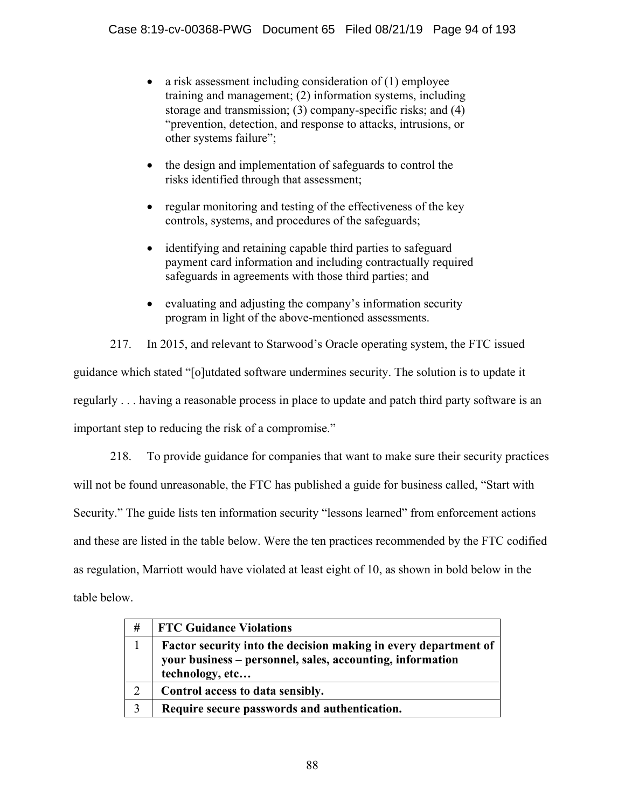- a risk assessment including consideration of  $(1)$  employee training and management; (2) information systems, including storage and transmission; (3) company-specific risks; and (4) "prevention, detection, and response to attacks, intrusions, or other systems failure";
- the design and implementation of safeguards to control the risks identified through that assessment;
- regular monitoring and testing of the effectiveness of the key controls, systems, and procedures of the safeguards;
- identifying and retaining capable third parties to safeguard payment card information and including contractually required safeguards in agreements with those third parties; and
- evaluating and adjusting the company's information security program in light of the above-mentioned assessments.

217. In 2015, and relevant to Starwood's Oracle operating system, the FTC issued

guidance which stated "[o]utdated software undermines security. The solution is to update it regularly . . . having a reasonable process in place to update and patch third party software is an important step to reducing the risk of a compromise."

218. To provide guidance for companies that want to make sure their security practices will not be found unreasonable, the FTC has published a guide for business called, "Start with Security." The guide lists ten information security "lessons learned" from enforcement actions and these are listed in the table below. Were the ten practices recommended by the FTC codified as regulation, Marriott would have violated at least eight of 10, as shown in bold below in the table below.

| #              | <b>FTC Guidance Violations</b>                                                                                                                  |
|----------------|-------------------------------------------------------------------------------------------------------------------------------------------------|
|                | Factor security into the decision making in every department of<br>your business - personnel, sales, accounting, information<br>technology, etc |
| $\overline{2}$ | Control access to data sensibly.                                                                                                                |
| 3              | Require secure passwords and authentication.                                                                                                    |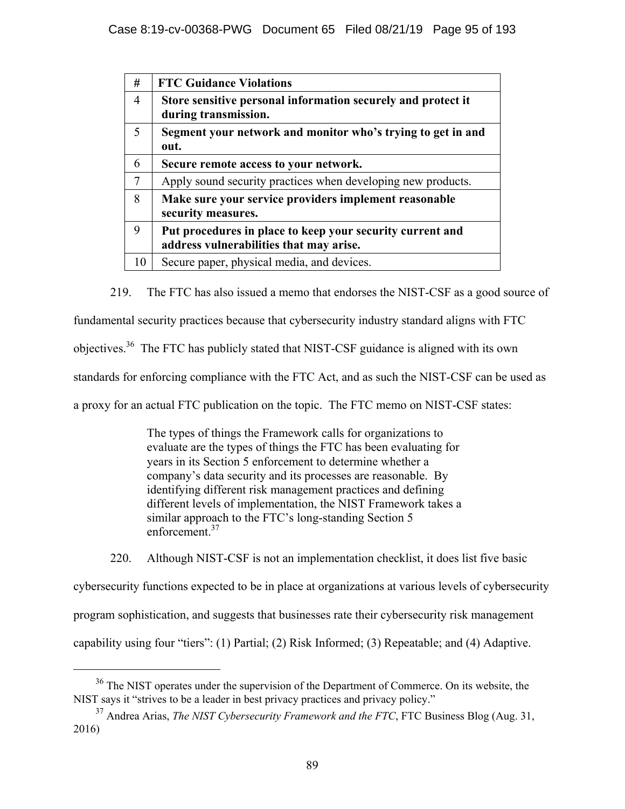| #              | <b>FTC Guidance Violations</b>                                                                       |
|----------------|------------------------------------------------------------------------------------------------------|
| $\overline{4}$ | Store sensitive personal information securely and protect it<br>during transmission.                 |
| 5              | Segment your network and monitor who's trying to get in and<br>out.                                  |
| 6              | Secure remote access to your network.                                                                |
| 7              | Apply sound security practices when developing new products.                                         |
| 8              | Make sure your service providers implement reasonable<br>security measures.                          |
| 9              | Put procedures in place to keep your security current and<br>address vulnerabilities that may arise. |
| 10             | Secure paper, physical media, and devices.                                                           |

219. The FTC has also issued a memo that endorses the NIST-CSF as a good source of

fundamental security practices because that cybersecurity industry standard aligns with FTC

objectives.36 The FTC has publicly stated that NIST-CSF guidance is aligned with its own

standards for enforcing compliance with the FTC Act, and as such the NIST-CSF can be used as

a proxy for an actual FTC publication on the topic. The FTC memo on NIST-CSF states:

The types of things the Framework calls for organizations to evaluate are the types of things the FTC has been evaluating for years in its Section 5 enforcement to determine whether a company's data security and its processes are reasonable. By identifying different risk management practices and defining different levels of implementation, the NIST Framework takes a similar approach to the FTC's long-standing Section 5 enforcement<sup>37</sup>

220. Although NIST-CSF is not an implementation checklist, it does list five basic

cybersecurity functions expected to be in place at organizations at various levels of cybersecurity program sophistication, and suggests that businesses rate their cybersecurity risk management capability using four "tiers": (1) Partial; (2) Risk Informed; (3) Repeatable; and (4) Adaptive.

<sup>&</sup>lt;sup>36</sup> The NIST operates under the supervision of the Department of Commerce. On its website, the NIST says it "strives to be a leader in best privacy practices and privacy policy."

<sup>37</sup> Andrea Arias, *The NIST Cybersecurity Framework and the FTC*, FTC Business Blog (Aug. 31, 2016)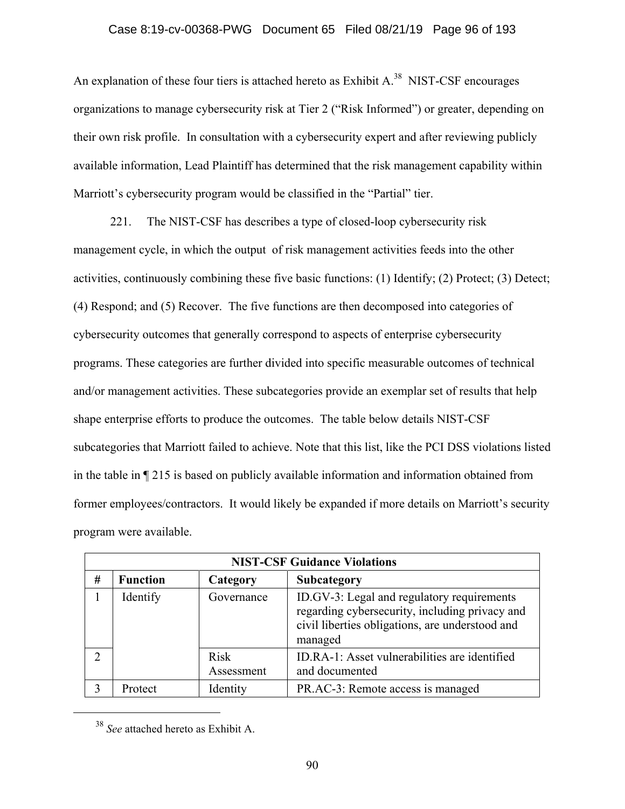#### Case 8:19-cv-00368-PWG Document 65 Filed 08/21/19 Page 96 of 193

An explanation of these four tiers is attached hereto as Exhibit A.<sup>38</sup> NIST-CSF encourages organizations to manage cybersecurity risk at Tier 2 ("Risk Informed") or greater, depending on their own risk profile. In consultation with a cybersecurity expert and after reviewing publicly available information, Lead Plaintiff has determined that the risk management capability within Marriott's cybersecurity program would be classified in the "Partial" tier.

221. The NIST-CSF has describes a type of closed-loop cybersecurity risk management cycle, in which the output of risk management activities feeds into the other activities, continuously combining these five basic functions: (1) Identify; (2) Protect; (3) Detect; (4) Respond; and (5) Recover. The five functions are then decomposed into categories of cybersecurity outcomes that generally correspond to aspects of enterprise cybersecurity programs. These categories are further divided into specific measurable outcomes of technical and/or management activities. These subcategories provide an exemplar set of results that help shape enterprise efforts to produce the outcomes. The table below details NIST-CSF subcategories that Marriott failed to achieve. Note that this list, like the PCI DSS violations listed in the table in ¶ 215 is based on publicly available information and information obtained from former employees/contractors. It would likely be expanded if more details on Marriott's security program were available.

|   | <b>NIST-CSF Guidance Violations</b> |                           |                                                                                                                                                            |  |  |  |  |
|---|-------------------------------------|---------------------------|------------------------------------------------------------------------------------------------------------------------------------------------------------|--|--|--|--|
| # | <b>Function</b>                     | Category                  | Subcategory                                                                                                                                                |  |  |  |  |
|   | Identify                            | Governance                | ID.GV-3: Legal and regulatory requirements<br>regarding cybersecurity, including privacy and<br>civil liberties obligations, are understood and<br>managed |  |  |  |  |
|   |                                     | <b>Risk</b><br>Assessment | ID.RA-1: Asset vulnerabilities are identified<br>and documented                                                                                            |  |  |  |  |
|   | Protect                             | Identity                  | PR.AC-3: Remote access is managed                                                                                                                          |  |  |  |  |

 <sup>38</sup> *See* attached hereto as Exhibit A.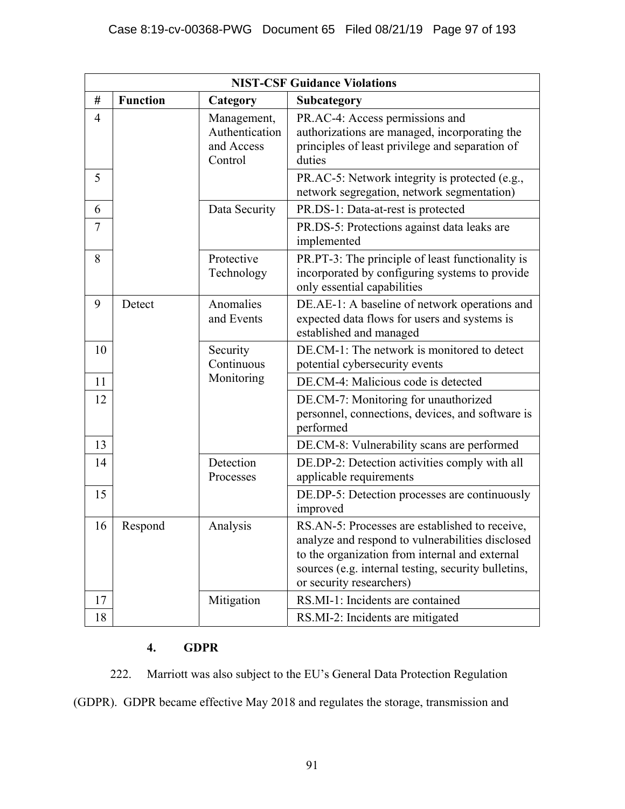|    | <b>NIST-CSF Guidance Violations</b> |                                                        |                                                                                                                                                                                                                                         |  |  |  |  |
|----|-------------------------------------|--------------------------------------------------------|-----------------------------------------------------------------------------------------------------------------------------------------------------------------------------------------------------------------------------------------|--|--|--|--|
| #  | <b>Function</b>                     | Category                                               | Subcategory                                                                                                                                                                                                                             |  |  |  |  |
| 4  |                                     | Management,<br>Authentication<br>and Access<br>Control | PR.AC-4: Access permissions and<br>authorizations are managed, incorporating the<br>principles of least privilege and separation of<br>duties                                                                                           |  |  |  |  |
| 5  |                                     |                                                        | PR.AC-5: Network integrity is protected (e.g.,<br>network segregation, network segmentation)                                                                                                                                            |  |  |  |  |
| 6  |                                     | Data Security                                          | PR.DS-1: Data-at-rest is protected                                                                                                                                                                                                      |  |  |  |  |
| 7  |                                     |                                                        | PR.DS-5: Protections against data leaks are<br>implemented                                                                                                                                                                              |  |  |  |  |
| 8  |                                     | Protective<br>Technology                               | PR.PT-3: The principle of least functionality is<br>incorporated by configuring systems to provide<br>only essential capabilities                                                                                                       |  |  |  |  |
| 9  | Detect                              | Anomalies<br>and Events                                | DE.AE-1: A baseline of network operations and<br>expected data flows for users and systems is<br>established and managed                                                                                                                |  |  |  |  |
| 10 |                                     | Security<br>Continuous                                 | DE.CM-1: The network is monitored to detect<br>potential cybersecurity events                                                                                                                                                           |  |  |  |  |
| 11 |                                     | Monitoring                                             | DE.CM-4: Malicious code is detected                                                                                                                                                                                                     |  |  |  |  |
| 12 |                                     |                                                        | DE.CM-7: Monitoring for unauthorized<br>personnel, connections, devices, and software is<br>performed                                                                                                                                   |  |  |  |  |
| 13 |                                     |                                                        | DE.CM-8: Vulnerability scans are performed                                                                                                                                                                                              |  |  |  |  |
| 14 |                                     | Detection<br>Processes                                 | DE.DP-2: Detection activities comply with all<br>applicable requirements                                                                                                                                                                |  |  |  |  |
| 15 |                                     |                                                        | DE.DP-5: Detection processes are continuously<br>improved                                                                                                                                                                               |  |  |  |  |
| 16 | Respond                             | Analysis                                               | RS.AN-5: Processes are established to receive,<br>analyze and respond to vulnerabilities disclosed<br>to the organization from internal and external<br>sources (e.g. internal testing, security bulletins,<br>or security researchers) |  |  |  |  |
| 17 |                                     | Mitigation                                             | RS.MI-1: Incidents are contained                                                                                                                                                                                                        |  |  |  |  |
| 18 |                                     |                                                        | RS.MI-2: Incidents are mitigated                                                                                                                                                                                                        |  |  |  |  |

# **4. GDPR**

222. Marriott was also subject to the EU's General Data Protection Regulation

(GDPR). GDPR became effective May 2018 and regulates the storage, transmission and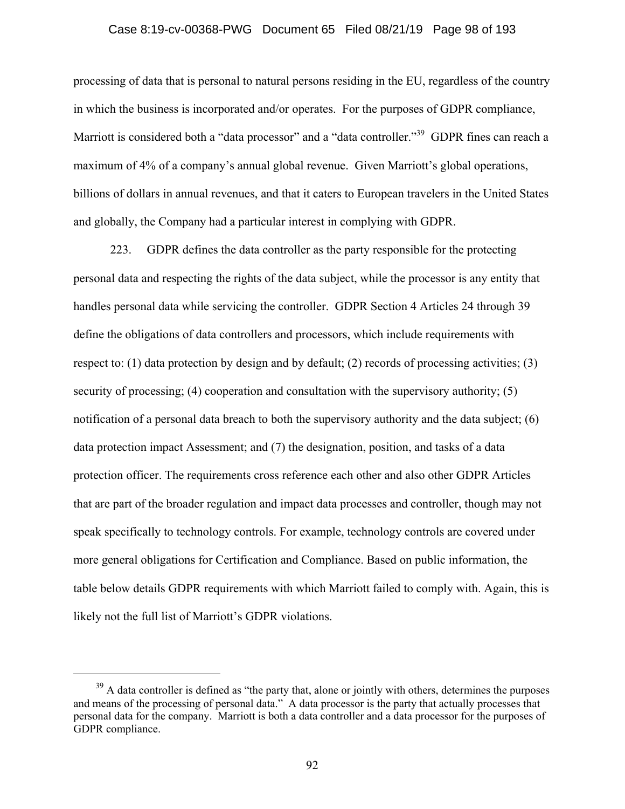#### Case 8:19-cv-00368-PWG Document 65 Filed 08/21/19 Page 98 of 193

processing of data that is personal to natural persons residing in the EU, regardless of the country in which the business is incorporated and/or operates. For the purposes of GDPR compliance, Marriott is considered both a "data processor" and a "data controller."<sup>39</sup> GDPR fines can reach a maximum of 4% of a company's annual global revenue. Given Marriott's global operations, billions of dollars in annual revenues, and that it caters to European travelers in the United States and globally, the Company had a particular interest in complying with GDPR.

223. GDPR defines the data controller as the party responsible for the protecting personal data and respecting the rights of the data subject, while the processor is any entity that handles personal data while servicing the controller. GDPR Section 4 Articles 24 through 39 define the obligations of data controllers and processors, which include requirements with respect to: (1) data protection by design and by default; (2) records of processing activities; (3) security of processing; (4) cooperation and consultation with the supervisory authority; (5) notification of a personal data breach to both the supervisory authority and the data subject; (6) data protection impact Assessment; and (7) the designation, position, and tasks of a data protection officer. The requirements cross reference each other and also other GDPR Articles that are part of the broader regulation and impact data processes and controller, though may not speak specifically to technology controls. For example, technology controls are covered under more general obligations for Certification and Compliance. Based on public information, the table below details GDPR requirements with which Marriott failed to comply with. Again, this is likely not the full list of Marriott's GDPR violations.

<sup>&</sup>lt;sup>39</sup> A data controller is defined as "the party that, alone or jointly with others, determines the purposes and means of the processing of personal data." A data processor is the party that actually processes that personal data for the company. Marriott is both a data controller and a data processor for the purposes of GDPR compliance.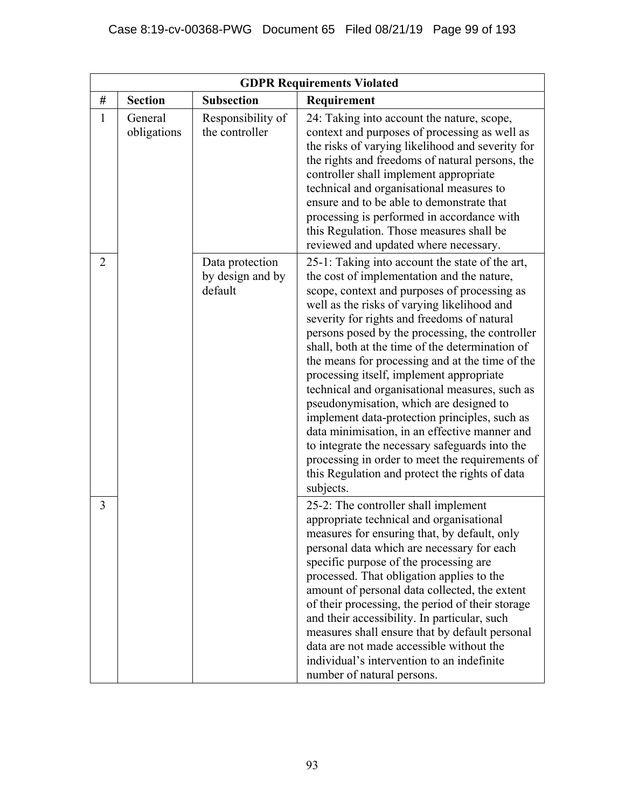|                |                        |                                                | <b>GDPR Requirements Violated</b>                                                                                                                                                                                                                                                                                                                                                                                                                                                                                                                                                                                                                                                                                                                                                                                   |
|----------------|------------------------|------------------------------------------------|---------------------------------------------------------------------------------------------------------------------------------------------------------------------------------------------------------------------------------------------------------------------------------------------------------------------------------------------------------------------------------------------------------------------------------------------------------------------------------------------------------------------------------------------------------------------------------------------------------------------------------------------------------------------------------------------------------------------------------------------------------------------------------------------------------------------|
| #              | <b>Section</b>         | <b>Subsection</b>                              | Requirement                                                                                                                                                                                                                                                                                                                                                                                                                                                                                                                                                                                                                                                                                                                                                                                                         |
| $\mathbf{1}$   | General<br>obligations | Responsibility of<br>the controller            | 24: Taking into account the nature, scope,<br>context and purposes of processing as well as<br>the risks of varying likelihood and severity for<br>the rights and freedoms of natural persons, the<br>controller shall implement appropriate<br>technical and organisational measures to<br>ensure and to be able to demonstrate that<br>processing is performed in accordance with<br>this Regulation. Those measures shall be<br>reviewed and updated where necessary.                                                                                                                                                                                                                                                                                                                                            |
| $\overline{2}$ |                        | Data protection<br>by design and by<br>default | 25-1: Taking into account the state of the art,<br>the cost of implementation and the nature,<br>scope, context and purposes of processing as<br>well as the risks of varying likelihood and<br>severity for rights and freedoms of natural<br>persons posed by the processing, the controller<br>shall, both at the time of the determination of<br>the means for processing and at the time of the<br>processing itself, implement appropriate<br>technical and organisational measures, such as<br>pseudonymisation, which are designed to<br>implement data-protection principles, such as<br>data minimisation, in an effective manner and<br>to integrate the necessary safeguards into the<br>processing in order to meet the requirements of<br>this Regulation and protect the rights of data<br>subjects. |
| 3              |                        |                                                | 25-2: The controller shall implement<br>appropriate technical and organisational<br>measures for ensuring that, by default, only<br>personal data which are necessary for each<br>specific purpose of the processing are<br>processed. That obligation applies to the<br>amount of personal data collected, the extent<br>of their processing, the period of their storage<br>and their accessibility. In particular, such<br>measures shall ensure that by default personal<br>data are not made accessible without the<br>individual's intervention to an indefinite<br>number of natural persons.                                                                                                                                                                                                                |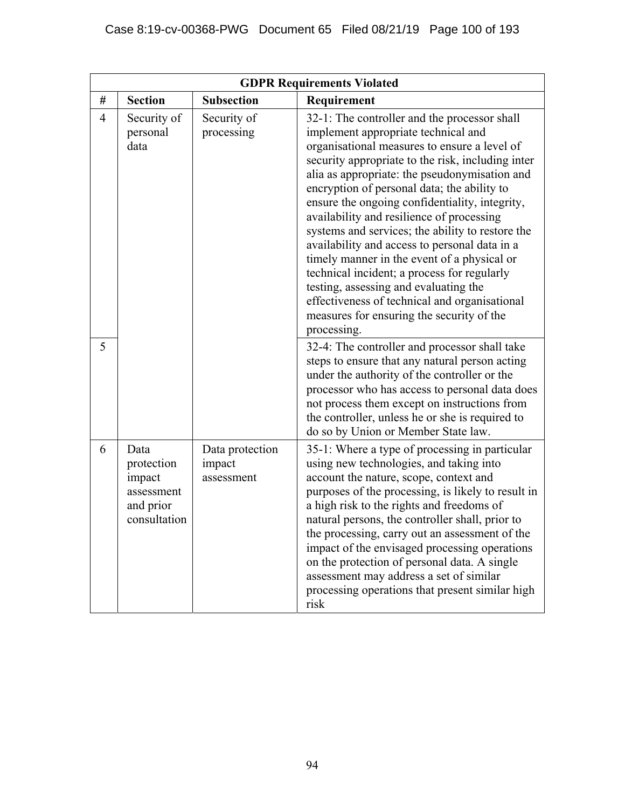|                |                                                                         |                                         | <b>GDPR Requirements Violated</b>                                                                                                                                                                                                                                                                                                                                                                                                                                                                                                                                                                                                                                                                                                                |
|----------------|-------------------------------------------------------------------------|-----------------------------------------|--------------------------------------------------------------------------------------------------------------------------------------------------------------------------------------------------------------------------------------------------------------------------------------------------------------------------------------------------------------------------------------------------------------------------------------------------------------------------------------------------------------------------------------------------------------------------------------------------------------------------------------------------------------------------------------------------------------------------------------------------|
| #              | <b>Section</b>                                                          | <b>Subsection</b>                       | Requirement                                                                                                                                                                                                                                                                                                                                                                                                                                                                                                                                                                                                                                                                                                                                      |
| $\overline{4}$ | Security of<br>personal<br>data                                         | Security of<br>processing               | 32-1: The controller and the processor shall<br>implement appropriate technical and<br>organisational measures to ensure a level of<br>security appropriate to the risk, including inter<br>alia as appropriate: the pseudonymisation and<br>encryption of personal data; the ability to<br>ensure the ongoing confidentiality, integrity,<br>availability and resilience of processing<br>systems and services; the ability to restore the<br>availability and access to personal data in a<br>timely manner in the event of a physical or<br>technical incident; a process for regularly<br>testing, assessing and evaluating the<br>effectiveness of technical and organisational<br>measures for ensuring the security of the<br>processing. |
| 5              |                                                                         |                                         | 32-4: The controller and processor shall take<br>steps to ensure that any natural person acting<br>under the authority of the controller or the<br>processor who has access to personal data does<br>not process them except on instructions from<br>the controller, unless he or she is required to<br>do so by Union or Member State law.                                                                                                                                                                                                                                                                                                                                                                                                      |
| 6              | Data<br>protection<br>impact<br>assessment<br>and prior<br>consultation | Data protection<br>impact<br>assessment | 35-1: Where a type of processing in particular<br>using new technologies, and taking into<br>account the nature, scope, context and<br>purposes of the processing, is likely to result in<br>a high risk to the rights and freedoms of<br>natural persons, the controller shall, prior to<br>the processing, carry out an assessment of the<br>impact of the envisaged processing operations<br>on the protection of personal data. A single<br>assessment may address a set of similar<br>processing operations that present similar high<br>risk                                                                                                                                                                                               |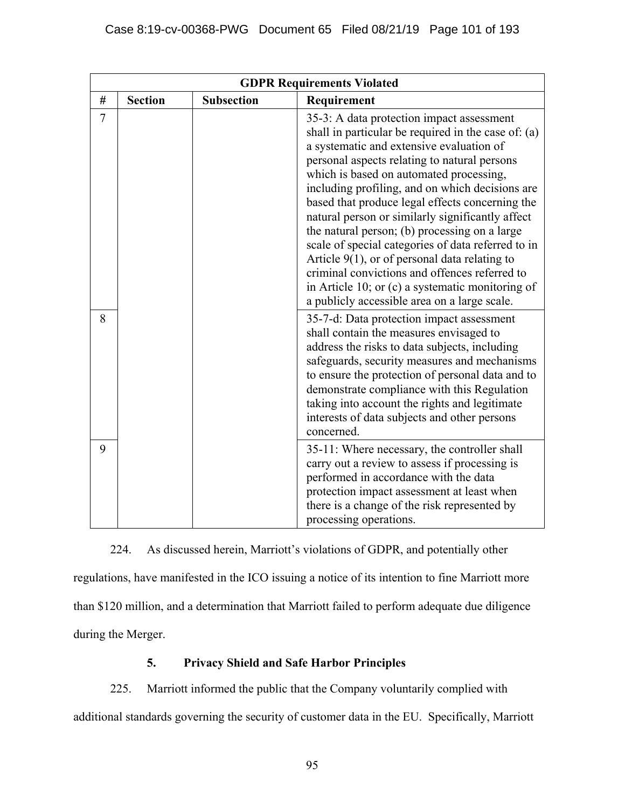|      |                |                   | <b>GDPR Requirements Violated</b>                                                                                                                                                                                                                                                                                                                                                                                                                                                                                                                                                                                                                                                                                 |
|------|----------------|-------------------|-------------------------------------------------------------------------------------------------------------------------------------------------------------------------------------------------------------------------------------------------------------------------------------------------------------------------------------------------------------------------------------------------------------------------------------------------------------------------------------------------------------------------------------------------------------------------------------------------------------------------------------------------------------------------------------------------------------------|
| $\#$ | <b>Section</b> | <b>Subsection</b> | Requirement                                                                                                                                                                                                                                                                                                                                                                                                                                                                                                                                                                                                                                                                                                       |
| 7    |                |                   | 35-3: A data protection impact assessment<br>shall in particular be required in the case of: (a)<br>a systematic and extensive evaluation of<br>personal aspects relating to natural persons<br>which is based on automated processing,<br>including profiling, and on which decisions are<br>based that produce legal effects concerning the<br>natural person or similarly significantly affect<br>the natural person; (b) processing on a large<br>scale of special categories of data referred to in<br>Article $9(1)$ , or of personal data relating to<br>criminal convictions and offences referred to<br>in Article 10; or (c) a systematic monitoring of<br>a publicly accessible area on a large scale. |
| 8    |                |                   | 35-7-d: Data protection impact assessment<br>shall contain the measures envisaged to<br>address the risks to data subjects, including<br>safeguards, security measures and mechanisms<br>to ensure the protection of personal data and to<br>demonstrate compliance with this Regulation<br>taking into account the rights and legitimate<br>interests of data subjects and other persons<br>concerned.                                                                                                                                                                                                                                                                                                           |
| 9    |                |                   | 35-11: Where necessary, the controller shall<br>carry out a review to assess if processing is<br>performed in accordance with the data<br>protection impact assessment at least when<br>there is a change of the risk represented by<br>processing operations.                                                                                                                                                                                                                                                                                                                                                                                                                                                    |

224. As discussed herein, Marriott's violations of GDPR, and potentially other regulations, have manifested in the ICO issuing a notice of its intention to fine Marriott more than \$120 million, and a determination that Marriott failed to perform adequate due diligence during the Merger.

# **5. Privacy Shield and Safe Harbor Principles**

225. Marriott informed the public that the Company voluntarily complied with additional standards governing the security of customer data in the EU. Specifically, Marriott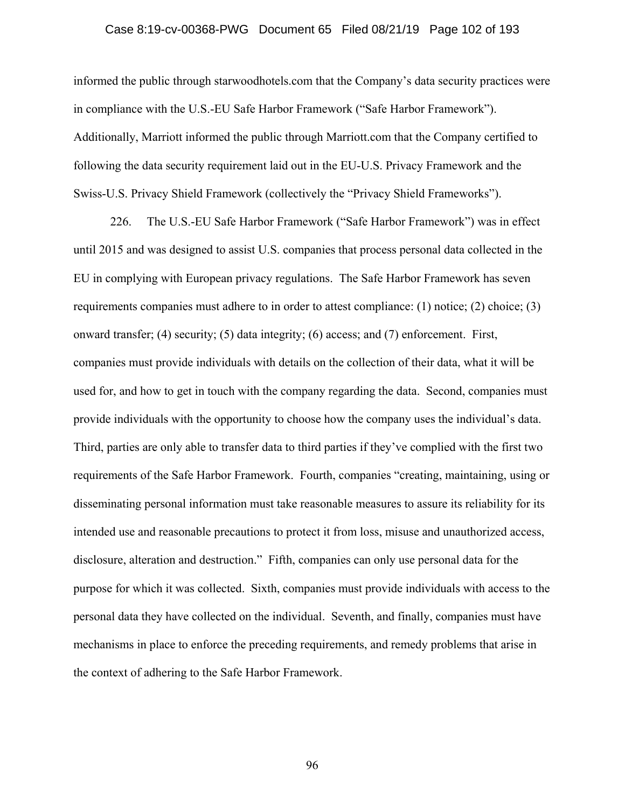#### Case 8:19-cv-00368-PWG Document 65 Filed 08/21/19 Page 102 of 193

informed the public through starwoodhotels.com that the Company's data security practices were in compliance with the U.S.-EU Safe Harbor Framework ("Safe Harbor Framework"). Additionally, Marriott informed the public through Marriott.com that the Company certified to following the data security requirement laid out in the EU-U.S. Privacy Framework and the Swiss-U.S. Privacy Shield Framework (collectively the "Privacy Shield Frameworks").

226. The U.S.-EU Safe Harbor Framework ("Safe Harbor Framework") was in effect until 2015 and was designed to assist U.S. companies that process personal data collected in the EU in complying with European privacy regulations. The Safe Harbor Framework has seven requirements companies must adhere to in order to attest compliance: (1) notice; (2) choice; (3) onward transfer; (4) security; (5) data integrity; (6) access; and (7) enforcement. First, companies must provide individuals with details on the collection of their data, what it will be used for, and how to get in touch with the company regarding the data. Second, companies must provide individuals with the opportunity to choose how the company uses the individual's data. Third, parties are only able to transfer data to third parties if they've complied with the first two requirements of the Safe Harbor Framework. Fourth, companies "creating, maintaining, using or disseminating personal information must take reasonable measures to assure its reliability for its intended use and reasonable precautions to protect it from loss, misuse and unauthorized access, disclosure, alteration and destruction." Fifth, companies can only use personal data for the purpose for which it was collected. Sixth, companies must provide individuals with access to the personal data they have collected on the individual. Seventh, and finally, companies must have mechanisms in place to enforce the preceding requirements, and remedy problems that arise in the context of adhering to the Safe Harbor Framework.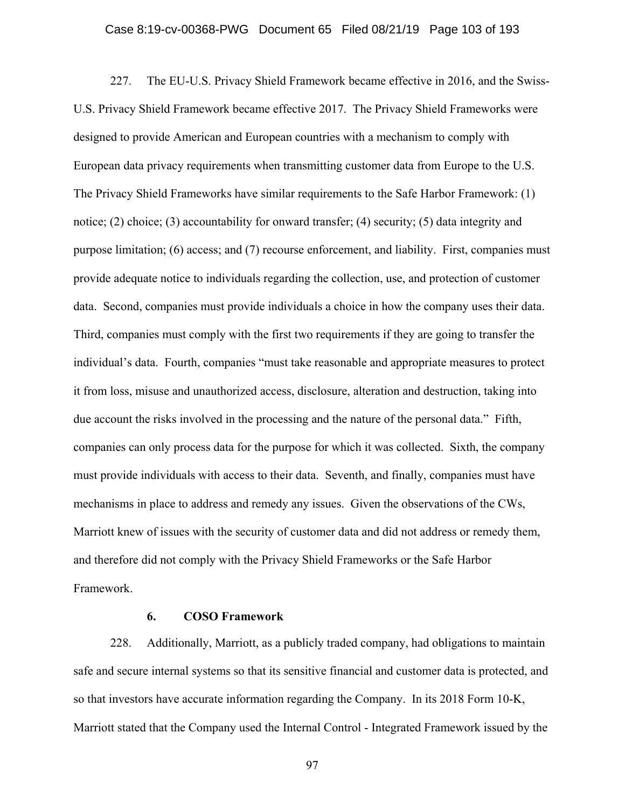#### Case 8:19-cv-00368-PWG Document 65 Filed 08/21/19 Page 103 of 193

227. The EU-U.S. Privacy Shield Framework became effective in 2016, and the Swiss-U.S. Privacy Shield Framework became effective 2017. The Privacy Shield Frameworks were designed to provide American and European countries with a mechanism to comply with European data privacy requirements when transmitting customer data from Europe to the U.S. The Privacy Shield Frameworks have similar requirements to the Safe Harbor Framework: (1) notice; (2) choice; (3) accountability for onward transfer; (4) security; (5) data integrity and purpose limitation; (6) access; and (7) recourse enforcement, and liability. First, companies must provide adequate notice to individuals regarding the collection, use, and protection of customer data. Second, companies must provide individuals a choice in how the company uses their data. Third, companies must comply with the first two requirements if they are going to transfer the individual's data. Fourth, companies "must take reasonable and appropriate measures to protect it from loss, misuse and unauthorized access, disclosure, alteration and destruction, taking into due account the risks involved in the processing and the nature of the personal data." Fifth, companies can only process data for the purpose for which it was collected. Sixth, the company must provide individuals with access to their data. Seventh, and finally, companies must have mechanisms in place to address and remedy any issues. Given the observations of the CWs, Marriott knew of issues with the security of customer data and did not address or remedy them, and therefore did not comply with the Privacy Shield Frameworks or the Safe Harbor Framework.

#### **6. COSO Framework**

228. Additionally, Marriott, as a publicly traded company, had obligations to maintain safe and secure internal systems so that its sensitive financial and customer data is protected, and so that investors have accurate information regarding the Company. In its 2018 Form 10-K, Marriott stated that the Company used the Internal Control - Integrated Framework issued by the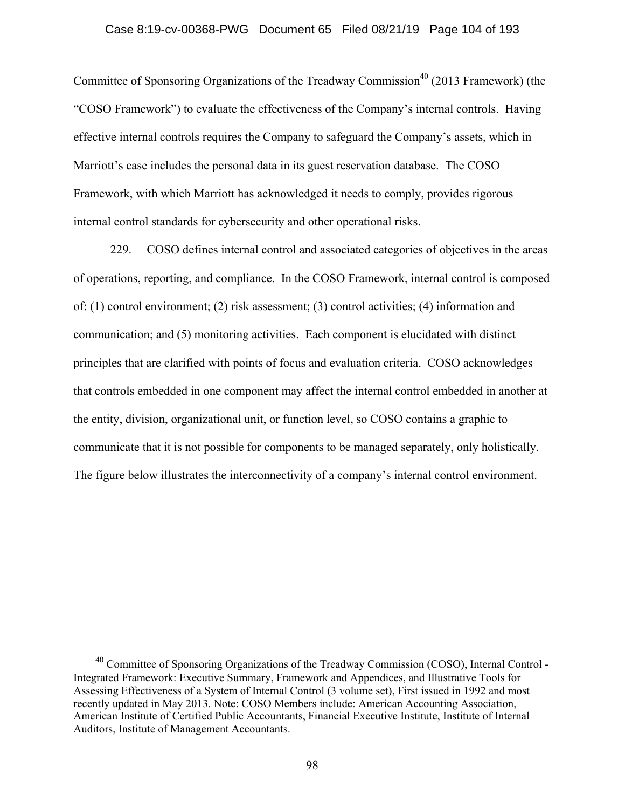#### Case 8:19-cv-00368-PWG Document 65 Filed 08/21/19 Page 104 of 193

Committee of Sponsoring Organizations of the Treadway Commission<sup>40</sup> (2013 Framework) (the "COSO Framework") to evaluate the effectiveness of the Company's internal controls. Having effective internal controls requires the Company to safeguard the Company's assets, which in Marriott's case includes the personal data in its guest reservation database. The COSO Framework, with which Marriott has acknowledged it needs to comply, provides rigorous internal control standards for cybersecurity and other operational risks.

229. COSO defines internal control and associated categories of objectives in the areas of operations, reporting, and compliance. In the COSO Framework, internal control is composed of: (1) control environment; (2) risk assessment; (3) control activities; (4) information and communication; and (5) monitoring activities. Each component is elucidated with distinct principles that are clarified with points of focus and evaluation criteria. COSO acknowledges that controls embedded in one component may affect the internal control embedded in another at the entity, division, organizational unit, or function level, so COSO contains a graphic to communicate that it is not possible for components to be managed separately, only holistically. The figure below illustrates the interconnectivity of a company's internal control environment.

<sup>&</sup>lt;sup>40</sup> Committee of Sponsoring Organizations of the Treadway Commission (COSO), Internal Control -Integrated Framework: Executive Summary, Framework and Appendices, and Illustrative Tools for Assessing Effectiveness of a System of Internal Control (3 volume set), First issued in 1992 and most recently updated in May 2013. Note: COSO Members include: American Accounting Association, American Institute of Certified Public Accountants, Financial Executive Institute, Institute of Internal Auditors, Institute of Management Accountants.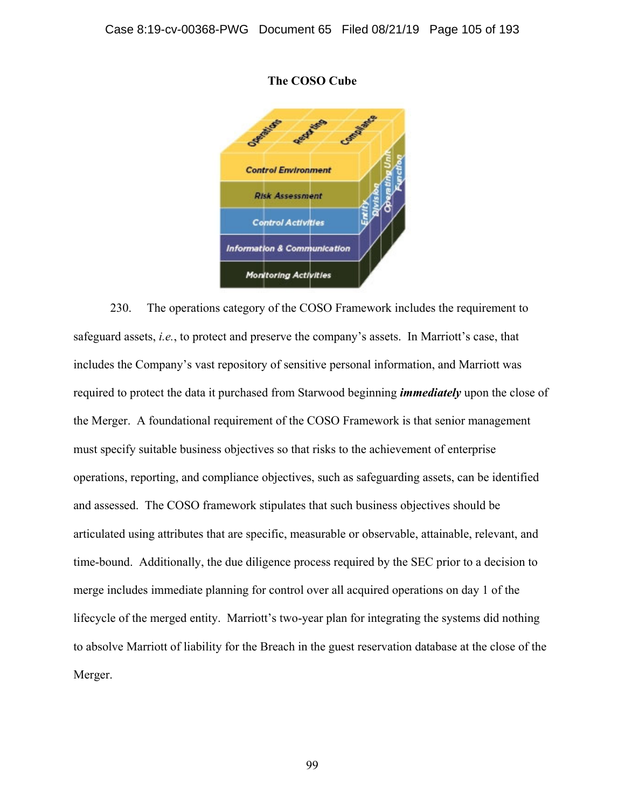

#### **The COSO Cube**

230. The operations category of the COSO Framework includes the requirement to safeguard assets, *i.e.*, to protect and preserve the company's assets. In Marriott's case, that includes the Company's vast repository of sensitive personal information, and Marriott was required to protect the data it purchased from Starwood beginning *immediately* upon the close of the Merger. A foundational requirement of the COSO Framework is that senior management must specify suitable business objectives so that risks to the achievement of enterprise operations, reporting, and compliance objectives, such as safeguarding assets, can be identified and assessed. The COSO framework stipulates that such business objectives should be articulated using attributes that are specific, measurable or observable, attainable, relevant, and time-bound. Additionally, the due diligence process required by the SEC prior to a decision to merge includes immediate planning for control over all acquired operations on day 1 of the lifecycle of the merged entity. Marriott's two-year plan for integrating the systems did nothing to absolve Marriott of liability for the Breach in the guest reservation database at the close of the Merger.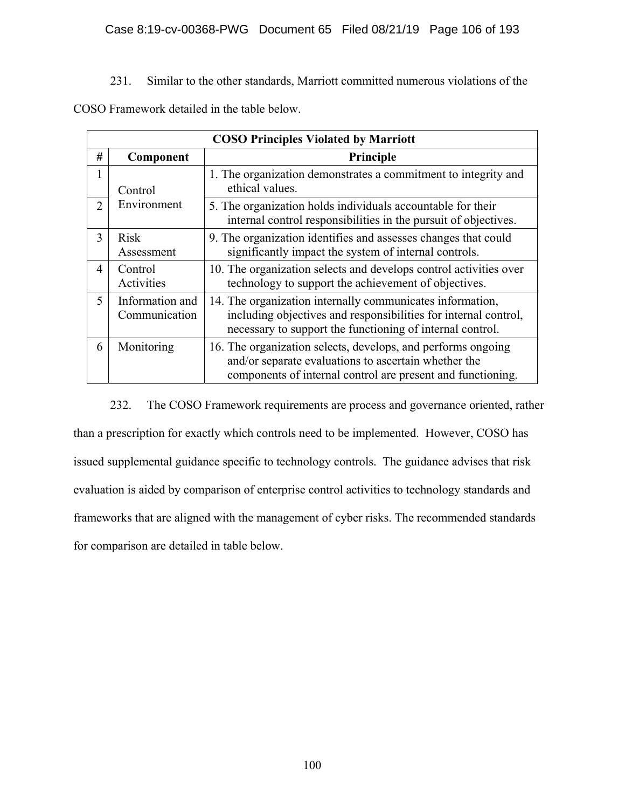231. Similar to the other standards, Marriott committed numerous violations of the

COSO Framework detailed in the table below.

| <b>COSO Principles Violated by Marriott</b> |                                  |                                                                                                                                                                                           |  |  |  |  |
|---------------------------------------------|----------------------------------|-------------------------------------------------------------------------------------------------------------------------------------------------------------------------------------------|--|--|--|--|
| #                                           | Component                        | Principle                                                                                                                                                                                 |  |  |  |  |
| 1                                           | Control                          | 1. The organization demonstrates a commitment to integrity and<br>ethical values.                                                                                                         |  |  |  |  |
| $\overline{2}$                              | Environment                      | 5. The organization holds individuals accountable for their<br>internal control responsibilities in the pursuit of objectives.                                                            |  |  |  |  |
| 3                                           | <b>Risk</b><br>Assessment        | 9. The organization identifies and assesses changes that could<br>significantly impact the system of internal controls.                                                                   |  |  |  |  |
| $\overline{4}$                              | Control<br>Activities            | 10. The organization selects and develops control activities over<br>technology to support the achievement of objectives.                                                                 |  |  |  |  |
| 5                                           | Information and<br>Communication | 14. The organization internally communicates information,<br>including objectives and responsibilities for internal control,<br>necessary to support the functioning of internal control. |  |  |  |  |
| 6                                           | Monitoring                       | 16. The organization selects, develops, and performs ongoing<br>and/or separate evaluations to ascertain whether the<br>components of internal control are present and functioning.       |  |  |  |  |

232. The COSO Framework requirements are process and governance oriented, rather than a prescription for exactly which controls need to be implemented. However, COSO has issued supplemental guidance specific to technology controls. The guidance advises that risk evaluation is aided by comparison of enterprise control activities to technology standards and frameworks that are aligned with the management of cyber risks. The recommended standards for comparison are detailed in table below.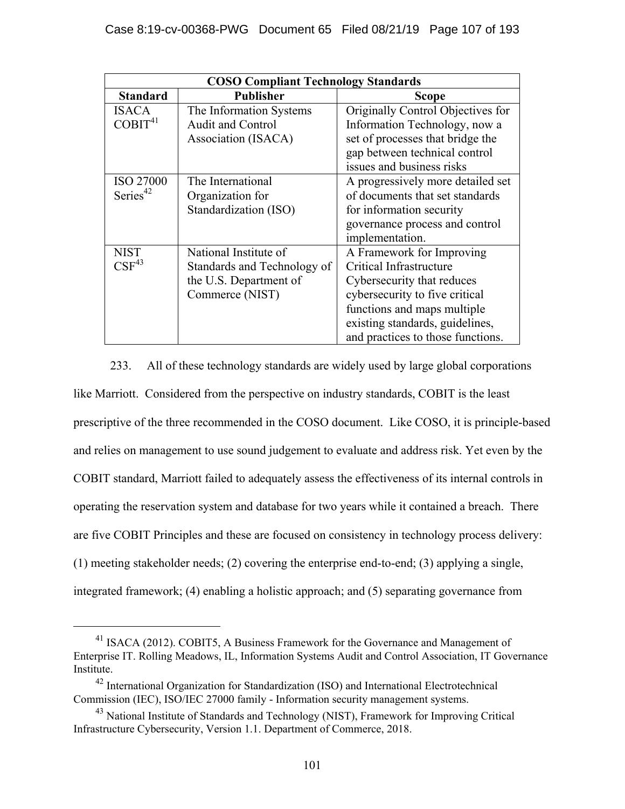| <b>COSO Compliant Technology Standards</b> |                             |                                   |  |  |  |
|--------------------------------------------|-----------------------------|-----------------------------------|--|--|--|
| <b>Standard</b>                            | <b>Publisher</b>            | <b>Scope</b>                      |  |  |  |
| <b>ISACA</b>                               | The Information Systems     | Originally Control Objectives for |  |  |  |
| COBIT <sup>41</sup>                        | <b>Audit and Control</b>    | Information Technology, now a     |  |  |  |
|                                            | Association (ISACA)         | set of processes that bridge the  |  |  |  |
|                                            |                             | gap between technical control     |  |  |  |
|                                            |                             | issues and business risks         |  |  |  |
| <b>ISO 27000</b>                           | The International           | A progressively more detailed set |  |  |  |
| Series <sup>42</sup>                       | Organization for            | of documents that set standards   |  |  |  |
|                                            | Standardization (ISO)       | for information security          |  |  |  |
|                                            |                             | governance process and control    |  |  |  |
|                                            |                             | implementation.                   |  |  |  |
| <b>NIST</b>                                | National Institute of       | A Framework for Improving         |  |  |  |
| $\mathrm{CSF}^{43}$                        | Standards and Technology of | Critical Infrastructure           |  |  |  |
|                                            | the U.S. Department of      | Cybersecurity that reduces        |  |  |  |
|                                            | Commerce (NIST)             | cybersecurity to five critical    |  |  |  |
|                                            |                             | functions and maps multiple       |  |  |  |
|                                            |                             | existing standards, guidelines,   |  |  |  |
|                                            |                             | and practices to those functions. |  |  |  |

233. All of these technology standards are widely used by large global corporations like Marriott. Considered from the perspective on industry standards, COBIT is the least prescriptive of the three recommended in the COSO document. Like COSO, it is principle-based and relies on management to use sound judgement to evaluate and address risk. Yet even by the COBIT standard, Marriott failed to adequately assess the effectiveness of its internal controls in operating the reservation system and database for two years while it contained a breach. There are five COBIT Principles and these are focused on consistency in technology process delivery: (1) meeting stakeholder needs; (2) covering the enterprise end-to-end; (3) applying a single, integrated framework; (4) enabling a holistic approach; and (5) separating governance from

<sup>&</sup>lt;sup>41</sup> ISACA (2012). COBIT5, A Business Framework for the Governance and Management of Enterprise IT. Rolling Meadows, IL, Information Systems Audit and Control Association, IT Governance Institute.

<sup>&</sup>lt;sup>42</sup> International Organization for Standardization (ISO) and International Electrotechnical Commission (IEC), ISO/IEC 27000 family - Information security management systems.

<sup>&</sup>lt;sup>43</sup> National Institute of Standards and Technology (NIST), Framework for Improving Critical Infrastructure Cybersecurity, Version 1.1. Department of Commerce, 2018.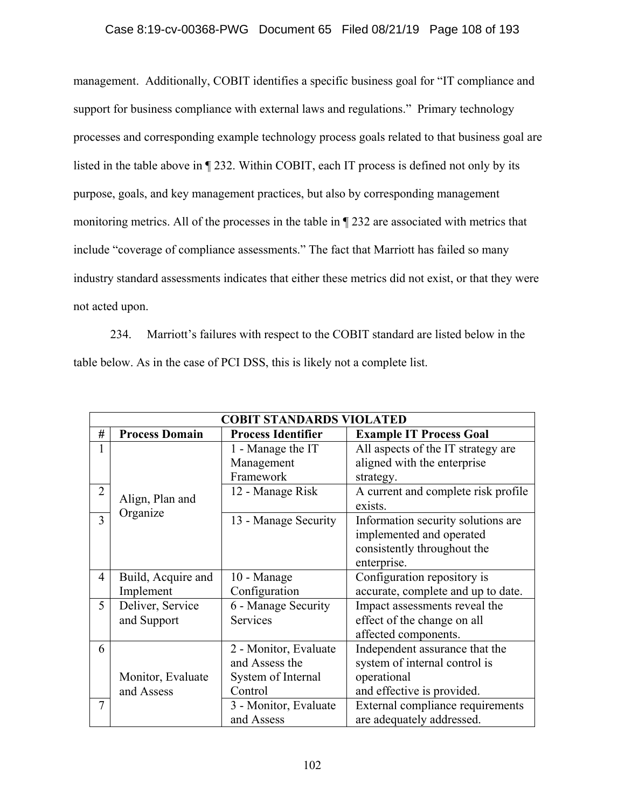### Case 8:19-cv-00368-PWG Document 65 Filed 08/21/19 Page 108 of 193

management. Additionally, COBIT identifies a specific business goal for "IT compliance and support for business compliance with external laws and regulations." Primary technology processes and corresponding example technology process goals related to that business goal are listed in the table above in ¶ 232. Within COBIT, each IT process is defined not only by its purpose, goals, and key management practices, but also by corresponding management monitoring metrics. All of the processes in the table in ¶ 232 are associated with metrics that include "coverage of compliance assessments." The fact that Marriott has failed so many industry standard assessments indicates that either these metrics did not exist, or that they were not acted upon.

234. Marriott's failures with respect to the COBIT standard are listed below in the table below. As in the case of PCI DSS, this is likely not a complete list.

| <b>COBIT STANDARDS VIOLATED</b> |                             |                           |                                                |  |  |  |
|---------------------------------|-----------------------------|---------------------------|------------------------------------------------|--|--|--|
| #                               | <b>Process Domain</b>       | <b>Process Identifier</b> | <b>Example IT Process Goal</b>                 |  |  |  |
|                                 | Align, Plan and<br>Organize | 1 - Manage the IT         | All aspects of the IT strategy are             |  |  |  |
|                                 |                             | Management                | aligned with the enterprise                    |  |  |  |
|                                 |                             | Framework                 | strategy.                                      |  |  |  |
| $\overline{2}$                  |                             | 12 - Manage Risk          | A current and complete risk profile<br>exists. |  |  |  |
| 3                               |                             | 13 - Manage Security      | Information security solutions are             |  |  |  |
|                                 |                             |                           | implemented and operated                       |  |  |  |
|                                 |                             |                           | consistently throughout the                    |  |  |  |
|                                 |                             |                           | enterprise.                                    |  |  |  |
| $\overline{4}$                  | Build, Acquire and          | 10 - Manage               | Configuration repository is                    |  |  |  |
|                                 | Implement                   | Configuration             | accurate, complete and up to date.             |  |  |  |
| 5                               | Deliver, Service            | 6 - Manage Security       | Impact assessments reveal the                  |  |  |  |
|                                 | and Support                 | Services                  | effect of the change on all                    |  |  |  |
|                                 |                             |                           | affected components.                           |  |  |  |
| 6                               |                             | 2 - Monitor, Evaluate     | Independent assurance that the                 |  |  |  |
|                                 |                             | and Assess the            | system of internal control is                  |  |  |  |
|                                 | Monitor, Evaluate           | System of Internal        | operational                                    |  |  |  |
|                                 | and Assess                  | Control                   | and effective is provided.                     |  |  |  |
| $\tau$                          |                             | 3 - Monitor, Evaluate     | External compliance requirements               |  |  |  |
|                                 |                             | and Assess                | are adequately addressed.                      |  |  |  |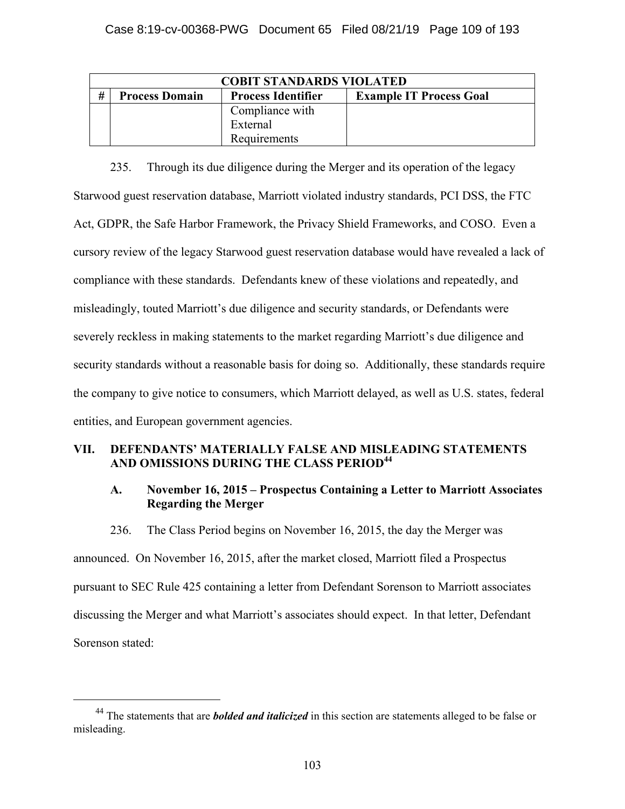| <b>COBIT STANDARDS VIOLATED</b> |                       |                           |                                |
|---------------------------------|-----------------------|---------------------------|--------------------------------|
| #                               | <b>Process Domain</b> | <b>Process Identifier</b> | <b>Example IT Process Goal</b> |
|                                 |                       | Compliance with           |                                |
|                                 |                       | External                  |                                |
|                                 |                       | Requirements              |                                |

235. Through its due diligence during the Merger and its operation of the legacy Starwood guest reservation database, Marriott violated industry standards, PCI DSS, the FTC Act, GDPR, the Safe Harbor Framework, the Privacy Shield Frameworks, and COSO. Even a cursory review of the legacy Starwood guest reservation database would have revealed a lack of compliance with these standards. Defendants knew of these violations and repeatedly, and misleadingly, touted Marriott's due diligence and security standards, or Defendants were severely reckless in making statements to the market regarding Marriott's due diligence and security standards without a reasonable basis for doing so. Additionally, these standards require the company to give notice to consumers, which Marriott delayed, as well as U.S. states, federal entities, and European government agencies.

## **VII. DEFENDANTS' MATERIALLY FALSE AND MISLEADING STATEMENTS AND OMISSIONS DURING THE CLASS PERIOD<sup>44</sup>**

## **A. November 16, 2015 – Prospectus Containing a Letter to Marriott Associates Regarding the Merger**

236. The Class Period begins on November 16, 2015, the day the Merger was

announced. On November 16, 2015, after the market closed, Marriott filed a Prospectus pursuant to SEC Rule 425 containing a letter from Defendant Sorenson to Marriott associates discussing the Merger and what Marriott's associates should expect. In that letter, Defendant Sorenson stated:

 <sup>44</sup> The statements that are *bolded and italicized* in this section are statements alleged to be false or misleading.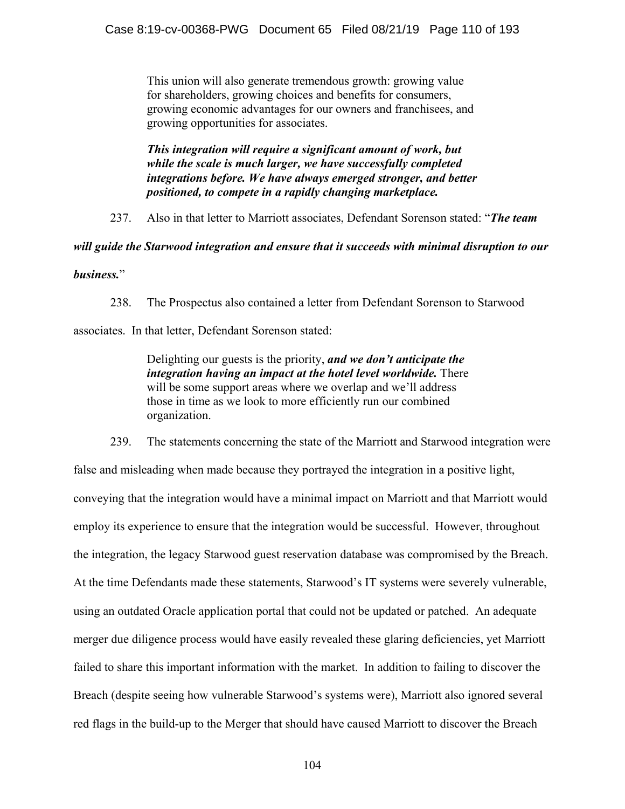This union will also generate tremendous growth: growing value for shareholders, growing choices and benefits for consumers, growing economic advantages for our owners and franchisees, and growing opportunities for associates.

*This integration will require a significant amount of work, but while the scale is much larger, we have successfully completed integrations before. We have always emerged stronger, and better positioned, to compete in a rapidly changing marketplace.* 

237. Also in that letter to Marriott associates, Defendant Sorenson stated: "*The team* 

*will guide the Starwood integration and ensure that it succeeds with minimal disruption to our* 

### *business.*"

238. The Prospectus also contained a letter from Defendant Sorenson to Starwood

associates. In that letter, Defendant Sorenson stated:

Delighting our guests is the priority, *and we don't anticipate the integration having an impact at the hotel level worldwide.* There will be some support areas where we overlap and we'll address those in time as we look to more efficiently run our combined organization.

239. The statements concerning the state of the Marriott and Starwood integration were

false and misleading when made because they portrayed the integration in a positive light, conveying that the integration would have a minimal impact on Marriott and that Marriott would employ its experience to ensure that the integration would be successful. However, throughout the integration, the legacy Starwood guest reservation database was compromised by the Breach. At the time Defendants made these statements, Starwood's IT systems were severely vulnerable, using an outdated Oracle application portal that could not be updated or patched. An adequate merger due diligence process would have easily revealed these glaring deficiencies, yet Marriott failed to share this important information with the market. In addition to failing to discover the Breach (despite seeing how vulnerable Starwood's systems were), Marriott also ignored several red flags in the build-up to the Merger that should have caused Marriott to discover the Breach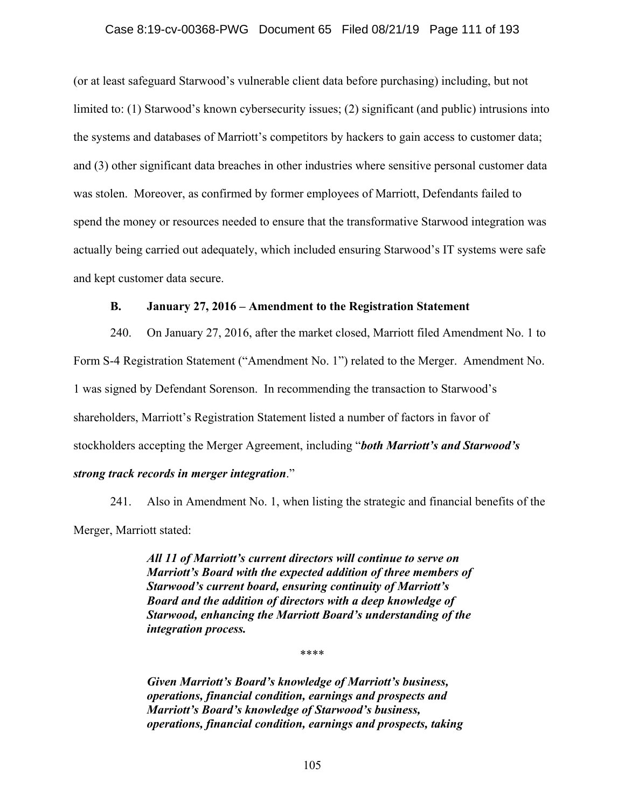#### Case 8:19-cv-00368-PWG Document 65 Filed 08/21/19 Page 111 of 193

(or at least safeguard Starwood's vulnerable client data before purchasing) including, but not limited to: (1) Starwood's known cybersecurity issues; (2) significant (and public) intrusions into the systems and databases of Marriott's competitors by hackers to gain access to customer data; and (3) other significant data breaches in other industries where sensitive personal customer data was stolen. Moreover, as confirmed by former employees of Marriott, Defendants failed to spend the money or resources needed to ensure that the transformative Starwood integration was actually being carried out adequately, which included ensuring Starwood's IT systems were safe and kept customer data secure.

#### **B. January 27, 2016 – Amendment to the Registration Statement**

240. On January 27, 2016, after the market closed, Marriott filed Amendment No. 1 to Form S-4 Registration Statement ("Amendment No. 1") related to the Merger. Amendment No. 1 was signed by Defendant Sorenson. In recommending the transaction to Starwood's shareholders, Marriott's Registration Statement listed a number of factors in favor of stockholders accepting the Merger Agreement, including "*both Marriott's and Starwood's strong track records in merger integration*."

241. Also in Amendment No. 1, when listing the strategic and financial benefits of the Merger, Marriott stated:

> *All 11 of Marriott's current directors will continue to serve on Marriott's Board with the expected addition of three members of Starwood's current board, ensuring continuity of Marriott's Board and the addition of directors with a deep knowledge of Starwood, enhancing the Marriott Board's understanding of the integration process.*

> > \*\*\*\*

*Given Marriott's Board's knowledge of Marriott's business, operations, financial condition, earnings and prospects and Marriott's Board's knowledge of Starwood's business, operations, financial condition, earnings and prospects, taking*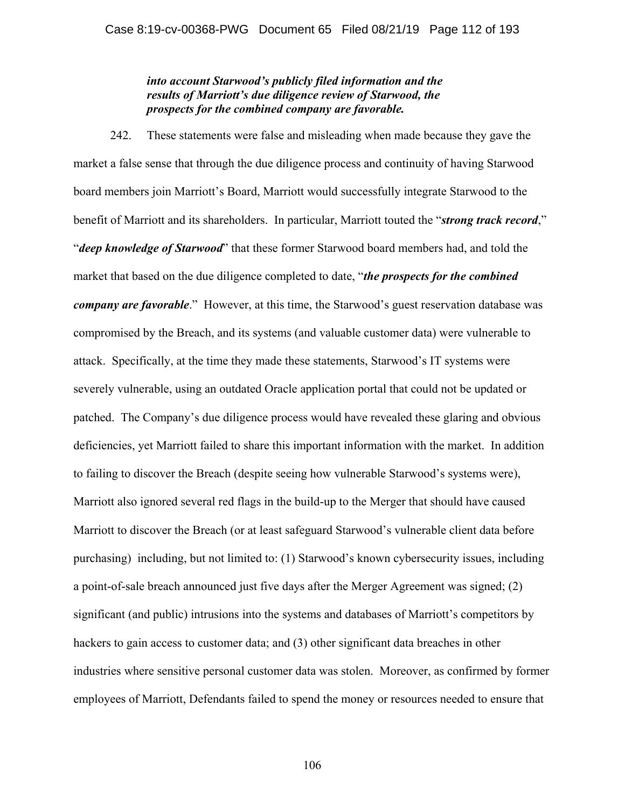### *into account Starwood's publicly filed information and the results of Marriott's due diligence review of Starwood, the prospects for the combined company are favorable.*

242. These statements were false and misleading when made because they gave the market a false sense that through the due diligence process and continuity of having Starwood board members join Marriott's Board, Marriott would successfully integrate Starwood to the benefit of Marriott and its shareholders. In particular, Marriott touted the "*strong track record*," "*deep knowledge of Starwood*" that these former Starwood board members had, and told the market that based on the due diligence completed to date, "*the prospects for the combined company are favorable*." However, at this time, the Starwood's guest reservation database was compromised by the Breach, and its systems (and valuable customer data) were vulnerable to attack. Specifically, at the time they made these statements, Starwood's IT systems were severely vulnerable, using an outdated Oracle application portal that could not be updated or patched. The Company's due diligence process would have revealed these glaring and obvious deficiencies, yet Marriott failed to share this important information with the market. In addition to failing to discover the Breach (despite seeing how vulnerable Starwood's systems were), Marriott also ignored several red flags in the build-up to the Merger that should have caused Marriott to discover the Breach (or at least safeguard Starwood's vulnerable client data before purchasing) including, but not limited to: (1) Starwood's known cybersecurity issues, including a point-of-sale breach announced just five days after the Merger Agreement was signed; (2) significant (and public) intrusions into the systems and databases of Marriott's competitors by hackers to gain access to customer data; and (3) other significant data breaches in other industries where sensitive personal customer data was stolen. Moreover, as confirmed by former employees of Marriott, Defendants failed to spend the money or resources needed to ensure that

106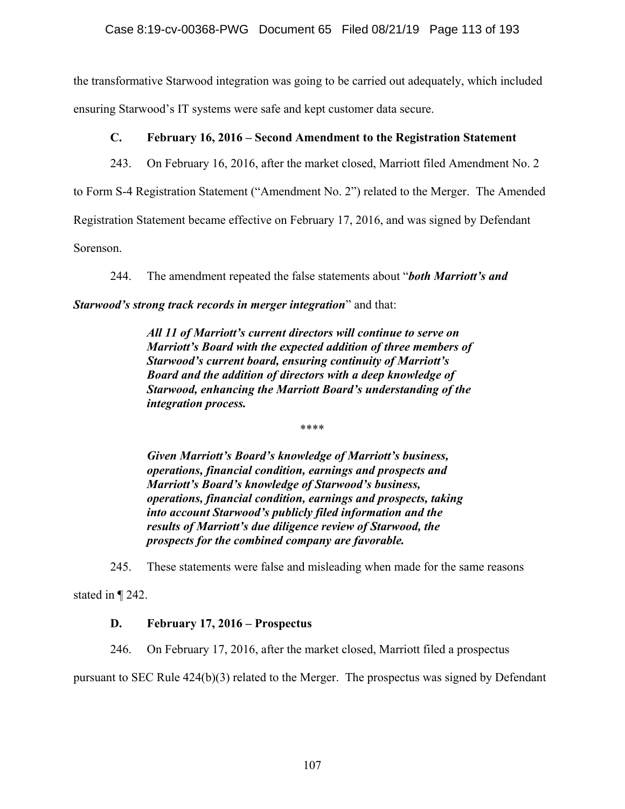the transformative Starwood integration was going to be carried out adequately, which included ensuring Starwood's IT systems were safe and kept customer data secure.

# **C. February 16, 2016 – Second Amendment to the Registration Statement**

243. On February 16, 2016, after the market closed, Marriott filed Amendment No. 2

to Form S-4 Registration Statement ("Amendment No. 2") related to the Merger. The Amended

Registration Statement became effective on February 17, 2016, and was signed by Defendant

Sorenson.

244. The amendment repeated the false statements about "*both Marriott's and* 

*Starwood's strong track records in merger integration*" and that:

*All 11 of Marriott's current directors will continue to serve on Marriott's Board with the expected addition of three members of Starwood's current board, ensuring continuity of Marriott's Board and the addition of directors with a deep knowledge of Starwood, enhancing the Marriott Board's understanding of the integration process.* 

\*\*\*\*

*Given Marriott's Board's knowledge of Marriott's business, operations, financial condition, earnings and prospects and Marriott's Board's knowledge of Starwood's business, operations, financial condition, earnings and prospects, taking into account Starwood's publicly filed information and the results of Marriott's due diligence review of Starwood, the prospects for the combined company are favorable.* 

245. These statements were false and misleading when made for the same reasons

stated in ¶ 242.

# **D. February 17, 2016 – Prospectus**

246. On February 17, 2016, after the market closed, Marriott filed a prospectus

pursuant to SEC Rule 424(b)(3) related to the Merger. The prospectus was signed by Defendant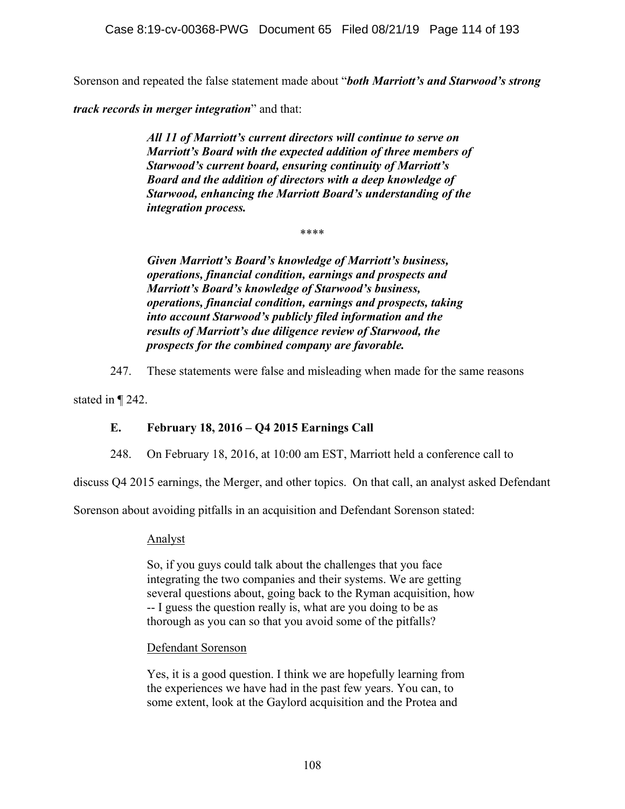Sorenson and repeated the false statement made about "*both Marriott's and Starwood's strong* 

*track records in merger integration*" and that:

*All 11 of Marriott's current directors will continue to serve on Marriott's Board with the expected addition of three members of Starwood's current board, ensuring continuity of Marriott's Board and the addition of directors with a deep knowledge of Starwood, enhancing the Marriott Board's understanding of the integration process.* 

\*\*\*\*

*Given Marriott's Board's knowledge of Marriott's business, operations, financial condition, earnings and prospects and Marriott's Board's knowledge of Starwood's business, operations, financial condition, earnings and prospects, taking into account Starwood's publicly filed information and the results of Marriott's due diligence review of Starwood, the prospects for the combined company are favorable.* 

247. These statements were false and misleading when made for the same reasons

stated in ¶ 242.

## **E. February 18, 2016 – Q4 2015 Earnings Call**

248. On February 18, 2016, at 10:00 am EST, Marriott held a conference call to

discuss Q4 2015 earnings, the Merger, and other topics. On that call, an analyst asked Defendant

Sorenson about avoiding pitfalls in an acquisition and Defendant Sorenson stated:

### Analyst

So, if you guys could talk about the challenges that you face integrating the two companies and their systems. We are getting several questions about, going back to the Ryman acquisition, how -- I guess the question really is, what are you doing to be as thorough as you can so that you avoid some of the pitfalls?

### Defendant Sorenson

Yes, it is a good question. I think we are hopefully learning from the experiences we have had in the past few years. You can, to some extent, look at the Gaylord acquisition and the Protea and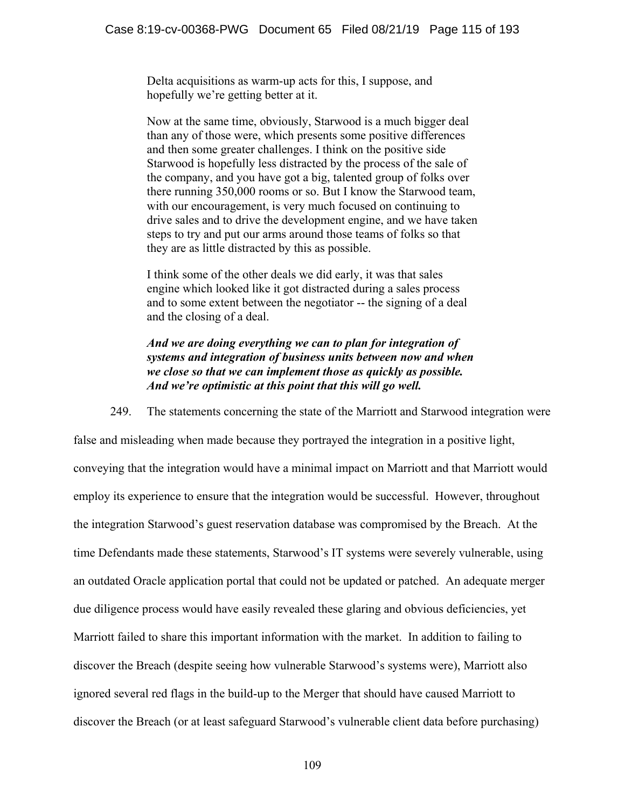Delta acquisitions as warm-up acts for this, I suppose, and hopefully we're getting better at it.

Now at the same time, obviously, Starwood is a much bigger deal than any of those were, which presents some positive differences and then some greater challenges. I think on the positive side Starwood is hopefully less distracted by the process of the sale of the company, and you have got a big, talented group of folks over there running 350,000 rooms or so. But I know the Starwood team, with our encouragement, is very much focused on continuing to drive sales and to drive the development engine, and we have taken steps to try and put our arms around those teams of folks so that they are as little distracted by this as possible.

I think some of the other deals we did early, it was that sales engine which looked like it got distracted during a sales process and to some extent between the negotiator -- the signing of a deal and the closing of a deal.

*And we are doing everything we can to plan for integration of systems and integration of business units between now and when we close so that we can implement those as quickly as possible. And we're optimistic at this point that this will go well.* 

249. The statements concerning the state of the Marriott and Starwood integration were

false and misleading when made because they portrayed the integration in a positive light, conveying that the integration would have a minimal impact on Marriott and that Marriott would employ its experience to ensure that the integration would be successful. However, throughout the integration Starwood's guest reservation database was compromised by the Breach. At the time Defendants made these statements, Starwood's IT systems were severely vulnerable, using an outdated Oracle application portal that could not be updated or patched. An adequate merger due diligence process would have easily revealed these glaring and obvious deficiencies, yet Marriott failed to share this important information with the market. In addition to failing to discover the Breach (despite seeing how vulnerable Starwood's systems were), Marriott also ignored several red flags in the build-up to the Merger that should have caused Marriott to discover the Breach (or at least safeguard Starwood's vulnerable client data before purchasing)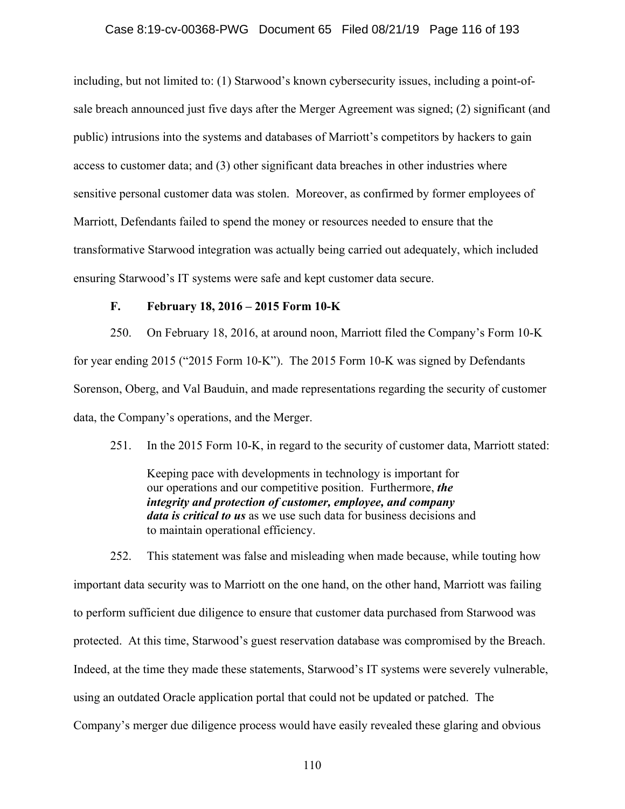#### Case 8:19-cv-00368-PWG Document 65 Filed 08/21/19 Page 116 of 193

including, but not limited to: (1) Starwood's known cybersecurity issues, including a point-ofsale breach announced just five days after the Merger Agreement was signed; (2) significant (and public) intrusions into the systems and databases of Marriott's competitors by hackers to gain access to customer data; and (3) other significant data breaches in other industries where sensitive personal customer data was stolen. Moreover, as confirmed by former employees of Marriott, Defendants failed to spend the money or resources needed to ensure that the transformative Starwood integration was actually being carried out adequately, which included ensuring Starwood's IT systems were safe and kept customer data secure.

#### **F. February 18, 2016 – 2015 Form 10-K**

250. On February 18, 2016, at around noon, Marriott filed the Company's Form 10-K for year ending 2015 ("2015 Form 10-K"). The 2015 Form 10-K was signed by Defendants Sorenson, Oberg, and Val Bauduin, and made representations regarding the security of customer data, the Company's operations, and the Merger.

251. In the 2015 Form 10-K, in regard to the security of customer data, Marriott stated:

Keeping pace with developments in technology is important for our operations and our competitive position. Furthermore, *the integrity and protection of customer, employee, and company data is critical to us* as we use such data for business decisions and to maintain operational efficiency.

252. This statement was false and misleading when made because, while touting how important data security was to Marriott on the one hand, on the other hand, Marriott was failing to perform sufficient due diligence to ensure that customer data purchased from Starwood was protected. At this time, Starwood's guest reservation database was compromised by the Breach. Indeed, at the time they made these statements, Starwood's IT systems were severely vulnerable, using an outdated Oracle application portal that could not be updated or patched. The Company's merger due diligence process would have easily revealed these glaring and obvious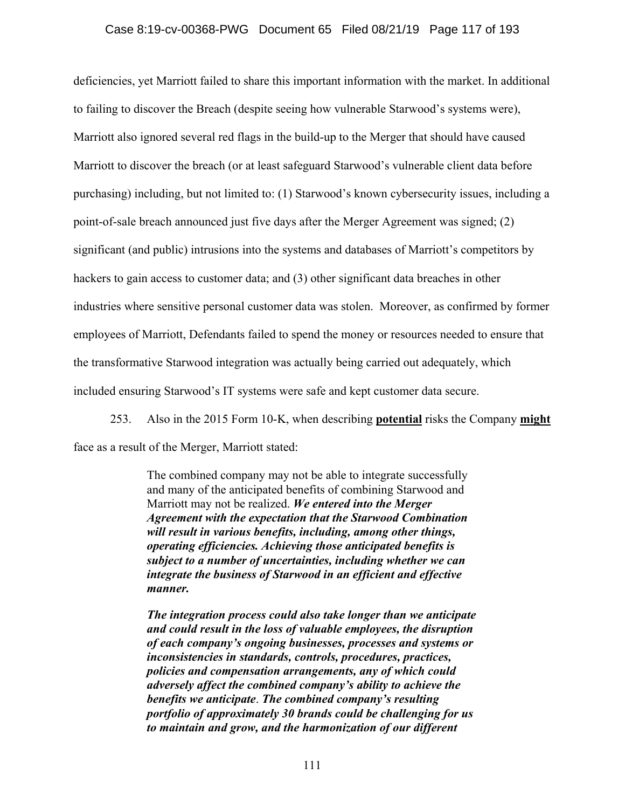#### Case 8:19-cv-00368-PWG Document 65 Filed 08/21/19 Page 117 of 193

deficiencies, yet Marriott failed to share this important information with the market. In additional to failing to discover the Breach (despite seeing how vulnerable Starwood's systems were), Marriott also ignored several red flags in the build-up to the Merger that should have caused Marriott to discover the breach (or at least safeguard Starwood's vulnerable client data before purchasing) including, but not limited to: (1) Starwood's known cybersecurity issues, including a point-of-sale breach announced just five days after the Merger Agreement was signed; (2) significant (and public) intrusions into the systems and databases of Marriott's competitors by hackers to gain access to customer data; and (3) other significant data breaches in other industries where sensitive personal customer data was stolen. Moreover, as confirmed by former employees of Marriott, Defendants failed to spend the money or resources needed to ensure that the transformative Starwood integration was actually being carried out adequately, which included ensuring Starwood's IT systems were safe and kept customer data secure.

253. Also in the 2015 Form 10-K, when describing **potential** risks the Company **might** face as a result of the Merger, Marriott stated:

> The combined company may not be able to integrate successfully and many of the anticipated benefits of combining Starwood and Marriott may not be realized. *We entered into the Merger Agreement with the expectation that the Starwood Combination will result in various benefits, including, among other things, operating efficiencies. Achieving those anticipated benefits is subject to a number of uncertainties, including whether we can integrate the business of Starwood in an efficient and effective manner.*

*The integration process could also take longer than we anticipate and could result in the loss of valuable employees, the disruption of each company's ongoing businesses, processes and systems or inconsistencies in standards, controls, procedures, practices, policies and compensation arrangements, any of which could adversely affect the combined company's ability to achieve the benefits we anticipate*. *The combined company's resulting portfolio of approximately 30 brands could be challenging for us to maintain and grow, and the harmonization of our different*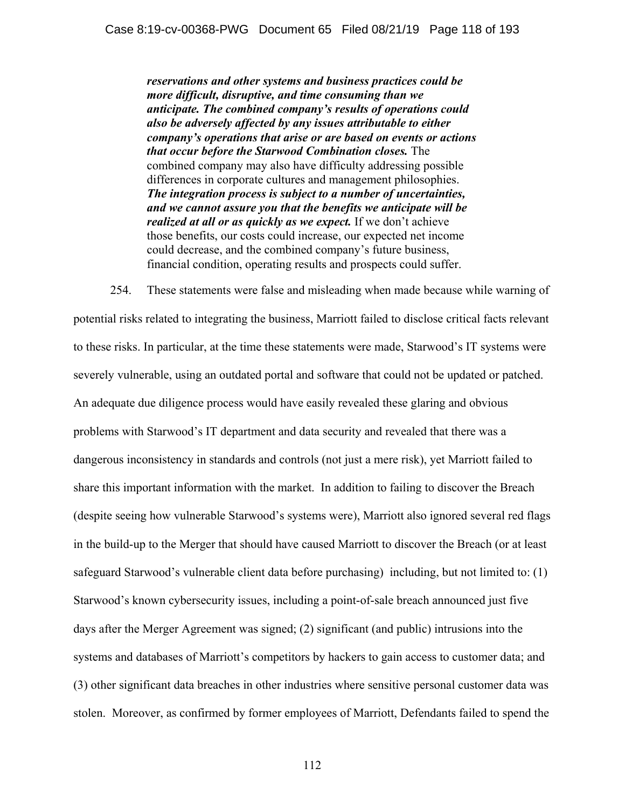*reservations and other systems and business practices could be more difficult, disruptive, and time consuming than we anticipate. The combined company's results of operations could also be adversely affected by any issues attributable to either company's operations that arise or are based on events or actions that occur before the Starwood Combination closes.* The combined company may also have difficulty addressing possible differences in corporate cultures and management philosophies. *The integration process is subject to a number of uncertainties, and we cannot assure you that the benefits we anticipate will be realized at all or as quickly as we expect.* If we don't achieve those benefits, our costs could increase, our expected net income could decrease, and the combined company's future business, financial condition, operating results and prospects could suffer.

254. These statements were false and misleading when made because while warning of potential risks related to integrating the business, Marriott failed to disclose critical facts relevant to these risks. In particular, at the time these statements were made, Starwood's IT systems were severely vulnerable, using an outdated portal and software that could not be updated or patched. An adequate due diligence process would have easily revealed these glaring and obvious problems with Starwood's IT department and data security and revealed that there was a dangerous inconsistency in standards and controls (not just a mere risk), yet Marriott failed to share this important information with the market. In addition to failing to discover the Breach (despite seeing how vulnerable Starwood's systems were), Marriott also ignored several red flags in the build-up to the Merger that should have caused Marriott to discover the Breach (or at least safeguard Starwood's vulnerable client data before purchasing) including, but not limited to: (1) Starwood's known cybersecurity issues, including a point-of-sale breach announced just five days after the Merger Agreement was signed; (2) significant (and public) intrusions into the systems and databases of Marriott's competitors by hackers to gain access to customer data; and (3) other significant data breaches in other industries where sensitive personal customer data was stolen. Moreover, as confirmed by former employees of Marriott, Defendants failed to spend the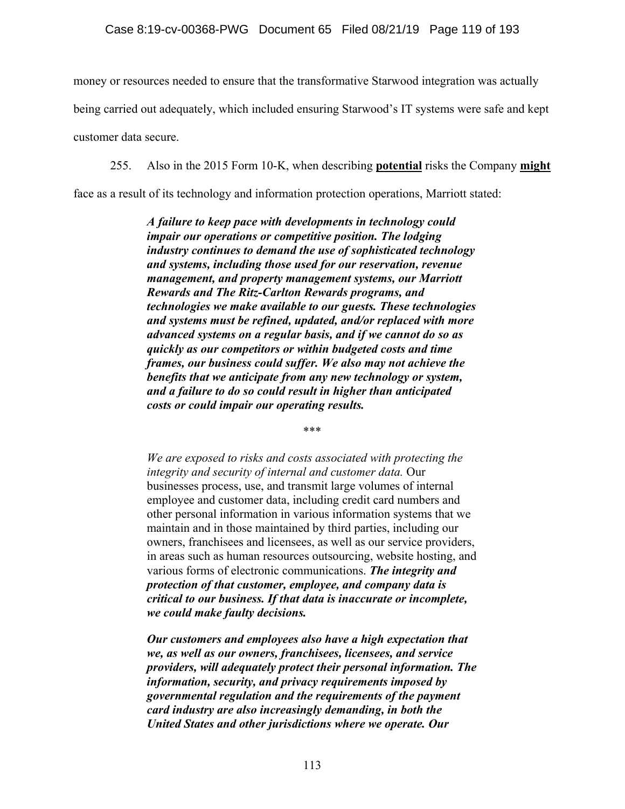money or resources needed to ensure that the transformative Starwood integration was actually

being carried out adequately, which included ensuring Starwood's IT systems were safe and kept

customer data secure.

255. Also in the 2015 Form 10-K, when describing **potential** risks the Company **might**

face as a result of its technology and information protection operations, Marriott stated:

*A failure to keep pace with developments in technology could impair our operations or competitive position. The lodging industry continues to demand the use of sophisticated technology and systems, including those used for our reservation, revenue management, and property management systems, our Marriott Rewards and The Ritz-Carlton Rewards programs, and technologies we make available to our guests. These technologies and systems must be refined, updated, and/or replaced with more advanced systems on a regular basis, and if we cannot do so as quickly as our competitors or within budgeted costs and time frames, our business could suffer. We also may not achieve the benefits that we anticipate from any new technology or system, and a failure to do so could result in higher than anticipated costs or could impair our operating results.* 

\*\*\*

*We are exposed to risks and costs associated with protecting the integrity and security of internal and customer data.* Our businesses process, use, and transmit large volumes of internal employee and customer data, including credit card numbers and other personal information in various information systems that we maintain and in those maintained by third parties, including our owners, franchisees and licensees, as well as our service providers, in areas such as human resources outsourcing, website hosting, and various forms of electronic communications. *The integrity and protection of that customer, employee, and company data is critical to our business. If that data is inaccurate or incomplete, we could make faulty decisions.*

*Our customers and employees also have a high expectation that we, as well as our owners, franchisees, licensees, and service providers, will adequately protect their personal information. The information, security, and privacy requirements imposed by governmental regulation and the requirements of the payment card industry are also increasingly demanding, in both the United States and other jurisdictions where we operate. Our*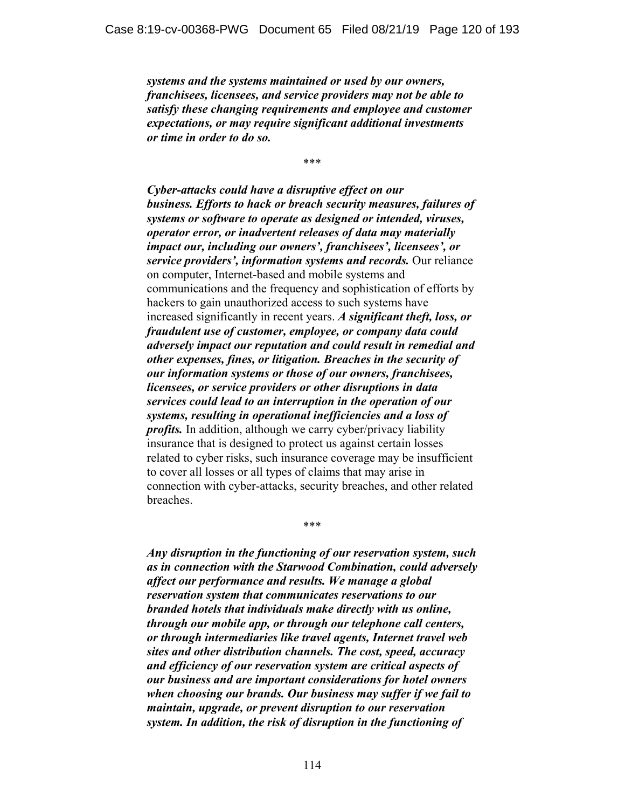*systems and the systems maintained or used by our owners, franchisees, licensees, and service providers may not be able to satisfy these changing requirements and employee and customer expectations, or may require significant additional investments or time in order to do so.*

\*\*\*

*Cyber-attacks could have a disruptive effect on our business. Efforts to hack or breach security measures, failures of systems or software to operate as designed or intended, viruses, operator error, or inadvertent releases of data may materially impact our, including our owners', franchisees', licensees', or service providers', information systems and records.* Our reliance on computer, Internet-based and mobile systems and communications and the frequency and sophistication of efforts by hackers to gain unauthorized access to such systems have increased significantly in recent years. *A significant theft, loss, or fraudulent use of customer, employee, or company data could adversely impact our reputation and could result in remedial and other expenses, fines, or litigation. Breaches in the security of our information systems or those of our owners, franchisees, licensees, or service providers or other disruptions in data services could lead to an interruption in the operation of our systems, resulting in operational inefficiencies and a loss of profits.* In addition, although we carry cyber/privacy liability insurance that is designed to protect us against certain losses related to cyber risks, such insurance coverage may be insufficient to cover all losses or all types of claims that may arise in connection with cyber-attacks, security breaches, and other related breaches.

*Any disruption in the functioning of our reservation system, such as in connection with the Starwood Combination, could adversely affect our performance and results. We manage a global reservation system that communicates reservations to our branded hotels that individuals make directly with us online, through our mobile app, or through our telephone call centers, or through intermediaries like travel agents, Internet travel web sites and other distribution channels. The cost, speed, accuracy and efficiency of our reservation system are critical aspects of our business and are important considerations for hotel owners when choosing our brands. Our business may suffer if we fail to maintain, upgrade, or prevent disruption to our reservation system. In addition, the risk of disruption in the functioning of* 

\*\*\*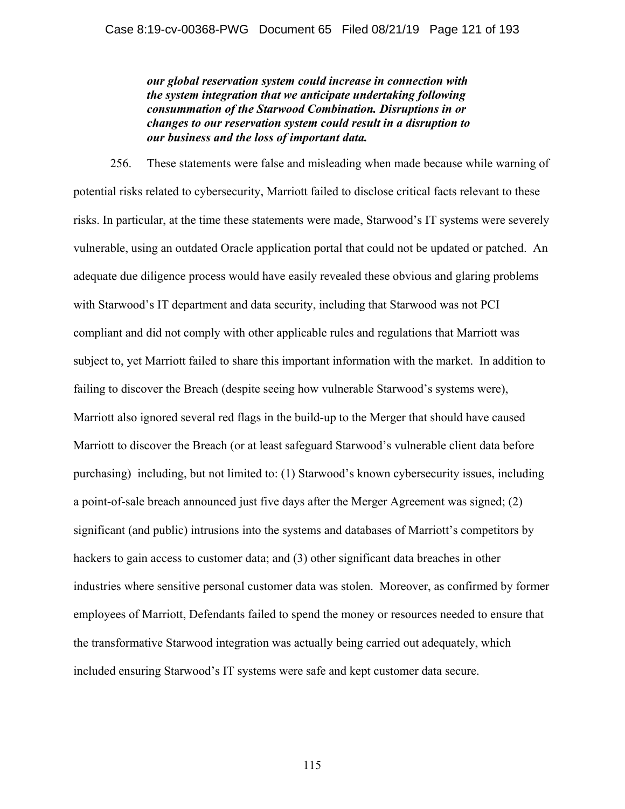#### Case 8:19-cv-00368-PWG Document 65 Filed 08/21/19 Page 121 of 193

*our global reservation system could increase in connection with the system integration that we anticipate undertaking following consummation of the Starwood Combination. Disruptions in or changes to our reservation system could result in a disruption to our business and the loss of important data.*

256. These statements were false and misleading when made because while warning of potential risks related to cybersecurity, Marriott failed to disclose critical facts relevant to these risks. In particular, at the time these statements were made, Starwood's IT systems were severely vulnerable, using an outdated Oracle application portal that could not be updated or patched. An adequate due diligence process would have easily revealed these obvious and glaring problems with Starwood's IT department and data security, including that Starwood was not PCI compliant and did not comply with other applicable rules and regulations that Marriott was subject to, yet Marriott failed to share this important information with the market. In addition to failing to discover the Breach (despite seeing how vulnerable Starwood's systems were), Marriott also ignored several red flags in the build-up to the Merger that should have caused Marriott to discover the Breach (or at least safeguard Starwood's vulnerable client data before purchasing) including, but not limited to: (1) Starwood's known cybersecurity issues, including a point-of-sale breach announced just five days after the Merger Agreement was signed; (2) significant (and public) intrusions into the systems and databases of Marriott's competitors by hackers to gain access to customer data; and (3) other significant data breaches in other industries where sensitive personal customer data was stolen. Moreover, as confirmed by former employees of Marriott, Defendants failed to spend the money or resources needed to ensure that the transformative Starwood integration was actually being carried out adequately, which included ensuring Starwood's IT systems were safe and kept customer data secure.

115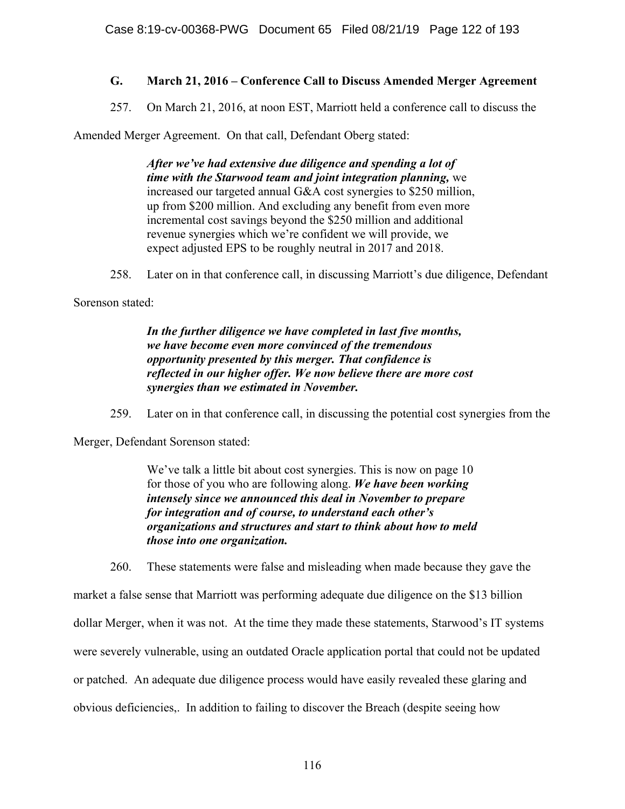# **G. March 21, 2016 – Conference Call to Discuss Amended Merger Agreement**

257. On March 21, 2016, at noon EST, Marriott held a conference call to discuss the

Amended Merger Agreement. On that call, Defendant Oberg stated:

*After we've had extensive due diligence and spending a lot of time with the Starwood team and joint integration planning,* we increased our targeted annual G&A cost synergies to \$250 million, up from \$200 million. And excluding any benefit from even more incremental cost savings beyond the \$250 million and additional revenue synergies which we're confident we will provide, we expect adjusted EPS to be roughly neutral in 2017 and 2018.

258. Later on in that conference call, in discussing Marriott's due diligence, Defendant

Sorenson stated:

*In the further diligence we have completed in last five months, we have become even more convinced of the tremendous opportunity presented by this merger. That confidence is reflected in our higher offer. We now believe there are more cost synergies than we estimated in November.* 

259. Later on in that conference call, in discussing the potential cost synergies from the

Merger, Defendant Sorenson stated:

We've talk a little bit about cost synergies. This is now on page 10 for those of you who are following along. *We have been working intensely since we announced this deal in November to prepare for integration and of course, to understand each other's organizations and structures and start to think about how to meld those into one organization.*

260. These statements were false and misleading when made because they gave the

market a false sense that Marriott was performing adequate due diligence on the \$13 billion dollar Merger, when it was not. At the time they made these statements, Starwood's IT systems were severely vulnerable, using an outdated Oracle application portal that could not be updated or patched. An adequate due diligence process would have easily revealed these glaring and obvious deficiencies,. In addition to failing to discover the Breach (despite seeing how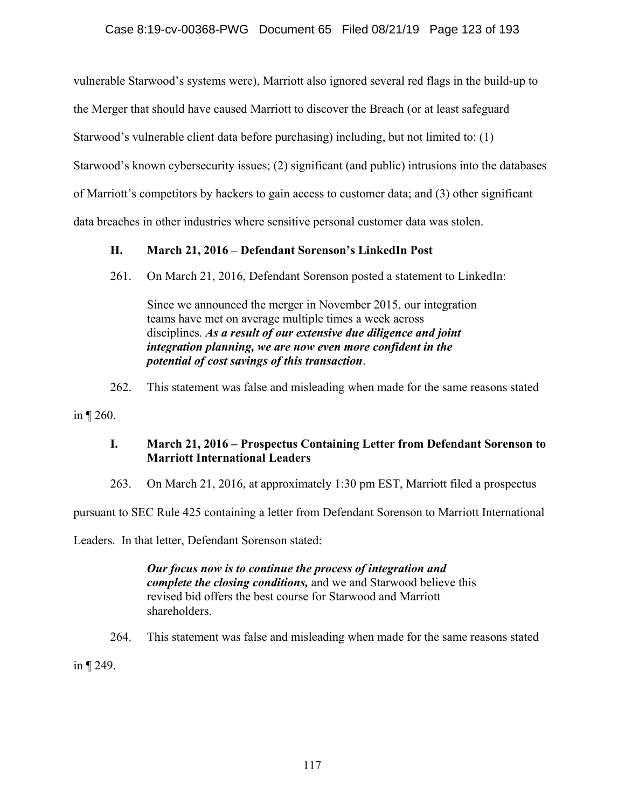vulnerable Starwood's systems were), Marriott also ignored several red flags in the build-up to

the Merger that should have caused Marriott to discover the Breach (or at least safeguard

Starwood's vulnerable client data before purchasing) including, but not limited to: (1)

Starwood's known cybersecurity issues; (2) significant (and public) intrusions into the databases

of Marriott's competitors by hackers to gain access to customer data; and (3) other significant

data breaches in other industries where sensitive personal customer data was stolen.

# **H. March 21, 2016 – Defendant Sorenson's LinkedIn Post**

261. On March 21, 2016, Defendant Sorenson posted a statement to LinkedIn:

Since we announced the merger in November 2015, our integration teams have met on average multiple times a week across disciplines. *As a result of our extensive due diligence and joint integration planning, we are now even more confident in the potential of cost savings of this transaction*.

262. This statement was false and misleading when made for the same reasons stated

in  $\P$  260.

## **I. March 21, 2016 – Prospectus Containing Letter from Defendant Sorenson to Marriott International Leaders**

263. On March 21, 2016, at approximately 1:30 pm EST, Marriott filed a prospectus

pursuant to SEC Rule 425 containing a letter from Defendant Sorenson to Marriott International

Leaders. In that letter, Defendant Sorenson stated:

*Our focus now is to continue the process of integration and complete the closing conditions,* and we and Starwood believe this revised bid offers the best course for Starwood and Marriott shareholders.

264. This statement was false and misleading when made for the same reasons stated

in  $\P$  249.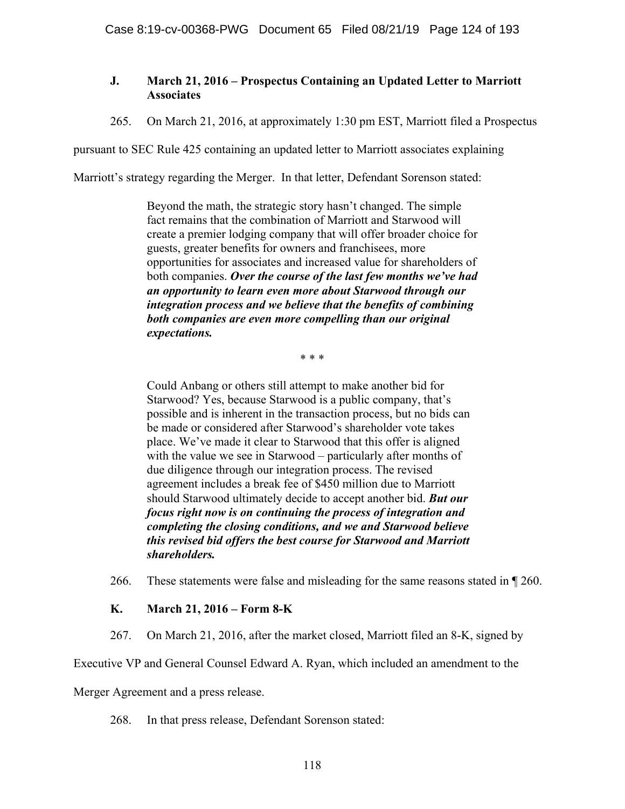## **J. March 21, 2016 – Prospectus Containing an Updated Letter to Marriott Associates**

265. On March 21, 2016, at approximately 1:30 pm EST, Marriott filed a Prospectus

pursuant to SEC Rule 425 containing an updated letter to Marriott associates explaining

Marriott's strategy regarding the Merger. In that letter, Defendant Sorenson stated:

Beyond the math, the strategic story hasn't changed. The simple fact remains that the combination of Marriott and Starwood will create a premier lodging company that will offer broader choice for guests, greater benefits for owners and franchisees, more opportunities for associates and increased value for shareholders of both companies. *Over the course of the last few months we've had an opportunity to learn even more about Starwood through our integration process and we believe that the benefits of combining both companies are even more compelling than our original expectations.*

\* \* \*

Could Anbang or others still attempt to make another bid for Starwood? Yes, because Starwood is a public company, that's possible and is inherent in the transaction process, but no bids can be made or considered after Starwood's shareholder vote takes place. We've made it clear to Starwood that this offer is aligned with the value we see in Starwood – particularly after months of due diligence through our integration process. The revised agreement includes a break fee of \$450 million due to Marriott should Starwood ultimately decide to accept another bid. *But our focus right now is on continuing the process of integration and completing the closing conditions, and we and Starwood believe this revised bid offers the best course for Starwood and Marriott shareholders.*

266. These statements were false and misleading for the same reasons stated in ¶ 260.

## **K. March 21, 2016 – Form 8-K**

267. On March 21, 2016, after the market closed, Marriott filed an 8-K, signed by

Executive VP and General Counsel Edward A. Ryan, which included an amendment to the

Merger Agreement and a press release.

268. In that press release, Defendant Sorenson stated: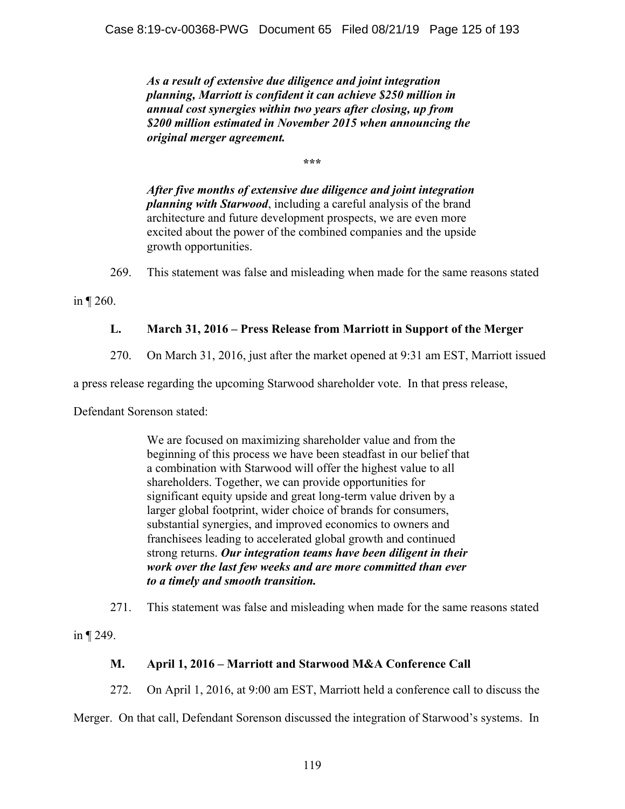*As a result of extensive due diligence and joint integration planning, Marriott is confident it can achieve \$250 million in annual cost synergies within two years after closing, up from \$200 million estimated in November 2015 when announcing the original merger agreement.* 

**\*\*\*** 

*After five months of extensive due diligence and joint integration planning with Starwood*, including a careful analysis of the brand architecture and future development prospects, we are even more excited about the power of the combined companies and the upside growth opportunities.

269. This statement was false and misleading when made for the same reasons stated

in ¶ 260.

## **L. March 31, 2016 – Press Release from Marriott in Support of the Merger**

270. On March 31, 2016, just after the market opened at 9:31 am EST, Marriott issued

a press release regarding the upcoming Starwood shareholder vote. In that press release,

Defendant Sorenson stated:

We are focused on maximizing shareholder value and from the beginning of this process we have been steadfast in our belief that a combination with Starwood will offer the highest value to all shareholders. Together, we can provide opportunities for significant equity upside and great long-term value driven by a larger global footprint, wider choice of brands for consumers, substantial synergies, and improved economics to owners and franchisees leading to accelerated global growth and continued strong returns. *Our integration teams have been diligent in their work over the last few weeks and are more committed than ever to a timely and smooth transition.*

271. This statement was false and misleading when made for the same reasons stated

in ¶ 249.

## **M. April 1, 2016 – Marriott and Starwood M&A Conference Call**

272. On April 1, 2016, at 9:00 am EST, Marriott held a conference call to discuss the

Merger. On that call, Defendant Sorenson discussed the integration of Starwood's systems. In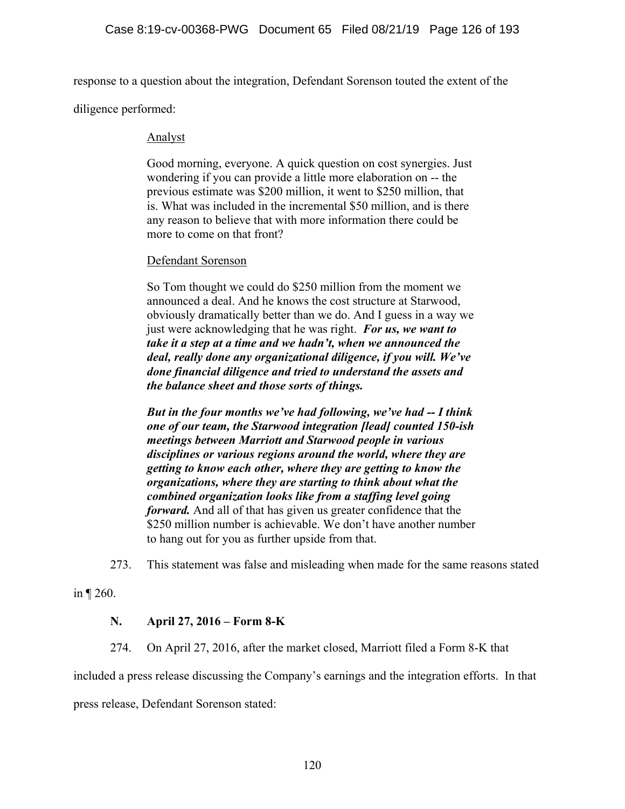response to a question about the integration, Defendant Sorenson touted the extent of the

diligence performed:

#### Analyst

Good morning, everyone. A quick question on cost synergies. Just wondering if you can provide a little more elaboration on -- the previous estimate was \$200 million, it went to \$250 million, that is. What was included in the incremental \$50 million, and is there any reason to believe that with more information there could be more to come on that front?

#### Defendant Sorenson

So Tom thought we could do \$250 million from the moment we announced a deal. And he knows the cost structure at Starwood, obviously dramatically better than we do. And I guess in a way we just were acknowledging that he was right. *For us, we want to take it a step at a time and we hadn't, when we announced the deal, really done any organizational diligence, if you will. We've done financial diligence and tried to understand the assets and the balance sheet and those sorts of things.*

*But in the four months we've had following, we've had -- I think one of our team, the Starwood integration [lead] counted 150-ish meetings between Marriott and Starwood people in various disciplines or various regions around the world, where they are getting to know each other, where they are getting to know the organizations, where they are starting to think about what the combined organization looks like from a staffing level going forward.* And all of that has given us greater confidence that the \$250 million number is achievable. We don't have another number to hang out for you as further upside from that.

273. This statement was false and misleading when made for the same reasons stated

in ¶ 260.

### **N. April 27, 2016 – Form 8-K**

274. On April 27, 2016, after the market closed, Marriott filed a Form 8-K that

included a press release discussing the Company's earnings and the integration efforts. In that

press release, Defendant Sorenson stated: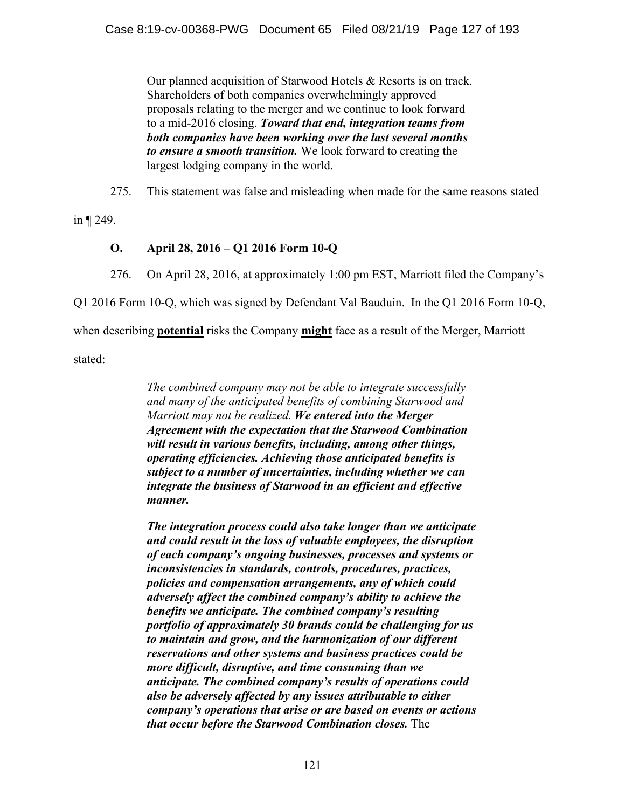Our planned acquisition of Starwood Hotels & Resorts is on track. Shareholders of both companies overwhelmingly approved proposals relating to the merger and we continue to look forward to a mid-2016 closing. *Toward that end, integration teams from both companies have been working over the last several months to ensure a smooth transition.* We look forward to creating the largest lodging company in the world.

275. This statement was false and misleading when made for the same reasons stated

in ¶ 249.

# **O. April 28, 2016 – Q1 2016 Form 10-Q**

276. On April 28, 2016, at approximately 1:00 pm EST, Marriott filed the Company's

Q1 2016 Form 10-Q, which was signed by Defendant Val Bauduin. In the Q1 2016 Form 10-Q,

when describing **potential** risks the Company **might** face as a result of the Merger, Marriott

stated:

*The combined company may not be able to integrate successfully and many of the anticipated benefits of combining Starwood and Marriott may not be realized. We entered into the Merger Agreement with the expectation that the Starwood Combination will result in various benefits, including, among other things, operating efficiencies. Achieving those anticipated benefits is subject to a number of uncertainties, including whether we can integrate the business of Starwood in an efficient and effective manner.*

*The integration process could also take longer than we anticipate and could result in the loss of valuable employees, the disruption of each company's ongoing businesses, processes and systems or inconsistencies in standards, controls, procedures, practices, policies and compensation arrangements, any of which could adversely affect the combined company's ability to achieve the benefits we anticipate. The combined company's resulting portfolio of approximately 30 brands could be challenging for us to maintain and grow, and the harmonization of our different reservations and other systems and business practices could be more difficult, disruptive, and time consuming than we anticipate. The combined company's results of operations could also be adversely affected by any issues attributable to either company's operations that arise or are based on events or actions that occur before the Starwood Combination closes.* The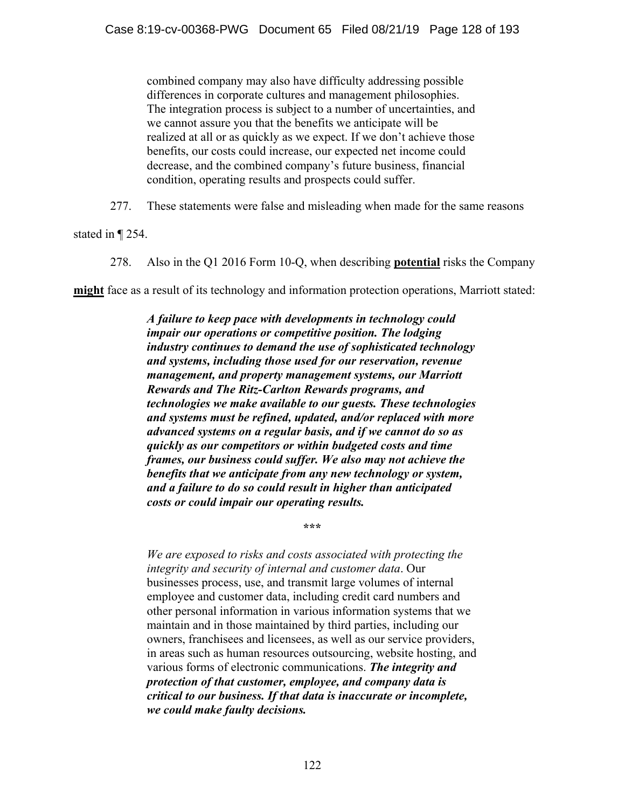combined company may also have difficulty addressing possible differences in corporate cultures and management philosophies. The integration process is subject to a number of uncertainties, and we cannot assure you that the benefits we anticipate will be realized at all or as quickly as we expect. If we don't achieve those benefits, our costs could increase, our expected net income could decrease, and the combined company's future business, financial condition, operating results and prospects could suffer.

277. These statements were false and misleading when made for the same reasons

stated in ¶ 254.

278. Also in the Q1 2016 Form 10-Q, when describing **potential** risks the Company

**might** face as a result of its technology and information protection operations, Marriott stated:

*A failure to keep pace with developments in technology could impair our operations or competitive position. The lodging industry continues to demand the use of sophisticated technology and systems, including those used for our reservation, revenue management, and property management systems, our Marriott Rewards and The Ritz-Carlton Rewards programs, and technologies we make available to our guests. These technologies and systems must be refined, updated, and/or replaced with more advanced systems on a regular basis, and if we cannot do so as quickly as our competitors or within budgeted costs and time frames, our business could suffer. We also may not achieve the benefits that we anticipate from any new technology or system, and a failure to do so could result in higher than anticipated costs or could impair our operating results.*

**\*\*\*** 

*We are exposed to risks and costs associated with protecting the integrity and security of internal and customer data*. Our businesses process, use, and transmit large volumes of internal employee and customer data, including credit card numbers and other personal information in various information systems that we maintain and in those maintained by third parties, including our owners, franchisees and licensees, as well as our service providers, in areas such as human resources outsourcing, website hosting, and various forms of electronic communications. *The integrity and protection of that customer, employee, and company data is critical to our business. If that data is inaccurate or incomplete, we could make faulty decisions.*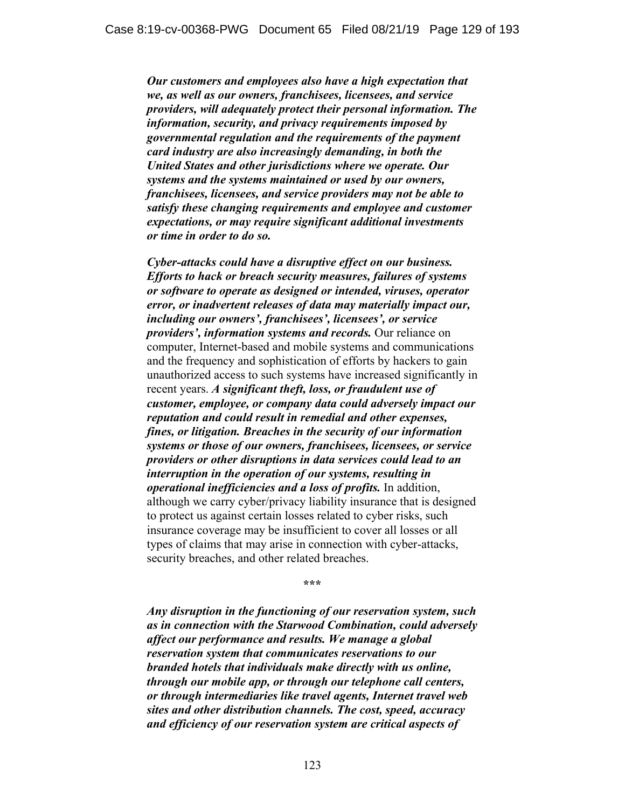*Our customers and employees also have a high expectation that we, as well as our owners, franchisees, licensees, and service providers, will adequately protect their personal information. The information, security, and privacy requirements imposed by governmental regulation and the requirements of the payment card industry are also increasingly demanding, in both the United States and other jurisdictions where we operate. Our systems and the systems maintained or used by our owners, franchisees, licensees, and service providers may not be able to satisfy these changing requirements and employee and customer expectations, or may require significant additional investments or time in order to do so.* 

*Cyber-attacks could have a disruptive effect on our business. Efforts to hack or breach security measures, failures of systems or software to operate as designed or intended, viruses, operator error, or inadvertent releases of data may materially impact our, including our owners', franchisees', licensees', or service providers', information systems and records.* Our reliance on computer, Internet-based and mobile systems and communications and the frequency and sophistication of efforts by hackers to gain unauthorized access to such systems have increased significantly in recent years. *A significant theft, loss, or fraudulent use of customer, employee, or company data could adversely impact our reputation and could result in remedial and other expenses, fines, or litigation. Breaches in the security of our information systems or those of our owners, franchisees, licensees, or service providers or other disruptions in data services could lead to an interruption in the operation of our systems, resulting in operational inefficiencies and a loss of profits.* In addition, although we carry cyber/privacy liability insurance that is designed to protect us against certain losses related to cyber risks, such insurance coverage may be insufficient to cover all losses or all types of claims that may arise in connection with cyber-attacks, security breaches, and other related breaches.

**\*\*\*** 

*Any disruption in the functioning of our reservation system, such as in connection with the Starwood Combination, could adversely affect our performance and results. We manage a global reservation system that communicates reservations to our branded hotels that individuals make directly with us online, through our mobile app, or through our telephone call centers, or through intermediaries like travel agents, Internet travel web sites and other distribution channels. The cost, speed, accuracy and efficiency of our reservation system are critical aspects of*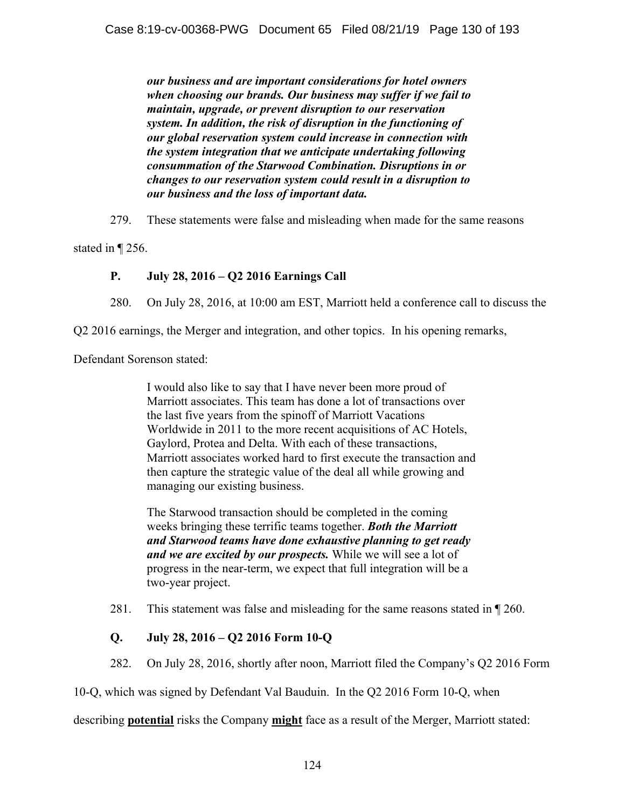*our business and are important considerations for hotel owners when choosing our brands. Our business may suffer if we fail to maintain, upgrade, or prevent disruption to our reservation system. In addition, the risk of disruption in the functioning of our global reservation system could increase in connection with the system integration that we anticipate undertaking following consummation of the Starwood Combination. Disruptions in or changes to our reservation system could result in a disruption to our business and the loss of important data.*

279. These statements were false and misleading when made for the same reasons

stated in ¶ 256.

# **P. July 28, 2016 – Q2 2016 Earnings Call**

280. On July 28, 2016, at 10:00 am EST, Marriott held a conference call to discuss the

Q2 2016 earnings, the Merger and integration, and other topics. In his opening remarks,

Defendant Sorenson stated:

I would also like to say that I have never been more proud of Marriott associates. This team has done a lot of transactions over the last five years from the spinoff of Marriott Vacations Worldwide in 2011 to the more recent acquisitions of AC Hotels, Gaylord, Protea and Delta. With each of these transactions, Marriott associates worked hard to first execute the transaction and then capture the strategic value of the deal all while growing and managing our existing business.

The Starwood transaction should be completed in the coming weeks bringing these terrific teams together. *Both the Marriott and Starwood teams have done exhaustive planning to get ready and we are excited by our prospects.* While we will see a lot of progress in the near-term, we expect that full integration will be a two-year project.

281. This statement was false and misleading for the same reasons stated in ¶ 260.

# **Q. July 28, 2016 – Q2 2016 Form 10-Q**

282. On July 28, 2016, shortly after noon, Marriott filed the Company's Q2 2016 Form

10-Q, which was signed by Defendant Val Bauduin. In the Q2 2016 Form 10-Q, when

describing **potential** risks the Company **might** face as a result of the Merger, Marriott stated: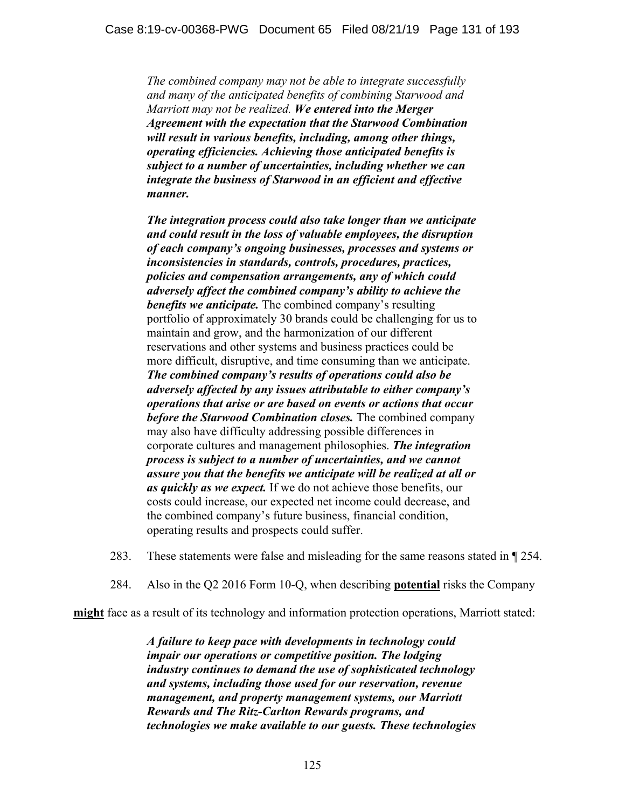*The combined company may not be able to integrate successfully and many of the anticipated benefits of combining Starwood and Marriott may not be realized. We entered into the Merger Agreement with the expectation that the Starwood Combination will result in various benefits, including, among other things, operating efficiencies. Achieving those anticipated benefits is subject to a number of uncertainties, including whether we can integrate the business of Starwood in an efficient and effective manner.* 

*The integration process could also take longer than we anticipate and could result in the loss of valuable employees, the disruption of each company's ongoing businesses, processes and systems or inconsistencies in standards, controls, procedures, practices, policies and compensation arrangements, any of which could adversely affect the combined company's ability to achieve the benefits we anticipate.* The combined company's resulting portfolio of approximately 30 brands could be challenging for us to maintain and grow, and the harmonization of our different reservations and other systems and business practices could be more difficult, disruptive, and time consuming than we anticipate. *The combined company's results of operations could also be adversely affected by any issues attributable to either company's operations that arise or are based on events or actions that occur before the Starwood Combination closes.* The combined company may also have difficulty addressing possible differences in corporate cultures and management philosophies. *The integration process is subject to a number of uncertainties, and we cannot assure you that the benefits we anticipate will be realized at all or as quickly as we expect.* If we do not achieve those benefits, our costs could increase, our expected net income could decrease, and the combined company's future business, financial condition, operating results and prospects could suffer.

- 283. These statements were false and misleading for the same reasons stated in ¶ 254.
- 284. Also in the Q2 2016 Form 10-Q, when describing **potential** risks the Company

**might** face as a result of its technology and information protection operations, Marriott stated:

*A failure to keep pace with developments in technology could impair our operations or competitive position. The lodging industry continues to demand the use of sophisticated technology and systems, including those used for our reservation, revenue management, and property management systems, our Marriott Rewards and The Ritz-Carlton Rewards programs, and technologies we make available to our guests. These technologies*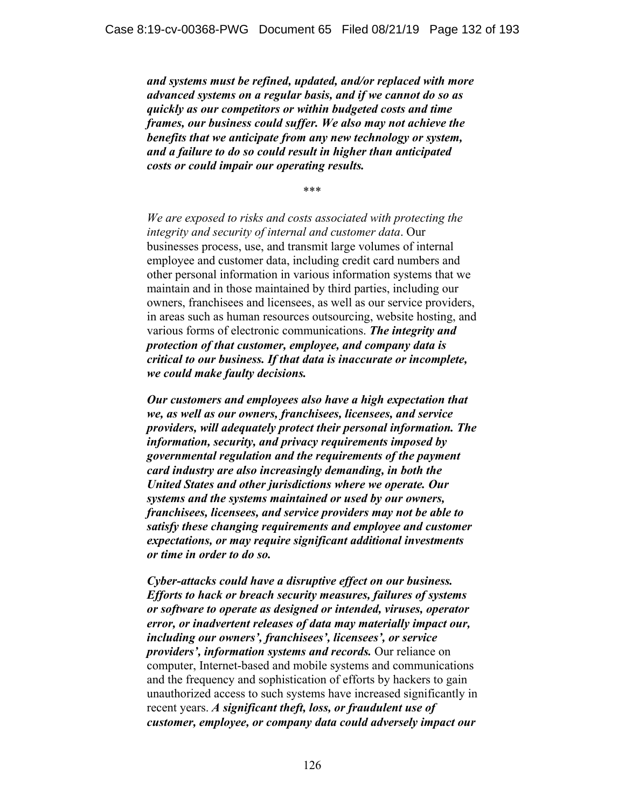*and systems must be refined, updated, and/or replaced with more advanced systems on a regular basis, and if we cannot do so as quickly as our competitors or within budgeted costs and time frames, our business could suffer. We also may not achieve the benefits that we anticipate from any new technology or system, and a failure to do so could result in higher than anticipated costs or could impair our operating results.* 

\*\*\*

*We are exposed to risks and costs associated with protecting the integrity and security of internal and customer data*. Our businesses process, use, and transmit large volumes of internal employee and customer data, including credit card numbers and other personal information in various information systems that we maintain and in those maintained by third parties, including our owners, franchisees and licensees, as well as our service providers, in areas such as human resources outsourcing, website hosting, and various forms of electronic communications. *The integrity and protection of that customer, employee, and company data is critical to our business. If that data is inaccurate or incomplete, we could make faulty decisions.*

*Our customers and employees also have a high expectation that we, as well as our owners, franchisees, licensees, and service providers, will adequately protect their personal information. The information, security, and privacy requirements imposed by governmental regulation and the requirements of the payment card industry are also increasingly demanding, in both the United States and other jurisdictions where we operate. Our systems and the systems maintained or used by our owners, franchisees, licensees, and service providers may not be able to satisfy these changing requirements and employee and customer expectations, or may require significant additional investments or time in order to do so.*

*Cyber-attacks could have a disruptive effect on our business. Efforts to hack or breach security measures, failures of systems or software to operate as designed or intended, viruses, operator error, or inadvertent releases of data may materially impact our, including our owners', franchisees', licensees', or service providers', information systems and records.* Our reliance on computer, Internet-based and mobile systems and communications and the frequency and sophistication of efforts by hackers to gain unauthorized access to such systems have increased significantly in recent years. *A significant theft, loss, or fraudulent use of customer, employee, or company data could adversely impact our*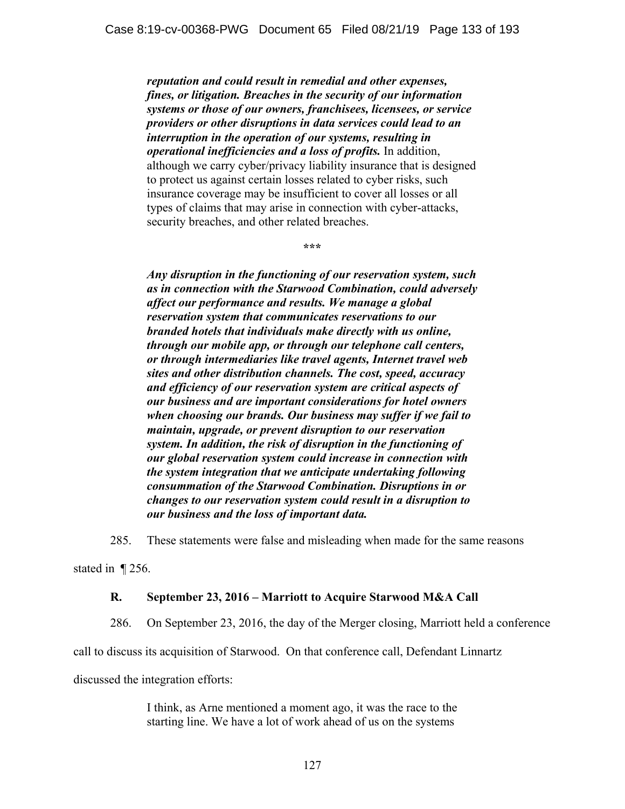*reputation and could result in remedial and other expenses, fines, or litigation. Breaches in the security of our information systems or those of our owners, franchisees, licensees, or service providers or other disruptions in data services could lead to an interruption in the operation of our systems, resulting in operational inefficiencies and a loss of profits.* In addition, although we carry cyber/privacy liability insurance that is designed to protect us against certain losses related to cyber risks, such insurance coverage may be insufficient to cover all losses or all types of claims that may arise in connection with cyber-attacks, security breaches, and other related breaches.

**\*\*\*** 

*Any disruption in the functioning of our reservation system, such as in connection with the Starwood Combination, could adversely affect our performance and results. We manage a global reservation system that communicates reservations to our branded hotels that individuals make directly with us online, through our mobile app, or through our telephone call centers, or through intermediaries like travel agents, Internet travel web sites and other distribution channels. The cost, speed, accuracy and efficiency of our reservation system are critical aspects of our business and are important considerations for hotel owners when choosing our brands. Our business may suffer if we fail to maintain, upgrade, or prevent disruption to our reservation system. In addition, the risk of disruption in the functioning of our global reservation system could increase in connection with the system integration that we anticipate undertaking following consummation of the Starwood Combination. Disruptions in or changes to our reservation system could result in a disruption to our business and the loss of important data.* 

285. These statements were false and misleading when made for the same reasons

stated in ¶ 256.

#### **R. September 23, 2016 – Marriott to Acquire Starwood M&A Call**

286. On September 23, 2016, the day of the Merger closing, Marriott held a conference

call to discuss its acquisition of Starwood. On that conference call, Defendant Linnartz

discussed the integration efforts:

I think, as Arne mentioned a moment ago, it was the race to the starting line. We have a lot of work ahead of us on the systems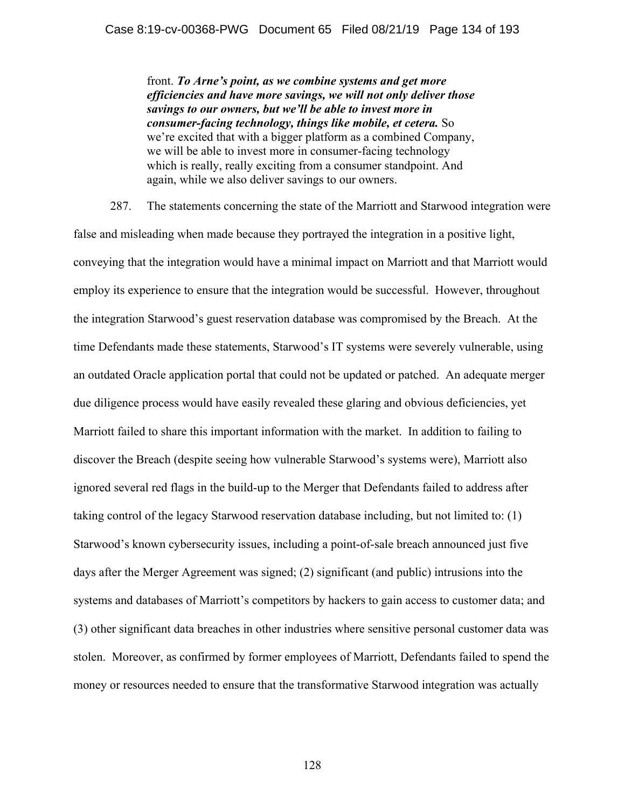front. *To Arne's point, as we combine systems and get more efficiencies and have more savings, we will not only deliver those savings to our owners, but we'll be able to invest more in consumer-facing technology, things like mobile, et cetera.* So we're excited that with a bigger platform as a combined Company, we will be able to invest more in consumer-facing technology which is really, really exciting from a consumer standpoint. And again, while we also deliver savings to our owners.

287. The statements concerning the state of the Marriott and Starwood integration were false and misleading when made because they portrayed the integration in a positive light, conveying that the integration would have a minimal impact on Marriott and that Marriott would employ its experience to ensure that the integration would be successful. However, throughout the integration Starwood's guest reservation database was compromised by the Breach. At the time Defendants made these statements, Starwood's IT systems were severely vulnerable, using an outdated Oracle application portal that could not be updated or patched. An adequate merger due diligence process would have easily revealed these glaring and obvious deficiencies, yet Marriott failed to share this important information with the market. In addition to failing to discover the Breach (despite seeing how vulnerable Starwood's systems were), Marriott also ignored several red flags in the build-up to the Merger that Defendants failed to address after taking control of the legacy Starwood reservation database including, but not limited to: (1) Starwood's known cybersecurity issues, including a point-of-sale breach announced just five days after the Merger Agreement was signed; (2) significant (and public) intrusions into the systems and databases of Marriott's competitors by hackers to gain access to customer data; and (3) other significant data breaches in other industries where sensitive personal customer data was stolen. Moreover, as confirmed by former employees of Marriott, Defendants failed to spend the money or resources needed to ensure that the transformative Starwood integration was actually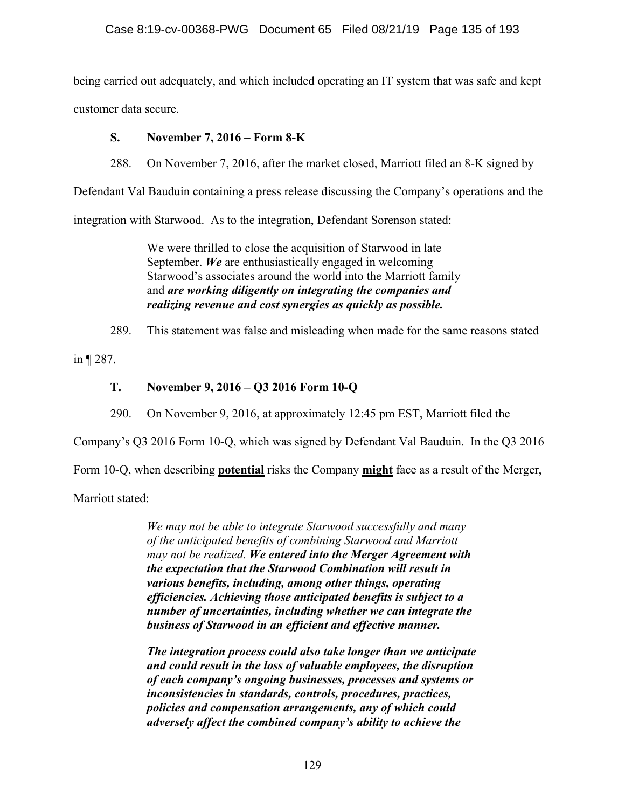being carried out adequately, and which included operating an IT system that was safe and kept customer data secure.

**S. November 7, 2016 – Form 8-K** 

288. On November 7, 2016, after the market closed, Marriott filed an 8-K signed by

Defendant Val Bauduin containing a press release discussing the Company's operations and the

integration with Starwood. As to the integration, Defendant Sorenson stated:

We were thrilled to close the acquisition of Starwood in late September. *We* are enthusiastically engaged in welcoming Starwood's associates around the world into the Marriott family and *are working diligently on integrating the companies and realizing revenue and cost synergies as quickly as possible.*

289. This statement was false and misleading when made for the same reasons stated

in ¶ 287.

# **T. November 9, 2016 – Q3 2016 Form 10-Q**

290. On November 9, 2016, at approximately 12:45 pm EST, Marriott filed the

Company's Q3 2016 Form 10-Q, which was signed by Defendant Val Bauduin. In the Q3 2016

Form 10-Q, when describing **potential** risks the Company **might** face as a result of the Merger,

Marriott stated:

*We may not be able to integrate Starwood successfully and many of the anticipated benefits of combining Starwood and Marriott may not be realized. We entered into the Merger Agreement with the expectation that the Starwood Combination will result in various benefits, including, among other things, operating efficiencies. Achieving those anticipated benefits is subject to a number of uncertainties, including whether we can integrate the business of Starwood in an efficient and effective manner.* 

*The integration process could also take longer than we anticipate and could result in the loss of valuable employees, the disruption of each company's ongoing businesses, processes and systems or inconsistencies in standards, controls, procedures, practices, policies and compensation arrangements, any of which could adversely affect the combined company's ability to achieve the*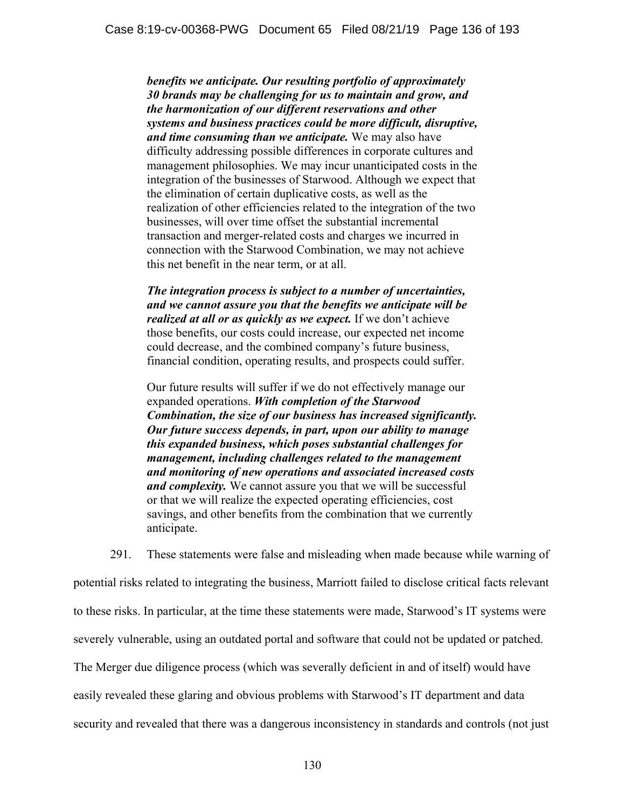*benefits we anticipate. Our resulting portfolio of approximately 30 brands may be challenging for us to maintain and grow, and the harmonization of our different reservations and other systems and business practices could be more difficult, disruptive, and time consuming than we anticipate.* We may also have difficulty addressing possible differences in corporate cultures and management philosophies. We may incur unanticipated costs in the integration of the businesses of Starwood. Although we expect that the elimination of certain duplicative costs, as well as the realization of other efficiencies related to the integration of the two businesses, will over time offset the substantial incremental transaction and merger-related costs and charges we incurred in connection with the Starwood Combination, we may not achieve this net benefit in the near term, or at all.

*The integration process is subject to a number of uncertainties, and we cannot assure you that the benefits we anticipate will be realized at all or as quickly as we expect.* If we don't achieve those benefits, our costs could increase, our expected net income could decrease, and the combined company's future business, financial condition, operating results, and prospects could suffer.

Our future results will suffer if we do not effectively manage our expanded operations. *With completion of the Starwood Combination, the size of our business has increased significantly. Our future success depends, in part, upon our ability to manage this expanded business, which poses substantial challenges for management, including challenges related to the management and monitoring of new operations and associated increased costs and complexity.* We cannot assure you that we will be successful or that we will realize the expected operating efficiencies, cost savings, and other benefits from the combination that we currently anticipate.

291. These statements were false and misleading when made because while warning of potential risks related to integrating the business, Marriott failed to disclose critical facts relevant to these risks. In particular, at the time these statements were made, Starwood's IT systems were severely vulnerable, using an outdated portal and software that could not be updated or patched. The Merger due diligence process (which was severally deficient in and of itself) would have easily revealed these glaring and obvious problems with Starwood's IT department and data security and revealed that there was a dangerous inconsistency in standards and controls (not just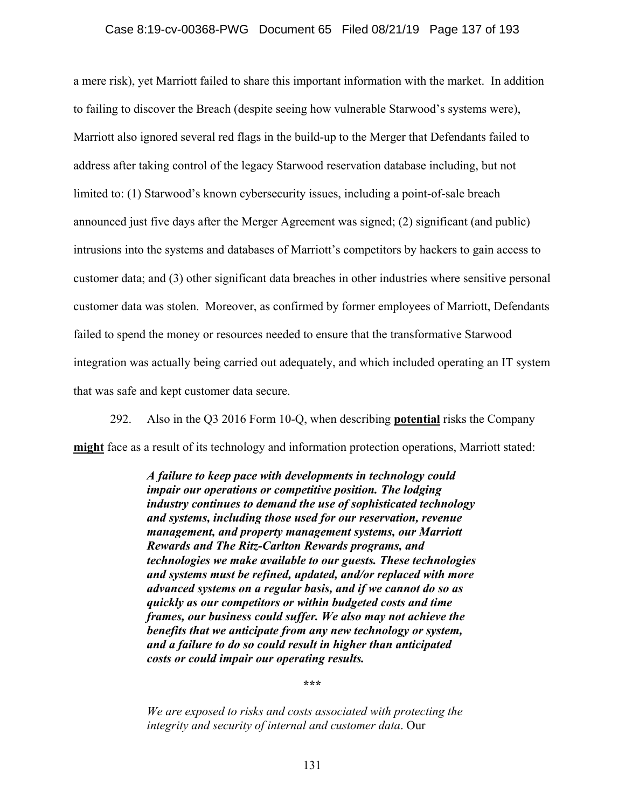#### Case 8:19-cv-00368-PWG Document 65 Filed 08/21/19 Page 137 of 193

a mere risk), yet Marriott failed to share this important information with the market. In addition to failing to discover the Breach (despite seeing how vulnerable Starwood's systems were), Marriott also ignored several red flags in the build-up to the Merger that Defendants failed to address after taking control of the legacy Starwood reservation database including, but not limited to: (1) Starwood's known cybersecurity issues, including a point-of-sale breach announced just five days after the Merger Agreement was signed; (2) significant (and public) intrusions into the systems and databases of Marriott's competitors by hackers to gain access to customer data; and (3) other significant data breaches in other industries where sensitive personal customer data was stolen. Moreover, as confirmed by former employees of Marriott, Defendants failed to spend the money or resources needed to ensure that the transformative Starwood integration was actually being carried out adequately, and which included operating an IT system that was safe and kept customer data secure.

292. Also in the Q3 2016 Form 10-Q, when describing **potential** risks the Company **might** face as a result of its technology and information protection operations, Marriott stated:

> *A failure to keep pace with developments in technology could impair our operations or competitive position. The lodging industry continues to demand the use of sophisticated technology and systems, including those used for our reservation, revenue management, and property management systems, our Marriott Rewards and The Ritz-Carlton Rewards programs, and technologies we make available to our guests. These technologies and systems must be refined, updated, and/or replaced with more advanced systems on a regular basis, and if we cannot do so as quickly as our competitors or within budgeted costs and time frames, our business could suffer. We also may not achieve the benefits that we anticipate from any new technology or system, and a failure to do so could result in higher than anticipated costs or could impair our operating results.*

> > **\*\*\***

*We are exposed to risks and costs associated with protecting the integrity and security of internal and customer data*. Our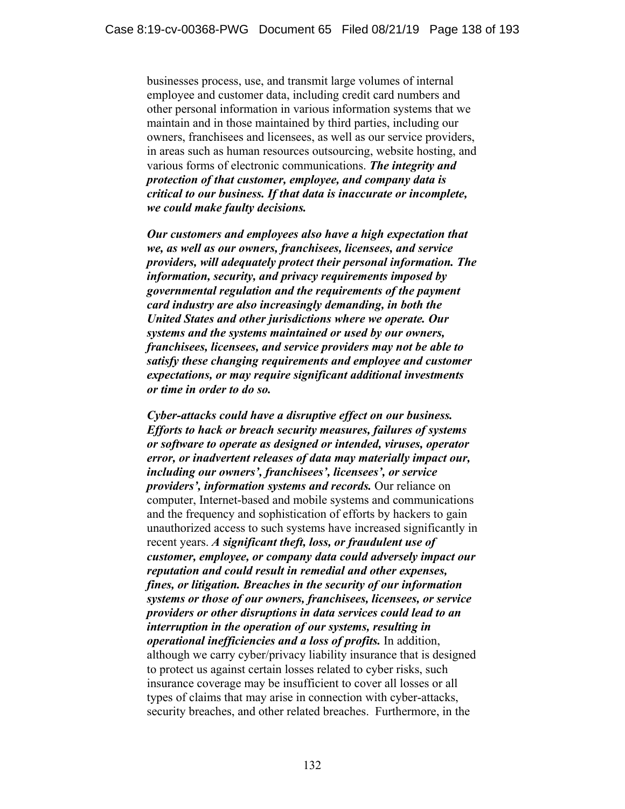businesses process, use, and transmit large volumes of internal employee and customer data, including credit card numbers and other personal information in various information systems that we maintain and in those maintained by third parties, including our owners, franchisees and licensees, as well as our service providers, in areas such as human resources outsourcing, website hosting, and various forms of electronic communications. *The integrity and protection of that customer, employee, and company data is critical to our business. If that data is inaccurate or incomplete, we could make faulty decisions.*

*Our customers and employees also have a high expectation that we, as well as our owners, franchisees, licensees, and service providers, will adequately protect their personal information. The information, security, and privacy requirements imposed by governmental regulation and the requirements of the payment card industry are also increasingly demanding, in both the United States and other jurisdictions where we operate. Our systems and the systems maintained or used by our owners, franchisees, licensees, and service providers may not be able to satisfy these changing requirements and employee and customer expectations, or may require significant additional investments or time in order to do so.*

*Cyber-attacks could have a disruptive effect on our business. Efforts to hack or breach security measures, failures of systems or software to operate as designed or intended, viruses, operator error, or inadvertent releases of data may materially impact our, including our owners', franchisees', licensees', or service providers', information systems and records.* Our reliance on computer, Internet-based and mobile systems and communications and the frequency and sophistication of efforts by hackers to gain unauthorized access to such systems have increased significantly in recent years. *A significant theft, loss, or fraudulent use of customer, employee, or company data could adversely impact our reputation and could result in remedial and other expenses, fines, or litigation. Breaches in the security of our information systems or those of our owners, franchisees, licensees, or service providers or other disruptions in data services could lead to an interruption in the operation of our systems, resulting in operational inefficiencies and a loss of profits.* In addition, although we carry cyber/privacy liability insurance that is designed to protect us against certain losses related to cyber risks, such insurance coverage may be insufficient to cover all losses or all types of claims that may arise in connection with cyber-attacks, security breaches, and other related breaches. Furthermore, in the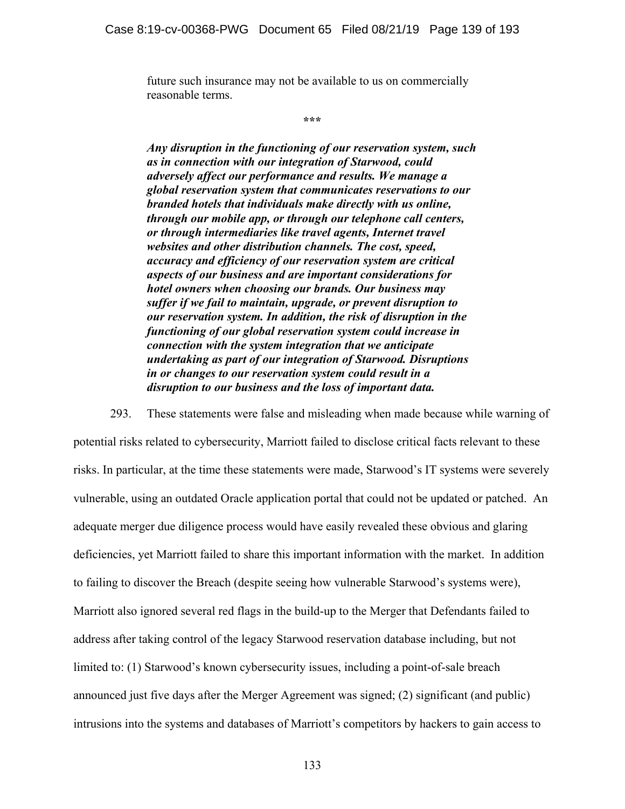future such insurance may not be available to us on commercially reasonable terms.

**\*\*\*** 

*Any disruption in the functioning of our reservation system, such as in connection with our integration of Starwood, could adversely affect our performance and results. We manage a global reservation system that communicates reservations to our branded hotels that individuals make directly with us online, through our mobile app, or through our telephone call centers, or through intermediaries like travel agents, Internet travel websites and other distribution channels. The cost, speed, accuracy and efficiency of our reservation system are critical aspects of our business and are important considerations for hotel owners when choosing our brands. Our business may suffer if we fail to maintain, upgrade, or prevent disruption to our reservation system. In addition, the risk of disruption in the functioning of our global reservation system could increase in connection with the system integration that we anticipate undertaking as part of our integration of Starwood. Disruptions in or changes to our reservation system could result in a disruption to our business and the loss of important data.* 

293. These statements were false and misleading when made because while warning of potential risks related to cybersecurity, Marriott failed to disclose critical facts relevant to these risks. In particular, at the time these statements were made, Starwood's IT systems were severely vulnerable, using an outdated Oracle application portal that could not be updated or patched. An adequate merger due diligence process would have easily revealed these obvious and glaring deficiencies, yet Marriott failed to share this important information with the market. In addition to failing to discover the Breach (despite seeing how vulnerable Starwood's systems were), Marriott also ignored several red flags in the build-up to the Merger that Defendants failed to address after taking control of the legacy Starwood reservation database including, but not limited to: (1) Starwood's known cybersecurity issues, including a point-of-sale breach announced just five days after the Merger Agreement was signed; (2) significant (and public) intrusions into the systems and databases of Marriott's competitors by hackers to gain access to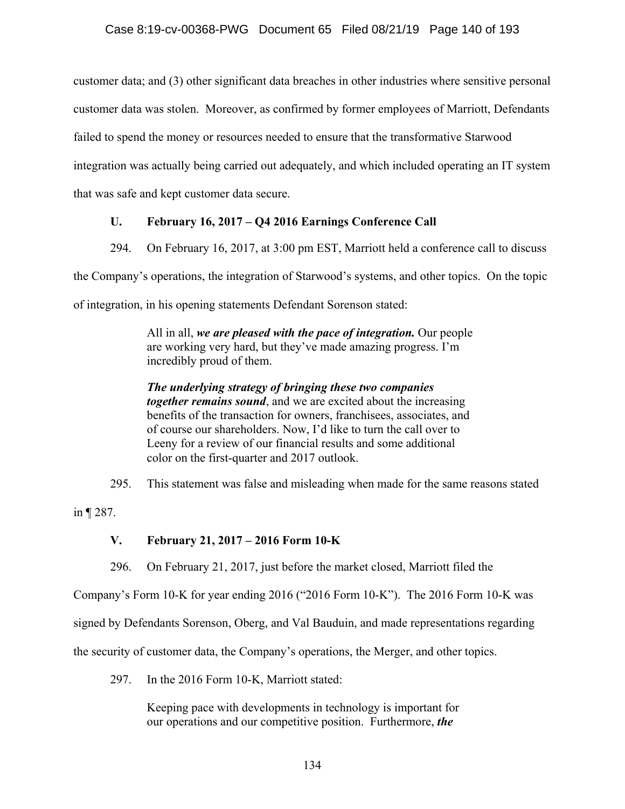customer data; and (3) other significant data breaches in other industries where sensitive personal customer data was stolen. Moreover, as confirmed by former employees of Marriott, Defendants failed to spend the money or resources needed to ensure that the transformative Starwood integration was actually being carried out adequately, and which included operating an IT system that was safe and kept customer data secure.

## **U. February 16, 2017 – Q4 2016 Earnings Conference Call**

294. On February 16, 2017, at 3:00 pm EST, Marriott held a conference call to discuss

the Company's operations, the integration of Starwood's systems, and other topics. On the topic

of integration, in his opening statements Defendant Sorenson stated:

All in all, *we are pleased with the pace of integration.* Our people are working very hard, but they've made amazing progress. I'm incredibly proud of them.

*The underlying strategy of bringing these two companies together remains sound*, and we are excited about the increasing benefits of the transaction for owners, franchisees, associates, and of course our shareholders. Now, I'd like to turn the call over to Leeny for a review of our financial results and some additional color on the first-quarter and 2017 outlook.

295. This statement was false and misleading when made for the same reasons stated

in ¶ 287.

## **V. February 21, 2017 – 2016 Form 10-K**

296. On February 21, 2017, just before the market closed, Marriott filed the

Company's Form 10-K for year ending 2016 ("2016 Form 10-K"). The 2016 Form 10-K was

signed by Defendants Sorenson, Oberg, and Val Bauduin, and made representations regarding

the security of customer data, the Company's operations, the Merger, and other topics.

297. In the 2016 Form 10-K, Marriott stated:

Keeping pace with developments in technology is important for our operations and our competitive position. Furthermore, *the*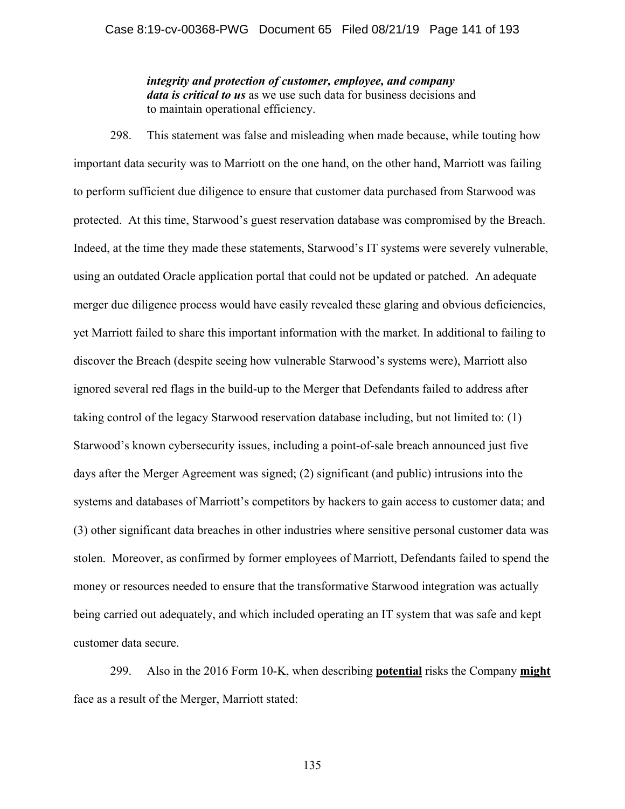*integrity and protection of customer, employee, and company data is critical to us* as we use such data for business decisions and to maintain operational efficiency.

298. This statement was false and misleading when made because, while touting how important data security was to Marriott on the one hand, on the other hand, Marriott was failing to perform sufficient due diligence to ensure that customer data purchased from Starwood was protected. At this time, Starwood's guest reservation database was compromised by the Breach. Indeed, at the time they made these statements, Starwood's IT systems were severely vulnerable, using an outdated Oracle application portal that could not be updated or patched. An adequate merger due diligence process would have easily revealed these glaring and obvious deficiencies, yet Marriott failed to share this important information with the market. In additional to failing to discover the Breach (despite seeing how vulnerable Starwood's systems were), Marriott also ignored several red flags in the build-up to the Merger that Defendants failed to address after taking control of the legacy Starwood reservation database including, but not limited to: (1) Starwood's known cybersecurity issues, including a point-of-sale breach announced just five days after the Merger Agreement was signed; (2) significant (and public) intrusions into the systems and databases of Marriott's competitors by hackers to gain access to customer data; and (3) other significant data breaches in other industries where sensitive personal customer data was stolen. Moreover, as confirmed by former employees of Marriott, Defendants failed to spend the money or resources needed to ensure that the transformative Starwood integration was actually being carried out adequately, and which included operating an IT system that was safe and kept customer data secure.

299. Also in the 2016 Form 10-K, when describing **potential** risks the Company **might** face as a result of the Merger, Marriott stated:

135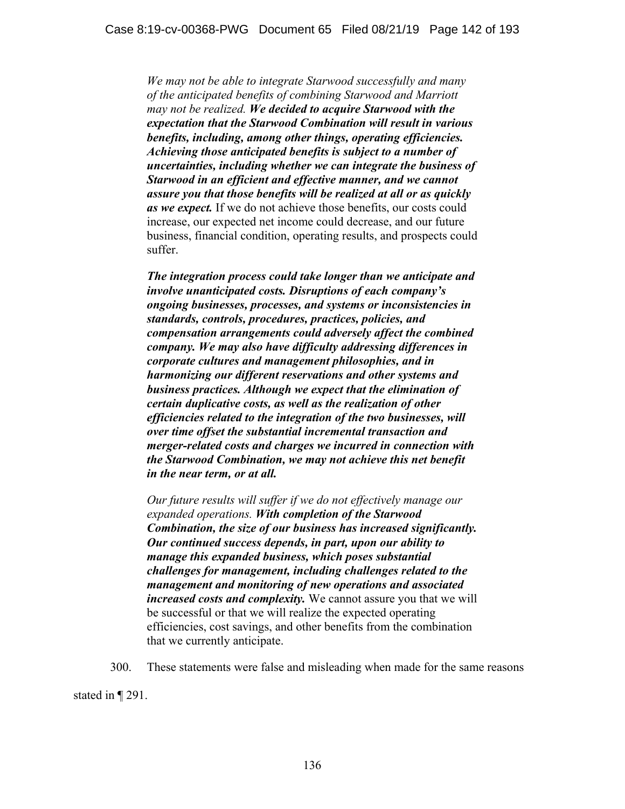*We may not be able to integrate Starwood successfully and many of the anticipated benefits of combining Starwood and Marriott may not be realized. We decided to acquire Starwood with the expectation that the Starwood Combination will result in various benefits, including, among other things, operating efficiencies. Achieving those anticipated benefits is subject to a number of uncertainties, including whether we can integrate the business of Starwood in an efficient and effective manner, and we cannot assure you that those benefits will be realized at all or as quickly as we expect.* If we do not achieve those benefits, our costs could increase, our expected net income could decrease, and our future business, financial condition, operating results, and prospects could suffer.

*The integration process could take longer than we anticipate and involve unanticipated costs. Disruptions of each company's ongoing businesses, processes, and systems or inconsistencies in standards, controls, procedures, practices, policies, and compensation arrangements could adversely affect the combined company. We may also have difficulty addressing differences in corporate cultures and management philosophies, and in harmonizing our different reservations and other systems and business practices. Although we expect that the elimination of certain duplicative costs, as well as the realization of other efficiencies related to the integration of the two businesses, will over time offset the substantial incremental transaction and merger-related costs and charges we incurred in connection with the Starwood Combination, we may not achieve this net benefit in the near term, or at all.* 

*Our future results will suffer if we do not effectively manage our expanded operations. With completion of the Starwood Combination, the size of our business has increased significantly. Our continued success depends, in part, upon our ability to manage this expanded business, which poses substantial challenges for management, including challenges related to the management and monitoring of new operations and associated increased costs and complexity.* We cannot assure you that we will be successful or that we will realize the expected operating efficiencies, cost savings, and other benefits from the combination that we currently anticipate.

300. These statements were false and misleading when made for the same reasons

stated in ¶ 291.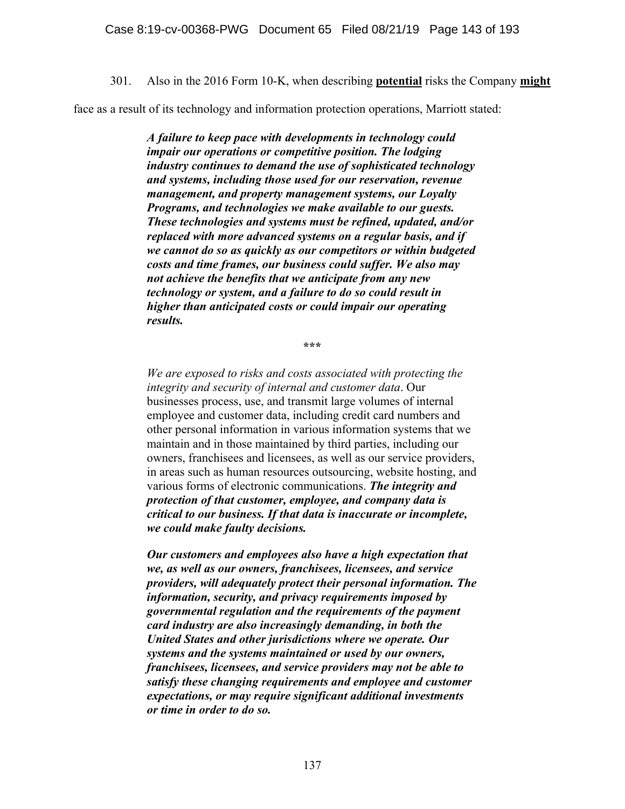301. Also in the 2016 Form 10-K, when describing **potential** risks the Company **might**

face as a result of its technology and information protection operations, Marriott stated:

*A failure to keep pace with developments in technology could impair our operations or competitive position. The lodging industry continues to demand the use of sophisticated technology and systems, including those used for our reservation, revenue management, and property management systems, our Loyalty Programs, and technologies we make available to our guests. These technologies and systems must be refined, updated, and/or replaced with more advanced systems on a regular basis, and if we cannot do so as quickly as our competitors or within budgeted costs and time frames, our business could suffer. We also may not achieve the benefits that we anticipate from any new technology or system, and a failure to do so could result in higher than anticipated costs or could impair our operating results.* 

**\*\*\*** 

*We are exposed to risks and costs associated with protecting the integrity and security of internal and customer data*. Our businesses process, use, and transmit large volumes of internal employee and customer data, including credit card numbers and other personal information in various information systems that we maintain and in those maintained by third parties, including our owners, franchisees and licensees, as well as our service providers, in areas such as human resources outsourcing, website hosting, and various forms of electronic communications. *The integrity and protection of that customer, employee, and company data is critical to our business. If that data is inaccurate or incomplete, we could make faulty decisions.*

*Our customers and employees also have a high expectation that we, as well as our owners, franchisees, licensees, and service providers, will adequately protect their personal information. The information, security, and privacy requirements imposed by governmental regulation and the requirements of the payment card industry are also increasingly demanding, in both the United States and other jurisdictions where we operate. Our systems and the systems maintained or used by our owners, franchisees, licensees, and service providers may not be able to satisfy these changing requirements and employee and customer expectations, or may require significant additional investments or time in order to do so.*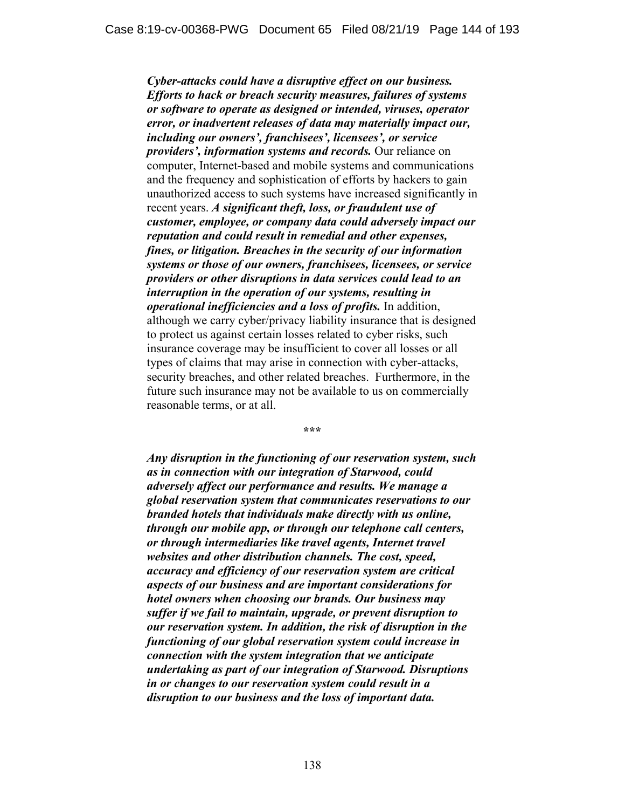*Cyber-attacks could have a disruptive effect on our business. Efforts to hack or breach security measures, failures of systems or software to operate as designed or intended, viruses, operator error, or inadvertent releases of data may materially impact our, including our owners', franchisees', licensees', or service providers', information systems and records.* Our reliance on computer, Internet-based and mobile systems and communications and the frequency and sophistication of efforts by hackers to gain unauthorized access to such systems have increased significantly in recent years. *A significant theft, loss, or fraudulent use of customer, employee, or company data could adversely impact our reputation and could result in remedial and other expenses, fines, or litigation. Breaches in the security of our information systems or those of our owners, franchisees, licensees, or service providers or other disruptions in data services could lead to an interruption in the operation of our systems, resulting in operational inefficiencies and a loss of profits.* In addition, although we carry cyber/privacy liability insurance that is designed to protect us against certain losses related to cyber risks, such insurance coverage may be insufficient to cover all losses or all types of claims that may arise in connection with cyber-attacks, security breaches, and other related breaches. Furthermore, in the future such insurance may not be available to us on commercially reasonable terms, or at all.

**\*\*\*** 

*Any disruption in the functioning of our reservation system, such as in connection with our integration of Starwood, could adversely affect our performance and results. We manage a global reservation system that communicates reservations to our branded hotels that individuals make directly with us online, through our mobile app, or through our telephone call centers, or through intermediaries like travel agents, Internet travel websites and other distribution channels. The cost, speed, accuracy and efficiency of our reservation system are critical aspects of our business and are important considerations for hotel owners when choosing our brands. Our business may suffer if we fail to maintain, upgrade, or prevent disruption to our reservation system. In addition, the risk of disruption in the functioning of our global reservation system could increase in connection with the system integration that we anticipate undertaking as part of our integration of Starwood. Disruptions in or changes to our reservation system could result in a disruption to our business and the loss of important data.*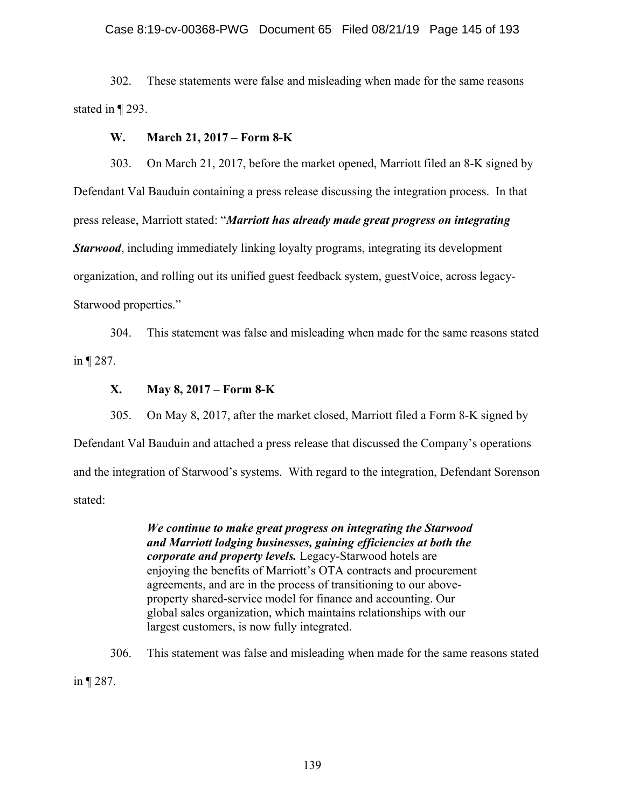#### Case 8:19-cv-00368-PWG Document 65 Filed 08/21/19 Page 145 of 193

302. These statements were false and misleading when made for the same reasons stated in ¶ 293.

#### **W. March 21, 2017 – Form 8-K**

303. On March 21, 2017, before the market opened, Marriott filed an 8-K signed by Defendant Val Bauduin containing a press release discussing the integration process. In that press release, Marriott stated: "*Marriott has already made great progress on integrating Starwood*, including immediately linking loyalty programs, integrating its development organization, and rolling out its unified guest feedback system, guestVoice, across legacy-Starwood properties."

304. This statement was false and misleading when made for the same reasons stated in ¶ 287.

## **X. May 8, 2017 – Form 8-K**

305. On May 8, 2017, after the market closed, Marriott filed a Form 8-K signed by Defendant Val Bauduin and attached a press release that discussed the Company's operations and the integration of Starwood's systems. With regard to the integration, Defendant Sorenson stated:

> *We continue to make great progress on integrating the Starwood and Marriott lodging businesses, gaining efficiencies at both the corporate and property levels.* Legacy-Starwood hotels are enjoying the benefits of Marriott's OTA contracts and procurement agreements, and are in the process of transitioning to our aboveproperty shared-service model for finance and accounting. Our global sales organization, which maintains relationships with our largest customers, is now fully integrated.

306. This statement was false and misleading when made for the same reasons stated

in ¶ 287.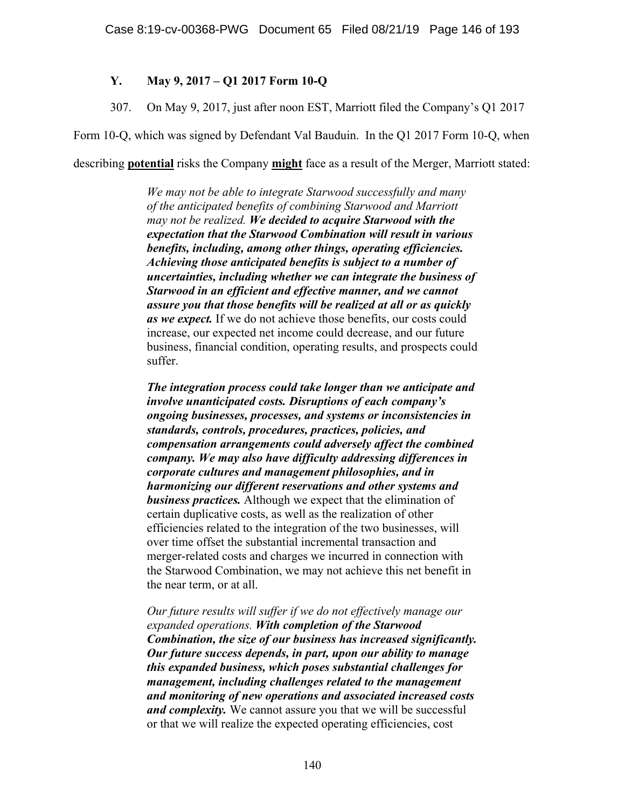## **Y. May 9, 2017 – Q1 2017 Form 10-Q**

307. On May 9, 2017, just after noon EST, Marriott filed the Company's Q1 2017

Form 10-Q, which was signed by Defendant Val Bauduin. In the Q1 2017 Form 10-Q, when

describing **potential** risks the Company **might** face as a result of the Merger, Marriott stated:

*We may not be able to integrate Starwood successfully and many of the anticipated benefits of combining Starwood and Marriott may not be realized. We decided to acquire Starwood with the expectation that the Starwood Combination will result in various benefits, including, among other things, operating efficiencies. Achieving those anticipated benefits is subject to a number of uncertainties, including whether we can integrate the business of Starwood in an efficient and effective manner, and we cannot assure you that those benefits will be realized at all or as quickly as we expect.* If we do not achieve those benefits, our costs could increase, our expected net income could decrease, and our future business, financial condition, operating results, and prospects could suffer.

*The integration process could take longer than we anticipate and involve unanticipated costs. Disruptions of each company's ongoing businesses, processes, and systems or inconsistencies in standards, controls, procedures, practices, policies, and compensation arrangements could adversely affect the combined company. We may also have difficulty addressing differences in corporate cultures and management philosophies, and in harmonizing our different reservations and other systems and business practices.* Although we expect that the elimination of certain duplicative costs, as well as the realization of other efficiencies related to the integration of the two businesses, will over time offset the substantial incremental transaction and merger-related costs and charges we incurred in connection with the Starwood Combination, we may not achieve this net benefit in the near term, or at all.

*Our future results will suffer if we do not effectively manage our expanded operations. With completion of the Starwood Combination, the size of our business has increased significantly. Our future success depends, in part, upon our ability to manage this expanded business, which poses substantial challenges for management, including challenges related to the management and monitoring of new operations and associated increased costs and complexity.* We cannot assure you that we will be successful or that we will realize the expected operating efficiencies, cost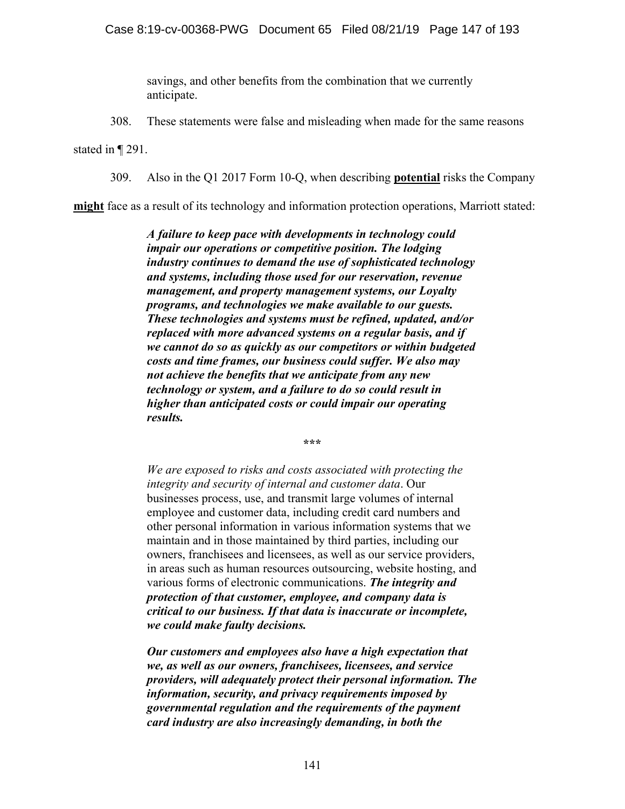savings, and other benefits from the combination that we currently anticipate.

308. These statements were false and misleading when made for the same reasons

stated in ¶ 291.

309. Also in the Q1 2017 Form 10-Q, when describing **potential** risks the Company

**might** face as a result of its technology and information protection operations, Marriott stated:

*A failure to keep pace with developments in technology could impair our operations or competitive position. The lodging industry continues to demand the use of sophisticated technology and systems, including those used for our reservation, revenue management, and property management systems, our Loyalty programs, and technologies we make available to our guests. These technologies and systems must be refined, updated, and/or replaced with more advanced systems on a regular basis, and if we cannot do so as quickly as our competitors or within budgeted costs and time frames, our business could suffer. We also may not achieve the benefits that we anticipate from any new technology or system, and a failure to do so could result in higher than anticipated costs or could impair our operating results.* 

**\*\*\*** 

*We are exposed to risks and costs associated with protecting the integrity and security of internal and customer data*. Our businesses process, use, and transmit large volumes of internal employee and customer data, including credit card numbers and other personal information in various information systems that we maintain and in those maintained by third parties, including our owners, franchisees and licensees, as well as our service providers, in areas such as human resources outsourcing, website hosting, and various forms of electronic communications. *The integrity and protection of that customer, employee, and company data is critical to our business. If that data is inaccurate or incomplete, we could make faulty decisions.*

*Our customers and employees also have a high expectation that we, as well as our owners, franchisees, licensees, and service providers, will adequately protect their personal information. The information, security, and privacy requirements imposed by governmental regulation and the requirements of the payment card industry are also increasingly demanding, in both the*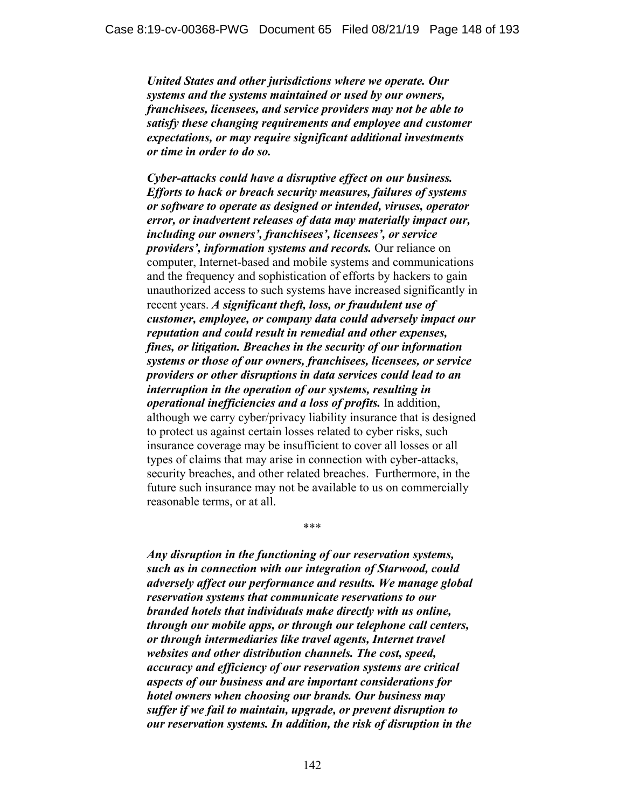*United States and other jurisdictions where we operate. Our systems and the systems maintained or used by our owners, franchisees, licensees, and service providers may not be able to satisfy these changing requirements and employee and customer expectations, or may require significant additional investments or time in order to do so.*

*Cyber-attacks could have a disruptive effect on our business. Efforts to hack or breach security measures, failures of systems or software to operate as designed or intended, viruses, operator error, or inadvertent releases of data may materially impact our, including our owners', franchisees', licensees', or service providers', information systems and records.* Our reliance on computer, Internet-based and mobile systems and communications and the frequency and sophistication of efforts by hackers to gain unauthorized access to such systems have increased significantly in recent years. *A significant theft, loss, or fraudulent use of customer, employee, or company data could adversely impact our reputation and could result in remedial and other expenses, fines, or litigation. Breaches in the security of our information systems or those of our owners, franchisees, licensees, or service providers or other disruptions in data services could lead to an interruption in the operation of our systems, resulting in operational inefficiencies and a loss of profits.* In addition, although we carry cyber/privacy liability insurance that is designed to protect us against certain losses related to cyber risks, such insurance coverage may be insufficient to cover all losses or all types of claims that may arise in connection with cyber-attacks, security breaches, and other related breaches. Furthermore, in the future such insurance may not be available to us on commercially reasonable terms, or at all.

*Any disruption in the functioning of our reservation systems, such as in connection with our integration of Starwood, could adversely affect our performance and results. We manage global reservation systems that communicate reservations to our branded hotels that individuals make directly with us online, through our mobile apps, or through our telephone call centers, or through intermediaries like travel agents, Internet travel websites and other distribution channels. The cost, speed, accuracy and efficiency of our reservation systems are critical aspects of our business and are important considerations for hotel owners when choosing our brands. Our business may suffer if we fail to maintain, upgrade, or prevent disruption to our reservation systems. In addition, the risk of disruption in the* 

\*\*\*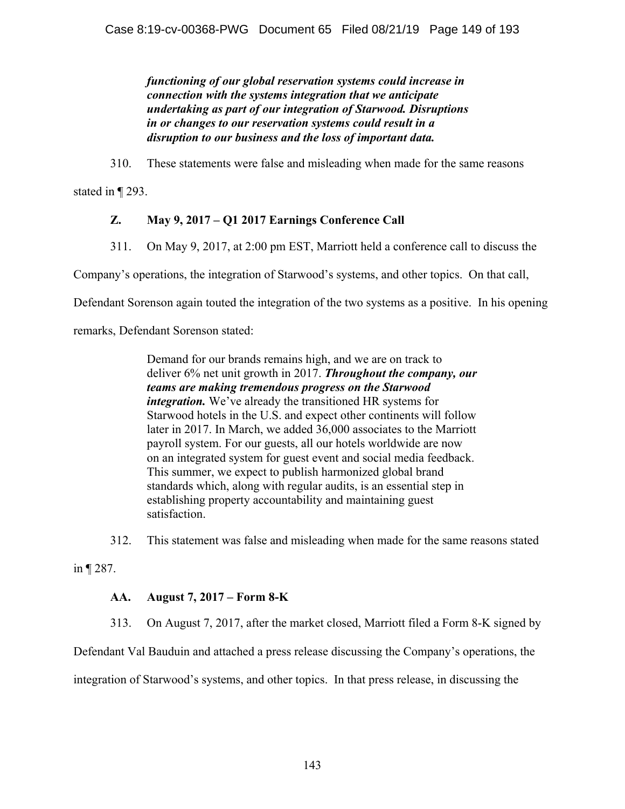*functioning of our global reservation systems could increase in connection with the systems integration that we anticipate undertaking as part of our integration of Starwood. Disruptions in or changes to our reservation systems could result in a disruption to our business and the loss of important data.* 

310. These statements were false and misleading when made for the same reasons

stated in ¶ 293.

# **Z. May 9, 2017 – Q1 2017 Earnings Conference Call**

311. On May 9, 2017, at 2:00 pm EST, Marriott held a conference call to discuss the

Company's operations, the integration of Starwood's systems, and other topics. On that call,

Defendant Sorenson again touted the integration of the two systems as a positive. In his opening

remarks, Defendant Sorenson stated:

Demand for our brands remains high, and we are on track to deliver 6% net unit growth in 2017. *Throughout the company, our teams are making tremendous progress on the Starwood integration.* We've already the transitioned HR systems for Starwood hotels in the U.S. and expect other continents will follow later in 2017. In March, we added 36,000 associates to the Marriott payroll system. For our guests, all our hotels worldwide are now on an integrated system for guest event and social media feedback. This summer, we expect to publish harmonized global brand standards which, along with regular audits, is an essential step in establishing property accountability and maintaining guest satisfaction.

312. This statement was false and misleading when made for the same reasons stated

in ¶ 287.

# **AA. August 7, 2017 – Form 8-K**

313. On August 7, 2017, after the market closed, Marriott filed a Form 8-K signed by

Defendant Val Bauduin and attached a press release discussing the Company's operations, the

integration of Starwood's systems, and other topics. In that press release, in discussing the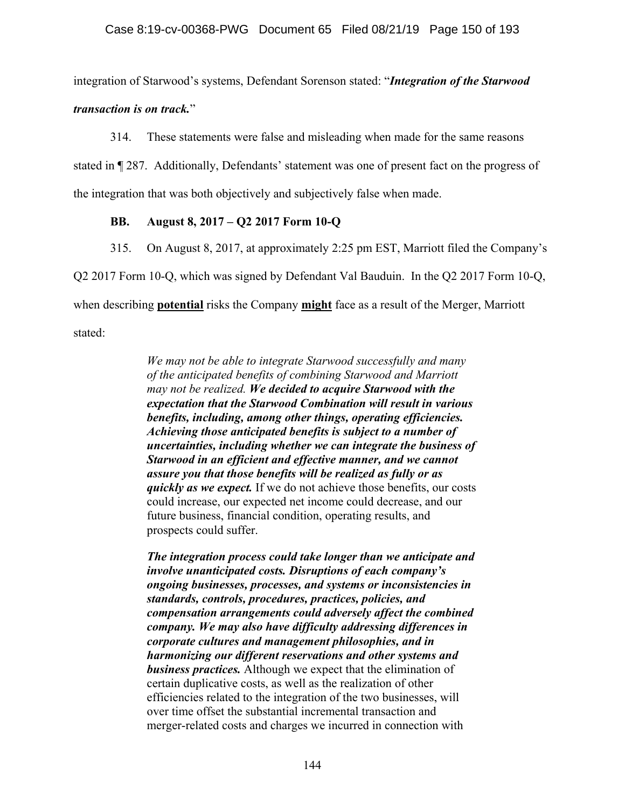integration of Starwood's systems, Defendant Sorenson stated: "*Integration of the Starwood* 

*transaction is on track.*"

314. These statements were false and misleading when made for the same reasons

stated in ¶ 287. Additionally, Defendants' statement was one of present fact on the progress of

the integration that was both objectively and subjectively false when made.

## **BB. August 8, 2017 – Q2 2017 Form 10-Q**

315. On August 8, 2017, at approximately 2:25 pm EST, Marriott filed the Company's

Q2 2017 Form 10-Q, which was signed by Defendant Val Bauduin. In the Q2 2017 Form 10-Q,

when describing **potential** risks the Company **might** face as a result of the Merger, Marriott

stated:

*We may not be able to integrate Starwood successfully and many of the anticipated benefits of combining Starwood and Marriott may not be realized. We decided to acquire Starwood with the expectation that the Starwood Combination will result in various benefits, including, among other things, operating efficiencies. Achieving those anticipated benefits is subject to a number of uncertainties, including whether we can integrate the business of Starwood in an efficient and effective manner, and we cannot assure you that those benefits will be realized as fully or as quickly as we expect.* If we do not achieve those benefits, our costs could increase, our expected net income could decrease, and our future business, financial condition, operating results, and prospects could suffer.

*The integration process could take longer than we anticipate and involve unanticipated costs. Disruptions of each company's ongoing businesses, processes, and systems or inconsistencies in standards, controls, procedures, practices, policies, and compensation arrangements could adversely affect the combined company. We may also have difficulty addressing differences in corporate cultures and management philosophies, and in harmonizing our different reservations and other systems and business practices.* Although we expect that the elimination of certain duplicative costs, as well as the realization of other efficiencies related to the integration of the two businesses, will over time offset the substantial incremental transaction and merger-related costs and charges we incurred in connection with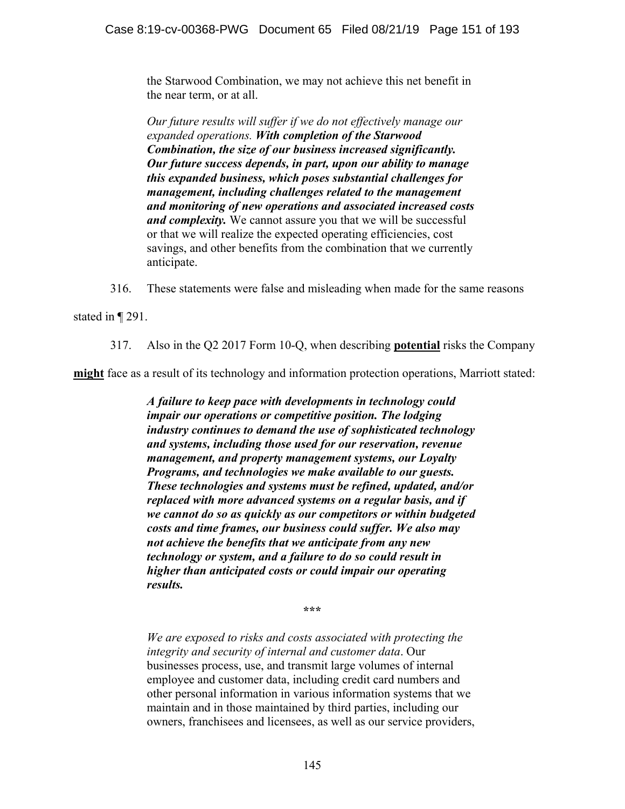the Starwood Combination, we may not achieve this net benefit in the near term, or at all.

*Our future results will suffer if we do not effectively manage our expanded operations. With completion of the Starwood Combination, the size of our business increased significantly. Our future success depends, in part, upon our ability to manage this expanded business, which poses substantial challenges for management, including challenges related to the management and monitoring of new operations and associated increased costs and complexity.* We cannot assure you that we will be successful or that we will realize the expected operating efficiencies, cost savings, and other benefits from the combination that we currently anticipate.

316. These statements were false and misleading when made for the same reasons

stated in ¶ 291.

317. Also in the Q2 2017 Form 10-Q, when describing **potential** risks the Company

**might** face as a result of its technology and information protection operations, Marriott stated:

*A failure to keep pace with developments in technology could impair our operations or competitive position. The lodging industry continues to demand the use of sophisticated technology and systems, including those used for our reservation, revenue management, and property management systems, our Loyalty Programs, and technologies we make available to our guests. These technologies and systems must be refined, updated, and/or replaced with more advanced systems on a regular basis, and if we cannot do so as quickly as our competitors or within budgeted costs and time frames, our business could suffer. We also may not achieve the benefits that we anticipate from any new technology or system, and a failure to do so could result in higher than anticipated costs or could impair our operating results.* 

**\*\*\*** 

*We are exposed to risks and costs associated with protecting the integrity and security of internal and customer data*. Our businesses process, use, and transmit large volumes of internal employee and customer data, including credit card numbers and other personal information in various information systems that we maintain and in those maintained by third parties, including our owners, franchisees and licensees, as well as our service providers,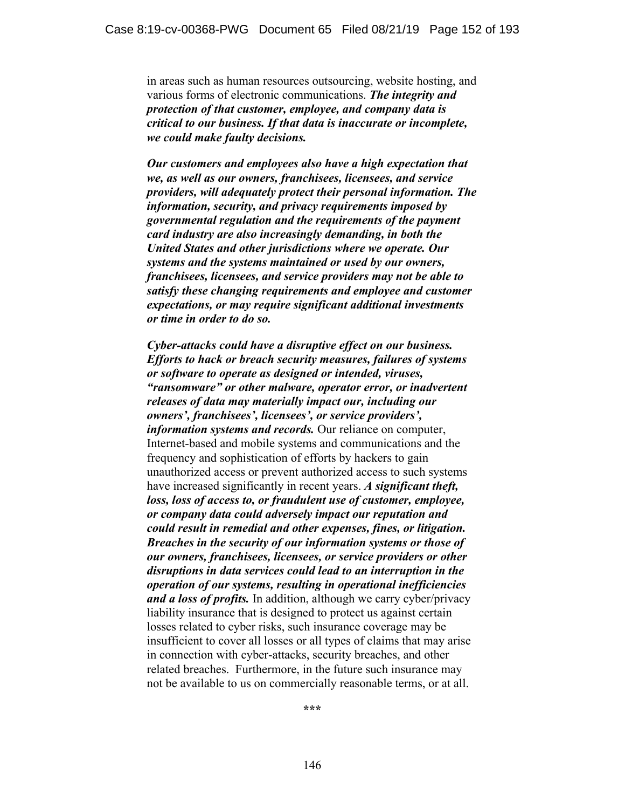in areas such as human resources outsourcing, website hosting, and various forms of electronic communications. *The integrity and protection of that customer, employee, and company data is critical to our business. If that data is inaccurate or incomplete, we could make faulty decisions.*

*Our customers and employees also have a high expectation that we, as well as our owners, franchisees, licensees, and service providers, will adequately protect their personal information. The information, security, and privacy requirements imposed by governmental regulation and the requirements of the payment card industry are also increasingly demanding, in both the United States and other jurisdictions where we operate. Our systems and the systems maintained or used by our owners, franchisees, licensees, and service providers may not be able to satisfy these changing requirements and employee and customer expectations, or may require significant additional investments or time in order to do so.* 

*Cyber-attacks could have a disruptive effect on our business. Efforts to hack or breach security measures, failures of systems or software to operate as designed or intended, viruses, "ransomware" or other malware, operator error, or inadvertent releases of data may materially impact our, including our owners', franchisees', licensees', or service providers', information systems and records.* Our reliance on computer, Internet-based and mobile systems and communications and the frequency and sophistication of efforts by hackers to gain unauthorized access or prevent authorized access to such systems have increased significantly in recent years. *A significant theft, loss, loss of access to, or fraudulent use of customer, employee, or company data could adversely impact our reputation and could result in remedial and other expenses, fines, or litigation. Breaches in the security of our information systems or those of our owners, franchisees, licensees, or service providers or other disruptions in data services could lead to an interruption in the operation of our systems, resulting in operational inefficiencies and a loss of profits.* In addition, although we carry cyber/privacy liability insurance that is designed to protect us against certain losses related to cyber risks, such insurance coverage may be insufficient to cover all losses or all types of claims that may arise in connection with cyber-attacks, security breaches, and other related breaches. Furthermore, in the future such insurance may not be available to us on commercially reasonable terms, or at all.

**\*\*\***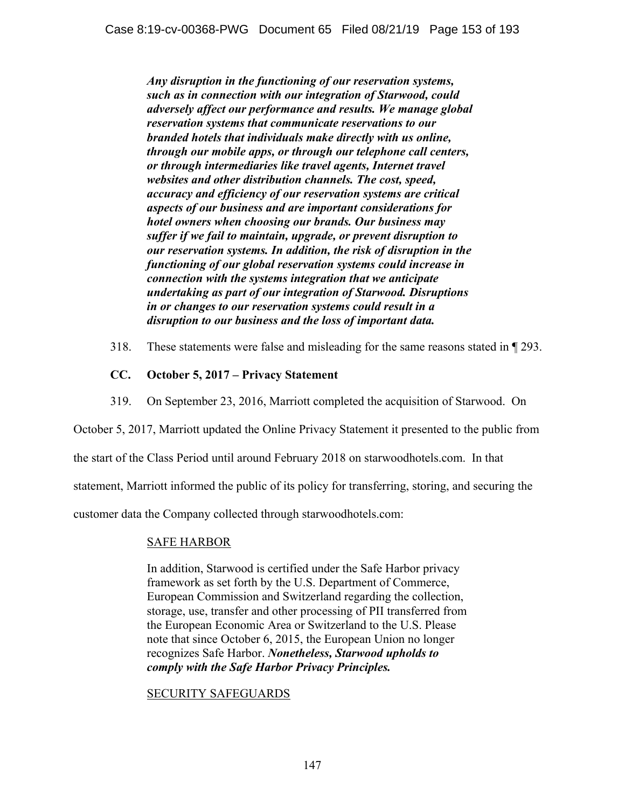*Any disruption in the functioning of our reservation systems, such as in connection with our integration of Starwood, could adversely affect our performance and results. We manage global reservation systems that communicate reservations to our branded hotels that individuals make directly with us online, through our mobile apps, or through our telephone call centers, or through intermediaries like travel agents, Internet travel websites and other distribution channels. The cost, speed, accuracy and efficiency of our reservation systems are critical aspects of our business and are important considerations for hotel owners when choosing our brands. Our business may suffer if we fail to maintain, upgrade, or prevent disruption to our reservation systems. In addition, the risk of disruption in the functioning of our global reservation systems could increase in connection with the systems integration that we anticipate undertaking as part of our integration of Starwood. Disruptions in or changes to our reservation systems could result in a disruption to our business and the loss of important data.* 

318. These statements were false and misleading for the same reasons stated in ¶ 293.

## **CC. October 5, 2017 – Privacy Statement**

319. On September 23, 2016, Marriott completed the acquisition of Starwood. On

October 5, 2017, Marriott updated the Online Privacy Statement it presented to the public from

the start of the Class Period until around February 2018 on starwoodhotels.com. In that

statement, Marriott informed the public of its policy for transferring, storing, and securing the

customer data the Company collected through starwoodhotels.com:

### SAFE HARBOR

In addition, Starwood is certified under the Safe Harbor privacy framework as set forth by the U.S. Department of Commerce, European Commission and Switzerland regarding the collection, storage, use, transfer and other processing of PII transferred from the European Economic Area or Switzerland to the U.S. Please note that since October 6, 2015, the European Union no longer recognizes Safe Harbor. *Nonetheless, Starwood upholds to comply with the Safe Harbor Privacy Principles.* 

### SECURITY SAFEGUARDS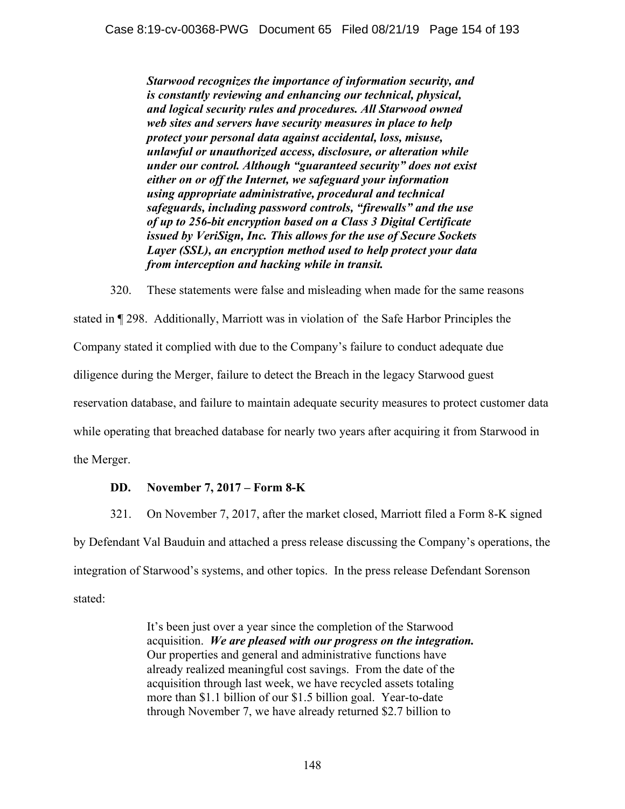*Starwood recognizes the importance of information security, and is constantly reviewing and enhancing our technical, physical, and logical security rules and procedures. All Starwood owned web sites and servers have security measures in place to help protect your personal data against accidental, loss, misuse, unlawful or unauthorized access, disclosure, or alteration while under our control. Although "guaranteed security" does not exist either on or off the Internet, we safeguard your information using appropriate administrative, procedural and technical safeguards, including password controls, "firewalls" and the use of up to 256-bit encryption based on a Class 3 Digital Certificate issued by VeriSign, Inc. This allows for the use of Secure Sockets Layer (SSL), an encryption method used to help protect your data from interception and hacking while in transit.* 

320. These statements were false and misleading when made for the same reasons stated in ¶ 298. Additionally, Marriott was in violation of the Safe Harbor Principles the Company stated it complied with due to the Company's failure to conduct adequate due diligence during the Merger, failure to detect the Breach in the legacy Starwood guest reservation database, and failure to maintain adequate security measures to protect customer data while operating that breached database for nearly two years after acquiring it from Starwood in the Merger.

## **DD. November 7, 2017 – Form 8-K**

321. On November 7, 2017, after the market closed, Marriott filed a Form 8-K signed by Defendant Val Bauduin and attached a press release discussing the Company's operations, the integration of Starwood's systems, and other topics. In the press release Defendant Sorenson stated:

> It's been just over a year since the completion of the Starwood acquisition. *We are pleased with our progress on the integration.* Our properties and general and administrative functions have already realized meaningful cost savings. From the date of the acquisition through last week, we have recycled assets totaling more than \$1.1 billion of our \$1.5 billion goal. Year-to-date through November 7, we have already returned \$2.7 billion to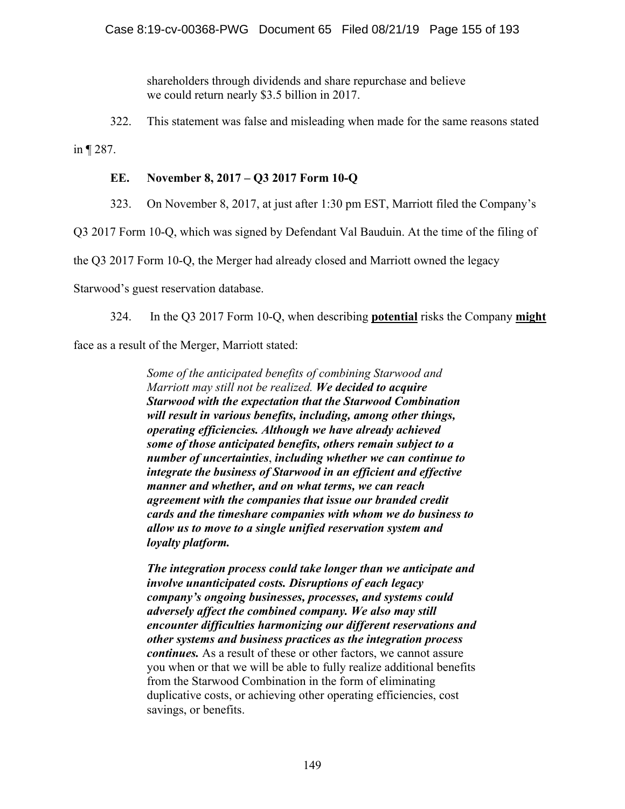shareholders through dividends and share repurchase and believe we could return nearly \$3.5 billion in 2017.

322. This statement was false and misleading when made for the same reasons stated

in ¶ 287.

# **EE. November 8, 2017 – Q3 2017 Form 10-Q**

323. On November 8, 2017, at just after 1:30 pm EST, Marriott filed the Company's

Q3 2017 Form 10-Q, which was signed by Defendant Val Bauduin. At the time of the filing of

the Q3 2017 Form 10-Q, the Merger had already closed and Marriott owned the legacy

Starwood's guest reservation database.

324. In the Q3 2017 Form 10-Q, when describing **potential** risks the Company **might**

face as a result of the Merger, Marriott stated:

*Some of the anticipated benefits of combining Starwood and Marriott may still not be realized. We decided to acquire Starwood with the expectation that the Starwood Combination will result in various benefits, including, among other things, operating efficiencies. Although we have already achieved some of those anticipated benefits, others remain subject to a number of uncertainties*, *including whether we can continue to integrate the business of Starwood in an efficient and effective manner and whether, and on what terms, we can reach agreement with the companies that issue our branded credit cards and the timeshare companies with whom we do business to allow us to move to a single unified reservation system and loyalty platform.*

*The integration process could take longer than we anticipate and involve unanticipated costs. Disruptions of each legacy company's ongoing businesses, processes, and systems could adversely affect the combined company. We also may still encounter difficulties harmonizing our different reservations and other systems and business practices as the integration process continues.* As a result of these or other factors, we cannot assure you when or that we will be able to fully realize additional benefits from the Starwood Combination in the form of eliminating duplicative costs, or achieving other operating efficiencies, cost savings, or benefits.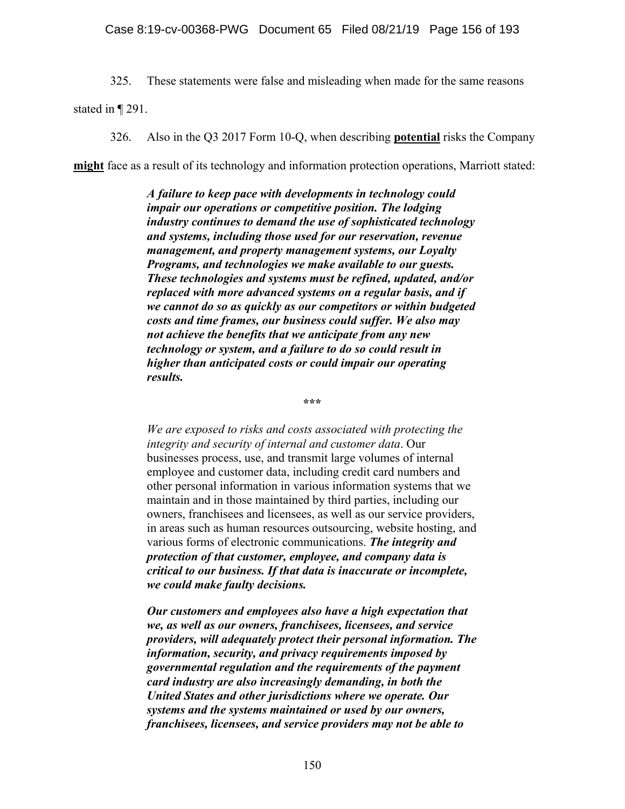325. These statements were false and misleading when made for the same reasons

stated in ¶ 291.

326. Also in the Q3 2017 Form 10-Q, when describing **potential** risks the Company

**might** face as a result of its technology and information protection operations, Marriott stated:

*A failure to keep pace with developments in technology could impair our operations or competitive position. The lodging industry continues to demand the use of sophisticated technology and systems, including those used for our reservation, revenue management, and property management systems, our Loyalty Programs, and technologies we make available to our guests. These technologies and systems must be refined, updated, and/or replaced with more advanced systems on a regular basis, and if we cannot do so as quickly as our competitors or within budgeted costs and time frames, our business could suffer. We also may not achieve the benefits that we anticipate from any new technology or system, and a failure to do so could result in higher than anticipated costs or could impair our operating results.* 

**\*\*\*** 

*We are exposed to risks and costs associated with protecting the integrity and security of internal and customer data*. Our businesses process, use, and transmit large volumes of internal employee and customer data, including credit card numbers and other personal information in various information systems that we maintain and in those maintained by third parties, including our owners, franchisees and licensees, as well as our service providers, in areas such as human resources outsourcing, website hosting, and various forms of electronic communications. *The integrity and protection of that customer, employee, and company data is critical to our business. If that data is inaccurate or incomplete, we could make faulty decisions.*

*Our customers and employees also have a high expectation that we, as well as our owners, franchisees, licensees, and service providers, will adequately protect their personal information. The information, security, and privacy requirements imposed by governmental regulation and the requirements of the payment card industry are also increasingly demanding, in both the United States and other jurisdictions where we operate. Our systems and the systems maintained or used by our owners, franchisees, licensees, and service providers may not be able to*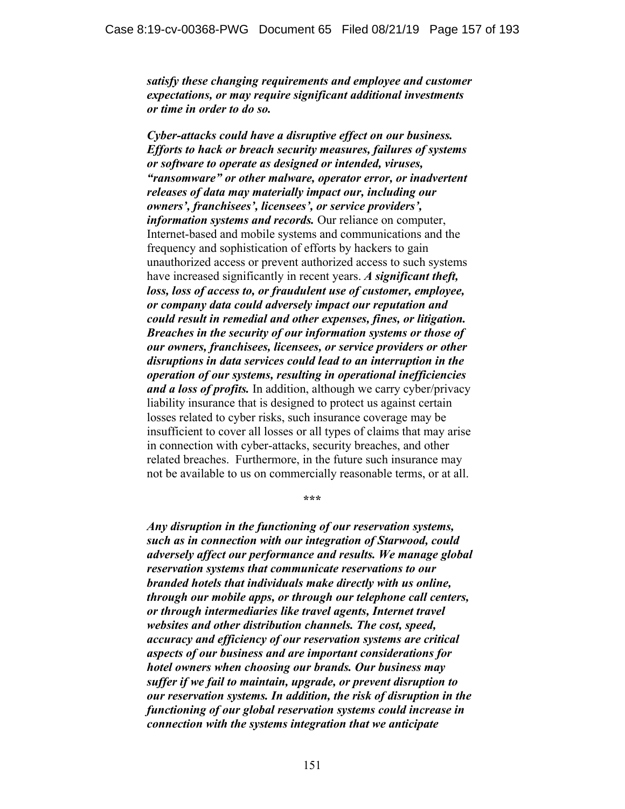*satisfy these changing requirements and employee and customer expectations, or may require significant additional investments or time in order to do so.*

*Cyber-attacks could have a disruptive effect on our business. Efforts to hack or breach security measures, failures of systems or software to operate as designed or intended, viruses, "ransomware" or other malware, operator error, or inadvertent releases of data may materially impact our, including our owners', franchisees', licensees', or service providers', information systems and records.* Our reliance on computer, Internet-based and mobile systems and communications and the frequency and sophistication of efforts by hackers to gain unauthorized access or prevent authorized access to such systems have increased significantly in recent years. *A significant theft, loss, loss of access to, or fraudulent use of customer, employee, or company data could adversely impact our reputation and could result in remedial and other expenses, fines, or litigation. Breaches in the security of our information systems or those of our owners, franchisees, licensees, or service providers or other disruptions in data services could lead to an interruption in the operation of our systems, resulting in operational inefficiencies and a loss of profits.* In addition, although we carry cyber/privacy liability insurance that is designed to protect us against certain losses related to cyber risks, such insurance coverage may be insufficient to cover all losses or all types of claims that may arise in connection with cyber-attacks, security breaches, and other related breaches. Furthermore, in the future such insurance may not be available to us on commercially reasonable terms, or at all.

**\*\*\*** 

*Any disruption in the functioning of our reservation systems, such as in connection with our integration of Starwood, could adversely affect our performance and results. We manage global reservation systems that communicate reservations to our branded hotels that individuals make directly with us online, through our mobile apps, or through our telephone call centers, or through intermediaries like travel agents, Internet travel websites and other distribution channels. The cost, speed, accuracy and efficiency of our reservation systems are critical aspects of our business and are important considerations for hotel owners when choosing our brands. Our business may suffer if we fail to maintain, upgrade, or prevent disruption to our reservation systems. In addition, the risk of disruption in the functioning of our global reservation systems could increase in connection with the systems integration that we anticipate*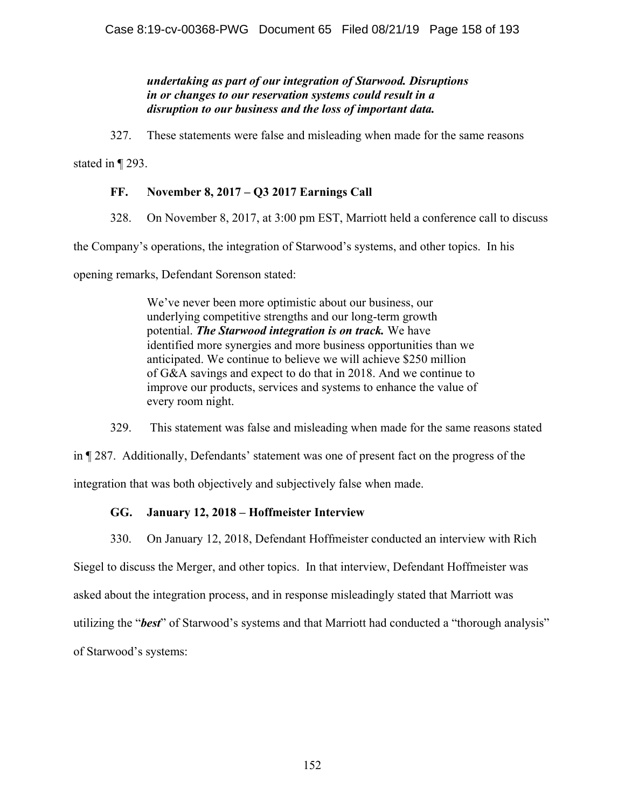## *undertaking as part of our integration of Starwood. Disruptions in or changes to our reservation systems could result in a disruption to our business and the loss of important data.*

327. These statements were false and misleading when made for the same reasons

stated in ¶ 293.

## **FF. November 8, 2017 – Q3 2017 Earnings Call**

328. On November 8, 2017, at 3:00 pm EST, Marriott held a conference call to discuss

the Company's operations, the integration of Starwood's systems, and other topics. In his

opening remarks, Defendant Sorenson stated:

We've never been more optimistic about our business, our underlying competitive strengths and our long-term growth potential. *The Starwood integration is on track.* We have identified more synergies and more business opportunities than we anticipated. We continue to believe we will achieve \$250 million of G&A savings and expect to do that in 2018. And we continue to improve our products, services and systems to enhance the value of every room night.

329. This statement was false and misleading when made for the same reasons stated

in ¶ 287. Additionally, Defendants' statement was one of present fact on the progress of the

integration that was both objectively and subjectively false when made.

## **GG. January 12, 2018 – Hoffmeister Interview**

330. On January 12, 2018, Defendant Hoffmeister conducted an interview with Rich Siegel to discuss the Merger, and other topics. In that interview, Defendant Hoffmeister was asked about the integration process, and in response misleadingly stated that Marriott was utilizing the "*best*" of Starwood's systems and that Marriott had conducted a "thorough analysis" of Starwood's systems: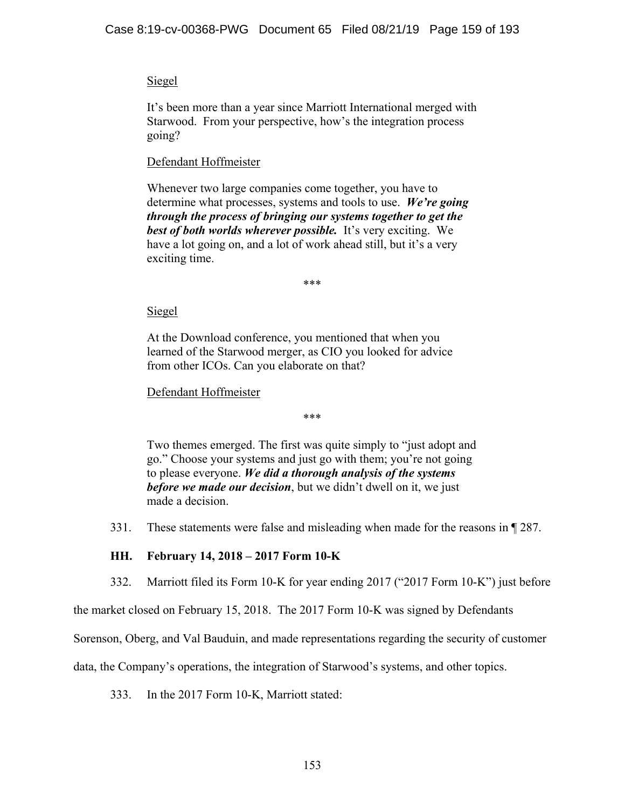## Siegel

It's been more than a year since Marriott International merged with Starwood. From your perspective, how's the integration process going?

## Defendant Hoffmeister

Whenever two large companies come together, you have to determine what processes, systems and tools to use. *We're going through the process of bringing our systems together to get the best of both worlds wherever possible.* It's very exciting. We have a lot going on, and a lot of work ahead still, but it's a very exciting time.

\*\*\*

## Siegel

At the Download conference, you mentioned that when you learned of the Starwood merger, as CIO you looked for advice from other ICOs. Can you elaborate on that?

## Defendant Hoffmeister

\*\*\*

Two themes emerged. The first was quite simply to "just adopt and go." Choose your systems and just go with them; you're not going to please everyone. *We did a thorough analysis of the systems before we made our decision*, but we didn't dwell on it, we just made a decision.

331. These statements were false and misleading when made for the reasons in ¶ 287.

## **HH. February 14, 2018 – 2017 Form 10-K**

332. Marriott filed its Form 10-K for year ending 2017 ("2017 Form 10-K") just before

the market closed on February 15, 2018. The 2017 Form 10-K was signed by Defendants

Sorenson, Oberg, and Val Bauduin, and made representations regarding the security of customer

data, the Company's operations, the integration of Starwood's systems, and other topics.

333. In the 2017 Form 10-K, Marriott stated: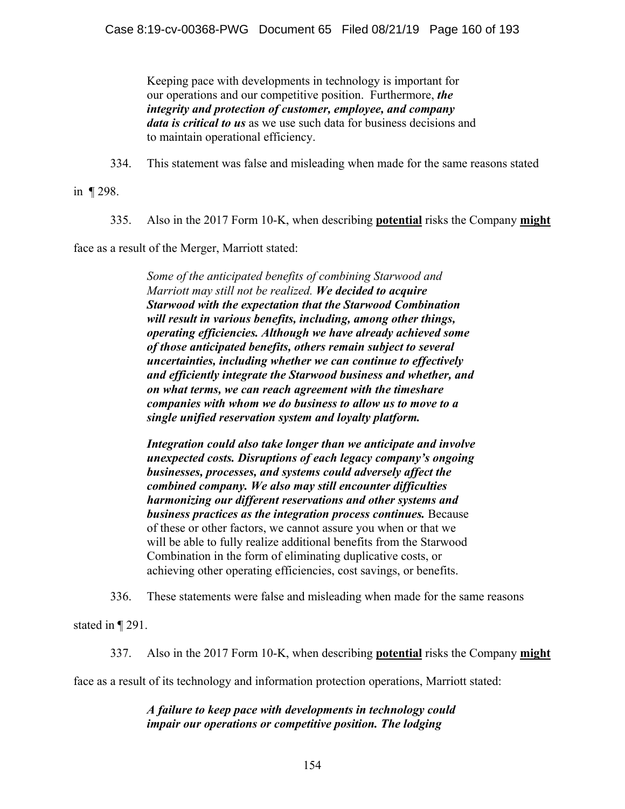Keeping pace with developments in technology is important for our operations and our competitive position. Furthermore, *the integrity and protection of customer, employee, and company data is critical to us* as we use such data for business decisions and to maintain operational efficiency.

334. This statement was false and misleading when made for the same reasons stated

in ¶ 298.

335. Also in the 2017 Form 10-K, when describing **potential** risks the Company **might**

face as a result of the Merger, Marriott stated:

*Some of the anticipated benefits of combining Starwood and Marriott may still not be realized. We decided to acquire Starwood with the expectation that the Starwood Combination will result in various benefits, including, among other things, operating efficiencies. Although we have already achieved some of those anticipated benefits, others remain subject to several uncertainties, including whether we can continue to effectively and efficiently integrate the Starwood business and whether, and on what terms, we can reach agreement with the timeshare companies with whom we do business to allow us to move to a single unified reservation system and loyalty platform.*

*Integration could also take longer than we anticipate and involve unexpected costs. Disruptions of each legacy company's ongoing businesses, processes, and systems could adversely affect the combined company. We also may still encounter difficulties harmonizing our different reservations and other systems and business practices as the integration process continues.* Because of these or other factors, we cannot assure you when or that we will be able to fully realize additional benefits from the Starwood Combination in the form of eliminating duplicative costs, or achieving other operating efficiencies, cost savings, or benefits.

336. These statements were false and misleading when made for the same reasons

stated in ¶ 291.

337. Also in the 2017 Form 10-K, when describing **potential** risks the Company **might**

face as a result of its technology and information protection operations, Marriott stated:

*A failure to keep pace with developments in technology could impair our operations or competitive position. The lodging*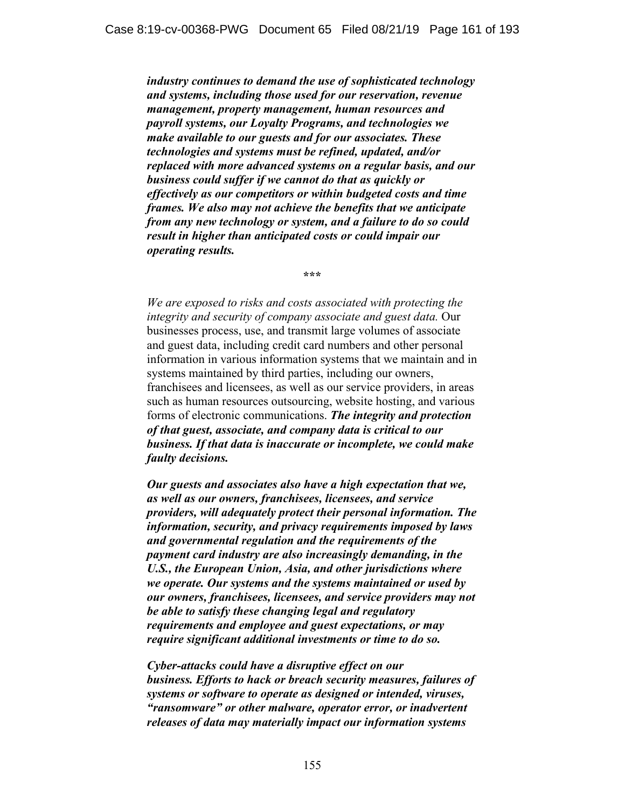*industry continues to demand the use of sophisticated technology and systems, including those used for our reservation, revenue management, property management, human resources and payroll systems, our Loyalty Programs, and technologies we make available to our guests and for our associates. These technologies and systems must be refined, updated, and/or replaced with more advanced systems on a regular basis, and our business could suffer if we cannot do that as quickly or effectively as our competitors or within budgeted costs and time frames. We also may not achieve the benefits that we anticipate from any new technology or system, and a failure to do so could result in higher than anticipated costs or could impair our operating results.* 

**\*\*\*** 

*We are exposed to risks and costs associated with protecting the integrity and security of company associate and guest data.* Our businesses process, use, and transmit large volumes of associate and guest data, including credit card numbers and other personal information in various information systems that we maintain and in systems maintained by third parties, including our owners, franchisees and licensees, as well as our service providers, in areas such as human resources outsourcing, website hosting, and various forms of electronic communications. *The integrity and protection of that guest, associate, and company data is critical to our business. If that data is inaccurate or incomplete, we could make faulty decisions.* 

*Our guests and associates also have a high expectation that we, as well as our owners, franchisees, licensees, and service providers, will adequately protect their personal information. The information, security, and privacy requirements imposed by laws and governmental regulation and the requirements of the payment card industry are also increasingly demanding, in the U.S., the European Union, Asia, and other jurisdictions where we operate. Our systems and the systems maintained or used by our owners, franchisees, licensees, and service providers may not be able to satisfy these changing legal and regulatory requirements and employee and guest expectations, or may require significant additional investments or time to do so.* 

*Cyber-attacks could have a disruptive effect on our business. Efforts to hack or breach security measures, failures of systems or software to operate as designed or intended, viruses, "ransomware" or other malware, operator error, or inadvertent releases of data may materially impact our information systems*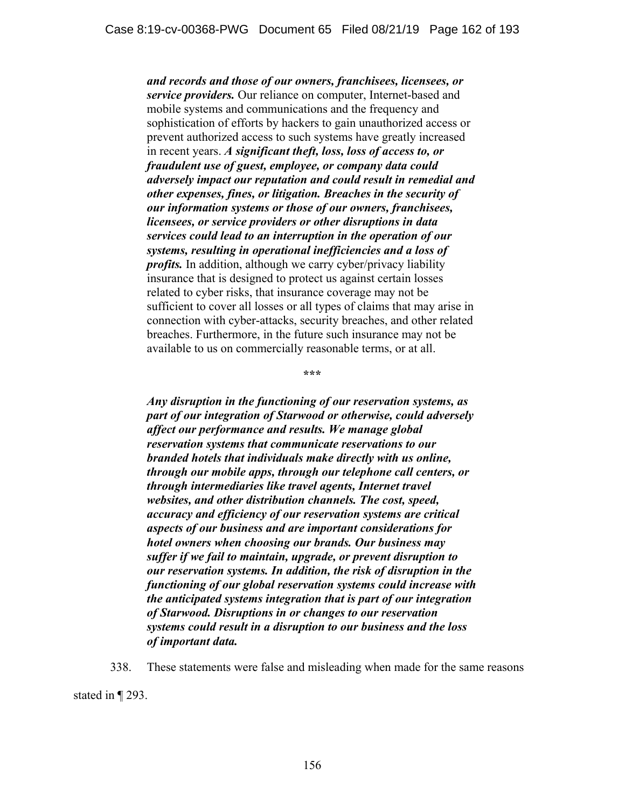*and records and those of our owners, franchisees, licensees, or service providers.* Our reliance on computer, Internet-based and mobile systems and communications and the frequency and sophistication of efforts by hackers to gain unauthorized access or prevent authorized access to such systems have greatly increased in recent years. *A significant theft, loss, loss of access to, or fraudulent use of guest, employee, or company data could adversely impact our reputation and could result in remedial and other expenses, fines, or litigation. Breaches in the security of our information systems or those of our owners, franchisees, licensees, or service providers or other disruptions in data services could lead to an interruption in the operation of our systems, resulting in operational inefficiencies and a loss of profits.* In addition, although we carry cyber/privacy liability insurance that is designed to protect us against certain losses related to cyber risks, that insurance coverage may not be sufficient to cover all losses or all types of claims that may arise in connection with cyber-attacks, security breaches, and other related breaches. Furthermore, in the future such insurance may not be available to us on commercially reasonable terms, or at all.

**\*\*\*** 

*Any disruption in the functioning of our reservation systems, as part of our integration of Starwood or otherwise, could adversely affect our performance and results. We manage global reservation systems that communicate reservations to our branded hotels that individuals make directly with us online, through our mobile apps, through our telephone call centers, or through intermediaries like travel agents, Internet travel websites, and other distribution channels. The cost, speed, accuracy and efficiency of our reservation systems are critical aspects of our business and are important considerations for hotel owners when choosing our brands. Our business may suffer if we fail to maintain, upgrade, or prevent disruption to our reservation systems. In addition, the risk of disruption in the functioning of our global reservation systems could increase with the anticipated systems integration that is part of our integration of Starwood. Disruptions in or changes to our reservation systems could result in a disruption to our business and the loss of important data.* 

338. These statements were false and misleading when made for the same reasons

stated in ¶ 293.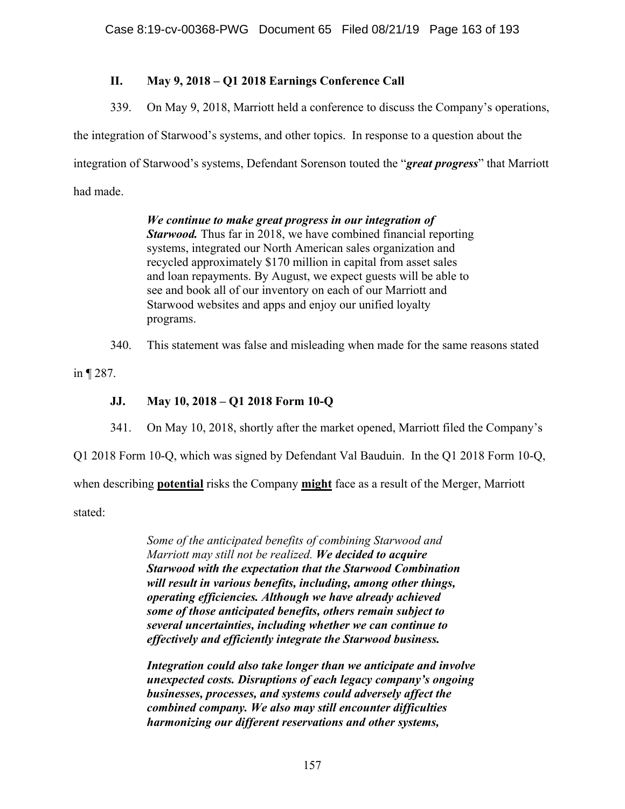# **II. May 9, 2018 – Q1 2018 Earnings Conference Call**

339. On May 9, 2018, Marriott held a conference to discuss the Company's operations,

the integration of Starwood's systems, and other topics. In response to a question about the

integration of Starwood's systems, Defendant Sorenson touted the "*great progress*" that Marriott

had made.

*We continue to make great progress in our integration of Starwood.* Thus far in 2018, we have combined financial reporting systems, integrated our North American sales organization and recycled approximately \$170 million in capital from asset sales and loan repayments. By August, we expect guests will be able to see and book all of our inventory on each of our Marriott and Starwood websites and apps and enjoy our unified loyalty programs.

340. This statement was false and misleading when made for the same reasons stated

in ¶ 287.

# **JJ. May 10, 2018 – Q1 2018 Form 10-Q**

341. On May 10, 2018, shortly after the market opened, Marriott filed the Company's

Q1 2018 Form 10-Q, which was signed by Defendant Val Bauduin. In the Q1 2018 Form 10-Q,

when describing **potential** risks the Company **might** face as a result of the Merger, Marriott

stated:

*Some of the anticipated benefits of combining Starwood and Marriott may still not be realized. We decided to acquire Starwood with the expectation that the Starwood Combination will result in various benefits, including, among other things, operating efficiencies. Although we have already achieved some of those anticipated benefits, others remain subject to several uncertainties, including whether we can continue to effectively and efficiently integrate the Starwood business.* 

*Integration could also take longer than we anticipate and involve unexpected costs. Disruptions of each legacy company's ongoing businesses, processes, and systems could adversely affect the combined company. We also may still encounter difficulties harmonizing our different reservations and other systems,*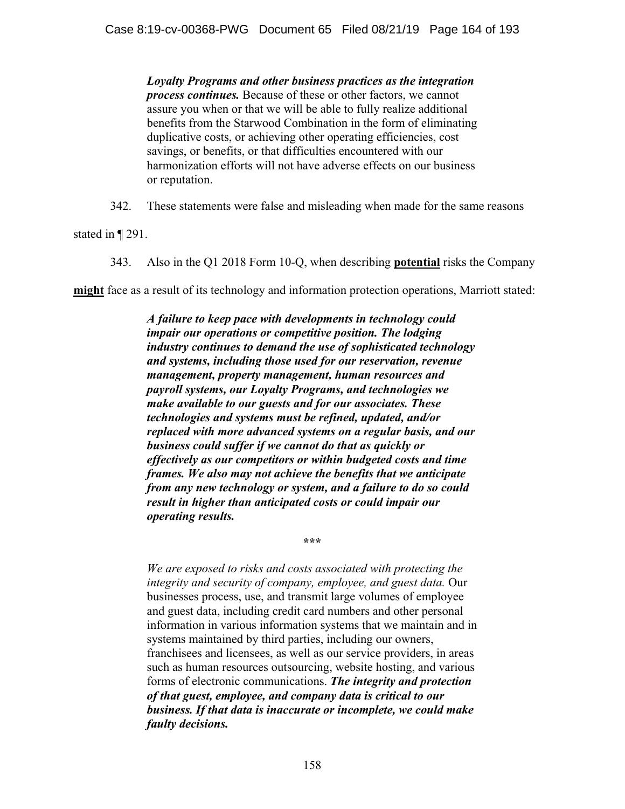*Loyalty Programs and other business practices as the integration process continues.* Because of these or other factors, we cannot assure you when or that we will be able to fully realize additional benefits from the Starwood Combination in the form of eliminating duplicative costs, or achieving other operating efficiencies, cost savings, or benefits, or that difficulties encountered with our harmonization efforts will not have adverse effects on our business or reputation.

342. These statements were false and misleading when made for the same reasons

stated in ¶ 291.

343. Also in the Q1 2018 Form 10-Q, when describing **potential** risks the Company

**might** face as a result of its technology and information protection operations, Marriott stated:

*A failure to keep pace with developments in technology could impair our operations or competitive position. The lodging industry continues to demand the use of sophisticated technology and systems, including those used for our reservation, revenue management, property management, human resources and payroll systems, our Loyalty Programs, and technologies we make available to our guests and for our associates. These technologies and systems must be refined, updated, and/or replaced with more advanced systems on a regular basis, and our business could suffer if we cannot do that as quickly or effectively as our competitors or within budgeted costs and time frames. We also may not achieve the benefits that we anticipate from any new technology or system, and a failure to do so could result in higher than anticipated costs or could impair our operating results.* 

**\*\*\*** 

*We are exposed to risks and costs associated with protecting the integrity and security of company, employee, and guest data.* Our businesses process, use, and transmit large volumes of employee and guest data, including credit card numbers and other personal information in various information systems that we maintain and in systems maintained by third parties, including our owners, franchisees and licensees, as well as our service providers, in areas such as human resources outsourcing, website hosting, and various forms of electronic communications. *The integrity and protection of that guest, employee, and company data is critical to our business. If that data is inaccurate or incomplete, we could make faulty decisions.*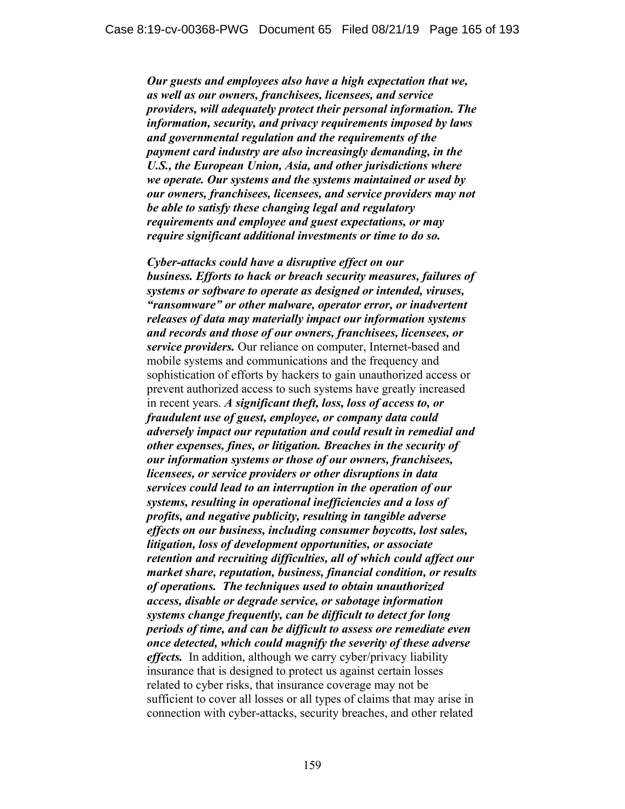*Our guests and employees also have a high expectation that we, as well as our owners, franchisees, licensees, and service providers, will adequately protect their personal information. The information, security, and privacy requirements imposed by laws and governmental regulation and the requirements of the payment card industry are also increasingly demanding, in the U.S., the European Union, Asia, and other jurisdictions where we operate. Our systems and the systems maintained or used by our owners, franchisees, licensees, and service providers may not be able to satisfy these changing legal and regulatory requirements and employee and guest expectations, or may require significant additional investments or time to do so.* 

*Cyber-attacks could have a disruptive effect on our business. Efforts to hack or breach security measures, failures of systems or software to operate as designed or intended, viruses, "ransomware" or other malware, operator error, or inadvertent releases of data may materially impact our information systems and records and those of our owners, franchisees, licensees, or service providers.* Our reliance on computer, Internet-based and mobile systems and communications and the frequency and sophistication of efforts by hackers to gain unauthorized access or prevent authorized access to such systems have greatly increased in recent years. *A significant theft, loss, loss of access to, or fraudulent use of guest, employee, or company data could adversely impact our reputation and could result in remedial and other expenses, fines, or litigation. Breaches in the security of our information systems or those of our owners, franchisees, licensees, or service providers or other disruptions in data services could lead to an interruption in the operation of our systems, resulting in operational inefficiencies and a loss of profits, and negative publicity, resulting in tangible adverse effects on our business, including consumer boycotts, lost sales, litigation, loss of development opportunities, or associate retention and recruiting difficulties, all of which could affect our market share, reputation, business, financial condition, or results of operations. The techniques used to obtain unauthorized access, disable or degrade service, or sabotage information systems change frequently, can be difficult to detect for long periods of time, and can be difficult to assess ore remediate even once detected, which could magnify the severity of these adverse effects.* In addition, although we carry cyber/privacy liability insurance that is designed to protect us against certain losses related to cyber risks, that insurance coverage may not be sufficient to cover all losses or all types of claims that may arise in connection with cyber-attacks, security breaches, and other related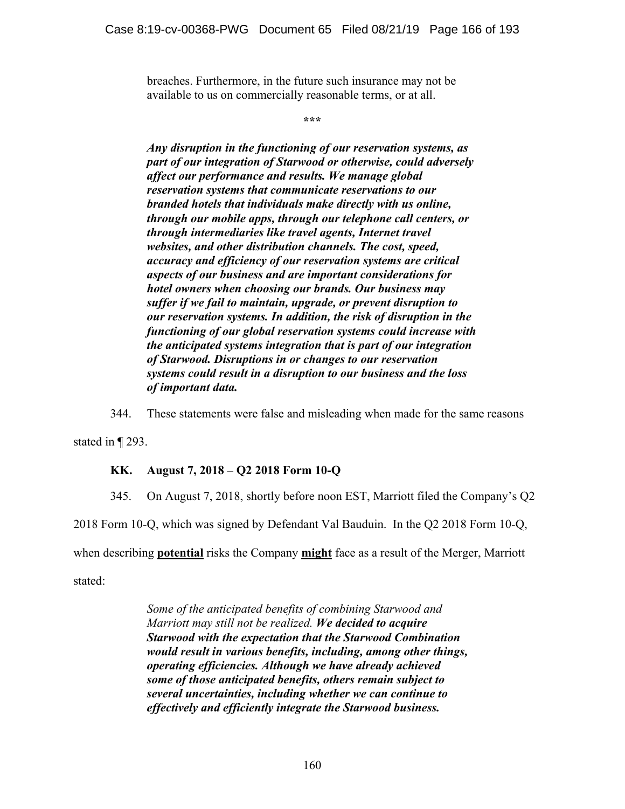breaches. Furthermore, in the future such insurance may not be available to us on commercially reasonable terms, or at all.

**\*\*\*** 

*Any disruption in the functioning of our reservation systems, as part of our integration of Starwood or otherwise, could adversely affect our performance and results. We manage global reservation systems that communicate reservations to our branded hotels that individuals make directly with us online, through our mobile apps, through our telephone call centers, or through intermediaries like travel agents, Internet travel websites, and other distribution channels. The cost, speed, accuracy and efficiency of our reservation systems are critical aspects of our business and are important considerations for hotel owners when choosing our brands. Our business may suffer if we fail to maintain, upgrade, or prevent disruption to our reservation systems. In addition, the risk of disruption in the functioning of our global reservation systems could increase with the anticipated systems integration that is part of our integration of Starwood. Disruptions in or changes to our reservation systems could result in a disruption to our business and the loss of important data.* 

344. These statements were false and misleading when made for the same reasons

stated in ¶ 293.

### **KK. August 7, 2018 – Q2 2018 Form 10-Q**

345. On August 7, 2018, shortly before noon EST, Marriott filed the Company's Q2

2018 Form 10-Q, which was signed by Defendant Val Bauduin. In the Q2 2018 Form 10-Q,

when describing **potential** risks the Company **might** face as a result of the Merger, Marriott

stated:

*Some of the anticipated benefits of combining Starwood and Marriott may still not be realized. We decided to acquire Starwood with the expectation that the Starwood Combination would result in various benefits, including, among other things, operating efficiencies. Although we have already achieved some of those anticipated benefits, others remain subject to several uncertainties, including whether we can continue to effectively and efficiently integrate the Starwood business.*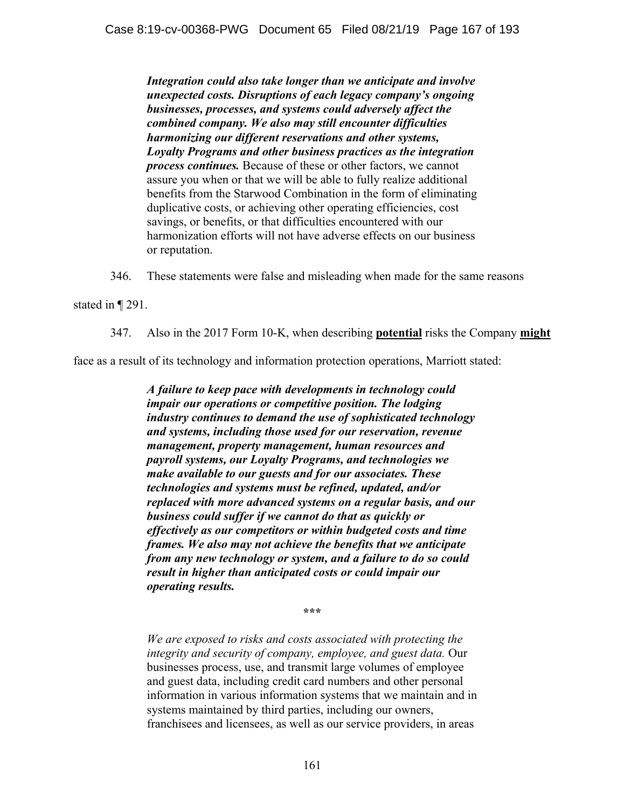*Integration could also take longer than we anticipate and involve unexpected costs. Disruptions of each legacy company's ongoing businesses, processes, and systems could adversely affect the combined company. We also may still encounter difficulties harmonizing our different reservations and other systems, Loyalty Programs and other business practices as the integration process continues.* Because of these or other factors, we cannot assure you when or that we will be able to fully realize additional benefits from the Starwood Combination in the form of eliminating duplicative costs, or achieving other operating efficiencies, cost savings, or benefits, or that difficulties encountered with our harmonization efforts will not have adverse effects on our business or reputation.

346. These statements were false and misleading when made for the same reasons

stated in ¶ 291.

347. Also in the 2017 Form 10-K, when describing **potential** risks the Company **might**

face as a result of its technology and information protection operations, Marriott stated:

*A failure to keep pace with developments in technology could impair our operations or competitive position. The lodging industry continues to demand the use of sophisticated technology and systems, including those used for our reservation, revenue management, property management, human resources and payroll systems, our Loyalty Programs, and technologies we make available to our guests and for our associates. These technologies and systems must be refined, updated, and/or replaced with more advanced systems on a regular basis, and our business could suffer if we cannot do that as quickly or effectively as our competitors or within budgeted costs and time frames. We also may not achieve the benefits that we anticipate from any new technology or system, and a failure to do so could result in higher than anticipated costs or could impair our operating results.* 

**\*\*\*** 

*We are exposed to risks and costs associated with protecting the integrity and security of company, employee, and guest data.* Our businesses process, use, and transmit large volumes of employee and guest data, including credit card numbers and other personal information in various information systems that we maintain and in systems maintained by third parties, including our owners, franchisees and licensees, as well as our service providers, in areas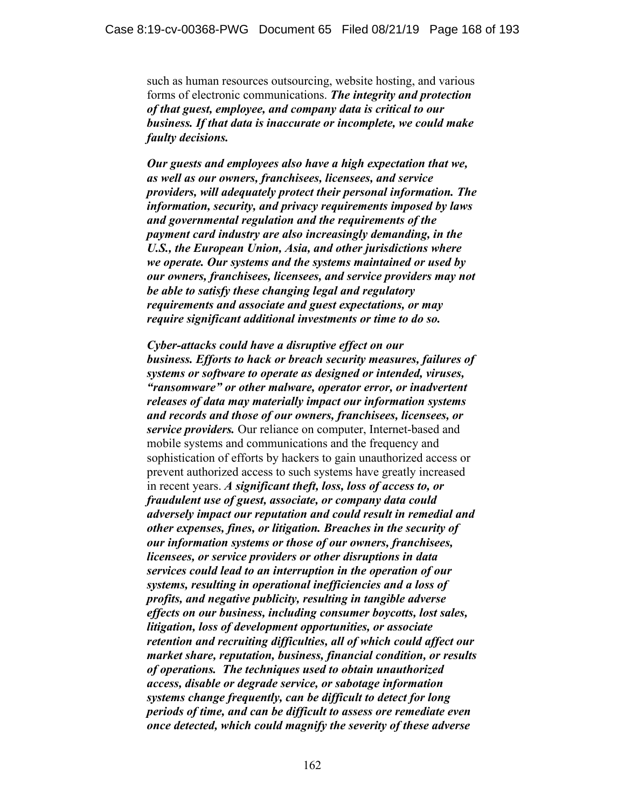such as human resources outsourcing, website hosting, and various forms of electronic communications. *The integrity and protection of that guest, employee, and company data is critical to our business. If that data is inaccurate or incomplete, we could make faulty decisions.*

*Our guests and employees also have a high expectation that we, as well as our owners, franchisees, licensees, and service providers, will adequately protect their personal information. The information, security, and privacy requirements imposed by laws and governmental regulation and the requirements of the payment card industry are also increasingly demanding, in the U.S., the European Union, Asia, and other jurisdictions where we operate. Our systems and the systems maintained or used by our owners, franchisees, licensees, and service providers may not be able to satisfy these changing legal and regulatory requirements and associate and guest expectations, or may require significant additional investments or time to do so.* 

*Cyber-attacks could have a disruptive effect on our business. Efforts to hack or breach security measures, failures of systems or software to operate as designed or intended, viruses, "ransomware" or other malware, operator error, or inadvertent releases of data may materially impact our information systems and records and those of our owners, franchisees, licensees, or service providers.* Our reliance on computer, Internet-based and mobile systems and communications and the frequency and sophistication of efforts by hackers to gain unauthorized access or prevent authorized access to such systems have greatly increased in recent years. *A significant theft, loss, loss of access to, or fraudulent use of guest, associate, or company data could adversely impact our reputation and could result in remedial and other expenses, fines, or litigation. Breaches in the security of our information systems or those of our owners, franchisees, licensees, or service providers or other disruptions in data services could lead to an interruption in the operation of our systems, resulting in operational inefficiencies and a loss of profits, and negative publicity, resulting in tangible adverse effects on our business, including consumer boycotts, lost sales, litigation, loss of development opportunities, or associate retention and recruiting difficulties, all of which could affect our market share, reputation, business, financial condition, or results of operations. The techniques used to obtain unauthorized access, disable or degrade service, or sabotage information systems change frequently, can be difficult to detect for long periods of time, and can be difficult to assess ore remediate even once detected, which could magnify the severity of these adverse*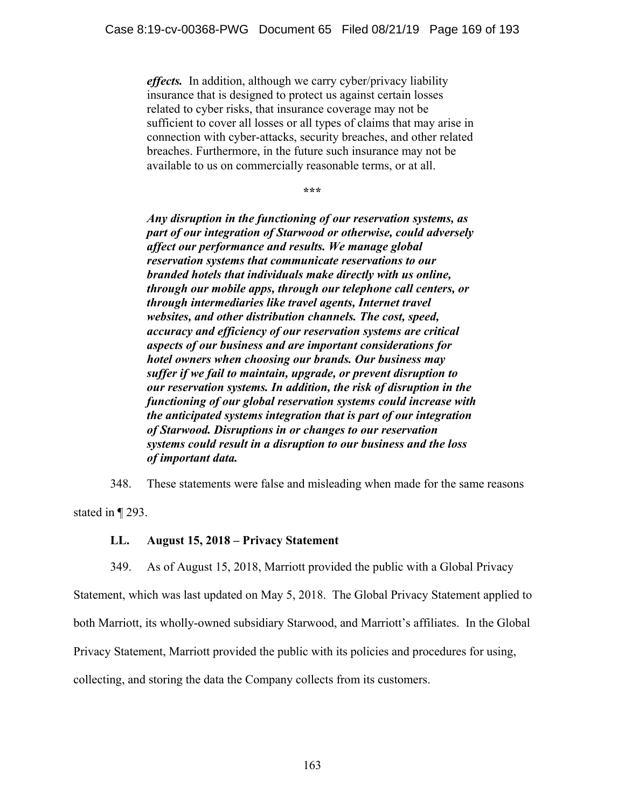*effects.* In addition, although we carry cyber/privacy liability insurance that is designed to protect us against certain losses related to cyber risks, that insurance coverage may not be sufficient to cover all losses or all types of claims that may arise in connection with cyber-attacks, security breaches, and other related breaches. Furthermore, in the future such insurance may not be available to us on commercially reasonable terms, or at all.

**\*\*\*** 

*Any disruption in the functioning of our reservation systems, as part of our integration of Starwood or otherwise, could adversely affect our performance and results. We manage global reservation systems that communicate reservations to our branded hotels that individuals make directly with us online, through our mobile apps, through our telephone call centers, or through intermediaries like travel agents, Internet travel websites, and other distribution channels. The cost, speed, accuracy and efficiency of our reservation systems are critical aspects of our business and are important considerations for hotel owners when choosing our brands. Our business may suffer if we fail to maintain, upgrade, or prevent disruption to our reservation systems. In addition, the risk of disruption in the functioning of our global reservation systems could increase with the anticipated systems integration that is part of our integration of Starwood. Disruptions in or changes to our reservation systems could result in a disruption to our business and the loss of important data.* 

348. These statements were false and misleading when made for the same reasons stated in ¶ 293.

### **LL. August 15, 2018 – Privacy Statement**

349. As of August 15, 2018, Marriott provided the public with a Global Privacy

Statement, which was last updated on May 5, 2018. The Global Privacy Statement applied to both Marriott, its wholly-owned subsidiary Starwood, and Marriott's affiliates. In the Global Privacy Statement, Marriott provided the public with its policies and procedures for using, collecting, and storing the data the Company collects from its customers.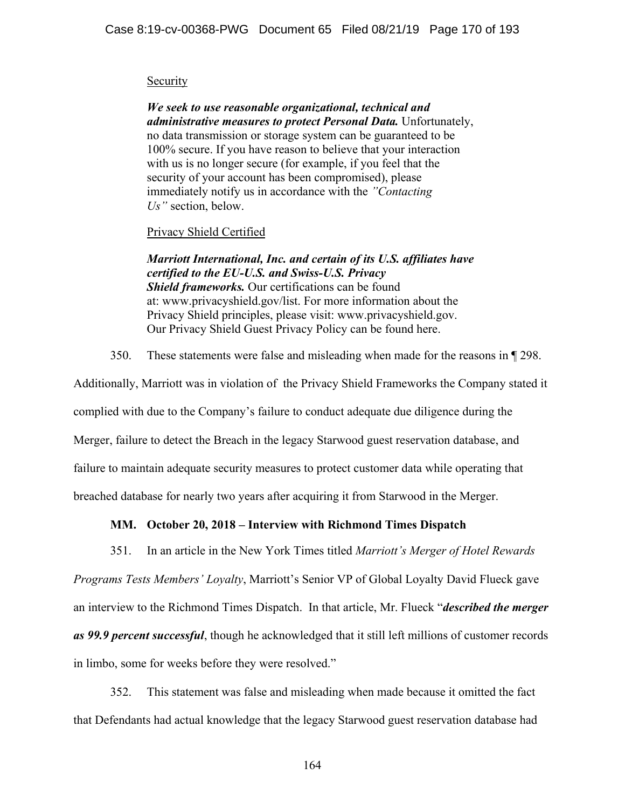### **Security**

*We seek to use reasonable organizational, technical and administrative measures to protect Personal Data.* Unfortunately, no data transmission or storage system can be guaranteed to be 100% secure. If you have reason to believe that your interaction with us is no longer secure (for example, if you feel that the security of your account has been compromised), please immediately notify us in accordance with the *"Contacting Us"* section, below.

## Privacy Shield Certified

*Marriott International, Inc. and certain of its U.S. affiliates have certified to the EU-U.S. and Swiss-U.S. Privacy Shield frameworks.* Our certifications can be found at: www.privacyshield.gov/list. For more information about the Privacy Shield principles, please visit: www.privacyshield.gov. Our Privacy Shield Guest Privacy Policy can be found here.

350. These statements were false and misleading when made for the reasons in ¶ 298.

Additionally, Marriott was in violation of the Privacy Shield Frameworks the Company stated it complied with due to the Company's failure to conduct adequate due diligence during the Merger, failure to detect the Breach in the legacy Starwood guest reservation database, and failure to maintain adequate security measures to protect customer data while operating that breached database for nearly two years after acquiring it from Starwood in the Merger.

# **MM. October 20, 2018 – Interview with Richmond Times Dispatch**

351. In an article in the New York Times titled *Marriott's Merger of Hotel Rewards* 

*Programs Tests Members' Loyalty*, Marriott's Senior VP of Global Loyalty David Flueck gave an interview to the Richmond Times Dispatch. In that article, Mr. Flueck "*described the merger as 99.9 percent successful*, though he acknowledged that it still left millions of customer records in limbo, some for weeks before they were resolved."

352. This statement was false and misleading when made because it omitted the fact that Defendants had actual knowledge that the legacy Starwood guest reservation database had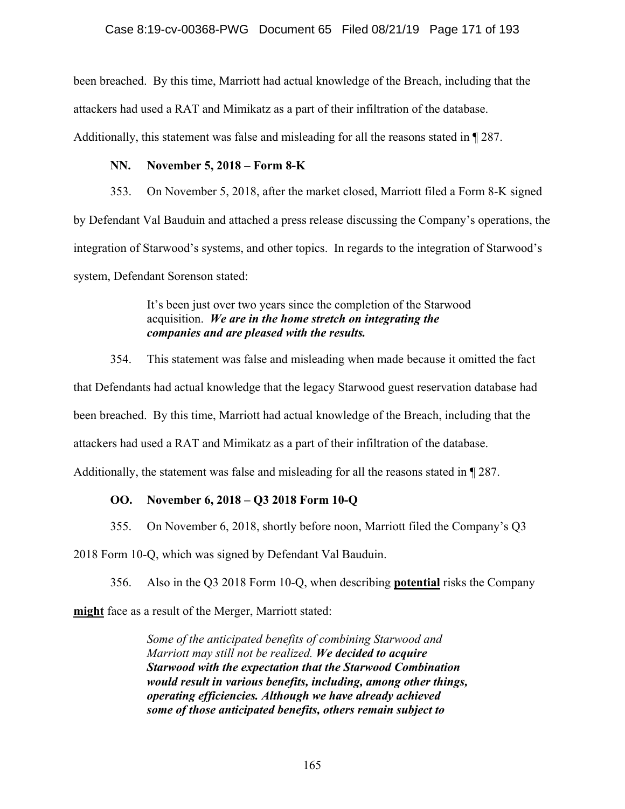been breached. By this time, Marriott had actual knowledge of the Breach, including that the attackers had used a RAT and Mimikatz as a part of their infiltration of the database. Additionally, this statement was false and misleading for all the reasons stated in ¶ 287.

## **NN. November 5, 2018 – Form 8-K**

353. On November 5, 2018, after the market closed, Marriott filed a Form 8-K signed by Defendant Val Bauduin and attached a press release discussing the Company's operations, the integration of Starwood's systems, and other topics. In regards to the integration of Starwood's system, Defendant Sorenson stated:

> It's been just over two years since the completion of the Starwood acquisition. *We are in the home stretch on integrating the companies and are pleased with the results.*

354. This statement was false and misleading when made because it omitted the fact that Defendants had actual knowledge that the legacy Starwood guest reservation database had been breached. By this time, Marriott had actual knowledge of the Breach, including that the attackers had used a RAT and Mimikatz as a part of their infiltration of the database. Additionally, the statement was false and misleading for all the reasons stated in ¶ 287.

## **OO. November 6, 2018 – Q3 2018 Form 10-Q**

355. On November 6, 2018, shortly before noon, Marriott filed the Company's Q3

2018 Form 10-Q, which was signed by Defendant Val Bauduin.

356. Also in the Q3 2018 Form 10-Q, when describing **potential** risks the Company

**might** face as a result of the Merger, Marriott stated:

*Some of the anticipated benefits of combining Starwood and Marriott may still not be realized. We decided to acquire Starwood with the expectation that the Starwood Combination would result in various benefits, including, among other things, operating efficiencies. Although we have already achieved some of those anticipated benefits, others remain subject to*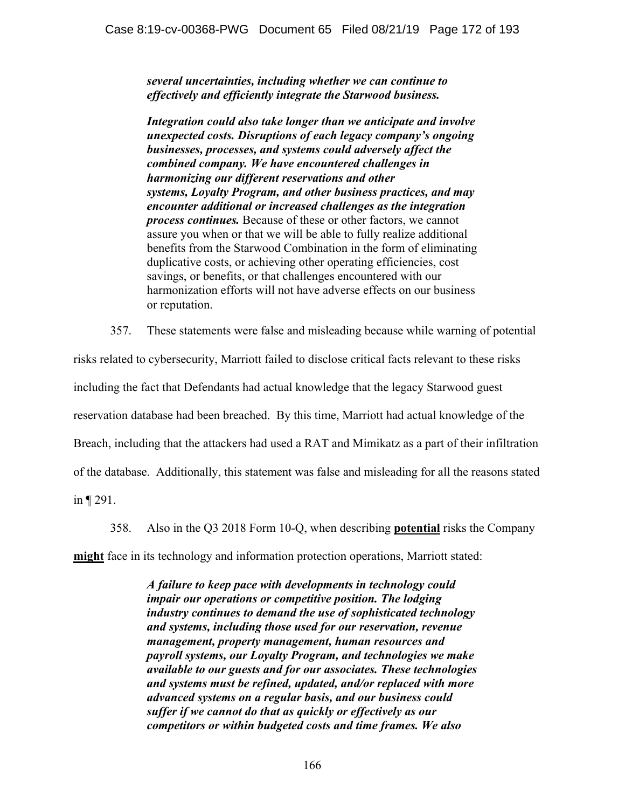*several uncertainties, including whether we can continue to effectively and efficiently integrate the Starwood business.* 

*Integration could also take longer than we anticipate and involve unexpected costs. Disruptions of each legacy company's ongoing businesses, processes, and systems could adversely affect the combined company. We have encountered challenges in harmonizing our different reservations and other systems, Loyalty Program, and other business practices, and may encounter additional or increased challenges as the integration process continues.* Because of these or other factors, we cannot assure you when or that we will be able to fully realize additional benefits from the Starwood Combination in the form of eliminating duplicative costs, or achieving other operating efficiencies, cost savings, or benefits, or that challenges encountered with our harmonization efforts will not have adverse effects on our business or reputation.

357. These statements were false and misleading because while warning of potential

risks related to cybersecurity, Marriott failed to disclose critical facts relevant to these risks including the fact that Defendants had actual knowledge that the legacy Starwood guest reservation database had been breached. By this time, Marriott had actual knowledge of the Breach, including that the attackers had used a RAT and Mimikatz as a part of their infiltration of the database. Additionally, this statement was false and misleading for all the reasons stated

in ¶ 291.

358. Also in the Q3 2018 Form 10-Q, when describing **potential** risks the Company

**might** face in its technology and information protection operations, Marriott stated:

*A failure to keep pace with developments in technology could impair our operations or competitive position. The lodging industry continues to demand the use of sophisticated technology and systems, including those used for our reservation, revenue management, property management, human resources and payroll systems, our Loyalty Program, and technologies we make available to our guests and for our associates. These technologies and systems must be refined, updated, and/or replaced with more advanced systems on a regular basis, and our business could suffer if we cannot do that as quickly or effectively as our competitors or within budgeted costs and time frames. We also*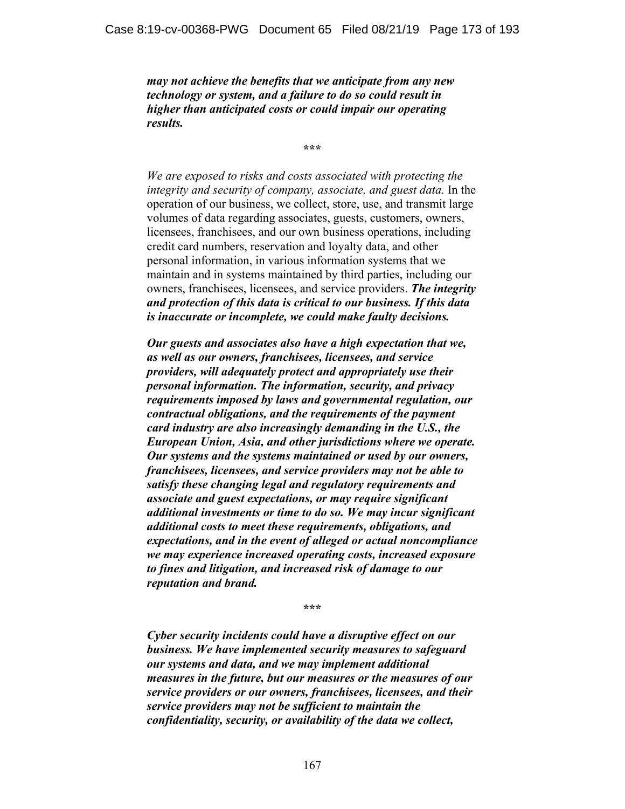*may not achieve the benefits that we anticipate from any new technology or system, and a failure to do so could result in higher than anticipated costs or could impair our operating results.* 

**\*\*\*** 

*We are exposed to risks and costs associated with protecting the integrity and security of company, associate, and guest data.* In the operation of our business, we collect, store, use, and transmit large volumes of data regarding associates, guests, customers, owners, licensees, franchisees, and our own business operations, including credit card numbers, reservation and loyalty data, and other personal information, in various information systems that we maintain and in systems maintained by third parties, including our owners, franchisees, licensees, and service providers. *The integrity and protection of this data is critical to our business. If this data is inaccurate or incomplete, we could make faulty decisions.* 

*Our guests and associates also have a high expectation that we, as well as our owners, franchisees, licensees, and service providers, will adequately protect and appropriately use their personal information. The information, security, and privacy requirements imposed by laws and governmental regulation, our contractual obligations, and the requirements of the payment card industry are also increasingly demanding in the U.S., the European Union, Asia, and other jurisdictions where we operate. Our systems and the systems maintained or used by our owners, franchisees, licensees, and service providers may not be able to satisfy these changing legal and regulatory requirements and associate and guest expectations, or may require significant additional investments or time to do so. We may incur significant additional costs to meet these requirements, obligations, and expectations, and in the event of alleged or actual noncompliance we may experience increased operating costs, increased exposure to fines and litigation, and increased risk of damage to our reputation and brand.*

**\*\*\*** 

*Cyber security incidents could have a disruptive effect on our business. We have implemented security measures to safeguard our systems and data, and we may implement additional measures in the future, but our measures or the measures of our service providers or our owners, franchisees, licensees, and their service providers may not be sufficient to maintain the confidentiality, security, or availability of the data we collect,*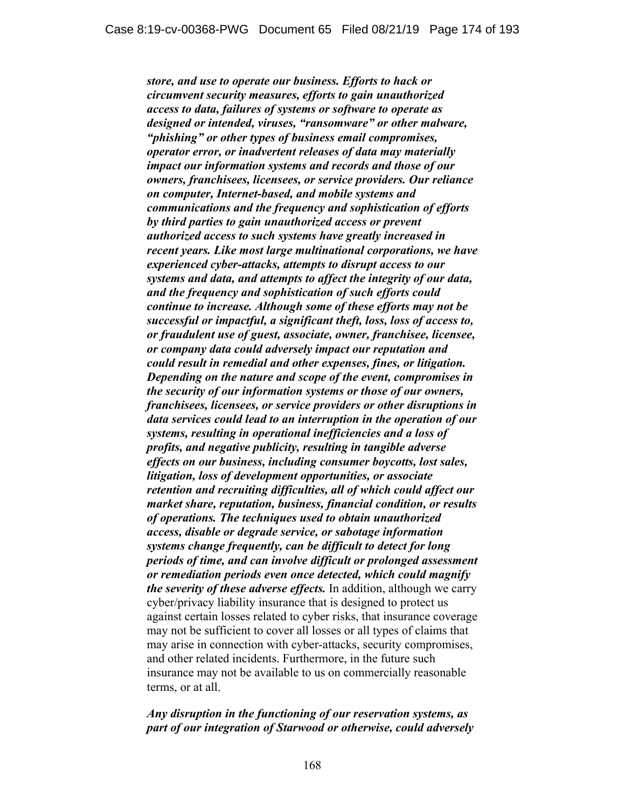*store, and use to operate our business. Efforts to hack or circumvent security measures, efforts to gain unauthorized access to data, failures of systems or software to operate as designed or intended, viruses, "ransomware" or other malware, "phishing" or other types of business email compromises, operator error, or inadvertent releases of data may materially impact our information systems and records and those of our owners, franchisees, licensees, or service providers. Our reliance on computer, Internet-based, and mobile systems and communications and the frequency and sophistication of efforts by third parties to gain unauthorized access or prevent authorized access to such systems have greatly increased in recent years. Like most large multinational corporations, we have experienced cyber-attacks, attempts to disrupt access to our systems and data, and attempts to affect the integrity of our data, and the frequency and sophistication of such efforts could continue to increase. Although some of these efforts may not be successful or impactful, a significant theft, loss, loss of access to, or fraudulent use of guest, associate, owner, franchisee, licensee, or company data could adversely impact our reputation and could result in remedial and other expenses, fines, or litigation. Depending on the nature and scope of the event, compromises in the security of our information systems or those of our owners, franchisees, licensees, or service providers or other disruptions in data services could lead to an interruption in the operation of our systems, resulting in operational inefficiencies and a loss of profits, and negative publicity, resulting in tangible adverse effects on our business, including consumer boycotts, lost sales, litigation, loss of development opportunities, or associate retention and recruiting difficulties, all of which could affect our market share, reputation, business, financial condition, or results of operations. The techniques used to obtain unauthorized access, disable or degrade service, or sabotage information systems change frequently, can be difficult to detect for long periods of time, and can involve difficult or prolonged assessment or remediation periods even once detected, which could magnify the severity of these adverse effects.* In addition, although we carry cyber/privacy liability insurance that is designed to protect us against certain losses related to cyber risks, that insurance coverage may not be sufficient to cover all losses or all types of claims that may arise in connection with cyber-attacks, security compromises, and other related incidents. Furthermore, in the future such insurance may not be available to us on commercially reasonable terms, or at all.

### *Any disruption in the functioning of our reservation systems, as part of our integration of Starwood or otherwise, could adversely*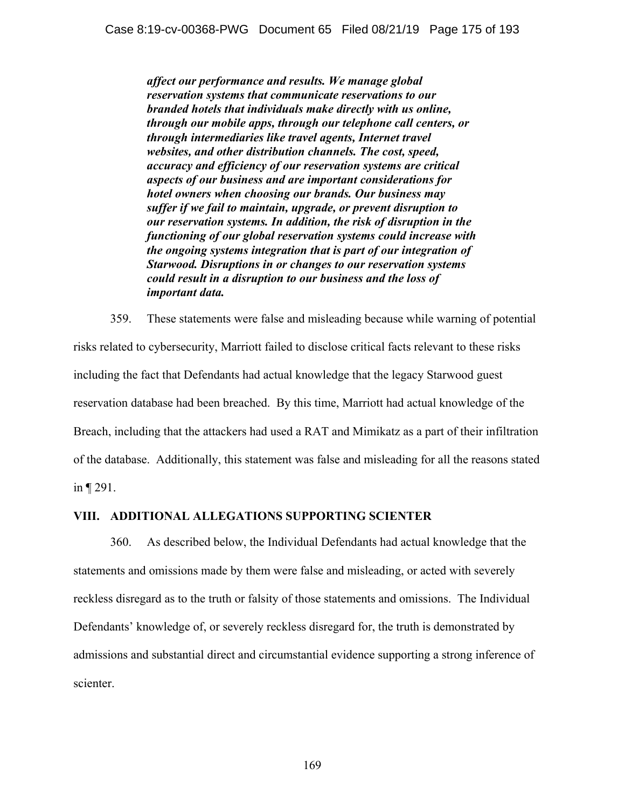*affect our performance and results. We manage global reservation systems that communicate reservations to our branded hotels that individuals make directly with us online, through our mobile apps, through our telephone call centers, or through intermediaries like travel agents, Internet travel websites, and other distribution channels. The cost, speed, accuracy and efficiency of our reservation systems are critical aspects of our business and are important considerations for hotel owners when choosing our brands. Our business may suffer if we fail to maintain, upgrade, or prevent disruption to our reservation systems. In addition, the risk of disruption in the functioning of our global reservation systems could increase with the ongoing systems integration that is part of our integration of Starwood. Disruptions in or changes to our reservation systems could result in a disruption to our business and the loss of important data.*

359. These statements were false and misleading because while warning of potential risks related to cybersecurity, Marriott failed to disclose critical facts relevant to these risks including the fact that Defendants had actual knowledge that the legacy Starwood guest reservation database had been breached. By this time, Marriott had actual knowledge of the Breach, including that the attackers had used a RAT and Mimikatz as a part of their infiltration of the database. Additionally, this statement was false and misleading for all the reasons stated in ¶ 291.

### **VIII. ADDITIONAL ALLEGATIONS SUPPORTING SCIENTER**

360. As described below, the Individual Defendants had actual knowledge that the statements and omissions made by them were false and misleading, or acted with severely reckless disregard as to the truth or falsity of those statements and omissions. The Individual Defendants' knowledge of, or severely reckless disregard for, the truth is demonstrated by admissions and substantial direct and circumstantial evidence supporting a strong inference of scienter.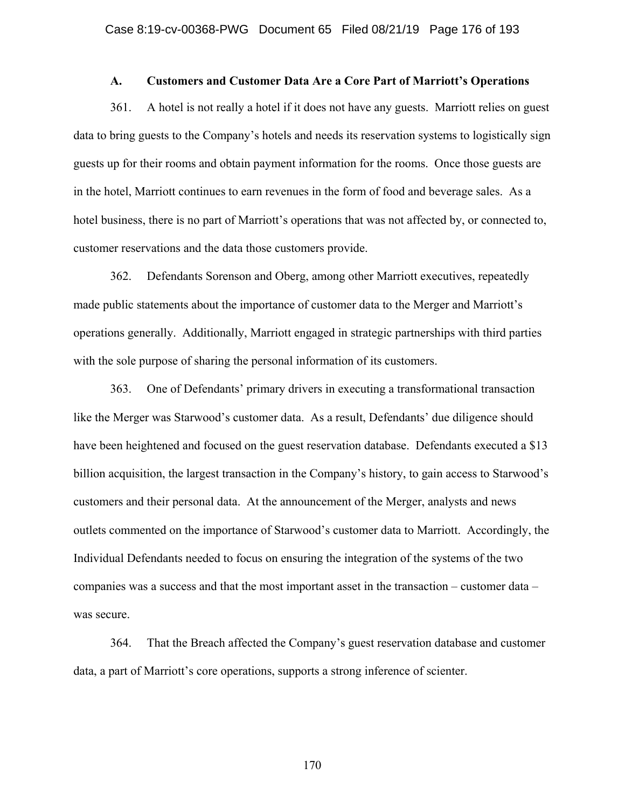#### **A. Customers and Customer Data Are a Core Part of Marriott's Operations**

361. A hotel is not really a hotel if it does not have any guests. Marriott relies on guest data to bring guests to the Company's hotels and needs its reservation systems to logistically sign guests up for their rooms and obtain payment information for the rooms. Once those guests are in the hotel, Marriott continues to earn revenues in the form of food and beverage sales. As a hotel business, there is no part of Marriott's operations that was not affected by, or connected to, customer reservations and the data those customers provide.

362. Defendants Sorenson and Oberg, among other Marriott executives, repeatedly made public statements about the importance of customer data to the Merger and Marriott's operations generally. Additionally, Marriott engaged in strategic partnerships with third parties with the sole purpose of sharing the personal information of its customers.

363. One of Defendants' primary drivers in executing a transformational transaction like the Merger was Starwood's customer data. As a result, Defendants' due diligence should have been heightened and focused on the guest reservation database. Defendants executed a \$13 billion acquisition, the largest transaction in the Company's history, to gain access to Starwood's customers and their personal data. At the announcement of the Merger, analysts and news outlets commented on the importance of Starwood's customer data to Marriott. Accordingly, the Individual Defendants needed to focus on ensuring the integration of the systems of the two companies was a success and that the most important asset in the transaction – customer data – was secure.

364. That the Breach affected the Company's guest reservation database and customer data, a part of Marriott's core operations, supports a strong inference of scienter.

170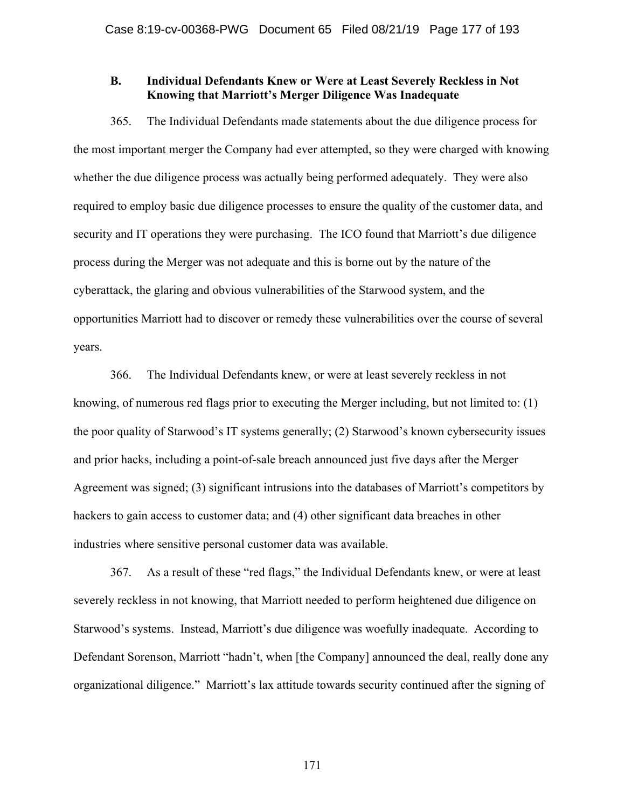### **B. Individual Defendants Knew or Were at Least Severely Reckless in Not Knowing that Marriott's Merger Diligence Was Inadequate**

365. The Individual Defendants made statements about the due diligence process for the most important merger the Company had ever attempted, so they were charged with knowing whether the due diligence process was actually being performed adequately. They were also required to employ basic due diligence processes to ensure the quality of the customer data, and security and IT operations they were purchasing. The ICO found that Marriott's due diligence process during the Merger was not adequate and this is borne out by the nature of the cyberattack, the glaring and obvious vulnerabilities of the Starwood system, and the opportunities Marriott had to discover or remedy these vulnerabilities over the course of several years.

366. The Individual Defendants knew, or were at least severely reckless in not knowing, of numerous red flags prior to executing the Merger including, but not limited to: (1) the poor quality of Starwood's IT systems generally; (2) Starwood's known cybersecurity issues and prior hacks, including a point-of-sale breach announced just five days after the Merger Agreement was signed; (3) significant intrusions into the databases of Marriott's competitors by hackers to gain access to customer data; and (4) other significant data breaches in other industries where sensitive personal customer data was available.

367. As a result of these "red flags," the Individual Defendants knew, or were at least severely reckless in not knowing, that Marriott needed to perform heightened due diligence on Starwood's systems. Instead, Marriott's due diligence was woefully inadequate. According to Defendant Sorenson, Marriott "hadn't, when [the Company] announced the deal, really done any organizational diligence." Marriott's lax attitude towards security continued after the signing of

171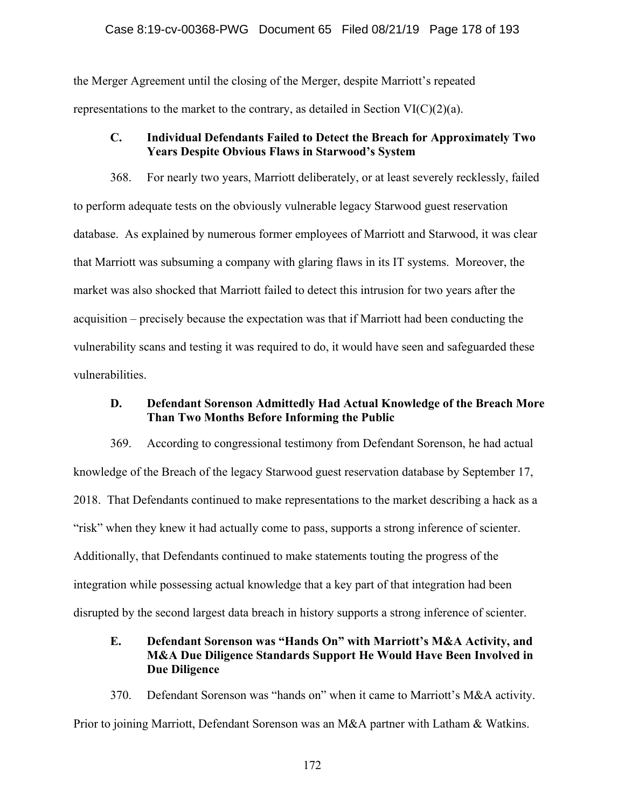the Merger Agreement until the closing of the Merger, despite Marriott's repeated representations to the market to the contrary, as detailed in Section VI(C)(2)(a).

## **C. Individual Defendants Failed to Detect the Breach for Approximately Two Years Despite Obvious Flaws in Starwood's System**

368. For nearly two years, Marriott deliberately, or at least severely recklessly, failed to perform adequate tests on the obviously vulnerable legacy Starwood guest reservation database. As explained by numerous former employees of Marriott and Starwood, it was clear that Marriott was subsuming a company with glaring flaws in its IT systems. Moreover, the market was also shocked that Marriott failed to detect this intrusion for two years after the acquisition – precisely because the expectation was that if Marriott had been conducting the vulnerability scans and testing it was required to do, it would have seen and safeguarded these vulnerabilities.

## **D. Defendant Sorenson Admittedly Had Actual Knowledge of the Breach More Than Two Months Before Informing the Public**

369. According to congressional testimony from Defendant Sorenson, he had actual knowledge of the Breach of the legacy Starwood guest reservation database by September 17, 2018. That Defendants continued to make representations to the market describing a hack as a "risk" when they knew it had actually come to pass, supports a strong inference of scienter. Additionally, that Defendants continued to make statements touting the progress of the integration while possessing actual knowledge that a key part of that integration had been disrupted by the second largest data breach in history supports a strong inference of scienter.

## **E. Defendant Sorenson was "Hands On" with Marriott's M&A Activity, and M&A Due Diligence Standards Support He Would Have Been Involved in Due Diligence**

370. Defendant Sorenson was "hands on" when it came to Marriott's M&A activity. Prior to joining Marriott, Defendant Sorenson was an M&A partner with Latham & Watkins.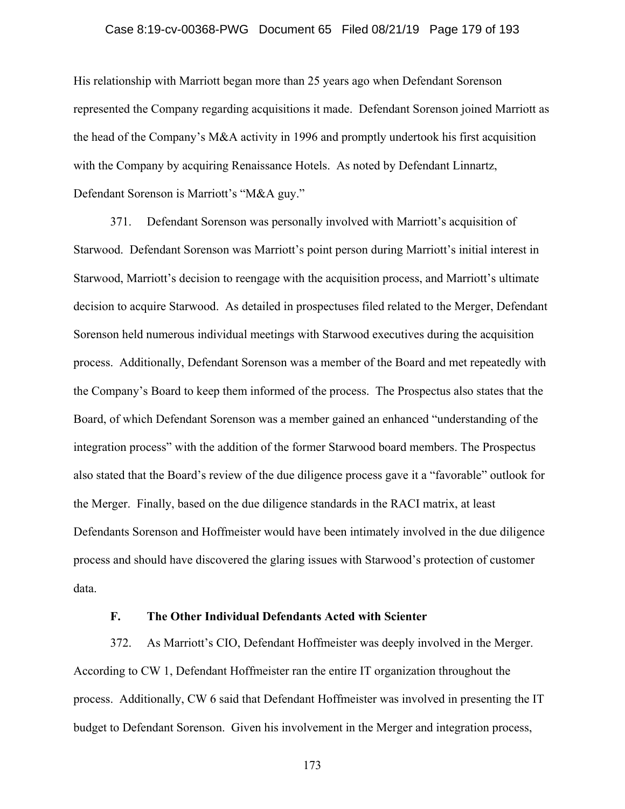#### Case 8:19-cv-00368-PWG Document 65 Filed 08/21/19 Page 179 of 193

His relationship with Marriott began more than 25 years ago when Defendant Sorenson represented the Company regarding acquisitions it made. Defendant Sorenson joined Marriott as the head of the Company's M&A activity in 1996 and promptly undertook his first acquisition with the Company by acquiring Renaissance Hotels. As noted by Defendant Linnartz, Defendant Sorenson is Marriott's "M&A guy."

371. Defendant Sorenson was personally involved with Marriott's acquisition of Starwood. Defendant Sorenson was Marriott's point person during Marriott's initial interest in Starwood, Marriott's decision to reengage with the acquisition process, and Marriott's ultimate decision to acquire Starwood. As detailed in prospectuses filed related to the Merger, Defendant Sorenson held numerous individual meetings with Starwood executives during the acquisition process. Additionally, Defendant Sorenson was a member of the Board and met repeatedly with the Company's Board to keep them informed of the process. The Prospectus also states that the Board, of which Defendant Sorenson was a member gained an enhanced "understanding of the integration process" with the addition of the former Starwood board members. The Prospectus also stated that the Board's review of the due diligence process gave it a "favorable" outlook for the Merger. Finally, based on the due diligence standards in the RACI matrix, at least Defendants Sorenson and Hoffmeister would have been intimately involved in the due diligence process and should have discovered the glaring issues with Starwood's protection of customer data.

#### **F. The Other Individual Defendants Acted with Scienter**

372. As Marriott's CIO, Defendant Hoffmeister was deeply involved in the Merger. According to CW 1, Defendant Hoffmeister ran the entire IT organization throughout the process. Additionally, CW 6 said that Defendant Hoffmeister was involved in presenting the IT budget to Defendant Sorenson. Given his involvement in the Merger and integration process,

173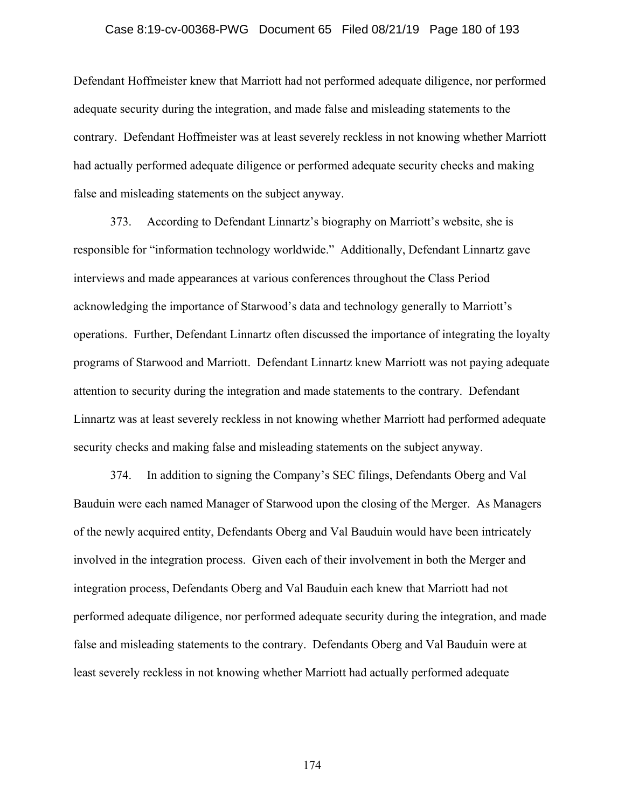#### Case 8:19-cv-00368-PWG Document 65 Filed 08/21/19 Page 180 of 193

Defendant Hoffmeister knew that Marriott had not performed adequate diligence, nor performed adequate security during the integration, and made false and misleading statements to the contrary. Defendant Hoffmeister was at least severely reckless in not knowing whether Marriott had actually performed adequate diligence or performed adequate security checks and making false and misleading statements on the subject anyway.

373. According to Defendant Linnartz's biography on Marriott's website, she is responsible for "information technology worldwide." Additionally, Defendant Linnartz gave interviews and made appearances at various conferences throughout the Class Period acknowledging the importance of Starwood's data and technology generally to Marriott's operations. Further, Defendant Linnartz often discussed the importance of integrating the loyalty programs of Starwood and Marriott. Defendant Linnartz knew Marriott was not paying adequate attention to security during the integration and made statements to the contrary. Defendant Linnartz was at least severely reckless in not knowing whether Marriott had performed adequate security checks and making false and misleading statements on the subject anyway.

374. In addition to signing the Company's SEC filings, Defendants Oberg and Val Bauduin were each named Manager of Starwood upon the closing of the Merger. As Managers of the newly acquired entity, Defendants Oberg and Val Bauduin would have been intricately involved in the integration process. Given each of their involvement in both the Merger and integration process, Defendants Oberg and Val Bauduin each knew that Marriott had not performed adequate diligence, nor performed adequate security during the integration, and made false and misleading statements to the contrary. Defendants Oberg and Val Bauduin were at least severely reckless in not knowing whether Marriott had actually performed adequate

174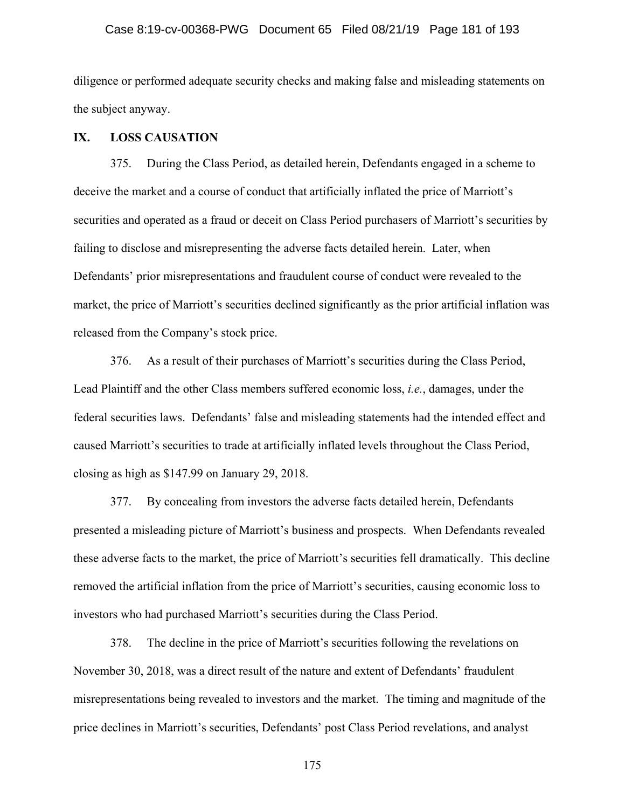## Case 8:19-cv-00368-PWG Document 65 Filed 08/21/19 Page 181 of 193

diligence or performed adequate security checks and making false and misleading statements on the subject anyway.

## **IX. LOSS CAUSATION**

375. During the Class Period, as detailed herein, Defendants engaged in a scheme to deceive the market and a course of conduct that artificially inflated the price of Marriott's securities and operated as a fraud or deceit on Class Period purchasers of Marriott's securities by failing to disclose and misrepresenting the adverse facts detailed herein. Later, when Defendants' prior misrepresentations and fraudulent course of conduct were revealed to the market, the price of Marriott's securities declined significantly as the prior artificial inflation was released from the Company's stock price.

376. As a result of their purchases of Marriott's securities during the Class Period, Lead Plaintiff and the other Class members suffered economic loss, *i.e.*, damages, under the federal securities laws. Defendants' false and misleading statements had the intended effect and caused Marriott's securities to trade at artificially inflated levels throughout the Class Period, closing as high as \$147.99 on January 29, 2018.

377. By concealing from investors the adverse facts detailed herein, Defendants presented a misleading picture of Marriott's business and prospects. When Defendants revealed these adverse facts to the market, the price of Marriott's securities fell dramatically. This decline removed the artificial inflation from the price of Marriott's securities, causing economic loss to investors who had purchased Marriott's securities during the Class Period.

378. The decline in the price of Marriott's securities following the revelations on November 30, 2018, was a direct result of the nature and extent of Defendants' fraudulent misrepresentations being revealed to investors and the market. The timing and magnitude of the price declines in Marriott's securities, Defendants' post Class Period revelations, and analyst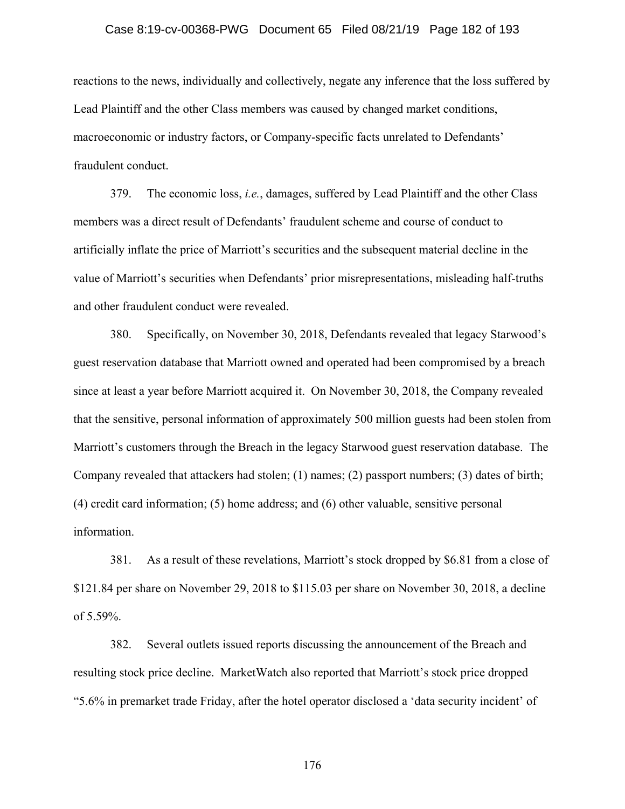## Case 8:19-cv-00368-PWG Document 65 Filed 08/21/19 Page 182 of 193

reactions to the news, individually and collectively, negate any inference that the loss suffered by Lead Plaintiff and the other Class members was caused by changed market conditions, macroeconomic or industry factors, or Company-specific facts unrelated to Defendants' fraudulent conduct.

379. The economic loss, *i.e.*, damages, suffered by Lead Plaintiff and the other Class members was a direct result of Defendants' fraudulent scheme and course of conduct to artificially inflate the price of Marriott's securities and the subsequent material decline in the value of Marriott's securities when Defendants' prior misrepresentations, misleading half-truths and other fraudulent conduct were revealed.

380. Specifically, on November 30, 2018, Defendants revealed that legacy Starwood's guest reservation database that Marriott owned and operated had been compromised by a breach since at least a year before Marriott acquired it. On November 30, 2018, the Company revealed that the sensitive, personal information of approximately 500 million guests had been stolen from Marriott's customers through the Breach in the legacy Starwood guest reservation database. The Company revealed that attackers had stolen; (1) names; (2) passport numbers; (3) dates of birth; (4) credit card information; (5) home address; and (6) other valuable, sensitive personal information.

381. As a result of these revelations, Marriott's stock dropped by \$6.81 from a close of \$121.84 per share on November 29, 2018 to \$115.03 per share on November 30, 2018, a decline of 5.59%.

382. Several outlets issued reports discussing the announcement of the Breach and resulting stock price decline. MarketWatch also reported that Marriott's stock price dropped "5.6% in premarket trade Friday, after the hotel operator disclosed a 'data security incident' of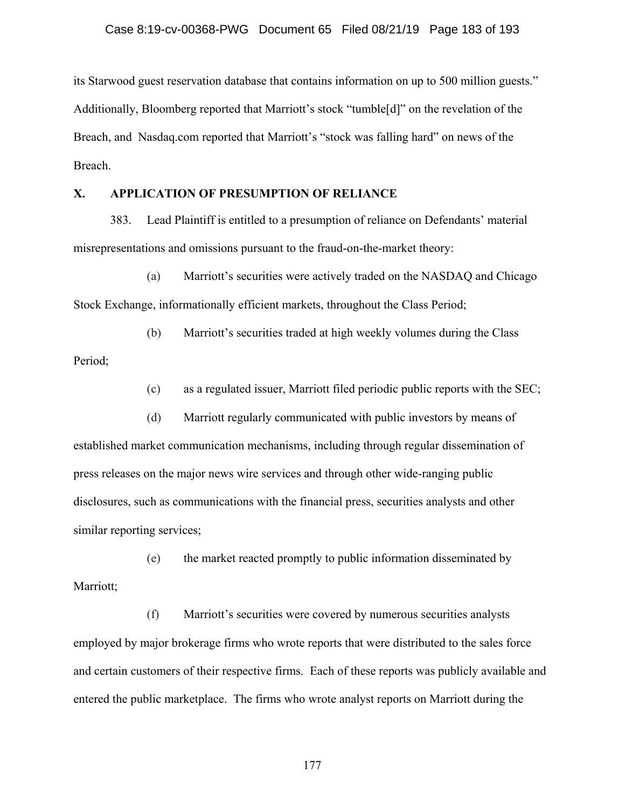its Starwood guest reservation database that contains information on up to 500 million guests." Additionally, Bloomberg reported that Marriott's stock "tumble[d]" on the revelation of the Breach, and Nasdaq.com reported that Marriott's "stock was falling hard" on news of the Breach.

## **X. APPLICATION OF PRESUMPTION OF RELIANCE**

383. Lead Plaintiff is entitled to a presumption of reliance on Defendants' material misrepresentations and omissions pursuant to the fraud-on-the-market theory:

(a) Marriott's securities were actively traded on the NASDAQ and Chicago Stock Exchange, informationally efficient markets, throughout the Class Period;

(b) Marriott's securities traded at high weekly volumes during the Class Period;

(c) as a regulated issuer, Marriott filed periodic public reports with the SEC;

(d) Marriott regularly communicated with public investors by means of established market communication mechanisms, including through regular dissemination of press releases on the major news wire services and through other wide-ranging public disclosures, such as communications with the financial press, securities analysts and other similar reporting services;

(e) the market reacted promptly to public information disseminated by Marriott;

(f) Marriott's securities were covered by numerous securities analysts employed by major brokerage firms who wrote reports that were distributed to the sales force and certain customers of their respective firms. Each of these reports was publicly available and entered the public marketplace. The firms who wrote analyst reports on Marriott during the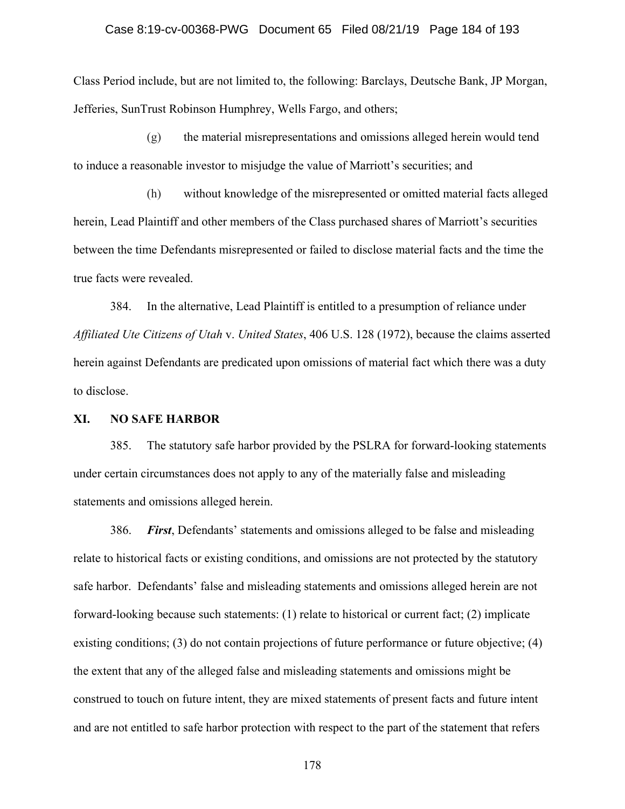## Case 8:19-cv-00368-PWG Document 65 Filed 08/21/19 Page 184 of 193

Class Period include, but are not limited to, the following: Barclays, Deutsche Bank, JP Morgan, Jefferies, SunTrust Robinson Humphrey, Wells Fargo, and others;

(g) the material misrepresentations and omissions alleged herein would tend to induce a reasonable investor to misjudge the value of Marriott's securities; and

(h) without knowledge of the misrepresented or omitted material facts alleged herein, Lead Plaintiff and other members of the Class purchased shares of Marriott's securities between the time Defendants misrepresented or failed to disclose material facts and the time the true facts were revealed.

384. In the alternative, Lead Plaintiff is entitled to a presumption of reliance under *Affiliated Ute Citizens of Utah* v. *United States*, 406 U.S. 128 (1972), because the claims asserted herein against Defendants are predicated upon omissions of material fact which there was a duty to disclose.

#### **XI. NO SAFE HARBOR**

385. The statutory safe harbor provided by the PSLRA for forward-looking statements under certain circumstances does not apply to any of the materially false and misleading statements and omissions alleged herein.

386. *First*, Defendants' statements and omissions alleged to be false and misleading relate to historical facts or existing conditions, and omissions are not protected by the statutory safe harbor. Defendants' false and misleading statements and omissions alleged herein are not forward-looking because such statements: (1) relate to historical or current fact; (2) implicate existing conditions; (3) do not contain projections of future performance or future objective; (4) the extent that any of the alleged false and misleading statements and omissions might be construed to touch on future intent, they are mixed statements of present facts and future intent and are not entitled to safe harbor protection with respect to the part of the statement that refers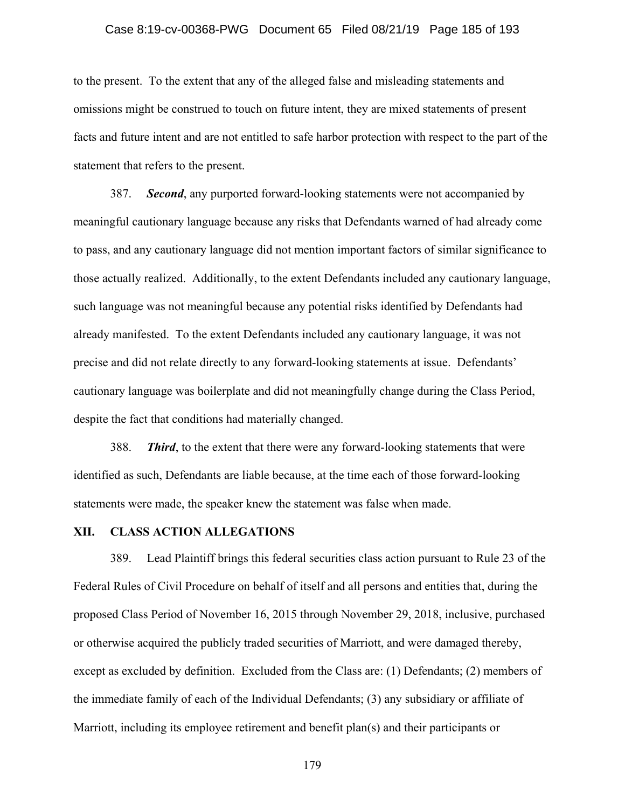## Case 8:19-cv-00368-PWG Document 65 Filed 08/21/19 Page 185 of 193

to the present. To the extent that any of the alleged false and misleading statements and omissions might be construed to touch on future intent, they are mixed statements of present facts and future intent and are not entitled to safe harbor protection with respect to the part of the statement that refers to the present.

387. *Second*, any purported forward-looking statements were not accompanied by meaningful cautionary language because any risks that Defendants warned of had already come to pass, and any cautionary language did not mention important factors of similar significance to those actually realized. Additionally, to the extent Defendants included any cautionary language, such language was not meaningful because any potential risks identified by Defendants had already manifested. To the extent Defendants included any cautionary language, it was not precise and did not relate directly to any forward-looking statements at issue. Defendants' cautionary language was boilerplate and did not meaningfully change during the Class Period, despite the fact that conditions had materially changed.

388. *Third*, to the extent that there were any forward-looking statements that were identified as such, Defendants are liable because, at the time each of those forward-looking statements were made, the speaker knew the statement was false when made.

#### **XII. CLASS ACTION ALLEGATIONS**

389. Lead Plaintiff brings this federal securities class action pursuant to Rule 23 of the Federal Rules of Civil Procedure on behalf of itself and all persons and entities that, during the proposed Class Period of November 16, 2015 through November 29, 2018, inclusive, purchased or otherwise acquired the publicly traded securities of Marriott, and were damaged thereby, except as excluded by definition. Excluded from the Class are: (1) Defendants; (2) members of the immediate family of each of the Individual Defendants; (3) any subsidiary or affiliate of Marriott, including its employee retirement and benefit plan(s) and their participants or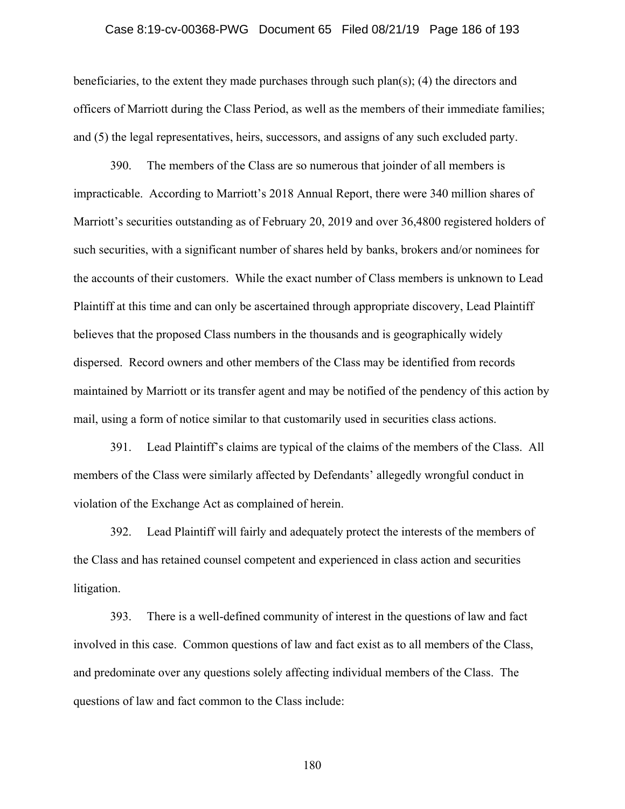## Case 8:19-cv-00368-PWG Document 65 Filed 08/21/19 Page 186 of 193

beneficiaries, to the extent they made purchases through such plan(s); (4) the directors and officers of Marriott during the Class Period, as well as the members of their immediate families; and (5) the legal representatives, heirs, successors, and assigns of any such excluded party.

390. The members of the Class are so numerous that joinder of all members is impracticable. According to Marriott's 2018 Annual Report, there were 340 million shares of Marriott's securities outstanding as of February 20, 2019 and over 36,4800 registered holders of such securities, with a significant number of shares held by banks, brokers and/or nominees for the accounts of their customers. While the exact number of Class members is unknown to Lead Plaintiff at this time and can only be ascertained through appropriate discovery, Lead Plaintiff believes that the proposed Class numbers in the thousands and is geographically widely dispersed. Record owners and other members of the Class may be identified from records maintained by Marriott or its transfer agent and may be notified of the pendency of this action by mail, using a form of notice similar to that customarily used in securities class actions.

391. Lead Plaintiff's claims are typical of the claims of the members of the Class. All members of the Class were similarly affected by Defendants' allegedly wrongful conduct in violation of the Exchange Act as complained of herein.

392. Lead Plaintiff will fairly and adequately protect the interests of the members of the Class and has retained counsel competent and experienced in class action and securities litigation.

393. There is a well-defined community of interest in the questions of law and fact involved in this case. Common questions of law and fact exist as to all members of the Class, and predominate over any questions solely affecting individual members of the Class. The questions of law and fact common to the Class include: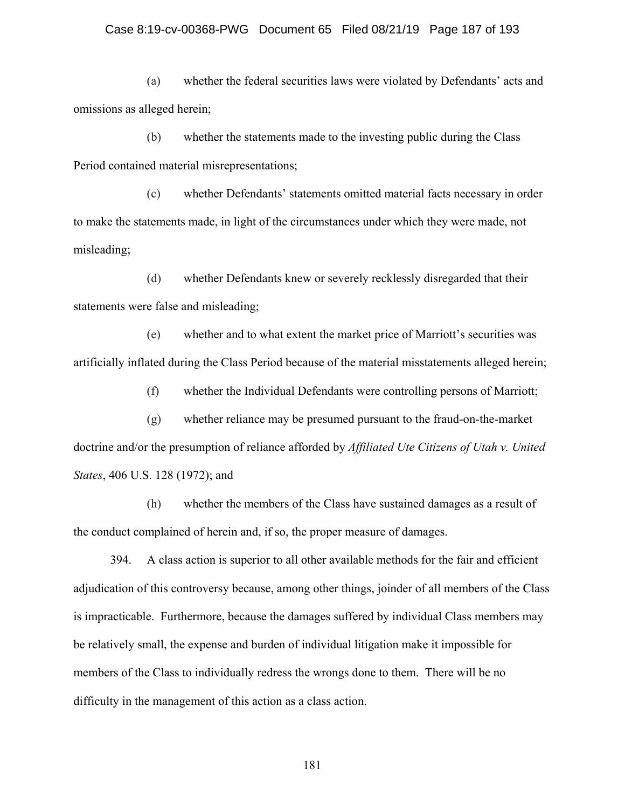## Case 8:19-cv-00368-PWG Document 65 Filed 08/21/19 Page 187 of 193

(a) whether the federal securities laws were violated by Defendants' acts and omissions as alleged herein;

(b) whether the statements made to the investing public during the Class Period contained material misrepresentations;

(c) whether Defendants' statements omitted material facts necessary in order to make the statements made, in light of the circumstances under which they were made, not misleading;

(d) whether Defendants knew or severely recklessly disregarded that their statements were false and misleading;

(e) whether and to what extent the market price of Marriott's securities was artificially inflated during the Class Period because of the material misstatements alleged herein;

(f) whether the Individual Defendants were controlling persons of Marriott;

(g) whether reliance may be presumed pursuant to the fraud-on-the-market doctrine and/or the presumption of reliance afforded by *Affiliated Ute Citizens of Utah v. United States*, 406 U.S. 128 (1972); and

(h) whether the members of the Class have sustained damages as a result of the conduct complained of herein and, if so, the proper measure of damages.

394. A class action is superior to all other available methods for the fair and efficient adjudication of this controversy because, among other things, joinder of all members of the Class is impracticable. Furthermore, because the damages suffered by individual Class members may be relatively small, the expense and burden of individual litigation make it impossible for members of the Class to individually redress the wrongs done to them. There will be no difficulty in the management of this action as a class action.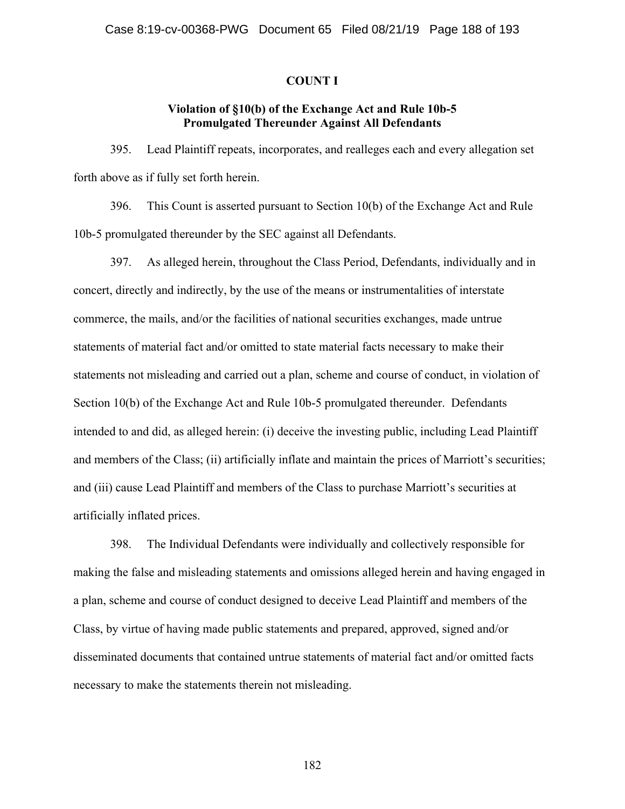#### **COUNT I**

## **Violation of §10(b) of the Exchange Act and Rule 10b-5 Promulgated Thereunder Against All Defendants**

395. Lead Plaintiff repeats, incorporates, and realleges each and every allegation set forth above as if fully set forth herein.

396. This Count is asserted pursuant to Section 10(b) of the Exchange Act and Rule 10b-5 promulgated thereunder by the SEC against all Defendants.

397. As alleged herein, throughout the Class Period, Defendants, individually and in concert, directly and indirectly, by the use of the means or instrumentalities of interstate commerce, the mails, and/or the facilities of national securities exchanges, made untrue statements of material fact and/or omitted to state material facts necessary to make their statements not misleading and carried out a plan, scheme and course of conduct, in violation of Section 10(b) of the Exchange Act and Rule 10b-5 promulgated thereunder. Defendants intended to and did, as alleged herein: (i) deceive the investing public, including Lead Plaintiff and members of the Class; (ii) artificially inflate and maintain the prices of Marriott's securities; and (iii) cause Lead Plaintiff and members of the Class to purchase Marriott's securities at artificially inflated prices.

398. The Individual Defendants were individually and collectively responsible for making the false and misleading statements and omissions alleged herein and having engaged in a plan, scheme and course of conduct designed to deceive Lead Plaintiff and members of the Class, by virtue of having made public statements and prepared, approved, signed and/or disseminated documents that contained untrue statements of material fact and/or omitted facts necessary to make the statements therein not misleading.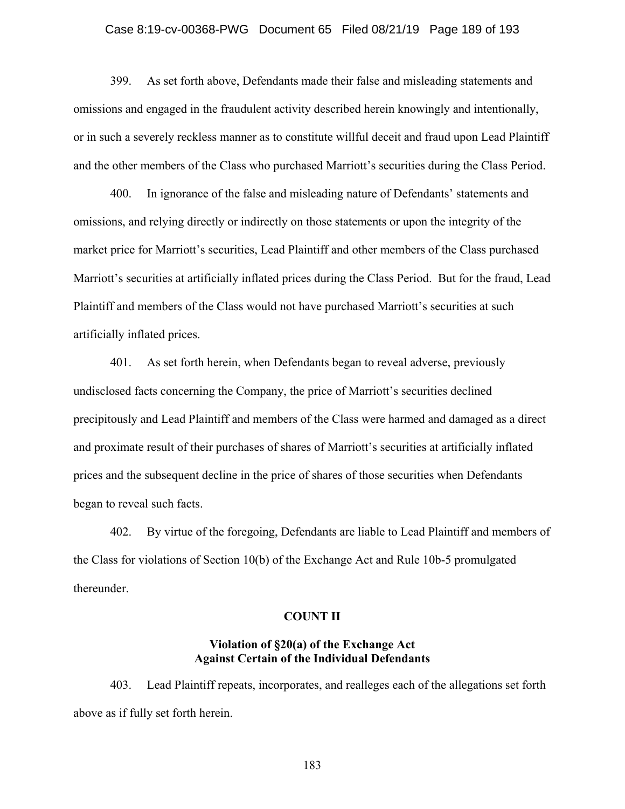## Case 8:19-cv-00368-PWG Document 65 Filed 08/21/19 Page 189 of 193

399. As set forth above, Defendants made their false and misleading statements and omissions and engaged in the fraudulent activity described herein knowingly and intentionally, or in such a severely reckless manner as to constitute willful deceit and fraud upon Lead Plaintiff and the other members of the Class who purchased Marriott's securities during the Class Period.

400. In ignorance of the false and misleading nature of Defendants' statements and omissions, and relying directly or indirectly on those statements or upon the integrity of the market price for Marriott's securities, Lead Plaintiff and other members of the Class purchased Marriott's securities at artificially inflated prices during the Class Period. But for the fraud, Lead Plaintiff and members of the Class would not have purchased Marriott's securities at such artificially inflated prices.

401. As set forth herein, when Defendants began to reveal adverse, previously undisclosed facts concerning the Company, the price of Marriott's securities declined precipitously and Lead Plaintiff and members of the Class were harmed and damaged as a direct and proximate result of their purchases of shares of Marriott's securities at artificially inflated prices and the subsequent decline in the price of shares of those securities when Defendants began to reveal such facts.

402. By virtue of the foregoing, Defendants are liable to Lead Plaintiff and members of the Class for violations of Section 10(b) of the Exchange Act and Rule 10b-5 promulgated thereunder.

### **COUNT II**

## **Violation of §20(a) of the Exchange Act Against Certain of the Individual Defendants**

403. Lead Plaintiff repeats, incorporates, and realleges each of the allegations set forth above as if fully set forth herein.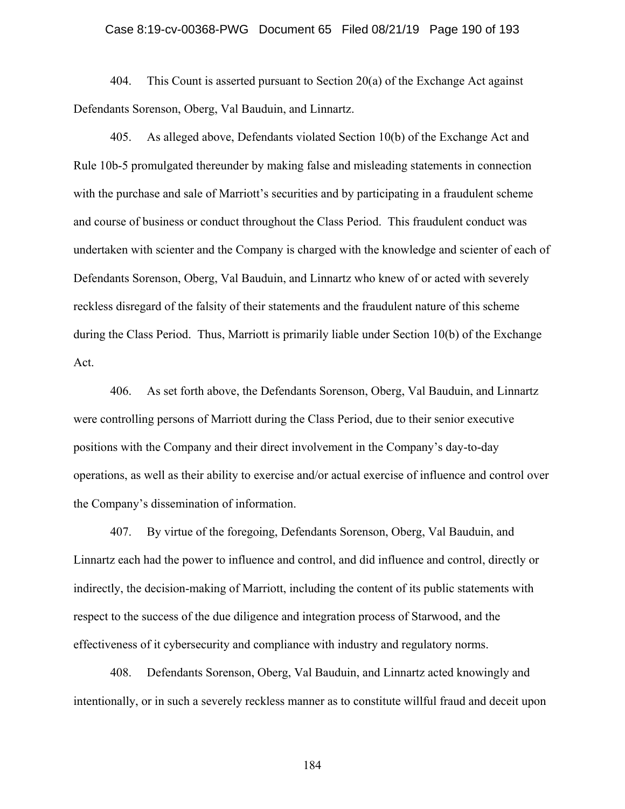## Case 8:19-cv-00368-PWG Document 65 Filed 08/21/19 Page 190 of 193

404. This Count is asserted pursuant to Section 20(a) of the Exchange Act against Defendants Sorenson, Oberg, Val Bauduin, and Linnartz.

405. As alleged above, Defendants violated Section 10(b) of the Exchange Act and Rule 10b-5 promulgated thereunder by making false and misleading statements in connection with the purchase and sale of Marriott's securities and by participating in a fraudulent scheme and course of business or conduct throughout the Class Period. This fraudulent conduct was undertaken with scienter and the Company is charged with the knowledge and scienter of each of Defendants Sorenson, Oberg, Val Bauduin, and Linnartz who knew of or acted with severely reckless disregard of the falsity of their statements and the fraudulent nature of this scheme during the Class Period. Thus, Marriott is primarily liable under Section 10(b) of the Exchange Act.

406. As set forth above, the Defendants Sorenson, Oberg, Val Bauduin, and Linnartz were controlling persons of Marriott during the Class Period, due to their senior executive positions with the Company and their direct involvement in the Company's day-to-day operations, as well as their ability to exercise and/or actual exercise of influence and control over the Company's dissemination of information.

407. By virtue of the foregoing, Defendants Sorenson, Oberg, Val Bauduin, and Linnartz each had the power to influence and control, and did influence and control, directly or indirectly, the decision-making of Marriott, including the content of its public statements with respect to the success of the due diligence and integration process of Starwood, and the effectiveness of it cybersecurity and compliance with industry and regulatory norms.

408. Defendants Sorenson, Oberg, Val Bauduin, and Linnartz acted knowingly and intentionally, or in such a severely reckless manner as to constitute willful fraud and deceit upon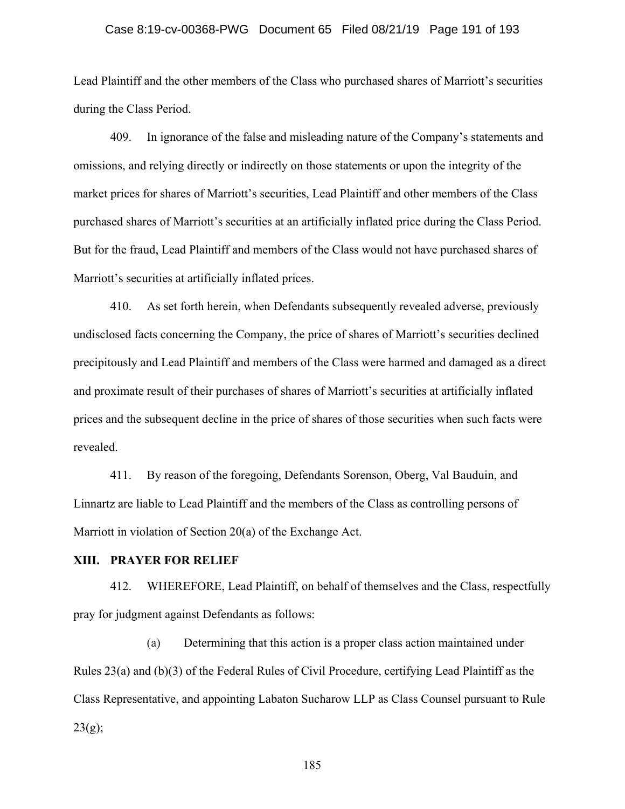## Case 8:19-cv-00368-PWG Document 65 Filed 08/21/19 Page 191 of 193

Lead Plaintiff and the other members of the Class who purchased shares of Marriott's securities during the Class Period.

409. In ignorance of the false and misleading nature of the Company's statements and omissions, and relying directly or indirectly on those statements or upon the integrity of the market prices for shares of Marriott's securities, Lead Plaintiff and other members of the Class purchased shares of Marriott's securities at an artificially inflated price during the Class Period. But for the fraud, Lead Plaintiff and members of the Class would not have purchased shares of Marriott's securities at artificially inflated prices.

410. As set forth herein, when Defendants subsequently revealed adverse, previously undisclosed facts concerning the Company, the price of shares of Marriott's securities declined precipitously and Lead Plaintiff and members of the Class were harmed and damaged as a direct and proximate result of their purchases of shares of Marriott's securities at artificially inflated prices and the subsequent decline in the price of shares of those securities when such facts were revealed.

411. By reason of the foregoing, Defendants Sorenson, Oberg, Val Bauduin, and Linnartz are liable to Lead Plaintiff and the members of the Class as controlling persons of Marriott in violation of Section 20(a) of the Exchange Act.

#### **XIII. PRAYER FOR RELIEF**

412. WHEREFORE, Lead Plaintiff, on behalf of themselves and the Class, respectfully pray for judgment against Defendants as follows:

(a) Determining that this action is a proper class action maintained under Rules 23(a) and (b)(3) of the Federal Rules of Civil Procedure, certifying Lead Plaintiff as the Class Representative, and appointing Labaton Sucharow LLP as Class Counsel pursuant to Rule  $23(g);$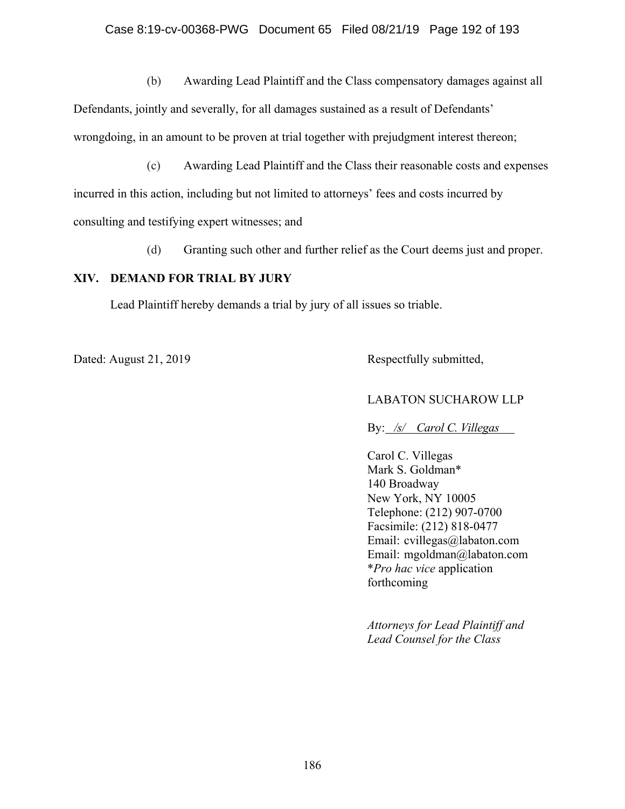(b) Awarding Lead Plaintiff and the Class compensatory damages against all

Defendants, jointly and severally, for all damages sustained as a result of Defendants' wrongdoing, in an amount to be proven at trial together with prejudgment interest thereon;

(c) Awarding Lead Plaintiff and the Class their reasonable costs and expenses

incurred in this action, including but not limited to attorneys' fees and costs incurred by

consulting and testifying expert witnesses; and

(d) Granting such other and further relief as the Court deems just and proper.

## **XIV. DEMAND FOR TRIAL BY JURY**

Lead Plaintiff hereby demands a trial by jury of all issues so triable.

Dated: August 21, 2019 Respectfully submitted,

## LABATON SUCHAROW LLP

By: */s/ Carol C. Villegas* 

Carol C. Villegas Mark S. Goldman\* 140 Broadway New York, NY 10005 Telephone: (212) 907-0700 Facsimile: (212) 818-0477 Email: cvillegas@labaton.com Email: mgoldman@labaton.com \**Pro hac vice* application forthcoming

*Attorneys for Lead Plaintiff and Lead Counsel for the Class*